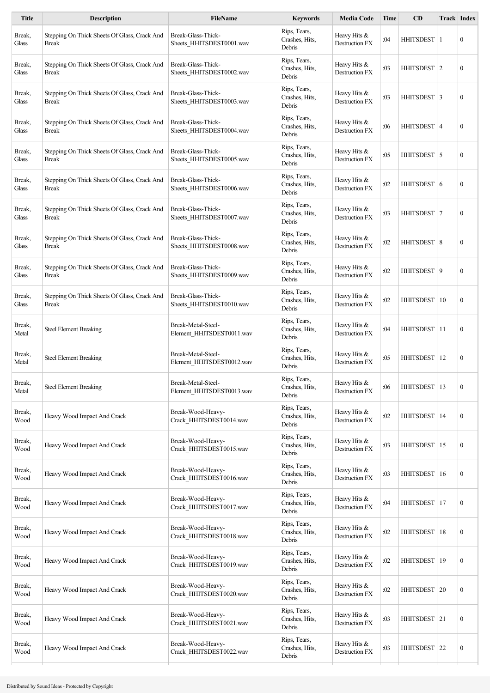| <b>Title</b>    | <b>Description</b>                                           | <b>FileName</b>                                 | <b>Keywords</b>                          | <b>Media Code</b>                     | <b>Time</b> | CD               |    | <b>Track Index</b> |
|-----------------|--------------------------------------------------------------|-------------------------------------------------|------------------------------------------|---------------------------------------|-------------|------------------|----|--------------------|
| Break,<br>Glass | Stepping On Thick Sheets Of Glass, Crack And<br><b>Break</b> | Break-Glass-Thick-<br>Sheets HHITSDEST0001.wav  | Rips, Tears,<br>Crashes, Hits,<br>Debris | Heavy Hits &<br>Destruction FX        | :04         | HHITSDEST        | -1 | $\boldsymbol{0}$   |
| Break,<br>Glass | Stepping On Thick Sheets Of Glass, Crack And<br><b>Break</b> | Break-Glass-Thick-<br>Sheets_HHITSDEST0002.wav  | Rips, Tears,<br>Crashes, Hits,<br>Debris | Heavy Hits &<br><b>Destruction FX</b> | :03         | HHITSDEST 2      |    | $\boldsymbol{0}$   |
| Break,<br>Glass | Stepping On Thick Sheets Of Glass, Crack And<br>Break        | Break-Glass-Thick-<br>Sheets HHITSDEST0003.wav  | Rips, Tears,<br>Crashes, Hits,<br>Debris | Heavy Hits &<br><b>Destruction FX</b> | :03         | HHITSDEST 3      |    | $\boldsymbol{0}$   |
| Break,<br>Glass | Stepping On Thick Sheets Of Glass, Crack And<br>Break        | Break-Glass-Thick-<br>Sheets_HHITSDEST0004.wav  | Rips, Tears,<br>Crashes, Hits,<br>Debris | Heavy Hits &<br>Destruction FX        | :06         | HHITSDEST   4    |    | $\mathbf{0}$       |
| Break,<br>Glass | Stepping On Thick Sheets Of Glass, Crack And<br><b>Break</b> | Break-Glass-Thick-<br>Sheets HHITSDEST0005.wav  | Rips, Tears,<br>Crashes, Hits,<br>Debris | Heavy Hits &<br>Destruction FX        | :05         | HHITSDEST 5      |    | $\boldsymbol{0}$   |
| Break,<br>Glass | Stepping On Thick Sheets Of Glass, Crack And<br>Break        | Break-Glass-Thick-<br>Sheets_HHITSDEST0006.wav  | Rips, Tears,<br>Crashes, Hits,<br>Debris | Heavy Hits &<br>Destruction FX        | :02         | HHITSDEST 6      |    | $\mathbf{0}$       |
| Break,<br>Glass | Stepping On Thick Sheets Of Glass, Crack And<br><b>Break</b> | Break-Glass-Thick-<br>Sheets_HHITSDEST0007.wav  | Rips, Tears,<br>Crashes, Hits,<br>Debris | Heavy Hits &<br>Destruction FX        | :03         | HHITSDEST 7      |    | $\mathbf{0}$       |
| Break,<br>Glass | Stepping On Thick Sheets Of Glass, Crack And<br><b>Break</b> | Break-Glass-Thick-<br>Sheets_HHITSDEST0008.wav  | Rips, Tears,<br>Crashes, Hits,<br>Debris | Heavy Hits &<br>Destruction FX        | :02         | HHITSDEST 8      |    | $\mathbf{0}$       |
| Break,<br>Glass | Stepping On Thick Sheets Of Glass, Crack And<br><b>Break</b> | Break-Glass-Thick-<br>Sheets_HHITSDEST0009.wav  | Rips, Tears,<br>Crashes, Hits,<br>Debris | Heavy Hits &<br>Destruction FX        | :02         | HHITSDEST 9      |    | $\boldsymbol{0}$   |
| Break,<br>Glass | Stepping On Thick Sheets Of Glass, Crack And<br><b>Break</b> | Break-Glass-Thick-<br>Sheets HHITSDEST0010.wav  | Rips, Tears,<br>Crashes, Hits,<br>Debris | Heavy Hits &<br>Destruction FX        | :02         | <b>HHITSDEST</b> | 10 | $\boldsymbol{0}$   |
| Break,<br>Metal | <b>Steel Element Breaking</b>                                | Break-Metal-Steel-<br>Element HHITSDEST0011.wav | Rips, Tears,<br>Crashes, Hits,<br>Debris | Heavy Hits &<br><b>Destruction FX</b> | :04         | HHITSDEST 11     |    | $\mathbf{0}$       |
| Break,<br>Metal | <b>Steel Element Breaking</b>                                | Break-Metal-Steel-<br>Element HHITSDEST0012.wav | Rips, Tears,<br>Crashes, Hits,<br>Debris | Heavy Hits &<br><b>Destruction FX</b> | :05         | HHITSDEST        | 12 | $\boldsymbol{0}$   |
| Break,<br>Metal | <b>Steel Element Breaking</b>                                | Break-Metal-Steel-<br>Element HHITSDEST0013.wav | Rips, Tears,<br>Crashes, Hits,<br>Debris | Heavy Hits &<br>Destruction FX        | :06         | HHITSDEST 13     |    | $\mathbf{0}$       |
| Break,<br>Wood  | Heavy Wood Impact And Crack                                  | Break-Wood-Heavy-<br>Crack_HHITSDEST0014.wav    | Rips, Tears,<br>Crashes, Hits,<br>Debris | Heavy Hits &<br>Destruction FX        | :02         | HHITSDEST   14   |    | $\boldsymbol{0}$   |
| Break,<br>Wood  | Heavy Wood Impact And Crack                                  | Break-Wood-Heavy-<br>Crack_HHITSDEST0015.wav    | Rips, Tears,<br>Crashes, Hits,<br>Debris | Heavy Hits &<br>Destruction FX        | :03         | HHITSDEST 15     |    | $\boldsymbol{0}$   |
| Break,<br>Wood  | Heavy Wood Impact And Crack                                  | Break-Wood-Heavy-<br>Crack_HHITSDEST0016.wav    | Rips, Tears,<br>Crashes, Hits,<br>Debris | Heavy Hits &<br>Destruction FX        | :03         | HHITSDEST   16   |    | $\boldsymbol{0}$   |
| Break,<br>Wood  | Heavy Wood Impact And Crack                                  | Break-Wood-Heavy-<br>Crack_HHITSDEST0017.wav    | Rips, Tears,<br>Crashes, Hits,<br>Debris | Heavy Hits &<br>Destruction FX        | :04         | HHITSDEST        | 17 | $\boldsymbol{0}$   |
| Break,<br>Wood  | Heavy Wood Impact And Crack                                  | Break-Wood-Heavy-<br>Crack_HHITSDEST0018.wav    | Rips, Tears,<br>Crashes, Hits,<br>Debris | Heavy Hits &<br>Destruction FX        | :02         | HHITSDEST   18   |    | $\boldsymbol{0}$   |
| Break,<br>Wood  | Heavy Wood Impact And Crack                                  | Break-Wood-Heavy-<br>Crack_HHITSDEST0019.wav    | Rips, Tears,<br>Crashes, Hits,<br>Debris | Heavy Hits &<br>Destruction FX        | :02         | HHITSDEST   19   |    | $\boldsymbol{0}$   |
| Break,<br>Wood  | Heavy Wood Impact And Crack                                  | Break-Wood-Heavy-<br>Crack_HHITSDEST0020.wav    | Rips, Tears,<br>Crashes, Hits,<br>Debris | Heavy Hits &<br>Destruction FX        | :02         | HHITSDEST   20   |    | $\boldsymbol{0}$   |
| Break,<br>Wood  | Heavy Wood Impact And Crack                                  | Break-Wood-Heavy-<br>Crack_HHITSDEST0021.wav    | Rips, Tears,<br>Crashes, Hits,<br>Debris | Heavy Hits &<br>Destruction FX        | :03         | HHITSDEST 21     |    | $\boldsymbol{0}$   |
| Break,<br>Wood  | Heavy Wood Impact And Crack                                  | Break-Wood-Heavy-<br>Crack_HHITSDEST0022.wav    | Rips, Tears,<br>Crashes, Hits,<br>Debris | Heavy Hits &<br>Destruction FX        | :03         | HHITSDEST 22     |    | $\boldsymbol{0}$   |
|                 |                                                              |                                                 |                                          |                                       |             |                  |    |                    |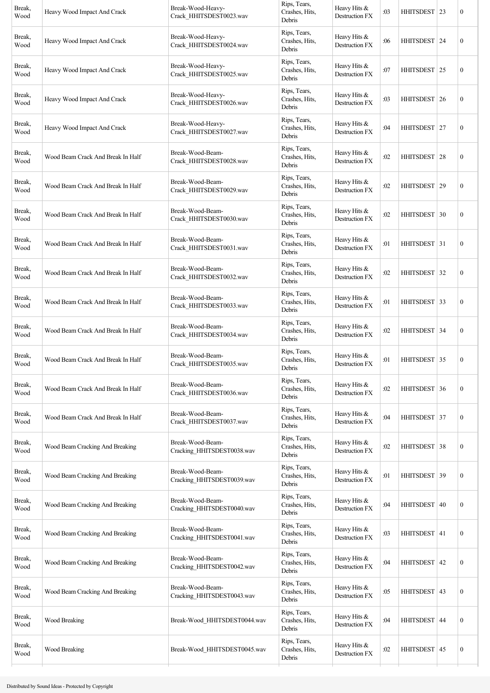| Break,<br>Wood | Heavy Wood Impact And Crack       | Break-Wood-Heavy-<br>Crack_HHITSDEST0023.wav   | Rips, Tears,<br>Crashes, Hits,<br>Debris | Heavy Hits &<br>Destruction FX   | :03 | HHITSDEST   23   |    | $\boldsymbol{0}$ |
|----------------|-----------------------------------|------------------------------------------------|------------------------------------------|----------------------------------|-----|------------------|----|------------------|
| Break,<br>Wood | Heavy Wood Impact And Crack       | Break-Wood-Heavy-<br>Crack_HHITSDEST0024.wav   | Rips, Tears,<br>Crashes, Hits,<br>Debris | Heavy Hits &<br>Destruction FX   | :06 | HHITSDEST 24     |    | $\boldsymbol{0}$ |
| Break,<br>Wood | Heavy Wood Impact And Crack       | Break-Wood-Heavy-<br>Crack_HHITSDEST0025.wav   | Rips, Tears,<br>Crashes, Hits,<br>Debris | Heavy Hits &<br>Destruction FX   | :07 | HHITSDEST 25     |    | $\boldsymbol{0}$ |
| Break,<br>Wood | Heavy Wood Impact And Crack       | Break-Wood-Heavy-<br>Crack HHITSDEST0026.wav   | Rips, Tears,<br>Crashes, Hits,<br>Debris | Heavy Hits &<br>Destruction FX   | :03 | HHITSDEST   26   |    | $\boldsymbol{0}$ |
| Break,<br>Wood | Heavy Wood Impact And Crack       | Break-Wood-Heavy-<br>Crack_HHITSDEST0027.wav   | Rips, Tears,<br>Crashes, Hits,<br>Debris | Heavy Hits &<br>Destruction FX   | :04 | HHITSDEST   27   |    | $\boldsymbol{0}$ |
| Break,<br>Wood | Wood Beam Crack And Break In Half | Break-Wood-Beam-<br>Crack_HHITSDEST0028.wav    | Rips, Tears,<br>Crashes, Hits,<br>Debris | Heavy Hits &<br>Destruction FX   | :02 | HHITSDEST 28     |    | $\boldsymbol{0}$ |
| Break,<br>Wood | Wood Beam Crack And Break In Half | Break-Wood-Beam-<br>Crack HHITSDEST0029.wav    | Rips, Tears,<br>Crashes, Hits,<br>Debris | Heavy Hits $&$<br>Destruction FX | :02 | HHITSDEST 29     |    | $\boldsymbol{0}$ |
| Break,<br>Wood | Wood Beam Crack And Break In Half | Break-Wood-Beam-<br>Crack HHITSDEST0030.wav    | Rips, Tears,<br>Crashes, Hits,<br>Debris | Heavy Hits &<br>Destruction FX   | :02 | HHITSDEST 30     |    | $\boldsymbol{0}$ |
| Break,<br>Wood | Wood Beam Crack And Break In Half | Break-Wood-Beam-<br>Crack HHITSDEST0031.wav    | Rips, Tears,<br>Crashes, Hits,<br>Debris | Heavy Hits &<br>Destruction FX   | :01 | HHITSDEST   31   |    | $\boldsymbol{0}$ |
| Break,<br>Wood | Wood Beam Crack And Break In Half | Break-Wood-Beam-<br>Crack HHITSDEST0032.wav    | Rips, Tears,<br>Crashes, Hits,<br>Debris | Heavy Hits $&$<br>Destruction FX | :02 | HHITSDEST 32     |    | $\boldsymbol{0}$ |
| Break,<br>Wood | Wood Beam Crack And Break In Half | Break-Wood-Beam-<br>Crack HHITSDEST0033.wav    | Rips, Tears,<br>Crashes, Hits,<br>Debris | Heavy Hits $&$<br>Destruction FX | :01 | HHITSDEST 33     |    | $\boldsymbol{0}$ |
| Break,<br>Wood | Wood Beam Crack And Break In Half | Break-Wood-Beam-<br>Crack HHITSDEST0034.wav    | Rips, Tears,<br>Crashes, Hits,<br>Debris | Heavy Hits &<br>Destruction FX   | :02 | HHITSDEST 34     |    | $\boldsymbol{0}$ |
| Break,<br>Wood | Wood Beam Crack And Break In Half | Break-Wood-Beam-<br>Crack HHITSDEST0035.wav    | Rips, Tears,<br>Crashes, Hits,<br>Debris | Heavy Hits &<br>Destruction FX   | :01 | HHITSDEST 35     |    | $\boldsymbol{0}$ |
| Break,<br>Wood | Wood Beam Crack And Break In Half | Break-Wood-Beam-<br>Crack HHITSDEST0036.wav    | Rips, Tears,<br>Crashes, Hits,<br>Debris | Heavy Hits &<br>Destruction FX   | :02 | HHITSDEST 36     |    | $\boldsymbol{0}$ |
| Break,<br>Wood | Wood Beam Crack And Break In Half | Break-Wood-Beam-<br>Crack_HHITSDEST0037.wav    | Rips, Tears,<br>Crashes, Hits,<br>Debris | Heavy Hits &<br>Destruction FX   | :04 | HHITSDEST 37     |    | $\boldsymbol{0}$ |
| Break,<br>Wood | Wood Beam Cracking And Breaking   | Break-Wood-Beam-<br>Cracking_HHITSDEST0038.wav | Rips, Tears,<br>Crashes, Hits,<br>Debris | Heavy Hits $&$<br>Destruction FX | :02 | HHITSDEST 38     |    | $\boldsymbol{0}$ |
| Break,<br>Wood | Wood Beam Cracking And Breaking   | Break-Wood-Beam-<br>Cracking_HHITSDEST0039.wav | Rips, Tears,<br>Crashes, Hits,<br>Debris | Heavy Hits &<br>Destruction FX   | :01 | <b>HHITSDEST</b> | 39 | $\boldsymbol{0}$ |
| Break,<br>Wood | Wood Beam Cracking And Breaking   | Break-Wood-Beam-<br>Cracking_HHITSDEST0040.wav | Rips, Tears,<br>Crashes, Hits,<br>Debris | Heavy Hits &<br>Destruction FX   | :04 | <b>HHITSDEST</b> | 40 | $\boldsymbol{0}$ |
| Break,<br>Wood | Wood Beam Cracking And Breaking   | Break-Wood-Beam-<br>Cracking_HHITSDEST0041.wav | Rips, Tears,<br>Crashes, Hits,<br>Debris | Heavy Hits &<br>Destruction FX   | :03 | HHITSDEST   41   |    | $\boldsymbol{0}$ |
| Break,<br>Wood | Wood Beam Cracking And Breaking   | Break-Wood-Beam-<br>Cracking_HHITSDEST0042.wav | Rips, Tears,<br>Crashes, Hits,<br>Debris | Heavy Hits &<br>Destruction FX   | :04 | HHITSDEST   42   |    | $\boldsymbol{0}$ |
| Break,<br>Wood | Wood Beam Cracking And Breaking   | Break-Wood-Beam-<br>Cracking_HHITSDEST0043.wav | Rips, Tears,<br>Crashes, Hits,<br>Debris | Heavy Hits &<br>Destruction FX   | :05 | HHITSDEST 43     |    | $\boldsymbol{0}$ |
| Break,<br>Wood | Wood Breaking                     | Break-Wood_HHITSDEST0044.wav                   | Rips, Tears,<br>Crashes, Hits,<br>Debris | Heavy Hits $&$<br>Destruction FX | :04 | <b>HHITSDEST</b> | 44 | $\boldsymbol{0}$ |
| Break,<br>Wood | Wood Breaking                     | Break-Wood_HHITSDEST0045.wav                   | Rips, Tears,<br>Crashes, Hits,<br>Debris | Heavy Hits &<br>Destruction FX   | :02 | HHITSDEST 45     |    | $\boldsymbol{0}$ |
|                |                                   |                                                |                                          |                                  |     |                  |    |                  |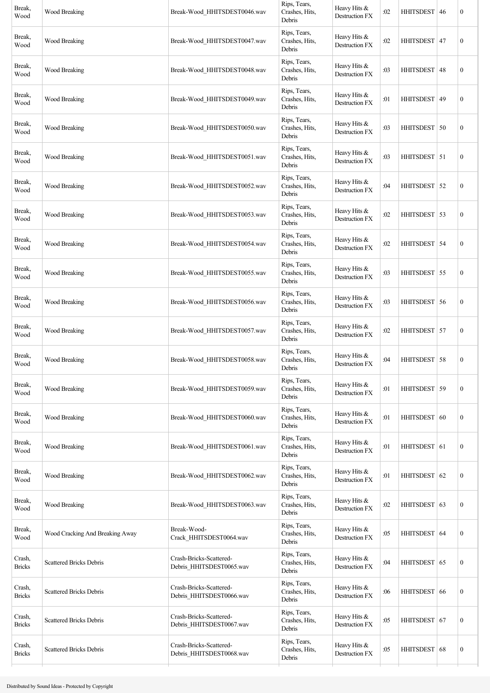| Break,<br>Wood          | Wood Breaking                   | Break-Wood HHITSDEST0046.wav                        | Rips, Tears,<br>Crashes, Hits,<br>Debris | Heavy Hits &<br>Destruction FX        | :02 | HHITSDEST 46   | $\boldsymbol{0}$ |
|-------------------------|---------------------------------|-----------------------------------------------------|------------------------------------------|---------------------------------------|-----|----------------|------------------|
| Break,<br>Wood          | Wood Breaking                   | Break-Wood HHITSDEST0047.wav                        | Rips, Tears,<br>Crashes, Hits,<br>Debris | Heavy Hits &<br><b>Destruction FX</b> | :02 | HHITSDEST 47   | $\boldsymbol{0}$ |
| Break,<br>Wood          | Wood Breaking                   | Break-Wood HHITSDEST0048.wav                        | Rips, Tears,<br>Crashes, Hits,<br>Debris | Heavy Hits &<br>Destruction FX        | :03 | HHITSDEST   48 | $\boldsymbol{0}$ |
| Break,<br>Wood          | Wood Breaking                   | Break-Wood HHITSDEST0049.wav                        | Rips, Tears,<br>Crashes, Hits,<br>Debris | Heavy Hits &<br><b>Destruction FX</b> | :01 | HHITSDEST 49   | $\boldsymbol{0}$ |
| Break,<br>Wood          | Wood Breaking                   | Break-Wood HHITSDEST0050.wav                        | Rips, Tears,<br>Crashes, Hits,<br>Debris | Heavy Hits &<br>Destruction FX        | :03 | HHITSDEST 50   | $\boldsymbol{0}$ |
| Break,<br>Wood          | Wood Breaking                   | Break-Wood HHITSDEST0051.wav                        | Rips, Tears,<br>Crashes, Hits,<br>Debris | Heavy Hits &<br>Destruction FX        | :03 | HHITSDEST 51   | $\boldsymbol{0}$ |
| Break,<br>Wood          | Wood Breaking                   | Break-Wood HHITSDEST0052.wav                        | Rips, Tears,<br>Crashes, Hits,<br>Debris | Heavy Hits &<br>Destruction FX        | :04 | HHITSDEST 52   | $\boldsymbol{0}$ |
| Break,<br>Wood          | Wood Breaking                   | Break-Wood HHITSDEST0053.wav                        | Rips, Tears,<br>Crashes, Hits,<br>Debris | Heavy Hits &<br>Destruction FX        | :02 | HHITSDEST 53   | $\boldsymbol{0}$ |
| Break,<br>Wood          | Wood Breaking                   | Break-Wood HHITSDEST0054.wav                        | Rips, Tears,<br>Crashes, Hits,<br>Debris | Heavy Hits &<br>Destruction FX        | :02 | HHITSDEST   54 | $\boldsymbol{0}$ |
| Break,<br>Wood          | Wood Breaking                   | Break-Wood HHITSDEST0055.wav                        | Rips, Tears,<br>Crashes, Hits,<br>Debris | Heavy Hits &<br>Destruction FX        | :03 | HHITSDEST 55   | $\boldsymbol{0}$ |
| Break,<br>Wood          | Wood Breaking                   | Break-Wood HHITSDEST0056.wav                        | Rips, Tears,<br>Crashes, Hits,<br>Debris | Heavy Hits &<br>Destruction FX        | :03 | HHITSDEST 56   | $\boldsymbol{0}$ |
| Break,<br>Wood          | Wood Breaking                   | Break-Wood HHITSDEST0057.wav                        | Rips, Tears,<br>Crashes, Hits,<br>Debris | Heavy Hits &<br>Destruction FX        | :02 | HHITSDEST 57   | $\boldsymbol{0}$ |
| Break,<br>Wood          | Wood Breaking                   | Break-Wood HHITSDEST0058.wav                        | Rips, Tears,<br>Crashes, Hits,<br>Debris | Heavy Hits &<br>Destruction FX        | :04 | HHITSDEST 58   | $\boldsymbol{0}$ |
| Break,<br>Wood          | Wood Breaking                   | Break-Wood HHITSDEST0059.wav                        | Rips, Tears,<br>Crashes, Hits,<br>Debris | Heavy Hits &<br>Destruction FX        | :01 | HHITSDEST 59   | $\boldsymbol{0}$ |
| Break,<br>Wood          | Wood Breaking                   | Break-Wood HHITSDEST0060.wav                        | Rips, Tears,<br>Crashes, Hits,<br>Debris | Heavy Hits &<br>Destruction FX        | :01 | HHITSDEST 60   | $\boldsymbol{0}$ |
| Break,<br>Wood          | Wood Breaking                   | Break-Wood HHITSDEST0061.wav                        | Rips, Tears,<br>Crashes, Hits,<br>Debris | Heavy Hits &<br>Destruction FX        | :01 | HHITSDEST 61   | $\boldsymbol{0}$ |
| Break,<br>Wood          | Wood Breaking                   | Break-Wood HHITSDEST0062.wav                        | Rips, Tears,<br>Crashes, Hits,<br>Debris | Heavy Hits &<br>Destruction FX        | :01 | HHITSDEST 62   | $\boldsymbol{0}$ |
| Break,<br>Wood          | Wood Breaking                   | Break-Wood HHITSDEST0063.wav                        | Rips, Tears,<br>Crashes, Hits,<br>Debris | Heavy Hits &<br>Destruction FX        | :02 | HHITSDEST 63   | $\boldsymbol{0}$ |
| Break,<br>Wood          | Wood Cracking And Breaking Away | Break-Wood-<br>Crack_HHITSDEST0064.wav              | Rips, Tears,<br>Crashes, Hits,<br>Debris | Heavy Hits &<br>Destruction FX        | :05 | HHITSDEST 64   | $\boldsymbol{0}$ |
| Crash,<br><b>Bricks</b> | <b>Scattered Bricks Debris</b>  | Crash-Bricks-Scattered-<br>Debris_HHITSDEST0065.wav | Rips, Tears,<br>Crashes, Hits,<br>Debris | Heavy Hits &<br>Destruction FX        | :04 | HHITSDEST 65   | $\boldsymbol{0}$ |
| Crash,<br><b>Bricks</b> | <b>Scattered Bricks Debris</b>  | Crash-Bricks-Scattered-<br>Debris_HHITSDEST0066.wav | Rips, Tears,<br>Crashes, Hits,<br>Debris | Heavy Hits &<br>Destruction FX        | :06 | HHITSDEST 66   | $\boldsymbol{0}$ |
| Crash,<br><b>Bricks</b> | <b>Scattered Bricks Debris</b>  | Crash-Bricks-Scattered-<br>Debris_HHITSDEST0067.wav | Rips, Tears,<br>Crashes, Hits,<br>Debris | Heavy Hits &<br>Destruction FX        | :05 | HHITSDEST 67   | $\boldsymbol{0}$ |
| Crash,<br><b>Bricks</b> | <b>Scattered Bricks Debris</b>  | Crash-Bricks-Scattered-<br>Debris_HHITSDEST0068.wav | Rips, Tears,<br>Crashes, Hits,<br>Debris | Heavy Hits &<br>Destruction FX        | :05 | HHITSDEST 68   | $\boldsymbol{0}$ |
|                         |                                 |                                                     |                                          |                                       |     |                |                  |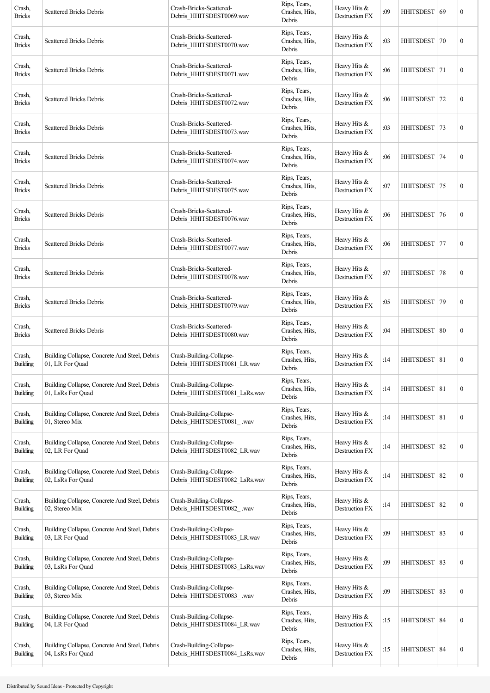| <b>Scattered Bricks Debris</b>                                     | Crash-Bricks-Scattered-<br>Debris_HHITSDEST0069.wav       | Rips, Tears,<br>Crashes, Hits,<br>Debris | Heavy Hits &<br>Destruction FX        | :09 |                  |    | $\boldsymbol{0}$                                                                                                                                                                                                                                                                                                                                                                |
|--------------------------------------------------------------------|-----------------------------------------------------------|------------------------------------------|---------------------------------------|-----|------------------|----|---------------------------------------------------------------------------------------------------------------------------------------------------------------------------------------------------------------------------------------------------------------------------------------------------------------------------------------------------------------------------------|
| <b>Scattered Bricks Debris</b>                                     | Crash-Bricks-Scattered-<br>Debris_HHITSDEST0070.wav       | Rips, Tears,<br>Crashes, Hits,<br>Debris | Heavy Hits &<br>Destruction FX        | :03 |                  | 70 | $\boldsymbol{0}$                                                                                                                                                                                                                                                                                                                                                                |
| <b>Scattered Bricks Debris</b>                                     | Crash-Bricks-Scattered-<br>Debris_HHITSDEST0071.wav       | Rips, Tears,<br>Crashes, Hits,<br>Debris | Heavy Hits &<br>Destruction FX        | :06 |                  |    | $\boldsymbol{0}$                                                                                                                                                                                                                                                                                                                                                                |
| <b>Scattered Bricks Debris</b>                                     | Crash-Bricks-Scattered-<br>Debris HHITSDEST0072.wav       | Rips, Tears,<br>Crashes, Hits,<br>Debris | Heavy Hits &<br><b>Destruction FX</b> | :06 | <b>HHITSDEST</b> | 72 | $\boldsymbol{0}$                                                                                                                                                                                                                                                                                                                                                                |
| <b>Scattered Bricks Debris</b>                                     | Crash-Bricks-Scattered-<br>Debris HHITSDEST0073.wav       | Rips, Tears,<br>Crashes, Hits,<br>Debris | Heavy Hits &<br><b>Destruction FX</b> | :03 |                  |    | $\boldsymbol{0}$                                                                                                                                                                                                                                                                                                                                                                |
| <b>Scattered Bricks Debris</b>                                     | Crash-Bricks-Scattered-<br>Debris HHITSDEST0074.wav       | Rips, Tears,<br>Crashes, Hits,<br>Debris | Heavy Hits &<br>Destruction FX        | :06 |                  | 74 | $\boldsymbol{0}$                                                                                                                                                                                                                                                                                                                                                                |
| <b>Scattered Bricks Debris</b>                                     | Crash-Bricks-Scattered-<br>Debris_HHITSDEST0075.wav       | Rips, Tears,<br>Crashes, Hits,<br>Debris | Heavy Hits &<br>Destruction FX        | :07 |                  | 75 | $\boldsymbol{0}$                                                                                                                                                                                                                                                                                                                                                                |
| <b>Scattered Bricks Debris</b>                                     | Crash-Bricks-Scattered-<br>Debris HHITSDEST0076.wav       | Rips, Tears,<br>Crashes, Hits,<br>Debris | Heavy Hits &<br>Destruction FX        | :06 |                  | 76 | $\boldsymbol{0}$                                                                                                                                                                                                                                                                                                                                                                |
| <b>Scattered Bricks Debris</b>                                     | Crash-Bricks-Scattered-<br>Debris_HHITSDEST0077.wav       | Rips, Tears,<br>Crashes, Hits,<br>Debris | Heavy Hits &<br>Destruction FX        | :06 |                  |    | $\boldsymbol{0}$                                                                                                                                                                                                                                                                                                                                                                |
| <b>Scattered Bricks Debris</b>                                     | Crash-Bricks-Scattered-<br>Debris_HHITSDEST0078.wav       | Rips, Tears,<br>Crashes, Hits,<br>Debris | Heavy Hits &<br>Destruction FX        | :07 |                  | 78 | $\boldsymbol{0}$                                                                                                                                                                                                                                                                                                                                                                |
| <b>Scattered Bricks Debris</b>                                     | Crash-Bricks-Scattered-<br>Debris HHITSDEST0079.wav       | Rips, Tears,<br>Crashes, Hits,<br>Debris | Heavy Hits &<br>Destruction FX        | :05 | HHITSDEST        | 79 | $\boldsymbol{0}$                                                                                                                                                                                                                                                                                                                                                                |
| <b>Scattered Bricks Debris</b>                                     | Crash-Bricks-Scattered-<br>Debris HHITSDEST0080.wav       | Rips, Tears,<br>Crashes, Hits,<br>Debris | Heavy Hits &<br>Destruction FX        | :04 |                  |    | $\boldsymbol{0}$                                                                                                                                                                                                                                                                                                                                                                |
| Building Collapse, Concrete And Steel, Debris<br>01, LR For Quad   | Crash-Building-Collapse-<br>Debris_HHITSDEST0081_LR.wav   | Rips, Tears,<br>Crashes, Hits,<br>Debris | Heavy Hits &<br><b>Destruction FX</b> | :14 |                  |    | $\boldsymbol{0}$                                                                                                                                                                                                                                                                                                                                                                |
| Building Collapse, Concrete And Steel, Debris<br>01, LsRs For Quad | Crash-Building-Collapse-<br>Debris_HHITSDEST0081_LsRs.wav | Rips, Tears,<br>Crashes, Hits,<br>Debris | Heavy Hits &<br>Destruction FX        | :14 |                  |    | $\boldsymbol{0}$                                                                                                                                                                                                                                                                                                                                                                |
| Building Collapse, Concrete And Steel, Debris<br>01, Stereo Mix    | Crash-Building-Collapse-<br>Debris_HHITSDEST0081_.wav     | Rips, Tears,<br>Crashes, Hits,<br>Debris | Heavy Hits &<br>Destruction FX        | :14 |                  |    | $\boldsymbol{0}$                                                                                                                                                                                                                                                                                                                                                                |
| Building Collapse, Concrete And Steel, Debris<br>02, LR For Quad   | Crash-Building-Collapse-<br>Debris_HHITSDEST0082_LR.wav   | Rips, Tears,<br>Crashes, Hits,<br>Debris | Heavy Hits &<br>Destruction FX        | :14 |                  |    | $\boldsymbol{0}$                                                                                                                                                                                                                                                                                                                                                                |
| Building Collapse, Concrete And Steel, Debris<br>02, LsRs For Quad | Crash-Building-Collapse-<br>Debris_HHITSDEST0082_LsRs.wav | Rips, Tears,<br>Crashes, Hits,<br>Debris | Heavy Hits &<br>Destruction FX        | :14 |                  |    | $\boldsymbol{0}$                                                                                                                                                                                                                                                                                                                                                                |
| Building Collapse, Concrete And Steel, Debris<br>02, Stereo Mix    | Crash-Building-Collapse-<br>Debris_HHITSDEST0082_.wav     | Rips, Tears,<br>Crashes, Hits,<br>Debris | Heavy Hits &<br>Destruction FX        | :14 |                  | 82 | $\boldsymbol{0}$                                                                                                                                                                                                                                                                                                                                                                |
| Building Collapse, Concrete And Steel, Debris<br>03, LR For Quad   | Crash-Building-Collapse-<br>Debris_HHITSDEST0083_LR.wav   | Rips, Tears,<br>Crashes, Hits,<br>Debris | Heavy Hits &<br>Destruction FX        | :09 |                  | 83 | $\boldsymbol{0}$                                                                                                                                                                                                                                                                                                                                                                |
| Building Collapse, Concrete And Steel, Debris<br>03, LsRs For Quad | Crash-Building-Collapse-<br>Debris_HHITSDEST0083_LsRs.wav | Rips, Tears,<br>Crashes, Hits,<br>Debris | Heavy Hits &<br>Destruction FX        | :09 |                  |    | $\boldsymbol{0}$                                                                                                                                                                                                                                                                                                                                                                |
| Building Collapse, Concrete And Steel, Debris<br>03, Stereo Mix    | Crash-Building-Collapse-<br>Debris_HHITSDEST0083_.wav     | Rips, Tears,<br>Crashes, Hits,<br>Debris | Heavy Hits &<br>Destruction FX        | :09 |                  | 83 | $\boldsymbol{0}$                                                                                                                                                                                                                                                                                                                                                                |
| Building Collapse, Concrete And Steel, Debris<br>04, LR For Quad   | Crash-Building-Collapse-<br>Debris_HHITSDEST0084_LR.wav   | Rips, Tears,<br>Crashes, Hits,<br>Debris | Heavy Hits $&$<br>Destruction FX      | :15 |                  |    | $\boldsymbol{0}$                                                                                                                                                                                                                                                                                                                                                                |
| Building Collapse, Concrete And Steel, Debris<br>04, LsRs For Quad | Crash-Building-Collapse-<br>Debris_HHITSDEST0084_LsRs.wav | Rips, Tears,<br>Crashes, Hits,<br>Debris | Heavy Hits &<br>Destruction FX        | :15 |                  |    | $\boldsymbol{0}$                                                                                                                                                                                                                                                                                                                                                                |
|                                                                    |                                                           |                                          |                                       |     |                  |    | HHITSDEST   69<br><b>HHITSDEST</b><br>HHITSDEST   71<br>HHITSDEST   73<br>HHITSDEST<br><b>HHITSDEST</b><br><b>HHITSDEST</b><br>HHITSDEST 77<br><b>HHITSDEST</b><br>HHITSDEST   80<br>HHITSDEST   81<br>HHITSDEST 81<br>HHITSDEST 81<br>HHITSDEST 82<br>HHITSDEST 82<br><b>HHITSDEST</b><br><b>HHITSDEST</b><br>HHITSDEST 83<br><b>HHITSDEST</b><br>HHITSDEST 84<br>HHITSDEST 84 |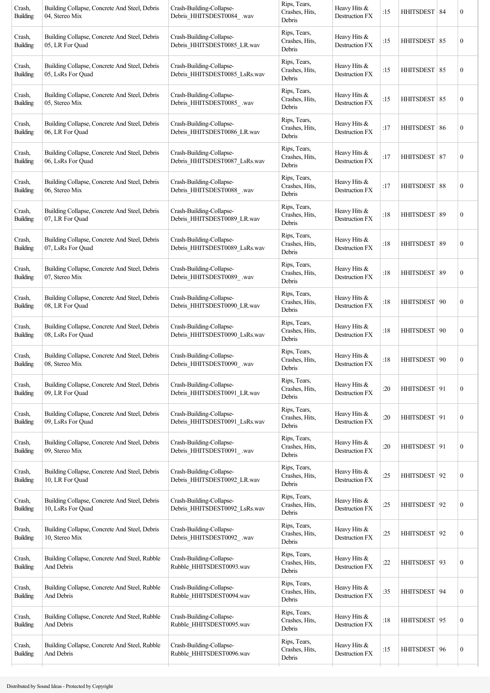| Rips, Tears,<br>Building Collapse, Concrete And Steel, Debris<br>Crash-Building-Collapse-<br>Heavy Hits &<br>Crash,<br>HHITSDEST 85<br>Crashes, Hits,<br>:15<br>Debris HHITSDEST0085 LR.wav<br>Destruction FX<br><b>Building</b><br>05, LR For Quad<br>Debris<br>Rips, Tears,<br>Building Collapse, Concrete And Steel, Debris<br>Crash-Building-Collapse-<br>Heavy Hits &<br>Crash,<br>Crashes, Hits,<br>:15<br>HHITSDEST   85<br>Debris_HHITSDEST0085_LsRs.wav<br>Destruction FX<br><b>Building</b><br>05, LsRs For Quad<br>Debris<br>Rips, Tears,<br>Building Collapse, Concrete And Steel, Debris<br>Crash-Building-Collapse-<br>Heavy Hits &<br>Crash,<br>HHITSDEST 85<br>Crashes, Hits,<br>:15<br>Destruction FX<br><b>Building</b><br>05, Stereo Mix<br>Debris HHITSDEST0085 .wav<br>Debris<br>Rips, Tears,<br>Crash,<br>Building Collapse, Concrete And Steel, Debris<br>Crash-Building-Collapse-<br>Heavy Hits &<br>Crashes, Hits,<br>:17<br>HHITSDEST   86<br>Debris_HHITSDEST0086_LR.wav<br><b>Building</b><br>06, LR For Quad<br>Destruction FX<br>Debris<br>Rips, Tears,<br>Building Collapse, Concrete And Steel, Debris<br>Crash-Building-Collapse-<br>Heavy Hits &<br>Crash,<br>HHITSDEST 87<br>Crashes, Hits,<br>:17<br>Debris_HHITSDEST0087_LsRs.wav<br><b>Building</b><br>06, LsRs For Ouad<br>Destruction FX<br>Debris<br>Rips, Tears,<br>Building Collapse, Concrete And Steel, Debris<br>Crash-Building-Collapse-<br>Heavy Hits &<br>Crash,<br>HHITSDEST 88<br>Crashes, Hits,<br>:17<br><b>Building</b><br>06, Stereo Mix<br>Debris HHITSDEST0088 .wav<br>Destruction FX<br>Debris<br>Rips, Tears,<br>Crash,<br>Building Collapse, Concrete And Steel, Debris<br>Crash-Building-Collapse-<br>Heavy Hits &<br>:18<br>HHITSDEST 89<br>Crashes, Hits,<br>Destruction FX<br><b>Building</b><br>07, LR For Quad<br>Debris HHITSDEST0089 LR.wav<br>Debris<br>Rips, Tears,<br>Crash-Building-Collapse-<br>Crash,<br>Building Collapse, Concrete And Steel, Debris<br>Heavy Hits &<br>Crashes, Hits,<br>:18<br>HHITSDEST   89<br>07, LsRs For Quad<br>Debris_HHITSDEST0089_LsRs.wav<br>Destruction FX<br>Building<br>Debris<br>Rips, Tears,<br>Crash-Building-Collapse-<br>Crash,<br>Building Collapse, Concrete And Steel, Debris<br>Heavy Hits &<br>:18<br>HHITSDEST 89<br>Crashes, Hits,<br><b>Building</b><br>07, Stereo Mix<br>Debris_HHITSDEST0089_.wav<br>Destruction FX<br>Debris<br>Rips, Tears,<br>Crash-Building-Collapse-<br>Crash,<br>Building Collapse, Concrete And Steel, Debris<br>Heavy Hits &<br><b>HHITSDEST</b><br>Crashes, Hits,<br>:18 |    | $\boldsymbol{0}$ |
|-----------------------------------------------------------------------------------------------------------------------------------------------------------------------------------------------------------------------------------------------------------------------------------------------------------------------------------------------------------------------------------------------------------------------------------------------------------------------------------------------------------------------------------------------------------------------------------------------------------------------------------------------------------------------------------------------------------------------------------------------------------------------------------------------------------------------------------------------------------------------------------------------------------------------------------------------------------------------------------------------------------------------------------------------------------------------------------------------------------------------------------------------------------------------------------------------------------------------------------------------------------------------------------------------------------------------------------------------------------------------------------------------------------------------------------------------------------------------------------------------------------------------------------------------------------------------------------------------------------------------------------------------------------------------------------------------------------------------------------------------------------------------------------------------------------------------------------------------------------------------------------------------------------------------------------------------------------------------------------------------------------------------------------------------------------------------------------------------------------------------------------------------------------------------------------------------------------------------------------------------------------------------------------------------------------------------------------------------------------------------------------------------------------------------------------------------------------------------------------------------------------------------------------------------------------------------------|----|------------------|
|                                                                                                                                                                                                                                                                                                                                                                                                                                                                                                                                                                                                                                                                                                                                                                                                                                                                                                                                                                                                                                                                                                                                                                                                                                                                                                                                                                                                                                                                                                                                                                                                                                                                                                                                                                                                                                                                                                                                                                                                                                                                                                                                                                                                                                                                                                                                                                                                                                                                                                                                                                             |    | $\boldsymbol{0}$ |
|                                                                                                                                                                                                                                                                                                                                                                                                                                                                                                                                                                                                                                                                                                                                                                                                                                                                                                                                                                                                                                                                                                                                                                                                                                                                                                                                                                                                                                                                                                                                                                                                                                                                                                                                                                                                                                                                                                                                                                                                                                                                                                                                                                                                                                                                                                                                                                                                                                                                                                                                                                             |    | $\boldsymbol{0}$ |
|                                                                                                                                                                                                                                                                                                                                                                                                                                                                                                                                                                                                                                                                                                                                                                                                                                                                                                                                                                                                                                                                                                                                                                                                                                                                                                                                                                                                                                                                                                                                                                                                                                                                                                                                                                                                                                                                                                                                                                                                                                                                                                                                                                                                                                                                                                                                                                                                                                                                                                                                                                             |    | $\boldsymbol{0}$ |
|                                                                                                                                                                                                                                                                                                                                                                                                                                                                                                                                                                                                                                                                                                                                                                                                                                                                                                                                                                                                                                                                                                                                                                                                                                                                                                                                                                                                                                                                                                                                                                                                                                                                                                                                                                                                                                                                                                                                                                                                                                                                                                                                                                                                                                                                                                                                                                                                                                                                                                                                                                             |    | $\boldsymbol{0}$ |
|                                                                                                                                                                                                                                                                                                                                                                                                                                                                                                                                                                                                                                                                                                                                                                                                                                                                                                                                                                                                                                                                                                                                                                                                                                                                                                                                                                                                                                                                                                                                                                                                                                                                                                                                                                                                                                                                                                                                                                                                                                                                                                                                                                                                                                                                                                                                                                                                                                                                                                                                                                             |    | $\boldsymbol{0}$ |
|                                                                                                                                                                                                                                                                                                                                                                                                                                                                                                                                                                                                                                                                                                                                                                                                                                                                                                                                                                                                                                                                                                                                                                                                                                                                                                                                                                                                                                                                                                                                                                                                                                                                                                                                                                                                                                                                                                                                                                                                                                                                                                                                                                                                                                                                                                                                                                                                                                                                                                                                                                             |    | $\boldsymbol{0}$ |
|                                                                                                                                                                                                                                                                                                                                                                                                                                                                                                                                                                                                                                                                                                                                                                                                                                                                                                                                                                                                                                                                                                                                                                                                                                                                                                                                                                                                                                                                                                                                                                                                                                                                                                                                                                                                                                                                                                                                                                                                                                                                                                                                                                                                                                                                                                                                                                                                                                                                                                                                                                             |    | $\boldsymbol{0}$ |
|                                                                                                                                                                                                                                                                                                                                                                                                                                                                                                                                                                                                                                                                                                                                                                                                                                                                                                                                                                                                                                                                                                                                                                                                                                                                                                                                                                                                                                                                                                                                                                                                                                                                                                                                                                                                                                                                                                                                                                                                                                                                                                                                                                                                                                                                                                                                                                                                                                                                                                                                                                             |    | $\boldsymbol{0}$ |
|                                                                                                                                                                                                                                                                                                                                                                                                                                                                                                                                                                                                                                                                                                                                                                                                                                                                                                                                                                                                                                                                                                                                                                                                                                                                                                                                                                                                                                                                                                                                                                                                                                                                                                                                                                                                                                                                                                                                                                                                                                                                                                                                                                                                                                                                                                                                                                                                                                                                                                                                                                             |    | $\boldsymbol{0}$ |
| Debris_HHITSDEST0090_LR.wav<br><b>Building</b><br>08, LR For Quad<br>Destruction FX<br>Debris                                                                                                                                                                                                                                                                                                                                                                                                                                                                                                                                                                                                                                                                                                                                                                                                                                                                                                                                                                                                                                                                                                                                                                                                                                                                                                                                                                                                                                                                                                                                                                                                                                                                                                                                                                                                                                                                                                                                                                                                                                                                                                                                                                                                                                                                                                                                                                                                                                                                               | 90 | $\boldsymbol{0}$ |
| Rips, Tears,<br>Building Collapse, Concrete And Steel, Debris<br>Crash-Building-Collapse-<br>Heavy Hits &<br>Crash,<br>HHITSDEST   90<br>Crashes, Hits,<br>:18<br>Debris_HHITSDEST0090_LsRs.wav<br>Building<br>08, LsRs For Quad<br>Destruction FX<br>Debris                                                                                                                                                                                                                                                                                                                                                                                                                                                                                                                                                                                                                                                                                                                                                                                                                                                                                                                                                                                                                                                                                                                                                                                                                                                                                                                                                                                                                                                                                                                                                                                                                                                                                                                                                                                                                                                                                                                                                                                                                                                                                                                                                                                                                                                                                                                |    | $\boldsymbol{0}$ |
| Rips, Tears,<br>Crash-Building-Collapse-<br>Building Collapse, Concrete And Steel, Debris<br>Heavy Hits &<br>Crash,<br>HHITSDEST   90<br>Crashes, Hits,<br>:18<br>Debris_HHITSDEST0090_.wav<br>Building<br>08, Stereo Mix<br>Destruction FX<br>Debris                                                                                                                                                                                                                                                                                                                                                                                                                                                                                                                                                                                                                                                                                                                                                                                                                                                                                                                                                                                                                                                                                                                                                                                                                                                                                                                                                                                                                                                                                                                                                                                                                                                                                                                                                                                                                                                                                                                                                                                                                                                                                                                                                                                                                                                                                                                       |    | $\boldsymbol{0}$ |
| Rips, Tears,<br>Building Collapse, Concrete And Steel, Debris<br>Crash-Building-Collapse-<br>Heavy Hits &<br>Crash,<br>Crashes, Hits,<br>:20<br>HHITSDEST 91<br>Debris_HHITSDEST0091_LR.wav<br>Building<br>09, LR For Quad<br>Destruction FX<br>Debris                                                                                                                                                                                                                                                                                                                                                                                                                                                                                                                                                                                                                                                                                                                                                                                                                                                                                                                                                                                                                                                                                                                                                                                                                                                                                                                                                                                                                                                                                                                                                                                                                                                                                                                                                                                                                                                                                                                                                                                                                                                                                                                                                                                                                                                                                                                      |    | $\boldsymbol{0}$ |
| Rips, Tears,<br>Building Collapse, Concrete And Steel, Debris<br>Crash-Building-Collapse-<br>Heavy Hits &<br>Crash,<br>Crashes, Hits,<br>:20<br>HHITSDEST 91<br>Building<br>09, LsRs For Quad<br>Debris HHITSDEST0091 LsRs.wav<br>Destruction FX<br>Debris                                                                                                                                                                                                                                                                                                                                                                                                                                                                                                                                                                                                                                                                                                                                                                                                                                                                                                                                                                                                                                                                                                                                                                                                                                                                                                                                                                                                                                                                                                                                                                                                                                                                                                                                                                                                                                                                                                                                                                                                                                                                                                                                                                                                                                                                                                                  |    | $\boldsymbol{0}$ |
| Rips, Tears,<br>Building Collapse, Concrete And Steel, Debris<br>Crash-Building-Collapse-<br>Heavy Hits &<br>Crash,<br>Crashes, Hits,<br>:20<br>HHITSDEST 91<br>Destruction FX<br>Building<br>Debris_HHITSDEST0091_.wav<br>09, Stereo Mix<br>Debris                                                                                                                                                                                                                                                                                                                                                                                                                                                                                                                                                                                                                                                                                                                                                                                                                                                                                                                                                                                                                                                                                                                                                                                                                                                                                                                                                                                                                                                                                                                                                                                                                                                                                                                                                                                                                                                                                                                                                                                                                                                                                                                                                                                                                                                                                                                         |    | $\boldsymbol{0}$ |
| Rips, Tears,<br>Building Collapse, Concrete And Steel, Debris<br>Crash-Building-Collapse-<br>Heavy Hits &<br>Crash,<br>:25<br>Crashes, Hits,<br>HHITSDEST   92<br>Destruction FX<br><b>Building</b><br>10, LR For Quad<br>Debris_HHITSDEST0092_LR.wav<br>Debris                                                                                                                                                                                                                                                                                                                                                                                                                                                                                                                                                                                                                                                                                                                                                                                                                                                                                                                                                                                                                                                                                                                                                                                                                                                                                                                                                                                                                                                                                                                                                                                                                                                                                                                                                                                                                                                                                                                                                                                                                                                                                                                                                                                                                                                                                                             |    | $\boldsymbol{0}$ |
| Rips, Tears,<br>Building Collapse, Concrete And Steel, Debris<br>Crash-Building-Collapse-<br>Heavy Hits &<br>Crash,<br>Crashes, Hits,<br>:25<br>HHITSDEST   92<br>Debris_HHITSDEST0092_LsRs.wav<br>Building<br>Destruction FX<br>10, LsRs For Quad<br>Debris                                                                                                                                                                                                                                                                                                                                                                                                                                                                                                                                                                                                                                                                                                                                                                                                                                                                                                                                                                                                                                                                                                                                                                                                                                                                                                                                                                                                                                                                                                                                                                                                                                                                                                                                                                                                                                                                                                                                                                                                                                                                                                                                                                                                                                                                                                                |    | $\boldsymbol{0}$ |
| Rips, Tears,<br>Building Collapse, Concrete And Steel, Debris<br>Crash-Building-Collapse-<br>Heavy Hits &<br>Crash,<br>:25<br><b>HHITSDEST</b><br>Crashes, Hits,<br>Debris_HHITSDEST0092_.wav<br>Destruction FX<br>Building<br>10, Stereo Mix<br>Debris                                                                                                                                                                                                                                                                                                                                                                                                                                                                                                                                                                                                                                                                                                                                                                                                                                                                                                                                                                                                                                                                                                                                                                                                                                                                                                                                                                                                                                                                                                                                                                                                                                                                                                                                                                                                                                                                                                                                                                                                                                                                                                                                                                                                                                                                                                                     | 92 | $\boldsymbol{0}$ |
| Rips, Tears,<br>Building Collapse, Concrete And Steel, Rubble<br>Crash-Building-Collapse-<br>Heavy Hits &<br>Crash,<br>Crashes, Hits,<br>:22<br>HHITSDEST   93<br>Rubble_HHITSDEST0093.wav<br>Destruction FX<br>Building<br>And Debris<br>Debris                                                                                                                                                                                                                                                                                                                                                                                                                                                                                                                                                                                                                                                                                                                                                                                                                                                                                                                                                                                                                                                                                                                                                                                                                                                                                                                                                                                                                                                                                                                                                                                                                                                                                                                                                                                                                                                                                                                                                                                                                                                                                                                                                                                                                                                                                                                            |    | $\boldsymbol{0}$ |
| Rips, Tears,<br>Building Collapse, Concrete And Steel, Rubble<br>Crash-Building-Collapse-<br>Heavy Hits &<br>Crash,<br>Crashes, Hits,<br>:35<br>HHITSDEST   94<br>Building<br>And Debris<br>Rubble_HHITSDEST0094.wav<br>Destruction FX<br>Debris                                                                                                                                                                                                                                                                                                                                                                                                                                                                                                                                                                                                                                                                                                                                                                                                                                                                                                                                                                                                                                                                                                                                                                                                                                                                                                                                                                                                                                                                                                                                                                                                                                                                                                                                                                                                                                                                                                                                                                                                                                                                                                                                                                                                                                                                                                                            |    | $\boldsymbol{0}$ |
| Rips, Tears,<br>Building Collapse, Concrete And Steel, Rubble<br>Crash-Building-Collapse-<br>Crash,<br>Heavy Hits $&$<br>Crashes, Hits,<br>HHITSDEST 95<br>:18<br>Rubble_HHITSDEST0095.wav<br>Building<br>Destruction FX<br>And Debris<br>Debris                                                                                                                                                                                                                                                                                                                                                                                                                                                                                                                                                                                                                                                                                                                                                                                                                                                                                                                                                                                                                                                                                                                                                                                                                                                                                                                                                                                                                                                                                                                                                                                                                                                                                                                                                                                                                                                                                                                                                                                                                                                                                                                                                                                                                                                                                                                            |    | $\boldsymbol{0}$ |
| Rips, Tears,<br>Building Collapse, Concrete And Steel, Rubble<br>Crash-Building-Collapse-<br>Heavy Hits &<br>Crash,<br>Crashes, Hits,<br>:15<br>HHITSDEST 96<br>Destruction FX<br>Building<br>And Debris<br>Rubble_HHITSDEST0096.wav<br>Debris                                                                                                                                                                                                                                                                                                                                                                                                                                                                                                                                                                                                                                                                                                                                                                                                                                                                                                                                                                                                                                                                                                                                                                                                                                                                                                                                                                                                                                                                                                                                                                                                                                                                                                                                                                                                                                                                                                                                                                                                                                                                                                                                                                                                                                                                                                                              |    | $\boldsymbol{0}$ |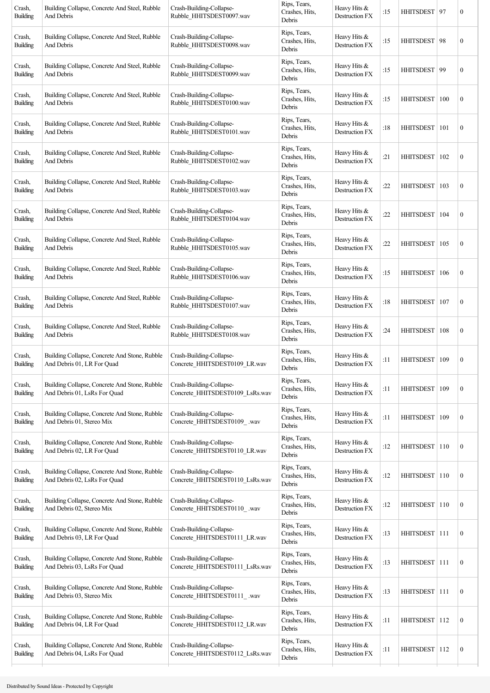| Building Collapse, Concrete And Steel, Rubble<br>And Debris                   | Crash-Building-Collapse-<br>Rubble_HHITSDEST0097.wav        | Rips, Tears,<br>Crashes, Hits,<br>Debris | Heavy Hits &<br>Destruction FX        | :15 | HHITSDEST   97   |     | $\boldsymbol{0}$                                                                                                                                                                                                                              |
|-------------------------------------------------------------------------------|-------------------------------------------------------------|------------------------------------------|---------------------------------------|-----|------------------|-----|-----------------------------------------------------------------------------------------------------------------------------------------------------------------------------------------------------------------------------------------------|
| Building Collapse, Concrete And Steel, Rubble<br>And Debris                   | Crash-Building-Collapse-<br>Rubble_HHITSDEST0098.wav        | Rips, Tears,<br>Crashes, Hits,<br>Debris | Heavy Hits &<br>Destruction FX        | :15 |                  |     | $\boldsymbol{0}$                                                                                                                                                                                                                              |
| Building Collapse, Concrete And Steel, Rubble<br>And Debris                   | Crash-Building-Collapse-<br>Rubble_HHITSDEST0099.wav        | Rips, Tears,<br>Crashes, Hits,<br>Debris | Heavy Hits &<br>Destruction FX        | :15 |                  | 99  | $\boldsymbol{0}$                                                                                                                                                                                                                              |
| Building Collapse, Concrete And Steel, Rubble<br>And Debris                   | Crash-Building-Collapse-<br>Rubble_HHITSDEST0100.wav        | Rips, Tears,<br>Crashes, Hits,<br>Debris | Heavy Hits &<br>Destruction FX        | :15 | <b>HHITSDEST</b> | 100 | $\boldsymbol{0}$                                                                                                                                                                                                                              |
| Building Collapse, Concrete And Steel, Rubble<br>And Debris                   | Crash-Building-Collapse-<br>Rubble_HHITSDEST0101.wav        | Rips, Tears,<br>Crashes, Hits,<br>Debris | Heavy Hits &<br>Destruction FX        | :18 |                  | 101 | $\boldsymbol{0}$                                                                                                                                                                                                                              |
| Building Collapse, Concrete And Steel, Rubble<br>And Debris                   | Crash-Building-Collapse-<br>Rubble_HHITSDEST0102.wav        | Rips, Tears,<br>Crashes, Hits,<br>Debris | Heavy Hits &<br>Destruction FX        | :21 | <b>HHITSDEST</b> | 102 | $\boldsymbol{0}$                                                                                                                                                                                                                              |
| Building Collapse, Concrete And Steel, Rubble<br>And Debris                   | Crash-Building-Collapse-<br>Rubble_HHITSDEST0103.wav        | Rips, Tears,<br>Crashes, Hits,<br>Debris | Heavy Hits &<br>Destruction FX        | :22 | <b>HHITSDEST</b> | 103 | $\boldsymbol{0}$                                                                                                                                                                                                                              |
| Building Collapse, Concrete And Steel, Rubble<br>And Debris                   | Crash-Building-Collapse-<br>Rubble HHITSDEST0104.wav        | Rips, Tears,<br>Crashes, Hits,<br>Debris | Heavy Hits &<br>Destruction FX        | :22 | HHITSDEST        | 104 | $\boldsymbol{0}$                                                                                                                                                                                                                              |
| Building Collapse, Concrete And Steel, Rubble<br>And Debris                   | Crash-Building-Collapse-<br>Rubble_HHITSDEST0105.wav        | Rips, Tears,<br>Crashes, Hits,<br>Debris | Heavy Hits &<br>Destruction FX        | :22 |                  |     | $\boldsymbol{0}$                                                                                                                                                                                                                              |
| Building Collapse, Concrete And Steel, Rubble<br>And Debris                   | Crash-Building-Collapse-<br>Rubble_HHITSDEST0106.wav        | Rips, Tears,<br>Crashes, Hits,<br>Debris | Heavy Hits &<br>Destruction FX        | :15 | <b>HHITSDEST</b> | 106 | $\boldsymbol{0}$                                                                                                                                                                                                                              |
| Building Collapse, Concrete And Steel, Rubble<br>And Debris                   | Crash-Building-Collapse-<br>Rubble_HHITSDEST0107.wav        | Rips, Tears,<br>Crashes, Hits,<br>Debris | Heavy Hits &<br>Destruction FX        | :18 | <b>HHITSDEST</b> | 107 | $\boldsymbol{0}$                                                                                                                                                                                                                              |
| Building Collapse, Concrete And Steel, Rubble<br>And Debris                   | Crash-Building-Collapse-<br>Rubble_HHITSDEST0108.wav        | Rips, Tears,<br>Crashes, Hits,<br>Debris | Heavy Hits &<br>Destruction FX        | :24 |                  |     | $\boldsymbol{0}$                                                                                                                                                                                                                              |
| Building Collapse, Concrete And Stone, Rubble<br>And Debris 01, LR For Quad   | Crash-Building-Collapse-<br>Concrete HHITSDEST0109 LR.wav   | Rips, Tears,<br>Crashes, Hits,<br>Debris | Heavy Hits &<br>Destruction FX        | :11 |                  | 109 | $\boldsymbol{0}$                                                                                                                                                                                                                              |
| Building Collapse, Concrete And Stone, Rubble<br>And Debris 01, LsRs For Quad | Crash-Building-Collapse-<br>Concrete HHITSDEST0109 LsRs.wav | Rips, Tears,<br>Crashes, Hits,<br>Debris | Heavy Hits &<br>Destruction FX        | :11 | <b>HHITSDEST</b> | 109 | $\boldsymbol{0}$                                                                                                                                                                                                                              |
| Building Collapse, Concrete And Stone, Rubble<br>And Debris 01, Stereo Mix    | Crash-Building-Collapse-<br>Concrete HHITSDEST0109 .wav     | Rips, Tears,<br>Crashes, Hits,<br>Debris | Heavy Hits &<br>Destruction FX        | :11 | <b>HHITSDEST</b> | 109 | $\boldsymbol{0}$                                                                                                                                                                                                                              |
| Building Collapse, Concrete And Stone, Rubble<br>And Debris 02, LR For Quad   | Crash-Building-Collapse-<br>Concrete HHITSDEST0110 LR.wav   | Rips, Tears,<br>Crashes, Hits,<br>Debris | Heavy Hits &<br><b>Destruction FX</b> | :12 |                  |     | $\boldsymbol{0}$                                                                                                                                                                                                                              |
| Building Collapse, Concrete And Stone, Rubble<br>And Debris 02, LsRs For Quad | Crash-Building-Collapse-<br>Concrete_HHITSDEST0110_LsRs.wav | Rips, Tears,<br>Crashes, Hits,<br>Debris | Heavy Hits &<br>Destruction FX        | :12 |                  |     | $\boldsymbol{0}$                                                                                                                                                                                                                              |
| Building Collapse, Concrete And Stone, Rubble<br>And Debris 02, Stereo Mix    | Crash-Building-Collapse-<br>Concrete_HHITSDEST0110_.wav     | Rips, Tears,<br>Crashes, Hits,<br>Debris | Heavy Hits &<br>Destruction FX        | :12 | <b>HHITSDEST</b> | 110 | $\boldsymbol{0}$                                                                                                                                                                                                                              |
| Building Collapse, Concrete And Stone, Rubble<br>And Debris 03, LR For Quad   | Crash-Building-Collapse-<br>Concrete_HHITSDEST0111_LR.wav   | Rips, Tears,<br>Crashes, Hits,<br>Debris | Heavy Hits &<br>Destruction FX        | :13 |                  |     | $\boldsymbol{0}$                                                                                                                                                                                                                              |
| Building Collapse, Concrete And Stone, Rubble<br>And Debris 03, LsRs For Quad | Crash-Building-Collapse-<br>Concrete_HHITSDEST0111_LsRs.wav | Rips, Tears,<br>Crashes, Hits,<br>Debris | Heavy Hits &<br>Destruction FX        | :13 |                  |     | $\boldsymbol{0}$                                                                                                                                                                                                                              |
| Building Collapse, Concrete And Stone, Rubble<br>And Debris 03, Stereo Mix    | Crash-Building-Collapse-<br>Concrete_HHITSDEST0111_.wav     | Rips, Tears,<br>Crashes, Hits,<br>Debris | Heavy Hits &<br>Destruction FX        | :13 |                  | 111 | $\boldsymbol{0}$                                                                                                                                                                                                                              |
| Building Collapse, Concrete And Stone, Rubble<br>And Debris 04, LR For Quad   | Crash-Building-Collapse-<br>Concrete_HHITSDEST0112_LR.wav   | Rips, Tears,<br>Crashes, Hits,<br>Debris | Heavy Hits $&$<br>Destruction FX      | :11 |                  | 112 | $\boldsymbol{0}$                                                                                                                                                                                                                              |
| Building Collapse, Concrete And Stone, Rubble<br>And Debris 04, LsRs For Quad | Crash-Building-Collapse-<br>Concrete HHITSDEST0112 LsRs.wav | Rips, Tears,<br>Crashes, Hits,<br>Debris | Heavy Hits &<br>Destruction FX        | :11 |                  |     | $\boldsymbol{0}$                                                                                                                                                                                                                              |
|                                                                               |                                                             |                                          |                                       |     |                  |     | HHITSDEST   98<br><b>HHITSDEST</b><br><b>HHITSDEST</b><br>HHITSDEST   105<br>HHITSDEST   108<br><b>HHITSDEST</b><br>HHITSDEST 110<br>HHITSDEST 110<br>HHITSDEST 111<br>HHITSDEST 111<br><b>HHITSDEST</b><br><b>HHITSDEST</b><br>HHITSDEST 112 |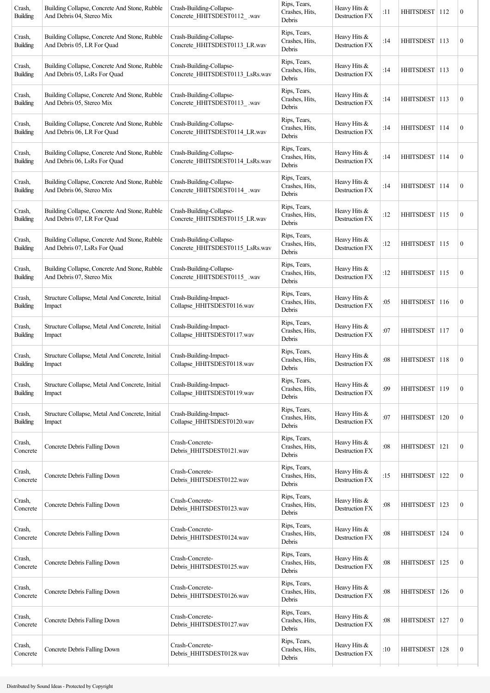| Crash,<br><b>Building</b> | Building Collapse, Concrete And Stone, Rubble<br>And Debris 04, Stereo Mix    | Crash-Building-Collapse-<br>Concrete_HHITSDEST0112_.wav     | Rips, Tears,<br>Crashes, Hits,<br>Debris | Heavy Hits &<br>Destruction FX | :11 | HHITSDEST   112  |     | $\boldsymbol{0}$ |
|---------------------------|-------------------------------------------------------------------------------|-------------------------------------------------------------|------------------------------------------|--------------------------------|-----|------------------|-----|------------------|
| Crash,<br><b>Building</b> | Building Collapse, Concrete And Stone, Rubble<br>And Debris 05, LR For Quad   | Crash-Building-Collapse-<br>Concrete HHITSDEST0113 LR.wav   | Rips, Tears,<br>Crashes, Hits,<br>Debris | Heavy Hits &<br>Destruction FX | :14 | <b>HHITSDEST</b> | 113 | $\boldsymbol{0}$ |
| Crash,<br>Building        | Building Collapse, Concrete And Stone, Rubble<br>And Debris 05, LsRs For Quad | Crash-Building-Collapse-<br>Concrete_HHITSDEST0113_LsRs.wav | Rips, Tears,<br>Crashes, Hits,<br>Debris | Heavy Hits &<br>Destruction FX | :14 | HHITSDEST        | 113 | $\boldsymbol{0}$ |
| Crash,<br>Building        | Building Collapse, Concrete And Stone, Rubble<br>And Debris 05, Stereo Mix    | Crash-Building-Collapse-<br>Concrete_HHITSDEST0113_.wav     | Rips, Tears,<br>Crashes, Hits,<br>Debris | Heavy Hits &<br>Destruction FX | :14 | HHITSDEST 113    |     | $\boldsymbol{0}$ |
| Crash,<br>Building        | Building Collapse, Concrete And Stone, Rubble<br>And Debris 06, LR For Quad   | Crash-Building-Collapse-<br>Concrete_HHITSDEST0114_LR.wav   | Rips, Tears,<br>Crashes, Hits,<br>Debris | Heavy Hits &<br>Destruction FX | :14 | HHITSDEST   114  |     | $\boldsymbol{0}$ |
| Crash,<br><b>Building</b> | Building Collapse, Concrete And Stone, Rubble<br>And Debris 06, LsRs For Quad | Crash-Building-Collapse-<br>Concrete_HHITSDEST0114_LsRs.wav | Rips, Tears,<br>Crashes, Hits,<br>Debris | Heavy Hits &<br>Destruction FX | :14 | <b>HHITSDEST</b> | 114 | $\boldsymbol{0}$ |
| Crash,<br><b>Building</b> | Building Collapse, Concrete And Stone, Rubble<br>And Debris 06, Stereo Mix    | Crash-Building-Collapse-<br>Concrete_HHITSDEST0114_.wav     | Rips, Tears,<br>Crashes, Hits,<br>Debris | Heavy Hits &<br>Destruction FX | :14 | HHITSDEST   114  |     | $\boldsymbol{0}$ |
| Crash,<br>Building        | Building Collapse, Concrete And Stone, Rubble<br>And Debris 07, LR For Quad   | Crash-Building-Collapse-<br>Concrete_HHITSDEST0115_LR.wav   | Rips, Tears,<br>Crashes, Hits,<br>Debris | Heavy Hits &<br>Destruction FX | :12 | HHITSDEST 115    |     | $\boldsymbol{0}$ |
| Crash,<br><b>Building</b> | Building Collapse, Concrete And Stone, Rubble<br>And Debris 07, LsRs For Quad | Crash-Building-Collapse-<br>Concrete_HHITSDEST0115_LsRs.wav | Rips, Tears,<br>Crashes, Hits,<br>Debris | Heavy Hits &<br>Destruction FX | :12 | HHITSDEST   115  |     | $\boldsymbol{0}$ |
| Crash,<br><b>Building</b> | Building Collapse, Concrete And Stone, Rubble<br>And Debris 07, Stereo Mix    | Crash-Building-Collapse-<br>Concrete HHITSDEST0115 .wav     | Rips, Tears,<br>Crashes, Hits,<br>Debris | Heavy Hits &<br>Destruction FX | :12 | <b>HHITSDEST</b> | 115 | $\boldsymbol{0}$ |
| Crash,<br><b>Building</b> | Structure Collapse, Metal And Concrete, Initial<br>Impact                     | Crash-Building-Impact-<br>Collapse_HHITSDEST0116.wav        | Rips, Tears,<br>Crashes, Hits,<br>Debris | Heavy Hits &<br>Destruction FX | :05 | HHITSDEST 116    |     | $\boldsymbol{0}$ |
| Crash,<br>Building        | Structure Collapse, Metal And Concrete, Initial<br>Impact                     | Crash-Building-Impact-<br>Collapse HHITSDEST0117.wav        | Rips, Tears,<br>Crashes, Hits,<br>Debris | Heavy Hits &<br>Destruction FX | :07 | HHITSDEST 117    |     | $\boldsymbol{0}$ |
| Crash,<br>Building        | Structure Collapse, Metal And Concrete, Initial<br>Impact                     | Crash-Building-Impact-<br>Collapse HHITSDEST0118.wav        | Rips, Tears,<br>Crashes, Hits,<br>Debris | Heavy Hits &<br>Destruction FX | :08 | HHITSDEST        | 118 | $\boldsymbol{0}$ |
| Crash,<br><b>Building</b> | Structure Collapse, Metal And Concrete, Initial<br>Impact                     | Crash-Building-Impact-<br>Collapse_HHITSDEST0119.wav        | Rips, Tears,<br>Crashes, Hits,<br>Debris | Heavy Hits &<br>Destruction FX | :09 | <b>HHITSDEST</b> | 119 | $\boldsymbol{0}$ |
| Crash,<br><b>Building</b> | Structure Collapse, Metal And Concrete, Initial<br>Impact                     | Crash-Building-Impact-<br>Collapse_HHITSDEST0120.wav        | Rips, Tears,<br>Crashes, Hits,<br>Debris | Heavy Hits &<br>Destruction FX | :07 | <b>HHITSDEST</b> | 120 | $\boldsymbol{0}$ |
| Crash,<br>Concrete        | Concrete Debris Falling Down                                                  | Crash-Concrete-<br>Debris_HHITSDEST0121.wav                 | Rips, Tears,<br>Crashes, Hits,<br>Debris | Heavy Hits &<br>Destruction FX | :08 | <b>HHITSDEST</b> | 121 | $\boldsymbol{0}$ |
| Crash,<br>Concrete        | Concrete Debris Falling Down                                                  | Crash-Concrete-<br>Debris_HHITSDEST0122.wav                 | Rips, Tears,<br>Crashes, Hits,<br>Debris | Heavy Hits &<br>Destruction FX | :15 | <b>HHITSDEST</b> | 122 | $\boldsymbol{0}$ |
| Crash,<br>Concrete        | Concrete Debris Falling Down                                                  | Crash-Concrete-<br>Debris_HHITSDEST0123.wav                 | Rips, Tears,<br>Crashes, Hits,<br>Debris | Heavy Hits &<br>Destruction FX | :08 | <b>HHITSDEST</b> | 123 | $\boldsymbol{0}$ |
| Crash,<br>Concrete        | Concrete Debris Falling Down                                                  | Crash-Concrete-<br>Debris HHITSDEST0124.wav                 | Rips, Tears,<br>Crashes, Hits,<br>Debris | Heavy Hits &<br>Destruction FX | :08 | <b>HHITSDEST</b> | 124 | $\boldsymbol{0}$ |
| Crash,<br>Concrete        | Concrete Debris Falling Down                                                  | Crash-Concrete-<br>Debris_HHITSDEST0125.wav                 | Rips, Tears,<br>Crashes, Hits,<br>Debris | Heavy Hits &<br>Destruction FX | :08 | <b>HHITSDEST</b> | 125 | $\boldsymbol{0}$ |
| Crash,<br>Concrete        | Concrete Debris Falling Down                                                  | Crash-Concrete-<br>Debris_HHITSDEST0126.wav                 | Rips, Tears,<br>Crashes, Hits,<br>Debris | Heavy Hits &<br>Destruction FX | :08 | <b>HHITSDEST</b> | 126 | $\boldsymbol{0}$ |
| Crash,<br>Concrete        | Concrete Debris Falling Down                                                  | Crash-Concrete-<br>Debris_HHITSDEST0127.wav                 | Rips, Tears,<br>Crashes, Hits,<br>Debris | Heavy Hits &<br>Destruction FX | :08 | <b>HHITSDEST</b> | 127 | $\boldsymbol{0}$ |
| Crash,<br>Concrete        | Concrete Debris Falling Down                                                  | Crash-Concrete-<br>Debris HHITSDEST0128.wav                 | Rips, Tears,<br>Crashes, Hits,<br>Debris | Heavy Hits &<br>Destruction FX | :10 | HHITSDEST   128  |     | $\mathbf{0}$     |
|                           |                                                                               |                                                             |                                          |                                |     |                  |     |                  |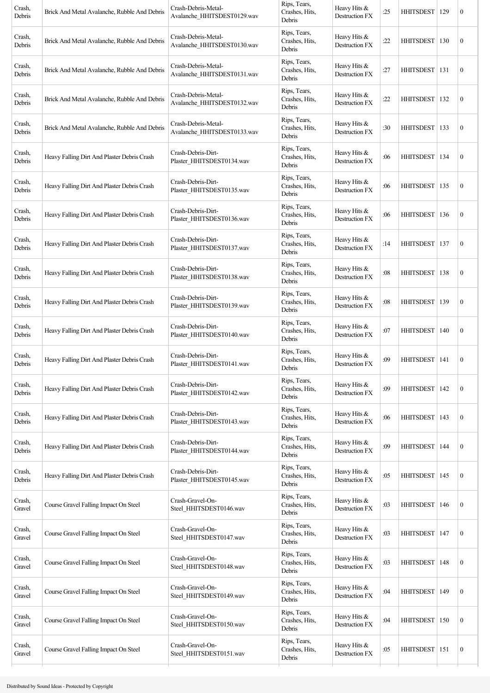| Crash,<br>Debris | Brick And Metal Avalanche, Rubble And Debris | Crash-Debris-Metal-<br>Avalanche_HHITSDEST0129.wav | Rips, Tears,<br>Crashes, Hits,<br>Debris | Heavy Hits &<br>Destruction FX          | :25 | HHITSDEST   129  |     | $\boldsymbol{0}$ |
|------------------|----------------------------------------------|----------------------------------------------------|------------------------------------------|-----------------------------------------|-----|------------------|-----|------------------|
| Crash,<br>Debris | Brick And Metal Avalanche, Rubble And Debris | Crash-Debris-Metal-<br>Avalanche HHITSDEST0130.wav | Rips, Tears,<br>Crashes, Hits,<br>Debris | Heavy Hits &<br>Destruction FX          | :22 | <b>HHITSDEST</b> | 130 | $\boldsymbol{0}$ |
| Crash,<br>Debris | Brick And Metal Avalanche, Rubble And Debris | Crash-Debris-Metal-<br>Avalanche HHITSDEST0131.wav | Rips, Tears,<br>Crashes, Hits,<br>Debris | Heavy Hits &<br>Destruction FX          | :27 | <b>HHITSDEST</b> | 131 | $\boldsymbol{0}$ |
| Crash,<br>Debris | Brick And Metal Avalanche, Rubble And Debris | Crash-Debris-Metal-<br>Avalanche HHITSDEST0132.wav | Rips, Tears,<br>Crashes, Hits,<br>Debris | Heavy Hits &<br>Destruction FX          | :22 | HHITSDEST   132  |     | $\boldsymbol{0}$ |
| Crash,<br>Debris | Brick And Metal Avalanche, Rubble And Debris | Crash-Debris-Metal-<br>Avalanche_HHITSDEST0133.wav | Rips, Tears,<br>Crashes, Hits,<br>Debris | Heavy Hits &<br>Destruction FX          | :30 | <b>HHITSDEST</b> | 133 | $\boldsymbol{0}$ |
| Crash,<br>Debris | Heavy Falling Dirt And Plaster Debris Crash  | Crash-Debris-Dirt-<br>Plaster_HHITSDEST0134.wav    | Rips, Tears,<br>Crashes, Hits,<br>Debris | Heavy Hits $&$<br>Destruction FX        | :06 | <b>HHITSDEST</b> | 134 | $\boldsymbol{0}$ |
| Crash,<br>Debris | Heavy Falling Dirt And Plaster Debris Crash  | Crash-Debris-Dirt-<br>Plaster HHITSDEST0135.wav    | Rips, Tears,<br>Crashes, Hits,<br>Debris | Heavy Hits $&$<br>Destruction FX        | :06 | <b>HHITSDEST</b> | 135 | $\boldsymbol{0}$ |
| Crash,<br>Debris | Heavy Falling Dirt And Plaster Debris Crash  | Crash-Debris-Dirt-<br>Plaster HHITSDEST0136.wav    | Rips, Tears,<br>Crashes, Hits,<br>Debris | Heavy Hits $&$<br><b>Destruction FX</b> | :06 | HHITSDEST   136  |     | $\boldsymbol{0}$ |
| Crash,<br>Debris | Heavy Falling Dirt And Plaster Debris Crash  | Crash-Debris-Dirt-<br>Plaster_HHITSDEST0137.wav    | Rips, Tears,<br>Crashes, Hits,<br>Debris | Heavy Hits &<br>Destruction FX          | :14 | HHITSDEST   137  |     | $\boldsymbol{0}$ |
| Crash,<br>Debris | Heavy Falling Dirt And Plaster Debris Crash  | Crash-Debris-Dirt-<br>Plaster_HHITSDEST0138.wav    | Rips, Tears,<br>Crashes, Hits,<br>Debris | Heavy Hits $&$<br>Destruction FX        | :08 | <b>HHITSDEST</b> | 138 | $\boldsymbol{0}$ |
| Crash,<br>Debris | Heavy Falling Dirt And Plaster Debris Crash  | Crash-Debris-Dirt-<br>Plaster HHITSDEST0139.wav    | Rips, Tears,<br>Crashes, Hits,<br>Debris | Heavy Hits $&$<br>Destruction FX        | :08 | <b>HHITSDEST</b> | 139 | $\boldsymbol{0}$ |
| Crash,<br>Debris | Heavy Falling Dirt And Plaster Debris Crash  | Crash-Debris-Dirt-<br>Plaster_HHITSDEST0140.wav    | Rips, Tears,<br>Crashes, Hits,<br>Debris | Heavy Hits &<br>Destruction FX          | :07 | HHITSDEST   140  |     | $\boldsymbol{0}$ |
| Crash,<br>Debris | Heavy Falling Dirt And Plaster Debris Crash  | Crash-Debris-Dirt-<br>Plaster HHITSDEST0141.wav    | Rips, Tears,<br>Crashes, Hits,<br>Debris | Heavy Hits &<br>Destruction FX          | :09 | <b>HHITSDEST</b> | 141 | $\boldsymbol{0}$ |
| Crash,<br>Debris | Heavy Falling Dirt And Plaster Debris Crash  | Crash-Debris-Dirt-<br>Plaster_HHITSDEST0142.wav    | Rips, Tears,<br>Crashes, Hits,<br>Debris | Heavy Hits &<br>Destruction FX          | :09 | <b>HHITSDEST</b> | 142 | $\boldsymbol{0}$ |
| Crash,<br>Debris | Heavy Falling Dirt And Plaster Debris Crash  | Crash-Debris-Dirt-<br>Plaster_HHITSDEST0143.wav    | Rips, Tears,<br>Crashes, Hits,<br>Debris | Heavy Hits &<br>Destruction FX          | :06 | <b>HHITSDEST</b> | 143 | $\boldsymbol{0}$ |
| Crash,<br>Debris | Heavy Falling Dirt And Plaster Debris Crash  | Crash-Debris-Dirt-<br>Plaster HHITSDEST0144.wav    | Rips, Tears,<br>Crashes, Hits,<br>Debris | Heavy Hits &<br>Destruction FX          | :09 | HHITSDEST   144  |     | $\mathbf{0}$     |
| Crash,<br>Debris | Heavy Falling Dirt And Plaster Debris Crash  | Crash-Debris-Dirt-<br>Plaster_HHITSDEST0145.wav    | Rips, Tears,<br>Crashes, Hits,<br>Debris | Heavy Hits &<br>Destruction FX          | :05 | <b>HHITSDEST</b> | 145 | $\boldsymbol{0}$ |
| Crash,<br>Gravel | Course Gravel Falling Impact On Steel        | Crash-Gravel-On-<br>Steel_HHITSDEST0146.wav        | Rips, Tears,<br>Crashes, Hits,<br>Debris | Heavy Hits &<br>Destruction FX          | :03 | <b>HHITSDEST</b> | 146 | $\mathbf{0}$     |
| Crash,<br>Gravel | Course Gravel Falling Impact On Steel        | Crash-Gravel-On-<br>Steel_HHITSDEST0147.wav        | Rips, Tears,<br>Crashes, Hits,<br>Debris | Heavy Hits &<br>Destruction FX          | :03 | HHITSDEST        | 147 | $\boldsymbol{0}$ |
| Crash,<br>Gravel | Course Gravel Falling Impact On Steel        | Crash-Gravel-On-<br>Steel_HHITSDEST0148.wav        | Rips, Tears,<br>Crashes, Hits,<br>Debris | Heavy Hits &<br>Destruction FX          | :03 | HHITSDEST        | 148 | $\boldsymbol{0}$ |
| Crash,<br>Gravel | Course Gravel Falling Impact On Steel        | Crash-Gravel-On-<br>Steel_HHITSDEST0149.wav        | Rips, Tears,<br>Crashes, Hits,<br>Debris | Heavy Hits &<br>Destruction FX          | :04 | <b>HHITSDEST</b> | 149 | $\boldsymbol{0}$ |
| Crash,<br>Gravel | Course Gravel Falling Impact On Steel        | Crash-Gravel-On-<br>Steel_HHITSDEST0150.wav        | Rips, Tears,<br>Crashes, Hits,<br>Debris | Heavy Hits &<br>Destruction FX          | :04 | <b>HHITSDEST</b> | 150 | $\boldsymbol{0}$ |
| Crash,<br>Gravel | Course Gravel Falling Impact On Steel        | Crash-Gravel-On-<br>Steel_HHITSDEST0151.wav        | Rips, Tears,<br>Crashes, Hits,<br>Debris | Heavy Hits &<br>Destruction FX          | :05 | HHITSDEST 151    |     | $\mathbf{0}$     |
|                  |                                              |                                                    |                                          |                                         |     |                  |     |                  |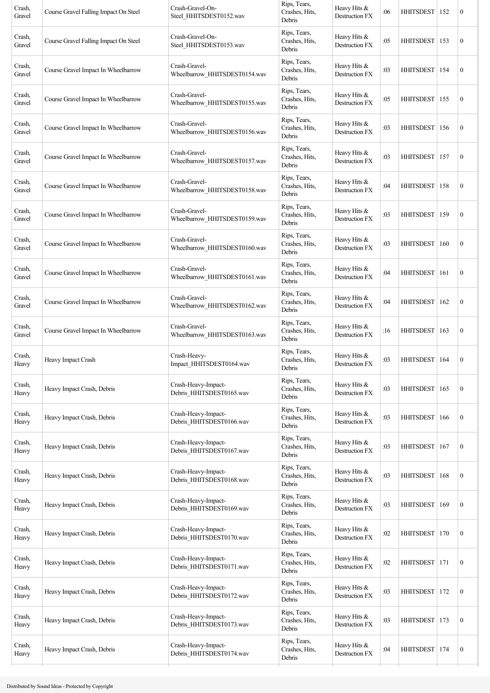| Crash,<br>Gravel | Course Gravel Falling Impact On Steel | Crash-Gravel-On-<br>Steel HHITSDEST0152.wav     | Rips, Tears,<br>Crashes, Hits,<br>Debris | Heavy Hits &<br>Destruction FX        | :06 | <b>HHITSDEST</b> | 152 | $\boldsymbol{0}$ |
|------------------|---------------------------------------|-------------------------------------------------|------------------------------------------|---------------------------------------|-----|------------------|-----|------------------|
| Crash,<br>Gravel | Course Gravel Falling Impact On Steel | Crash-Gravel-On-<br>Steel HHITSDEST0153.wav     | Rips, Tears,<br>Crashes, Hits,<br>Debris | Heavy Hits &<br><b>Destruction FX</b> | :05 | <b>HHITSDEST</b> | 153 | $\boldsymbol{0}$ |
| Crash,<br>Gravel | Course Gravel Impact In Wheelbarrow   | Crash-Gravel-<br>Wheelbarrow_HHITSDEST0154.wav  | Rips, Tears,<br>Crashes, Hits,<br>Debris | Heavy Hits &<br>Destruction FX        | :03 | <b>HHITSDEST</b> | 154 | $\boldsymbol{0}$ |
| Crash,<br>Gravel | Course Gravel Impact In Wheelbarrow   | Crash-Gravel-<br>Wheelbarrow HHITSDEST0155.wav  | Rips, Tears,<br>Crashes, Hits,<br>Debris | Heavy Hits &<br>Destruction FX        | :05 | <b>HHITSDEST</b> | 155 | $\boldsymbol{0}$ |
| Crash,<br>Gravel | Course Gravel Impact In Wheelbarrow   | Crash-Gravel-<br>Wheelbarrow HHITSDEST0156.wav  | Rips, Tears,<br>Crashes, Hits,<br>Debris | Heavy Hits &<br>Destruction FX        | :03 | <b>HHITSDEST</b> | 156 | $\boldsymbol{0}$ |
| Crash,<br>Gravel | Course Gravel Impact In Wheelbarrow   | Crash-Gravel-<br>Wheelbarrow HHITSDEST0157.wav  | Rips, Tears,<br>Crashes, Hits,<br>Debris | Heavy Hits &<br>Destruction FX        | :03 | <b>HHITSDEST</b> | 157 | $\boldsymbol{0}$ |
| Crash,<br>Gravel | Course Gravel Impact In Wheelbarrow   | Crash-Gravel-<br>Wheelbarrow_HHITSDEST0158.wav  | Rips, Tears,<br>Crashes, Hits,<br>Debris | Heavy Hits &<br>Destruction FX        | :04 | <b>HHITSDEST</b> | 158 | $\boldsymbol{0}$ |
| Crash,<br>Gravel | Course Gravel Impact In Wheelbarrow   | Crash-Gravel-<br>Wheelbarrow HHITSDEST0159.wav  | Rips, Tears,<br>Crashes, Hits,<br>Debris | Heavy Hits $&$<br>Destruction FX      | :03 | HHITSDEST   159  |     | $\boldsymbol{0}$ |
| Crash,<br>Gravel | Course Gravel Impact In Wheelbarrow   | Crash-Gravel-<br>Wheelbarrow HHITSDEST0160.wav  | Rips, Tears,<br>Crashes, Hits,<br>Debris | Heavy Hits &<br>Destruction FX        | :03 | <b>HHITSDEST</b> | 160 | $\boldsymbol{0}$ |
| Crash,<br>Gravel | Course Gravel Impact In Wheelbarrow   | Crash-Gravel-<br>Wheelbarrow HHITSDEST0161.wav  | Rips, Tears,<br>Crashes, Hits,<br>Debris | Heavy Hits &<br>Destruction FX        | :04 | <b>HHITSDEST</b> | 161 | $\boldsymbol{0}$ |
| Crash,<br>Gravel | Course Gravel Impact In Wheelbarrow   | Crash-Gravel-<br>Wheelbarrow_HHITSDEST0162.wav  | Rips, Tears,<br>Crashes, Hits,<br>Debris | Heavy Hits &<br>Destruction FX        | :04 | <b>HHITSDEST</b> | 162 | $\boldsymbol{0}$ |
| Crash,<br>Gravel | Course Gravel Impact In Wheelbarrow   | Crash-Gravel-<br>Wheelbarrow HHITSDEST0163.wav  | Rips, Tears,<br>Crashes, Hits,<br>Debris | Heavy Hits &<br>Destruction FX        | :16 | <b>HHITSDEST</b> | 163 | $\boldsymbol{0}$ |
| Crash,<br>Heavy  | Heavy Impact Crash                    | Crash-Heavy-<br>Impact HHITSDEST0164.wav        | Rips, Tears,<br>Crashes, Hits,<br>Debris | Heavy Hits &<br>Destruction FX        | :03 | <b>HHITSDEST</b> | 164 | $\boldsymbol{0}$ |
| Crash,<br>Heavy  | Heavy Impact Crash, Debris            | Crash-Heavy-Impact-<br>Debris_HHITSDEST0165.wav | Rips, Tears,<br>Crashes, Hits,<br>Debris | Heavy Hits &<br>Destruction FX        | :03 | <b>HHITSDEST</b> | 165 | $\boldsymbol{0}$ |
| Crash,<br>Heavy  | Heavy Impact Crash, Debris            | Crash-Heavy-Impact-<br>Debris_HHITSDEST0166.wav | Rips, Tears,<br>Crashes, Hits,<br>Debris | Heavy Hits &<br>Destruction FX        | :03 | <b>HHITSDEST</b> | 166 | $\boldsymbol{0}$ |
| Crash,<br>Heavy  | Heavy Impact Crash, Debris            | Crash-Heavy-Impact-<br>Debris_HHITSDEST0167.wav | Rips, Tears,<br>Crashes, Hits,<br>Debris | Heavy Hits &<br>Destruction FX        | :03 | <b>HHITSDEST</b> | 167 | $\boldsymbol{0}$ |
| Crash,<br>Heavy  | Heavy Impact Crash, Debris            | Crash-Heavy-Impact-<br>Debris_HHITSDEST0168.wav | Rips, Tears,<br>Crashes, Hits,<br>Debris | Heavy Hits &<br>Destruction FX        | :03 | <b>HHITSDEST</b> | 168 | $\boldsymbol{0}$ |
| Crash,<br>Heavy  | Heavy Impact Crash, Debris            | Crash-Heavy-Impact-<br>Debris_HHITSDEST0169.wav | Rips, Tears,<br>Crashes, Hits,<br>Debris | Heavy Hits &<br>Destruction FX        | :03 | <b>HHITSDEST</b> | 169 | $\boldsymbol{0}$ |
| Crash,<br>Heavy  | Heavy Impact Crash, Debris            | Crash-Heavy-Impact-<br>Debris_HHITSDEST0170.wav | Rips, Tears,<br>Crashes, Hits,<br>Debris | Heavy Hits &<br>Destruction FX        | :02 | <b>HHITSDEST</b> | 170 | $\boldsymbol{0}$ |
| Crash,<br>Heavy  | Heavy Impact Crash, Debris            | Crash-Heavy-Impact-<br>Debris_HHITSDEST0171.wav | Rips, Tears,<br>Crashes, Hits,<br>Debris | Heavy Hits &<br>Destruction FX        | :02 | <b>HHITSDEST</b> | 171 | $\boldsymbol{0}$ |
| Crash,<br>Heavy  | Heavy Impact Crash, Debris            | Crash-Heavy-Impact-<br>Debris_HHITSDEST0172.wav | Rips, Tears,<br>Crashes, Hits,<br>Debris | Heavy Hits $&$<br>Destruction FX      | :03 | <b>HHITSDEST</b> | 172 | $\boldsymbol{0}$ |
| Crash,<br>Heavy  | Heavy Impact Crash, Debris            | Crash-Heavy-Impact-<br>Debris_HHITSDEST0173.wav | Rips, Tears,<br>Crashes, Hits,<br>Debris | Heavy Hits &<br>Destruction FX        | :03 | <b>HHITSDEST</b> | 173 | $\boldsymbol{0}$ |
| Crash,<br>Heavy  | Heavy Impact Crash, Debris            | Crash-Heavy-Impact-<br>Debris HHITSDEST0174.wav | Rips, Tears,<br>Crashes, Hits,<br>Debris | Heavy Hits $&$<br>Destruction FX      | :04 | <b>HHITSDEST</b> | 174 | $\boldsymbol{0}$ |
|                  |                                       |                                                 |                                          |                                       |     |                  |     |                  |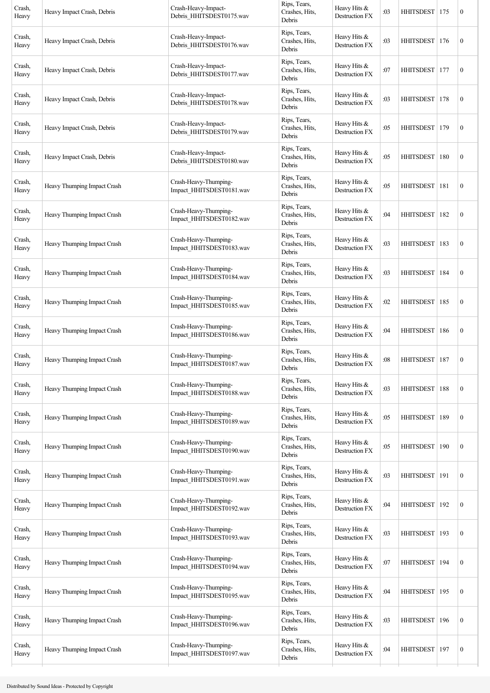| Crash,<br>Heavy | Heavy Impact Crash, Debris  | Crash-Heavy-Impact-<br>Debris_HHITSDEST0175.wav   | Rips, Tears,<br>Crashes, Hits,<br>Debris | Heavy Hits &<br>Destruction FX        | :03 | HHITSDEST        | 175 | $\boldsymbol{0}$ |
|-----------------|-----------------------------|---------------------------------------------------|------------------------------------------|---------------------------------------|-----|------------------|-----|------------------|
| Crash,<br>Heavy | Heavy Impact Crash, Debris  | Crash-Heavy-Impact-<br>Debris_HHITSDEST0176.wav   | Rips, Tears,<br>Crashes, Hits,<br>Debris | Heavy Hits &<br>Destruction FX        | :03 | <b>HHITSDEST</b> | 176 | $\boldsymbol{0}$ |
| Crash,<br>Heavy | Heavy Impact Crash, Debris  | Crash-Heavy-Impact-<br>Debris_HHITSDEST0177.wav   | Rips, Tears,<br>Crashes, Hits,<br>Debris | Heavy Hits &<br><b>Destruction FX</b> | :07 | <b>HHITSDEST</b> | 177 | $\boldsymbol{0}$ |
| Crash,<br>Heavy | Heavy Impact Crash, Debris  | Crash-Heavy-Impact-<br>Debris_HHITSDEST0178.wav   | Rips, Tears,<br>Crashes, Hits,<br>Debris | Heavy Hits &<br>Destruction FX        | :03 | <b>HHITSDEST</b> | 178 | $\boldsymbol{0}$ |
| Crash,<br>Heavy | Heavy Impact Crash, Debris  | Crash-Heavy-Impact-<br>Debris_HHITSDEST0179.wav   | Rips, Tears,<br>Crashes, Hits,<br>Debris | Heavy Hits &<br><b>Destruction FX</b> | :05 | <b>HHITSDEST</b> | 179 | $\boldsymbol{0}$ |
| Crash,<br>Heavy | Heavy Impact Crash, Debris  | Crash-Heavy-Impact-<br>Debris_HHITSDEST0180.wav   | Rips, Tears,<br>Crashes, Hits,<br>Debris | Heavy Hits &<br>Destruction FX        | :05 | <b>HHITSDEST</b> | 180 | $\boldsymbol{0}$ |
| Crash,<br>Heavy | Heavy Thumping Impact Crash | Crash-Heavy-Thumping-<br>Impact_HHITSDEST0181.wav | Rips, Tears,<br>Crashes, Hits,<br>Debris | Heavy Hits $&$<br>Destruction FX      | :05 | HHITSDEST        | 181 | $\boldsymbol{0}$ |
| Crash,<br>Heavy | Heavy Thumping Impact Crash | Crash-Heavy-Thumping-<br>Impact_HHITSDEST0182.wav | Rips, Tears,<br>Crashes, Hits,<br>Debris | Heavy Hits &<br>Destruction FX        | :04 | <b>HHITSDEST</b> | 182 | $\boldsymbol{0}$ |
| Crash,<br>Heavy | Heavy Thumping Impact Crash | Crash-Heavy-Thumping-<br>Impact_HHITSDEST0183.wav | Rips, Tears,<br>Crashes, Hits,<br>Debris | Heavy Hits &<br>Destruction FX        | :03 | HHITSDEST        | 183 | $\boldsymbol{0}$ |
| Crash,<br>Heavy | Heavy Thumping Impact Crash | Crash-Heavy-Thumping-<br>Impact_HHITSDEST0184.wav | Rips, Tears,<br>Crashes, Hits,<br>Debris | Heavy Hits &<br>Destruction FX        | :03 | <b>HHITSDEST</b> | 184 | $\boldsymbol{0}$ |
| Crash,<br>Heavy | Heavy Thumping Impact Crash | Crash-Heavy-Thumping-<br>Impact_HHITSDEST0185.wav | Rips, Tears,<br>Crashes, Hits,<br>Debris | Heavy Hits &<br><b>Destruction FX</b> | :02 | <b>HHITSDEST</b> | 185 | $\boldsymbol{0}$ |
| Crash,<br>Heavy | Heavy Thumping Impact Crash | Crash-Heavy-Thumping-<br>Impact_HHITSDEST0186.wav | Rips, Tears,<br>Crashes, Hits,<br>Debris | Heavy Hits &<br>Destruction FX        | :04 | <b>HHITSDEST</b> | 186 | $\boldsymbol{0}$ |
| Crash,<br>Heavy | Heavy Thumping Impact Crash | Crash-Heavy-Thumping-<br>Impact HHITSDEST0187.wav | Rips, Tears,<br>Crashes, Hits,<br>Debris | Heavy Hits &<br>Destruction FX        | :08 | <b>HHITSDEST</b> | 187 | $\boldsymbol{0}$ |
| Crash,<br>Heavy | Heavy Thumping Impact Crash | Crash-Heavy-Thumping-<br>Impact_HHITSDEST0188.wav | Rips, Tears,<br>Crashes, Hits,<br>Debris | Heavy Hits &<br>Destruction FX        | :03 | <b>HHITSDEST</b> | 188 | $\boldsymbol{0}$ |
| Crash,<br>Heavy | Heavy Thumping Impact Crash | Crash-Heavy-Thumping-<br>Impact_HHITSDEST0189.wav | Rips, Tears,<br>Crashes, Hits,<br>Debris | Heavy Hits &<br>Destruction FX        | :05 | <b>HHITSDEST</b> | 189 | $\boldsymbol{0}$ |
| Crash,<br>Heavy | Heavy Thumping Impact Crash | Crash-Heavy-Thumping-<br>Impact_HHITSDEST0190.wav | Rips, Tears,<br>Crashes, Hits,<br>Debris | Heavy Hits &<br>Destruction FX        | :05 | HHITSDEST        | 190 | $\boldsymbol{0}$ |
| Crash,<br>Heavy | Heavy Thumping Impact Crash | Crash-Heavy-Thumping-<br>Impact_HHITSDEST0191.wav | Rips, Tears,<br>Crashes, Hits,<br>Debris | Heavy Hits &<br>Destruction FX        | :03 | <b>HHITSDEST</b> | 191 | $\boldsymbol{0}$ |
| Crash,<br>Heavy | Heavy Thumping Impact Crash | Crash-Heavy-Thumping-<br>Impact_HHITSDEST0192.wav | Rips, Tears,<br>Crashes, Hits,<br>Debris | Heavy Hits &<br>Destruction FX        | :04 | <b>HHITSDEST</b> | 192 | $\boldsymbol{0}$ |
| Crash,<br>Heavy | Heavy Thumping Impact Crash | Crash-Heavy-Thumping-<br>Impact_HHITSDEST0193.wav | Rips, Tears,<br>Crashes, Hits,<br>Debris | Heavy Hits &<br>Destruction FX        | :03 | <b>HHITSDEST</b> | 193 | $\boldsymbol{0}$ |
| Crash,<br>Heavy | Heavy Thumping Impact Crash | Crash-Heavy-Thumping-<br>Impact HHITSDEST0194.wav | Rips, Tears,<br>Crashes, Hits,<br>Debris | Heavy Hits &<br>Destruction FX        | :07 | <b>HHITSDEST</b> | 194 | $\boldsymbol{0}$ |
| Crash,<br>Heavy | Heavy Thumping Impact Crash | Crash-Heavy-Thumping-<br>Impact_HHITSDEST0195.wav | Rips, Tears,<br>Crashes, Hits,<br>Debris | Heavy Hits &<br>Destruction FX        | :04 | <b>HHITSDEST</b> | 195 | $\boldsymbol{0}$ |
| Crash,<br>Heavy | Heavy Thumping Impact Crash | Crash-Heavy-Thumping-<br>Impact_HHITSDEST0196.wav | Rips, Tears,<br>Crashes, Hits,<br>Debris | Heavy Hits &<br>Destruction FX        | :03 | <b>HHITSDEST</b> | 196 | $\boldsymbol{0}$ |
| Crash,<br>Heavy | Heavy Thumping Impact Crash | Crash-Heavy-Thumping-<br>Impact_HHITSDEST0197.wav | Rips, Tears,<br>Crashes, Hits,<br>Debris | Heavy Hits &<br>Destruction FX        | :04 | <b>HHITSDEST</b> | 197 | $\boldsymbol{0}$ |
|                 |                             |                                                   |                                          |                                       |     |                  |     |                  |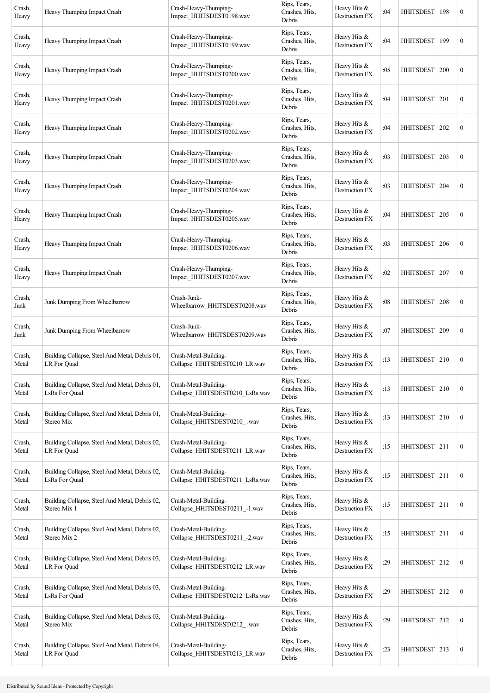| Crash,<br>Heavy | Heavy Thumping Impact Crash                                     | Crash-Heavy-Thumping-<br>Impact HHITSDEST0198.wav        | Rips, Tears,<br>Crashes, Hits,<br>Debris | Heavy Hits &<br>Destruction FX        | :04 | HHITSDEST        | 198 | $\boldsymbol{0}$ |
|-----------------|-----------------------------------------------------------------|----------------------------------------------------------|------------------------------------------|---------------------------------------|-----|------------------|-----|------------------|
| Crash,<br>Heavy | Heavy Thumping Impact Crash                                     | Crash-Heavy-Thumping-<br>Impact_HHITSDEST0199.wav        | Rips, Tears,<br>Crashes, Hits,<br>Debris | Heavy Hits &<br>Destruction FX        | :04 | <b>HHITSDEST</b> | 199 | $\boldsymbol{0}$ |
| Crash,<br>Heavy | Heavy Thumping Impact Crash                                     | Crash-Heavy-Thumping-<br>Impact_HHITSDEST0200.wav        | Rips, Tears,<br>Crashes, Hits,<br>Debris | Heavy Hits &<br>Destruction FX        | :05 | <b>HHITSDEST</b> | 200 | $\boldsymbol{0}$ |
| Crash,<br>Heavy | Heavy Thumping Impact Crash                                     | Crash-Heavy-Thumping-<br>Impact_HHITSDEST0201.wav        | Rips, Tears,<br>Crashes, Hits,<br>Debris | Heavy Hits &<br>Destruction FX        | :04 | <b>HHITSDEST</b> | 201 | $\boldsymbol{0}$ |
| Crash,<br>Heavy | Heavy Thumping Impact Crash                                     | Crash-Heavy-Thumping-<br>Impact_HHITSDEST0202.wav        | Rips, Tears,<br>Crashes, Hits,<br>Debris | Heavy Hits &<br>Destruction FX        | :04 | <b>HHITSDEST</b> | 202 | $\boldsymbol{0}$ |
| Crash,<br>Heavy | Heavy Thumping Impact Crash                                     | Crash-Heavy-Thumping-<br>Impact_HHITSDEST0203.wav        | Rips, Tears,<br>Crashes, Hits,<br>Debris | Heavy Hits &<br><b>Destruction FX</b> | :03 | HHITSDEST        | 203 | $\boldsymbol{0}$ |
| Crash,<br>Heavy | Heavy Thumping Impact Crash                                     | Crash-Heavy-Thumping-<br>Impact_HHITSDEST0204.wav        | Rips, Tears,<br>Crashes, Hits,<br>Debris | Heavy Hits $&$<br>Destruction FX      | :03 | <b>HHITSDEST</b> | 204 | $\boldsymbol{0}$ |
| Crash,<br>Heavy | Heavy Thumping Impact Crash                                     | Crash-Heavy-Thumping-<br>Impact_HHITSDEST0205.wav        | Rips, Tears,<br>Crashes, Hits,<br>Debris | Heavy Hits &<br>Destruction FX        | :04 | <b>HHITSDEST</b> | 205 | $\boldsymbol{0}$ |
| Crash,<br>Heavy | Heavy Thumping Impact Crash                                     | Crash-Heavy-Thumping-<br>Impact_HHITSDEST0206.wav        | Rips, Tears,<br>Crashes, Hits,<br>Debris | Heavy Hits $&$<br>Destruction FX      | :03 | HHITSDEST        | 206 | $\boldsymbol{0}$ |
| Crash,<br>Heavy | Heavy Thumping Impact Crash                                     | Crash-Heavy-Thumping-<br>Impact_HHITSDEST0207.wav        | Rips, Tears,<br>Crashes, Hits,<br>Debris | Heavy Hits &<br>Destruction FX        | :02 | <b>HHITSDEST</b> | 207 | $\boldsymbol{0}$ |
| Crash,<br>Junk  | Junk Dumping From Wheelbarrow                                   | Crash-Junk-<br>Wheelbarrow HHITSDEST0208.wav             | Rips, Tears,<br>Crashes, Hits,<br>Debris | Heavy Hits &<br>Destruction FX        | :08 | HHITSDEST        | 208 | $\boldsymbol{0}$ |
| Crash,<br>Junk  | Junk Dumping From Wheelbarrow                                   | Crash-Junk-<br>Wheelbarrow HHITSDEST0209.wav             | Rips, Tears,<br>Crashes, Hits,<br>Debris | Heavy Hits &<br>Destruction FX        | :07 | <b>HHITSDEST</b> | 209 | $\boldsymbol{0}$ |
| Crash,<br>Metal | Building Collapse, Steel And Metal, Debris 01,<br>LR For Quad   | Crash-Metal-Building-<br>Collapse_HHITSDEST0210_LR.wav   | Rips, Tears,<br>Crashes, Hits,<br>Debris | Heavy Hits &<br>Destruction FX        | :13 | HHITSDEST   210  |     | $\boldsymbol{0}$ |
| Crash,<br>Metal | Building Collapse, Steel And Metal, Debris 01,<br>LsRs For Ouad | Crash-Metal-Building-<br>Collapse HHITSDEST0210 LsRs.wav | Rips, Tears,<br>Crashes, Hits,<br>Debris | Heavy Hits &<br>Destruction FX        | :13 | HHITSDEST 210    |     | $\boldsymbol{0}$ |
| Crash,<br>Metal | Building Collapse, Steel And Metal, Debris 01,<br>Stereo Mix    | Crash-Metal-Building-<br>Collapse_HHITSDEST0210_.wav     | Rips, Tears,<br>Crashes, Hits,<br>Debris | Heavy Hits &<br>Destruction FX        | :13 | HHITSDEST 210    |     | $\boldsymbol{0}$ |
| Crash,<br>Metal | Building Collapse, Steel And Metal, Debris 02,<br>LR For Quad   | Crash-Metal-Building-<br>Collapse HHITSDEST0211 LR.wav   | Rips, Tears,<br>Crashes, Hits,<br>Debris | Heavy Hits &<br>Destruction FX        | :15 | HHITSDEST 211    |     | $\boldsymbol{0}$ |
| Crash,<br>Metal | Building Collapse, Steel And Metal, Debris 02,<br>LsRs For Quad | Crash-Metal-Building-<br>Collapse_HHITSDEST0211_LsRs.wav | Rips, Tears,<br>Crashes, Hits,<br>Debris | Heavy Hits &<br>Destruction FX        | :15 | HHITSDEST 211    |     | $\boldsymbol{0}$ |
| Crash,<br>Metal | Building Collapse, Steel And Metal, Debris 02,<br>Stereo Mix 1  | Crash-Metal-Building-<br>Collapse_HHITSDEST0211_-1.wav   | Rips, Tears,<br>Crashes, Hits,<br>Debris | Heavy Hits &<br>Destruction FX        | :15 | HHITSDEST 211    |     | $\boldsymbol{0}$ |
| Crash,<br>Metal | Building Collapse, Steel And Metal, Debris 02,<br>Stereo Mix 2  | Crash-Metal-Building-<br>Collapse_HHITSDEST0211_-2.wav   | Rips, Tears,<br>Crashes, Hits,<br>Debris | Heavy Hits &<br>Destruction FX        | :15 | HHITSDEST 211    |     | $\boldsymbol{0}$ |
| Crash,<br>Metal | Building Collapse, Steel And Metal, Debris 03,<br>LR For Quad   | Crash-Metal-Building-<br>Collapse_HHITSDEST0212_LR.wav   | Rips, Tears,<br>Crashes, Hits,<br>Debris | Heavy Hits &<br>Destruction FX        | :29 | HHITSDEST 212    |     | $\boldsymbol{0}$ |
| Crash,<br>Metal | Building Collapse, Steel And Metal, Debris 03,<br>LsRs For Quad | Crash-Metal-Building-<br>Collapse_HHITSDEST0212_LsRs.wav | Rips, Tears,<br>Crashes, Hits,<br>Debris | Heavy Hits &<br>Destruction FX        | :29 | HHITSDEST 212    |     | $\boldsymbol{0}$ |
| Crash,<br>Metal | Building Collapse, Steel And Metal, Debris 03,<br>Stereo Mix    | Crash-Metal-Building-<br>Collapse_HHITSDEST0212_.wav     | Rips, Tears,<br>Crashes, Hits,<br>Debris | Heavy Hits &<br>Destruction FX        | :29 | HHITSDEST 212    |     | $\boldsymbol{0}$ |
| Crash,<br>Metal | Building Collapse, Steel And Metal, Debris 04,<br>LR For Quad   | Crash-Metal-Building-<br>Collapse_HHITSDEST0213_LR.wav   | Rips, Tears,<br>Crashes, Hits,<br>Debris | Heavy Hits &<br>Destruction FX        | :23 | HHITSDEST 213    |     | $\boldsymbol{0}$ |
|                 |                                                                 |                                                          |                                          |                                       |     |                  |     |                  |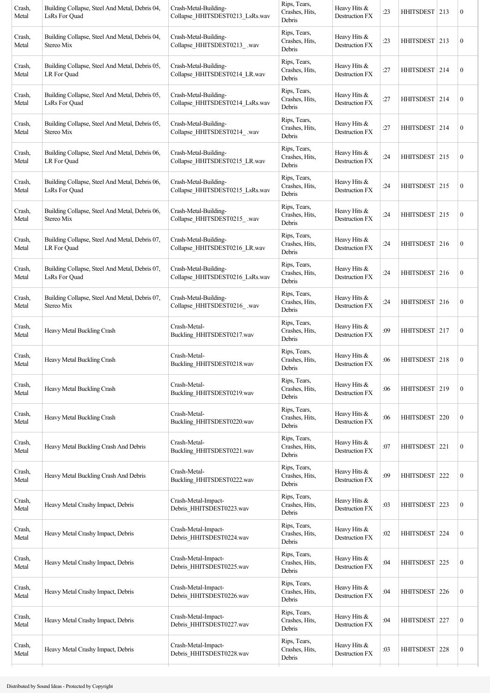| Crash,<br>Metal | Building Collapse, Steel And Metal, Debris 04,<br>LsRs For Ouad | Crash-Metal-Building-<br>Collapse HHITSDEST0213 LsRs.wav | Rips, Tears,<br>Crashes, Hits,<br>Debris | Heavy Hits &<br>Destruction FX        | :23 | HHITSDEST   213  |     | $\boldsymbol{0}$ |
|-----------------|-----------------------------------------------------------------|----------------------------------------------------------|------------------------------------------|---------------------------------------|-----|------------------|-----|------------------|
| Crash,<br>Metal | Building Collapse, Steel And Metal, Debris 04,<br>Stereo Mix    | Crash-Metal-Building-<br>Collapse_HHITSDEST0213_.wav     | Rips, Tears,<br>Crashes, Hits,<br>Debris | Heavy Hits &<br>Destruction FX        | :23 | HHITSDEST 213    |     | $\boldsymbol{0}$ |
| Crash,<br>Metal | Building Collapse, Steel And Metal, Debris 05,<br>LR For Quad   | Crash-Metal-Building-<br>Collapse_HHITSDEST0214_LR.wav   | Rips, Tears,<br>Crashes, Hits,<br>Debris | Heavy Hits &<br>Destruction FX        | :27 | HHITSDEST 214    |     | $\boldsymbol{0}$ |
| Crash,<br>Metal | Building Collapse, Steel And Metal, Debris 05,<br>LsRs For Quad | Crash-Metal-Building-<br>Collapse_HHITSDEST0214_LsRs.wav | Rips, Tears,<br>Crashes, Hits,<br>Debris | Heavy Hits &<br>Destruction FX        | :27 | HHITSDEST 214    |     | $\boldsymbol{0}$ |
| Crash,<br>Metal | Building Collapse, Steel And Metal, Debris 05,<br>Stereo Mix    | Crash-Metal-Building-<br>Collapse_HHITSDEST0214_.wav     | Rips, Tears,<br>Crashes, Hits,<br>Debris | Heavy Hits &<br>Destruction FX        | :27 | HHITSDEST   214  |     | $\boldsymbol{0}$ |
| Crash,<br>Metal | Building Collapse, Steel And Metal, Debris 06,<br>LR For Quad   | Crash-Metal-Building-<br>Collapse_HHITSDEST0215_LR.wav   | Rips, Tears,<br>Crashes, Hits,<br>Debris | Heavy Hits &<br>Destruction FX        | :24 | HHITSDEST 215    |     | $\boldsymbol{0}$ |
| Crash,<br>Metal | Building Collapse, Steel And Metal, Debris 06,<br>LsRs For Quad | Crash-Metal-Building-<br>Collapse_HHITSDEST0215_LsRs.wav | Rips, Tears,<br>Crashes, Hits,<br>Debris | Heavy Hits &<br>Destruction FX        | :24 | HHITSDEST   215  |     | $\boldsymbol{0}$ |
| Crash,<br>Metal | Building Collapse, Steel And Metal, Debris 06,<br>Stereo Mix    | Crash-Metal-Building-<br>Collapse_HHITSDEST0215_.wav     | Rips, Tears,<br>Crashes, Hits,<br>Debris | Heavy Hits &<br>Destruction FX        | :24 | HHITSDEST 215    |     | $\boldsymbol{0}$ |
| Crash,<br>Metal | Building Collapse, Steel And Metal, Debris 07,<br>LR For Quad   | Crash-Metal-Building-<br>Collapse_HHITSDEST0216_LR.wav   | Rips, Tears,<br>Crashes, Hits,<br>Debris | Heavy Hits &<br>Destruction FX        | :24 | HHITSDEST 216    |     | $\boldsymbol{0}$ |
| Crash,<br>Metal | Building Collapse, Steel And Metal, Debris 07,<br>LsRs For Quad | Crash-Metal-Building-<br>Collapse_HHITSDEST0216_LsRs.wav | Rips, Tears,<br>Crashes, Hits,<br>Debris | Heavy Hits &<br>Destruction FX        | :24 | HHITSDEST 216    |     | $\boldsymbol{0}$ |
| Crash,<br>Metal | Building Collapse, Steel And Metal, Debris 07,<br>Stereo Mix    | Crash-Metal-Building-<br>Collapse_HHITSDEST0216_.wav     | Rips, Tears,<br>Crashes, Hits,<br>Debris | Heavy Hits &<br>Destruction FX        | :24 | HHITSDEST 216    |     | $\boldsymbol{0}$ |
| Crash,<br>Metal | Heavy Metal Buckling Crash                                      | Crash-Metal-<br>Buckling_HHITSDEST0217.wav               | Rips, Tears,<br>Crashes, Hits,<br>Debris | Heavy Hits &<br><b>Destruction FX</b> | :09 | HHITSDEST 217    |     | $\boldsymbol{0}$ |
| Crash,<br>Metal | Heavy Metal Buckling Crash                                      | Crash-Metal-<br>Buckling_HHITSDEST0218.wav               | Rips, Tears,<br>Crashes, Hits,<br>Debris | Heavy Hits &<br>Destruction FX        | :06 | HHITSDEST 218    |     | $\boldsymbol{0}$ |
| Crash,<br>Metal | Heavy Metal Buckling Crash                                      | Crash-Metal-<br>Buckling_HHITSDEST0219.wav               | Rips, Tears,<br>Crashes, Hits,<br>Debris | Heavy Hits &<br>Destruction FX        | :06 | HHITSDEST 219    |     | $\boldsymbol{0}$ |
| Crash,<br>Metal | Heavy Metal Buckling Crash                                      | Crash-Metal-<br>Buckling_HHITSDEST0220.wav               | Rips, Tears,<br>Crashes, Hits,<br>Debris | Heavy Hits &<br>Destruction FX        | :06 | HHITSDEST 220    |     | $\boldsymbol{0}$ |
| Crash,<br>Metal | Heavy Metal Buckling Crash And Debris                           | Crash-Metal-<br>Buckling_HHITSDEST0221.wav               | Rips, Tears,<br>Crashes, Hits,<br>Debris | Heavy Hits &<br>Destruction FX        | :07 | HHITSDEST   221  |     | $\mathbf{0}$     |
| Crash,<br>Metal | Heavy Metal Buckling Crash And Debris                           | Crash-Metal-<br>Buckling_HHITSDEST0222.wav               | Rips, Tears,<br>Crashes, Hits,<br>Debris | Heavy Hits &<br>Destruction FX        | :09 | HHITSDEST 222    |     | $\boldsymbol{0}$ |
| Crash,<br>Metal | Heavy Metal Crashy Impact, Debris                               | Crash-Metal-Impact-<br>Debris_HHITSDEST0223.wav          | Rips, Tears,<br>Crashes, Hits,<br>Debris | Heavy Hits &<br>Destruction FX        | :03 | HHITSDEST 223    |     | $\boldsymbol{0}$ |
| Crash,<br>Metal | Heavy Metal Crashy Impact, Debris                               | Crash-Metal-Impact-<br>Debris_HHITSDEST0224.wav          | Rips, Tears,<br>Crashes, Hits,<br>Debris | Heavy Hits &<br>Destruction FX        | :02 | HHITSDEST 224    |     | $\boldsymbol{0}$ |
| Crash,<br>Metal | Heavy Metal Crashy Impact, Debris                               | Crash-Metal-Impact-<br>Debris_HHITSDEST0225.wav          | Rips, Tears,<br>Crashes, Hits,<br>Debris | Heavy Hits &<br>Destruction FX        | :04 | HHITSDEST   225  |     | $\boldsymbol{0}$ |
| Crash,<br>Metal | Heavy Metal Crashy Impact, Debris                               | Crash-Metal-Impact-<br>Debris_HHITSDEST0226.wav          | Rips, Tears,<br>Crashes, Hits,<br>Debris | Heavy Hits &<br>Destruction FX        | :04 | <b>HHITSDEST</b> | 226 | $\boldsymbol{0}$ |
| Crash,<br>Metal | Heavy Metal Crashy Impact, Debris                               | Crash-Metal-Impact-<br>Debris_HHITSDEST0227.wav          | Rips, Tears,<br>Crashes, Hits,<br>Debris | Heavy Hits &<br>Destruction FX        | :04 | <b>HHITSDEST</b> | 227 | $\boldsymbol{0}$ |
| Crash,<br>Metal | Heavy Metal Crashy Impact, Debris                               | Crash-Metal-Impact-<br>Debris_HHITSDEST0228.wav          | Rips, Tears,<br>Crashes, Hits,<br>Debris | Heavy Hits &<br>Destruction FX        | :03 | HHITSDEST 228    |     | $\boldsymbol{0}$ |
|                 |                                                                 |                                                          |                                          |                                       |     |                  |     |                  |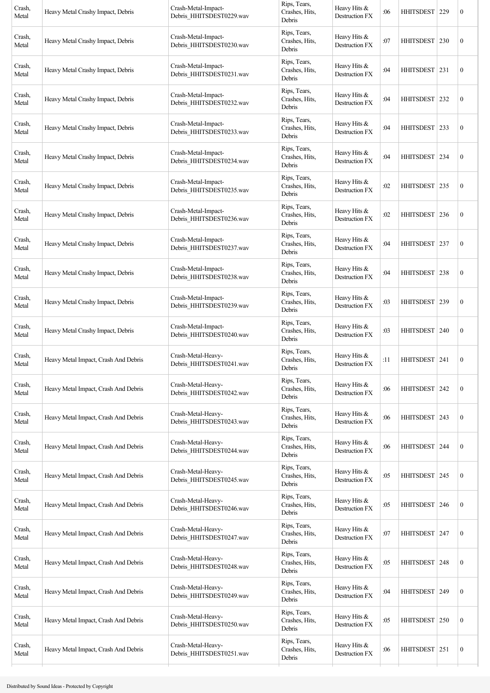| Crash,<br>Metal | Heavy Metal Crashy Impact, Debris    | Crash-Metal-Impact-<br>Debris_HHITSDEST0229.wav | Rips, Tears,<br>Crashes, Hits,<br>Debris | Heavy Hits &<br>Destruction FX          | :06 | <b>HHITSDEST</b> | 229 | $\boldsymbol{0}$ |
|-----------------|--------------------------------------|-------------------------------------------------|------------------------------------------|-----------------------------------------|-----|------------------|-----|------------------|
| Crash,<br>Metal | Heavy Metal Crashy Impact, Debris    | Crash-Metal-Impact-<br>Debris_HHITSDEST0230.wav | Rips, Tears,<br>Crashes, Hits,<br>Debris | Heavy Hits &<br>Destruction FX          | :07 | <b>HHITSDEST</b> | 230 | $\boldsymbol{0}$ |
| Crash,<br>Metal | Heavy Metal Crashy Impact, Debris    | Crash-Metal-Impact-<br>Debris_HHITSDEST0231.wav | Rips, Tears,<br>Crashes, Hits,<br>Debris | Heavy Hits &<br>Destruction FX          | :04 | <b>HHITSDEST</b> | 231 | $\boldsymbol{0}$ |
| Crash,<br>Metal | Heavy Metal Crashy Impact, Debris    | Crash-Metal-Impact-<br>Debris_HHITSDEST0232.wav | Rips, Tears,<br>Crashes, Hits,<br>Debris | Heavy Hits &<br>Destruction FX          | :04 | <b>HHITSDEST</b> | 232 | $\boldsymbol{0}$ |
| Crash,<br>Metal | Heavy Metal Crashy Impact, Debris    | Crash-Metal-Impact-<br>Debris_HHITSDEST0233.wav | Rips, Tears,<br>Crashes, Hits,<br>Debris | Heavy Hits &<br>Destruction FX          | :04 | HHITSDEST   233  |     | $\boldsymbol{0}$ |
| Crash,<br>Metal | Heavy Metal Crashy Impact, Debris    | Crash-Metal-Impact-<br>Debris HHITSDEST0234.wav | Rips, Tears,<br>Crashes, Hits,<br>Debris | Heavy Hits &<br>Destruction FX          | :04 | HHITSDEST   234  |     | $\boldsymbol{0}$ |
| Crash,<br>Metal | Heavy Metal Crashy Impact, Debris    | Crash-Metal-Impact-<br>Debris_HHITSDEST0235.wav | Rips, Tears,<br>Crashes, Hits,<br>Debris | Heavy Hits &<br>Destruction FX          | :02 | <b>HHITSDEST</b> | 235 | $\boldsymbol{0}$ |
| Crash,<br>Metal | Heavy Metal Crashy Impact, Debris    | Crash-Metal-Impact-<br>Debris_HHITSDEST0236.wav | Rips, Tears,<br>Crashes, Hits,<br>Debris | Heavy Hits $&$<br>Destruction FX        | :02 | <b>HHITSDEST</b> | 236 | $\boldsymbol{0}$ |
| Crash,<br>Metal | Heavy Metal Crashy Impact, Debris    | Crash-Metal-Impact-<br>Debris_HHITSDEST0237.wav | Rips, Tears,<br>Crashes, Hits,<br>Debris | Heavy Hits $&$<br>Destruction FX        | :04 | HHITSDEST   237  |     | $\boldsymbol{0}$ |
| Crash,<br>Metal | Heavy Metal Crashy Impact, Debris    | Crash-Metal-Impact-<br>Debris_HHITSDEST0238.wav | Rips, Tears,<br>Crashes, Hits,<br>Debris | Heavy Hits &<br>Destruction FX          | :04 | <b>HHITSDEST</b> | 238 | $\boldsymbol{0}$ |
| Crash,<br>Metal | Heavy Metal Crashy Impact, Debris    | Crash-Metal-Impact-<br>Debris_HHITSDEST0239.wav | Rips, Tears,<br>Crashes, Hits,<br>Debris | Heavy Hits $&$<br>Destruction FX        | :03 | HHITSDEST        | 239 | $\boldsymbol{0}$ |
| Crash,<br>Metal | Heavy Metal Crashy Impact, Debris    | Crash-Metal-Impact-<br>Debris_HHITSDEST0240.wav | Rips, Tears,<br>Crashes, Hits,<br>Debris | Heavy Hits &<br>Destruction FX          | :03 | <b>HHITSDEST</b> | 240 | $\boldsymbol{0}$ |
| Crash,<br>Metal | Heavy Metal Impact, Crash And Debris | Crash-Metal-Heavy-<br>Debris_HHITSDEST0241.wav  | Rips, Tears,<br>Crashes, Hits,<br>Debris | Heavy Hits &<br>Destruction FX          | :11 | HHITSDEST   241  |     | $\boldsymbol{0}$ |
| Crash,<br>Metal | Heavy Metal Impact, Crash And Debris | Crash-Metal-Heavy-<br>Debris HHITSDEST0242.wav  | Rips, Tears,<br>Crashes, Hits,<br>Debris | Heavy Hits &<br>Destruction FX          | :06 | <b>HHITSDEST</b> | 242 | $\boldsymbol{0}$ |
| Crash,<br>Metal | Heavy Metal Impact, Crash And Debris | Crash-Metal-Heavy-<br>Debris_HHITSDEST0243.wav  | Rips, Tears,<br>Crashes, Hits,<br>Debris | Heavy Hits $&$<br><b>Destruction FX</b> | :06 | <b>HHITSDEST</b> | 243 | $\boldsymbol{0}$ |
| Crash,<br>Metal | Heavy Metal Impact, Crash And Debris | Crash-Metal-Heavy-<br>Debris HHITSDEST0244.wav  | Rips, Tears,<br>Crashes, Hits,<br>Debris | Heavy Hits &<br>Destruction FX          | :06 | <b>HHITSDEST</b> | 244 | $\boldsymbol{0}$ |
| Crash,<br>Metal | Heavy Metal Impact, Crash And Debris | Crash-Metal-Heavy-<br>Debris_HHITSDEST0245.wav  | Rips, Tears,<br>Crashes, Hits,<br>Debris | Heavy Hits &<br>Destruction FX          | :05 | HHITSDEST 245    |     | $\boldsymbol{0}$ |
| Crash,<br>Metal | Heavy Metal Impact, Crash And Debris | Crash-Metal-Heavy-<br>Debris_HHITSDEST0246.wav  | Rips, Tears,<br>Crashes, Hits,<br>Debris | Heavy Hits &<br>Destruction FX          | :05 | <b>HHITSDEST</b> | 246 | $\boldsymbol{0}$ |
| Crash,<br>Metal | Heavy Metal Impact, Crash And Debris | Crash-Metal-Heavy-<br>Debris_HHITSDEST0247.wav  | Rips, Tears,<br>Crashes, Hits,<br>Debris | Heavy Hits $&$<br>Destruction FX        | :07 | <b>HHITSDEST</b> | 247 | $\boldsymbol{0}$ |
| Crash,<br>Metal | Heavy Metal Impact, Crash And Debris | Crash-Metal-Heavy-<br>Debris_HHITSDEST0248.wav  | Rips, Tears,<br>Crashes, Hits,<br>Debris | Heavy Hits &<br>Destruction FX          | :05 | <b>HHITSDEST</b> | 248 | $\boldsymbol{0}$ |
| Crash,<br>Metal | Heavy Metal Impact, Crash And Debris | Crash-Metal-Heavy-<br>Debris_HHITSDEST0249.wav  | Rips, Tears,<br>Crashes, Hits,<br>Debris | Heavy Hits &<br>Destruction FX          | :04 | HHITSDEST 249    |     | $\boldsymbol{0}$ |
| Crash,<br>Metal | Heavy Metal Impact, Crash And Debris | Crash-Metal-Heavy-<br>Debris_HHITSDEST0250.wav  | Rips, Tears,<br>Crashes, Hits,<br>Debris | Heavy Hits &<br>Destruction FX          | :05 | <b>HHITSDEST</b> | 250 | $\boldsymbol{0}$ |
| Crash,<br>Metal | Heavy Metal Impact, Crash And Debris | Crash-Metal-Heavy-<br>Debris HHITSDEST0251.wav  | Rips, Tears,<br>Crashes, Hits,<br>Debris | Heavy Hits $&$<br>Destruction FX        | :06 | HHITSDEST        | 251 | $\boldsymbol{0}$ |
|                 |                                      |                                                 |                                          |                                         |     |                  |     |                  |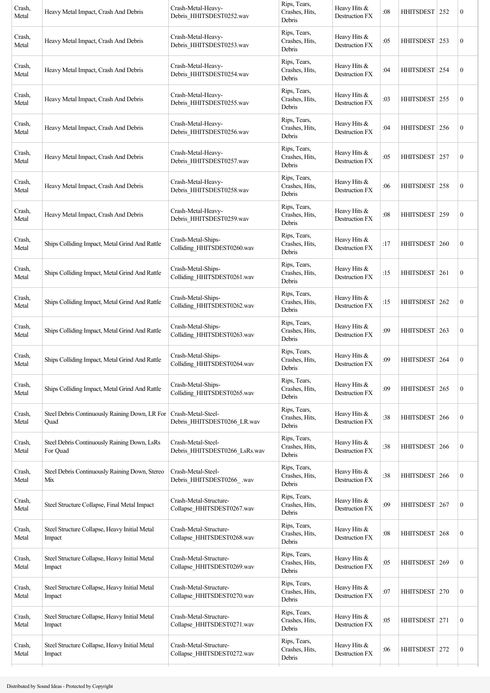| Crash,<br>Metal | Heavy Metal Impact, Crash And Debris                     | Crash-Metal-Heavy-<br>Debris HHITSDEST0252.wav       | Rips, Tears,<br>Crashes, Hits,<br>Debris | Heavy Hits &<br>Destruction FX        | :08 | HHITSDEST 252    |     | $\boldsymbol{0}$ |
|-----------------|----------------------------------------------------------|------------------------------------------------------|------------------------------------------|---------------------------------------|-----|------------------|-----|------------------|
| Crash,<br>Metal | Heavy Metal Impact, Crash And Debris                     | Crash-Metal-Heavy-<br>Debris_HHITSDEST0253.wav       | Rips, Tears,<br>Crashes, Hits,<br>Debris | Heavy Hits &<br>Destruction FX        | :05 | HHITSDEST   253  |     | $\boldsymbol{0}$ |
| Crash,<br>Metal | Heavy Metal Impact, Crash And Debris                     | Crash-Metal-Heavy-<br>Debris_HHITSDEST0254.wav       | Rips, Tears,<br>Crashes, Hits,<br>Debris | Heavy Hits &<br>Destruction FX        | :04 | <b>HHITSDEST</b> | 254 | $\boldsymbol{0}$ |
| Crash,<br>Metal | Heavy Metal Impact, Crash And Debris                     | Crash-Metal-Heavy-<br>Debris HHITSDEST0255.wav       | Rips, Tears,<br>Crashes, Hits,<br>Debris | Heavy Hits $&$<br>Destruction FX      | :03 | <b>HHITSDEST</b> | 255 | $\boldsymbol{0}$ |
| Crash,<br>Metal | Heavy Metal Impact, Crash And Debris                     | Crash-Metal-Heavy-<br>Debris_HHITSDEST0256.wav       | Rips, Tears,<br>Crashes, Hits,<br>Debris | Heavy Hits &<br>Destruction FX        | :04 | HHITSDEST   256  |     | $\boldsymbol{0}$ |
| Crash,<br>Metal | Heavy Metal Impact, Crash And Debris                     | Crash-Metal-Heavy-<br>Debris_HHITSDEST0257.wav       | Rips, Tears,<br>Crashes, Hits,<br>Debris | Heavy Hits &<br>Destruction FX        | :05 | HHITSDEST   257  |     | $\boldsymbol{0}$ |
| Crash,<br>Metal | Heavy Metal Impact, Crash And Debris                     | Crash-Metal-Heavy-<br>Debris_HHITSDEST0258.wav       | Rips, Tears,<br>Crashes, Hits,<br>Debris | Heavy Hits &<br>Destruction FX        | :06 | <b>HHITSDEST</b> | 258 | $\boldsymbol{0}$ |
| Crash,<br>Metal | Heavy Metal Impact, Crash And Debris                     | Crash-Metal-Heavy-<br>Debris_HHITSDEST0259.wav       | Rips, Tears,<br>Crashes, Hits,<br>Debris | Heavy Hits &<br>Destruction FX        | :08 | <b>HHITSDEST</b> | 259 | $\boldsymbol{0}$ |
| Crash,<br>Metal | Ships Colliding Impact, Metal Grind And Rattle           | Crash-Metal-Ships-<br>Colliding_HHITSDEST0260.wav    | Rips, Tears,<br>Crashes, Hits,<br>Debris | Heavy Hits &<br>Destruction FX        | :17 | <b>HHITSDEST</b> | 260 | $\boldsymbol{0}$ |
| Crash,<br>Metal | Ships Colliding Impact, Metal Grind And Rattle           | Crash-Metal-Ships-<br>Colliding_HHITSDEST0261.wav    | Rips, Tears,<br>Crashes, Hits,<br>Debris | Heavy Hits &<br>Destruction FX        | :15 | <b>HHITSDEST</b> | 261 | $\boldsymbol{0}$ |
| Crash,<br>Metal | Ships Colliding Impact, Metal Grind And Rattle           | Crash-Metal-Ships-<br>Colliding_HHITSDEST0262.wav    | Rips, Tears,<br>Crashes, Hits,<br>Debris | Heavy Hits $&$<br>Destruction FX      | :15 | <b>HHITSDEST</b> | 262 | $\boldsymbol{0}$ |
| Crash,<br>Metal | Ships Colliding Impact, Metal Grind And Rattle           | Crash-Metal-Ships-<br>Colliding_HHITSDEST0263.wav    | Rips, Tears,<br>Crashes, Hits,<br>Debris | Heavy Hits &<br>Destruction FX        | :09 | HHITSDEST        | 263 | $\boldsymbol{0}$ |
| Crash,<br>Metal | Ships Colliding Impact, Metal Grind And Rattle           | Crash-Metal-Ships-<br>Colliding HHITSDEST0264.wav    | Rips, Tears,<br>Crashes, Hits,<br>Debris | Heavy Hits &<br>Destruction FX        | :09 | HHITSDEST   264  |     | $\boldsymbol{0}$ |
| Crash,<br>Metal | Ships Colliding Impact, Metal Grind And Rattle           | Crash-Metal-Ships-<br>Colliding_HHITSDEST0265.wav    | Rips, Tears,<br>Crashes, Hits,<br>Debris | Heavy Hits &<br>Destruction FX        | :09 | <b>HHITSDEST</b> | 265 | $\boldsymbol{0}$ |
| Crash,<br>Metal | Steel Debris Continuously Raining Down, LR For<br>Quad   | Crash-Metal-Steel-<br>Debris HHITSDEST0266 LR.wav    | Rips, Tears,<br>Crashes, Hits,<br>Debris | Heavy Hits &<br>Destruction FX        | :38 | <b>HHITSDEST</b> | 266 | $\boldsymbol{0}$ |
| Crash,<br>Metal | Steel Debris Continuously Raining Down, LsRs<br>For Quad | Crash-Metal-Steel-<br>Debris_HHITSDEST0266_LsRs.wav  | Rips, Tears,<br>Crashes, Hits,<br>Debris | Heavy Hits &<br><b>Destruction FX</b> | :38 | <b>HHITSDEST</b> | 266 | $\boldsymbol{0}$ |
| Crash,<br>Metal | Steel Debris Continuously Raining Down, Stereo<br>Mix    | Crash-Metal-Steel-<br>Debris_HHITSDEST0266_.wav      | Rips, Tears,<br>Crashes, Hits,<br>Debris | Heavy Hits &<br>Destruction FX        | :38 | HHITSDEST   266  |     | $\boldsymbol{0}$ |
| Crash,<br>Metal | Steel Structure Collapse, Final Metal Impact             | Crash-Metal-Structure-<br>Collapse_HHITSDEST0267.wav | Rips, Tears,<br>Crashes, Hits,<br>Debris | Heavy Hits &<br>Destruction FX        | :09 | <b>HHITSDEST</b> | 267 | $\boldsymbol{0}$ |
| Crash,<br>Metal | Steel Structure Collapse, Heavy Initial Metal<br>Impact  | Crash-Metal-Structure-<br>Collapse_HHITSDEST0268.wav | Rips, Tears,<br>Crashes, Hits,<br>Debris | Heavy Hits &<br>Destruction FX        | :08 | <b>HHITSDEST</b> | 268 | $\boldsymbol{0}$ |
| Crash,<br>Metal | Steel Structure Collapse, Heavy Initial Metal<br>Impact  | Crash-Metal-Structure-<br>Collapse_HHITSDEST0269.wav | Rips, Tears,<br>Crashes, Hits,<br>Debris | Heavy Hits &<br>Destruction FX        | :05 | <b>HHITSDEST</b> | 269 | $\boldsymbol{0}$ |
| Crash,<br>Metal | Steel Structure Collapse, Heavy Initial Metal<br>Impact  | Crash-Metal-Structure-<br>Collapse_HHITSDEST0270.wav | Rips, Tears,<br>Crashes, Hits,<br>Debris | Heavy Hits &<br>Destruction FX        | :07 | HHITSDEST 270    |     | $\boldsymbol{0}$ |
| Crash,<br>Metal | Steel Structure Collapse, Heavy Initial Metal<br>Impact  | Crash-Metal-Structure-<br>Collapse_HHITSDEST0271.wav | Rips, Tears,<br>Crashes, Hits,<br>Debris | Heavy Hits &<br>Destruction FX        | :05 | HHITSDEST 271    |     | $\boldsymbol{0}$ |
| Crash,<br>Metal | Steel Structure Collapse, Heavy Initial Metal<br>Impact  | Crash-Metal-Structure-<br>Collapse_HHITSDEST0272.wav | Rips, Tears,<br>Crashes, Hits,<br>Debris | Heavy Hits &<br>Destruction FX        | :06 | HHITSDEST 272    |     | $\boldsymbol{0}$ |
|                 |                                                          |                                                      |                                          |                                       |     |                  |     |                  |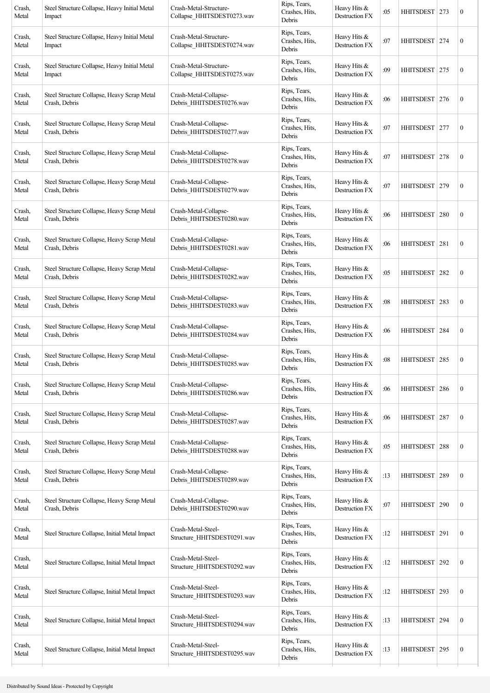| Rips, Tears,<br>Steel Structure Collapse, Heavy Initial Metal<br>Crash-Metal-Structure-<br>Crash,<br>Crashes, Hits,<br>Metal<br>Collapse HHITSDEST0274.wav<br>Impact<br>Debris<br>Rips, Tears,<br>Steel Structure Collapse, Heavy Initial Metal<br>Crash-Metal-Structure-<br>Crash,<br>Crashes, Hits,<br>Collapse_HHITSDEST0275.wav<br>Metal<br>Impact<br>Debris<br>Rips, Tears,<br>Steel Structure Collapse, Heavy Scrap Metal<br>Crash-Metal-Collapse-<br>Crash,<br>Crashes, Hits,<br>Debris_HHITSDEST0276.wav<br>Crash, Debris<br>Metal<br>Debris<br>Rips, Tears,<br>Steel Structure Collapse, Heavy Scrap Metal<br>Crash-Metal-Collapse-<br>Crash,<br>Crashes, Hits,<br>Crash, Debris<br>Debris_HHITSDEST0277.wav<br>Metal<br>Debris | Heavy Hits &<br>Destruction FX<br>Heavy Hits &<br>Destruction FX<br>Heavy Hits &<br>Destruction FX<br>Heavy Hits &<br>Destruction FX<br>Heavy Hits &<br>Destruction FX | :07<br>:09<br>:06<br>:07<br>:07 | HHITSDEST   274<br><b>HHITSDEST</b><br>HHITSDEST<br>HHITSDEST   277 | 275<br>276 | $\boldsymbol{0}$<br>$\boldsymbol{0}$<br>$\boldsymbol{0}$ |
|------------------------------------------------------------------------------------------------------------------------------------------------------------------------------------------------------------------------------------------------------------------------------------------------------------------------------------------------------------------------------------------------------------------------------------------------------------------------------------------------------------------------------------------------------------------------------------------------------------------------------------------------------------------------------------------------------------------------------------------|------------------------------------------------------------------------------------------------------------------------------------------------------------------------|---------------------------------|---------------------------------------------------------------------|------------|----------------------------------------------------------|
|                                                                                                                                                                                                                                                                                                                                                                                                                                                                                                                                                                                                                                                                                                                                          |                                                                                                                                                                        |                                 |                                                                     |            |                                                          |
|                                                                                                                                                                                                                                                                                                                                                                                                                                                                                                                                                                                                                                                                                                                                          |                                                                                                                                                                        |                                 |                                                                     |            |                                                          |
|                                                                                                                                                                                                                                                                                                                                                                                                                                                                                                                                                                                                                                                                                                                                          |                                                                                                                                                                        |                                 |                                                                     |            |                                                          |
|                                                                                                                                                                                                                                                                                                                                                                                                                                                                                                                                                                                                                                                                                                                                          |                                                                                                                                                                        |                                 |                                                                     |            | $\boldsymbol{0}$                                         |
| Rips, Tears,<br>Crash,<br>Steel Structure Collapse, Heavy Scrap Metal<br>Crash-Metal-Collapse-<br>Crashes, Hits,<br>Crash, Debris<br>Debris_HHITSDEST0278.wav<br>Metal<br>Debris                                                                                                                                                                                                                                                                                                                                                                                                                                                                                                                                                         |                                                                                                                                                                        |                                 | HHITSDEST                                                           | 278        | $\boldsymbol{0}$                                         |
| Rips, Tears,<br>Crash,<br>Steel Structure Collapse, Heavy Scrap Metal<br>Crash-Metal-Collapse-<br>Crashes, Hits,<br>Crash, Debris<br>Debris_HHITSDEST0279.wav<br>Metal<br>Debris                                                                                                                                                                                                                                                                                                                                                                                                                                                                                                                                                         | Heavy Hits &<br>Destruction FX                                                                                                                                         | :07                             | HHITSDEST                                                           | 279        | $\boldsymbol{0}$                                         |
| Rips, Tears,<br>Steel Structure Collapse, Heavy Scrap Metal<br>Crash-Metal-Collapse-<br>Crash,<br>Crashes, Hits,<br>Debris_HHITSDEST0280.wav<br>Crash, Debris<br>Metal<br>Debris                                                                                                                                                                                                                                                                                                                                                                                                                                                                                                                                                         | Heavy Hits &<br>Destruction FX                                                                                                                                         | :06                             | HHITSDEST                                                           | 280        | $\boldsymbol{0}$                                         |
| Rips, Tears,<br>Crash,<br>Steel Structure Collapse, Heavy Scrap Metal<br>Crash-Metal-Collapse-<br>Crashes, Hits,<br>Debris_HHITSDEST0281.wav<br>Crash, Debris<br>Metal<br>Debris                                                                                                                                                                                                                                                                                                                                                                                                                                                                                                                                                         | Heavy Hits &<br>Destruction FX                                                                                                                                         | :06                             | HHITSDEST   281                                                     |            | $\boldsymbol{0}$                                         |
| Rips, Tears,<br>Crash-Metal-Collapse-<br>Crash,<br>Steel Structure Collapse, Heavy Scrap Metal<br>Crashes, Hits,<br>Debris_HHITSDEST0282.wav<br>Crash, Debris<br>Metal<br>Debris                                                                                                                                                                                                                                                                                                                                                                                                                                                                                                                                                         | Heavy Hits &<br>Destruction FX                                                                                                                                         | :05                             | <b>HHITSDEST</b>                                                    | 282        | $\boldsymbol{0}$                                         |
| Rips, Tears,<br>Steel Structure Collapse, Heavy Scrap Metal<br>Crash-Metal-Collapse-<br>Crash,<br>Crashes, Hits,<br>Debris_HHITSDEST0283.wav<br>Crash, Debris<br>Metal<br>Debris                                                                                                                                                                                                                                                                                                                                                                                                                                                                                                                                                         | Heavy Hits &<br>Destruction FX                                                                                                                                         | :08                             | <b>HHITSDEST</b>                                                    | 283        | $\boldsymbol{0}$                                         |
| Rips, Tears,<br>Steel Structure Collapse, Heavy Scrap Metal<br>Crash-Metal-Collapse-<br>Crash,<br>Crashes, Hits,<br>Debris_HHITSDEST0284.wav<br>Crash, Debris<br>Metal<br>Debris                                                                                                                                                                                                                                                                                                                                                                                                                                                                                                                                                         | Heavy Hits &<br>Destruction FX                                                                                                                                         | :06                             | HHITSDEST 284                                                       |            | $\boldsymbol{0}$                                         |
| Rips, Tears,<br>Steel Structure Collapse, Heavy Scrap Metal<br>Crash-Metal-Collapse-<br>Crash,<br>Crashes, Hits,<br>Debris_HHITSDEST0285.wav<br>Crash, Debris<br>Metal<br>Debris                                                                                                                                                                                                                                                                                                                                                                                                                                                                                                                                                         | Heavy Hits &<br>Destruction FX                                                                                                                                         | :08                             | HHITSDEST                                                           | 285        | $\boldsymbol{0}$                                         |
| Rips, Tears,<br>Steel Structure Collapse, Heavy Scrap Metal<br>Crash-Metal-Collapse-<br>Crash,<br>Crashes, Hits,<br>Debris_HHITSDEST0286.wav<br>Metal<br>Crash, Debris<br>Debris                                                                                                                                                                                                                                                                                                                                                                                                                                                                                                                                                         | Heavy Hits &<br>Destruction FX                                                                                                                                         | :06                             | <b>HHITSDEST</b>                                                    | 286        | $\boldsymbol{0}$                                         |
| Rips, Tears,<br>Steel Structure Collapse, Heavy Scrap Metal<br>Crash-Metal-Collapse-<br>Crash,<br>Crashes, Hits,<br>Debris HHITSDEST0287.wav<br>Crash, Debris<br>Metal<br>Debris                                                                                                                                                                                                                                                                                                                                                                                                                                                                                                                                                         | Heavy Hits &<br>Destruction FX                                                                                                                                         | :06                             | <b>HHITSDEST</b>                                                    | 287        | $\boldsymbol{0}$                                         |
| Rips, Tears,<br>Steel Structure Collapse, Heavy Scrap Metal<br>Crash-Metal-Collapse-<br>Crash,<br>Crashes, Hits,<br>Debris_HHITSDEST0288.wav<br>Crash, Debris<br>Metal<br>Debris                                                                                                                                                                                                                                                                                                                                                                                                                                                                                                                                                         | Heavy Hits &<br>Destruction FX                                                                                                                                         | :05                             | <b>HHITSDEST</b>                                                    | 288        | $\boldsymbol{0}$                                         |
| Rips, Tears,<br>Steel Structure Collapse, Heavy Scrap Metal<br>Crash-Metal-Collapse-<br>Crash,<br>Crashes, Hits,<br>Debris_HHITSDEST0289.wav<br>Crash, Debris<br>Metal<br>Debris                                                                                                                                                                                                                                                                                                                                                                                                                                                                                                                                                         | Heavy Hits &<br>Destruction FX                                                                                                                                         | :13                             | <b>HHITSDEST</b>                                                    | 289        | $\boldsymbol{0}$                                         |
| Rips, Tears,<br>Steel Structure Collapse, Heavy Scrap Metal<br>Crash-Metal-Collapse-<br>Crash,<br>Crashes, Hits,<br>Crash, Debris<br>Debris_HHITSDEST0290.wav<br>Metal<br>Debris                                                                                                                                                                                                                                                                                                                                                                                                                                                                                                                                                         | Heavy Hits &<br>Destruction FX                                                                                                                                         | :07                             | <b>HHITSDEST</b>                                                    | 290        | $\boldsymbol{0}$                                         |
| Rips, Tears,<br>Crash-Metal-Steel-<br>Crash,<br>Steel Structure Collapse, Initial Metal Impact<br>Crashes, Hits,<br>Structure_HHITSDEST0291.wav<br>Metal<br>Debris                                                                                                                                                                                                                                                                                                                                                                                                                                                                                                                                                                       | Heavy Hits &<br>Destruction FX                                                                                                                                         | :12                             | <b>HHITSDEST</b>                                                    | 291        | $\boldsymbol{0}$                                         |
| Rips, Tears,<br>Crash-Metal-Steel-<br>Crash,<br>Steel Structure Collapse, Initial Metal Impact<br>Crashes, Hits,<br>Structure_HHITSDEST0292.wav<br>Metal<br>Debris                                                                                                                                                                                                                                                                                                                                                                                                                                                                                                                                                                       | Heavy Hits &<br>Destruction FX                                                                                                                                         | :12                             | HHITSDEST   292                                                     |            | $\boldsymbol{0}$                                         |
| Rips, Tears,<br>Crash-Metal-Steel-<br>Crash,<br>Steel Structure Collapse, Initial Metal Impact<br>Crashes, Hits,<br>Structure_HHITSDEST0293.wav<br>Metal<br>Debris                                                                                                                                                                                                                                                                                                                                                                                                                                                                                                                                                                       | Heavy Hits &<br>Destruction FX                                                                                                                                         | :12                             | <b>HHITSDEST</b>                                                    | 293        | $\boldsymbol{0}$                                         |
| Rips, Tears,<br>Crash-Metal-Steel-<br>Crash,<br>Steel Structure Collapse, Initial Metal Impact<br>Crashes, Hits,<br>Structure_HHITSDEST0294.wav<br>Metal<br>Debris                                                                                                                                                                                                                                                                                                                                                                                                                                                                                                                                                                       | Heavy Hits &<br>Destruction FX                                                                                                                                         | :13                             | <b>HHITSDEST</b>                                                    | 294        | $\boldsymbol{0}$                                         |
| Rips, Tears,<br>Crash-Metal-Steel-<br>Crash,<br>Steel Structure Collapse, Initial Metal Impact<br>Crashes, Hits,<br>Structure_HHITSDEST0295.wav<br>Metal<br>Debris                                                                                                                                                                                                                                                                                                                                                                                                                                                                                                                                                                       | Heavy Hits &<br>Destruction FX                                                                                                                                         | :13                             | <b>HHITSDEST</b>                                                    | 295        | $\boldsymbol{0}$                                         |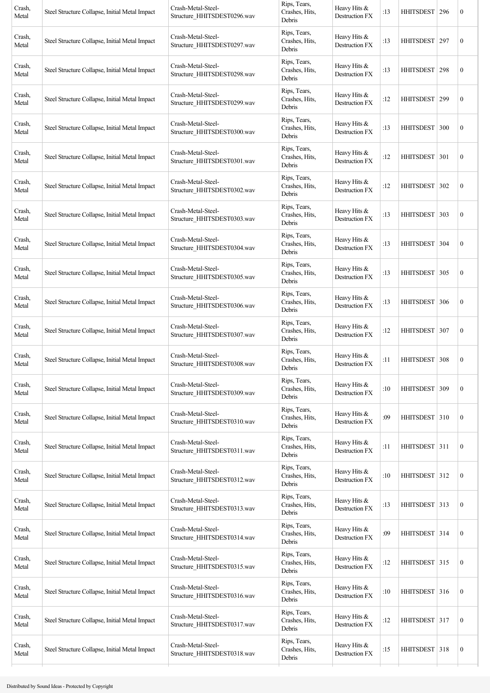| Crash,<br>Metal | Steel Structure Collapse, Initial Metal Impact | Crash-Metal-Steel-<br>Structure HHITSDEST0296.wav | Rips, Tears,<br>Crashes, Hits,<br>Debris | Heavy Hits &<br>Destruction FX          | :13 | HHITSDEST   296  |     | $\boldsymbol{0}$ |
|-----------------|------------------------------------------------|---------------------------------------------------|------------------------------------------|-----------------------------------------|-----|------------------|-----|------------------|
| Crash,<br>Metal | Steel Structure Collapse, Initial Metal Impact | Crash-Metal-Steel-<br>Structure_HHITSDEST0297.wav | Rips, Tears,<br>Crashes, Hits,<br>Debris | Heavy Hits &<br>Destruction FX          | :13 | HHITSDEST   297  |     | $\boldsymbol{0}$ |
| Crash,<br>Metal | Steel Structure Collapse, Initial Metal Impact | Crash-Metal-Steel-<br>Structure HHITSDEST0298.wav | Rips, Tears,<br>Crashes, Hits,<br>Debris | Heavy Hits &<br>Destruction FX          | :13 | HHITSDEST 298    |     | $\boldsymbol{0}$ |
| Crash,<br>Metal | Steel Structure Collapse, Initial Metal Impact | Crash-Metal-Steel-<br>Structure HHITSDEST0299.wav | Rips, Tears,<br>Crashes, Hits,<br>Debris | Heavy Hits &<br>Destruction FX          | :12 | <b>HHITSDEST</b> | 299 | $\boldsymbol{0}$ |
| Crash,<br>Metal | Steel Structure Collapse, Initial Metal Impact | Crash-Metal-Steel-<br>Structure_HHITSDEST0300.wav | Rips, Tears,<br>Crashes, Hits,<br>Debris | Heavy Hits &<br>Destruction FX          | :13 | HHITSDEST   300  |     | $\boldsymbol{0}$ |
| Crash,<br>Metal | Steel Structure Collapse, Initial Metal Impact | Crash-Metal-Steel-<br>Structure HHITSDEST0301.wav | Rips, Tears,<br>Crashes, Hits,<br>Debris | Heavy Hits &<br>Destruction FX          | :12 | HHITSDEST   301  |     | $\boldsymbol{0}$ |
| Crash,<br>Metal | Steel Structure Collapse, Initial Metal Impact | Crash-Metal-Steel-<br>Structure HHITSDEST0302.wav | Rips, Tears,<br>Crashes, Hits,<br>Debris | Heavy Hits $&$<br>Destruction FX        | :12 | HHITSDEST 302    |     | $\boldsymbol{0}$ |
| Crash,<br>Metal | Steel Structure Collapse, Initial Metal Impact | Crash-Metal-Steel-<br>Structure HHITSDEST0303.wav | Rips, Tears,<br>Crashes, Hits,<br>Debris | Heavy Hits &<br>Destruction FX          | :13 | HHITSDEST 303    |     | $\boldsymbol{0}$ |
| Crash,<br>Metal | Steel Structure Collapse, Initial Metal Impact | Crash-Metal-Steel-<br>Structure HHITSDEST0304.wav | Rips, Tears,<br>Crashes, Hits,<br>Debris | Heavy Hits $&$<br><b>Destruction FX</b> | :13 | HHITSDEST 304    |     | $\boldsymbol{0}$ |
| Crash,<br>Metal | Steel Structure Collapse, Initial Metal Impact | Crash-Metal-Steel-<br>Structure HHITSDEST0305.wav | Rips, Tears,<br>Crashes, Hits,<br>Debris | Heavy Hits &<br><b>Destruction FX</b>   | :13 | HHITSDEST 305    |     | $\boldsymbol{0}$ |
| Crash,<br>Metal | Steel Structure Collapse, Initial Metal Impact | Crash-Metal-Steel-<br>Structure HHITSDEST0306.wav | Rips, Tears,<br>Crashes, Hits,<br>Debris | Heavy Hits $&$<br>Destruction FX        | :13 | HHITSDEST 306    |     | $\boldsymbol{0}$ |
| Crash,<br>Metal | Steel Structure Collapse, Initial Metal Impact | Crash-Metal-Steel-<br>Structure_HHITSDEST0307.wav | Rips, Tears,<br>Crashes, Hits,<br>Debris | Heavy Hits &<br>Destruction FX          | :12 | HHITSDEST 307    |     | $\boldsymbol{0}$ |
| Crash,<br>Metal | Steel Structure Collapse, Initial Metal Impact | Crash-Metal-Steel-<br>Structure HHITSDEST0308.wav | Rips, Tears,<br>Crashes, Hits,<br>Debris | Heavy Hits &<br><b>Destruction FX</b>   | :11 | HHITSDEST   308  |     | $\boldsymbol{0}$ |
| Crash,<br>Metal | Steel Structure Collapse, Initial Metal Impact | Crash-Metal-Steel-<br>Structure_HHITSDEST0309.wav | Rips, Tears,<br>Crashes, Hits,<br>Debris | Heavy Hits &<br>Destruction FX          | :10 | <b>HHITSDEST</b> | 309 | $\boldsymbol{0}$ |
| Crash,<br>Metal | Steel Structure Collapse, Initial Metal Impact | Crash-Metal-Steel-<br>Structure_HHITSDEST0310.wav | Rips, Tears,<br>Crashes, Hits,<br>Debris | Heavy Hits $&$<br>Destruction FX        | :09 | HHITSDEST 310    |     | $\boldsymbol{0}$ |
| Crash,<br>Metal | Steel Structure Collapse, Initial Metal Impact | Crash-Metal-Steel-<br>Structure HHITSDEST0311.wav | Rips, Tears,<br>Crashes, Hits,<br>Debris | Heavy Hits &<br>Destruction FX          | :11 | HHITSDEST 311    |     | $\boldsymbol{0}$ |
| Crash,<br>Metal | Steel Structure Collapse, Initial Metal Impact | Crash-Metal-Steel-<br>Structure_HHITSDEST0312.wav | Rips, Tears,<br>Crashes, Hits,<br>Debris | Heavy Hits &<br>Destruction FX          | :10 | HHITSDEST 312    |     | $\boldsymbol{0}$ |
| Crash,<br>Metal | Steel Structure Collapse, Initial Metal Impact | Crash-Metal-Steel-<br>Structure_HHITSDEST0313.wav | Rips, Tears,<br>Crashes, Hits,<br>Debris | Heavy Hits &<br>Destruction FX          | :13 | HHITSDEST 313    |     | $\boldsymbol{0}$ |
| Crash,<br>Metal | Steel Structure Collapse, Initial Metal Impact | Crash-Metal-Steel-<br>Structure_HHITSDEST0314.wav | Rips, Tears,<br>Crashes, Hits,<br>Debris | Heavy Hits $&$<br><b>Destruction FX</b> | :09 | HHITSDEST 314    |     | $\boldsymbol{0}$ |
| Crash,<br>Metal | Steel Structure Collapse, Initial Metal Impact | Crash-Metal-Steel-<br>Structure_HHITSDEST0315.wav | Rips, Tears,<br>Crashes, Hits,<br>Debris | Heavy Hits &<br>Destruction FX          | :12 | HHITSDEST 315    |     | $\boldsymbol{0}$ |
| Crash,<br>Metal | Steel Structure Collapse, Initial Metal Impact | Crash-Metal-Steel-<br>Structure_HHITSDEST0316.wav | Rips, Tears,<br>Crashes, Hits,<br>Debris | Heavy Hits &<br><b>Destruction FX</b>   | :10 | HHITSDEST 316    |     | $\boldsymbol{0}$ |
| Crash,<br>Metal | Steel Structure Collapse, Initial Metal Impact | Crash-Metal-Steel-<br>Structure_HHITSDEST0317.wav | Rips, Tears,<br>Crashes, Hits,<br>Debris | Heavy Hits &<br>Destruction FX          | :12 | HHITSDEST 317    |     | $\boldsymbol{0}$ |
| Crash,<br>Metal | Steel Structure Collapse, Initial Metal Impact | Crash-Metal-Steel-<br>Structure_HHITSDEST0318.wav | Rips, Tears,<br>Crashes, Hits,<br>Debris | Heavy Hits &<br>Destruction FX          | :15 | HHITSDEST 318    |     | $\boldsymbol{0}$ |
|                 |                                                |                                                   |                                          |                                         |     |                  |     |                  |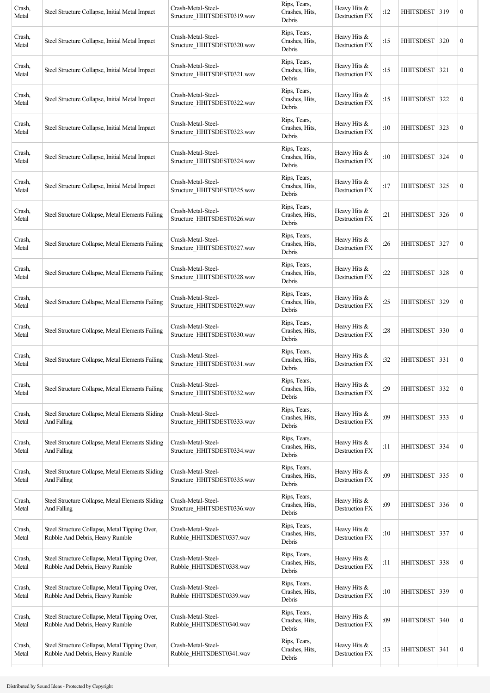| Crash,<br>Metal | Steel Structure Collapse, Initial Metal Impact                                   | Crash-Metal-Steel-<br>Structure HHITSDEST0319.wav | Rips, Tears,<br>Crashes, Hits,<br>Debris | Heavy Hits &<br>Destruction FX        | :12 | HHITSDEST   319  |     | $\boldsymbol{0}$ |
|-----------------|----------------------------------------------------------------------------------|---------------------------------------------------|------------------------------------------|---------------------------------------|-----|------------------|-----|------------------|
| Crash,<br>Metal | Steel Structure Collapse, Initial Metal Impact                                   | Crash-Metal-Steel-<br>Structure HHITSDEST0320.wav | Rips, Tears,<br>Crashes, Hits,<br>Debris | Heavy Hits &<br>Destruction FX        | :15 | HHITSDEST   320  |     | $\boldsymbol{0}$ |
| Crash,<br>Metal | Steel Structure Collapse, Initial Metal Impact                                   | Crash-Metal-Steel-<br>Structure HHITSDEST0321.wav | Rips, Tears,<br>Crashes, Hits,<br>Debris | Heavy Hits &<br>Destruction FX        | :15 | <b>HHITSDEST</b> | 321 | $\boldsymbol{0}$ |
| Crash,<br>Metal | Steel Structure Collapse, Initial Metal Impact                                   | Crash-Metal-Steel-<br>Structure HHITSDEST0322.wav | Rips, Tears,<br>Crashes, Hits,<br>Debris | Heavy Hits &<br>Destruction FX        | :15 | <b>HHITSDEST</b> | 322 | $\boldsymbol{0}$ |
| Crash,<br>Metal | Steel Structure Collapse, Initial Metal Impact                                   | Crash-Metal-Steel-<br>Structure_HHITSDEST0323.wav | Rips, Tears,<br>Crashes, Hits,<br>Debris | Heavy Hits &<br>Destruction FX        | :10 | HHITSDEST 323    |     | $\boldsymbol{0}$ |
| Crash,<br>Metal | Steel Structure Collapse, Initial Metal Impact                                   | Crash-Metal-Steel-<br>Structure HHITSDEST0324.wav | Rips, Tears,<br>Crashes, Hits,<br>Debris | Heavy Hits &<br>Destruction FX        | :10 | HHITSDEST   324  |     | $\boldsymbol{0}$ |
| Crash,<br>Metal | Steel Structure Collapse, Initial Metal Impact                                   | Crash-Metal-Steel-<br>Structure_HHITSDEST0325.wav | Rips, Tears,<br>Crashes, Hits,<br>Debris | Heavy Hits &<br>Destruction FX        | :17 | HHITSDEST 325    |     | $\boldsymbol{0}$ |
| Crash,<br>Metal | Steel Structure Collapse, Metal Elements Failing                                 | Crash-Metal-Steel-<br>Structure HHITSDEST0326.wav | Rips, Tears,<br>Crashes, Hits,<br>Debris | Heavy Hits &<br>Destruction FX        | :21 | <b>HHITSDEST</b> | 326 | $\boldsymbol{0}$ |
| Crash,<br>Metal | Steel Structure Collapse, Metal Elements Failing                                 | Crash-Metal-Steel-<br>Structure HHITSDEST0327.wav | Rips, Tears,<br>Crashes, Hits,<br>Debris | Heavy Hits &<br>Destruction FX        | :26 | HHITSDEST 327    |     | $\boldsymbol{0}$ |
| Crash,<br>Metal | Steel Structure Collapse, Metal Elements Failing                                 | Crash-Metal-Steel-<br>Structure_HHITSDEST0328.wav | Rips, Tears,<br>Crashes, Hits,<br>Debris | Heavy Hits &<br>Destruction FX        | :22 | <b>HHITSDEST</b> | 328 | $\boldsymbol{0}$ |
| Crash,<br>Metal | Steel Structure Collapse, Metal Elements Failing                                 | Crash-Metal-Steel-<br>Structure HHITSDEST0329.wav | Rips, Tears,<br>Crashes, Hits,<br>Debris | Heavy Hits $&$<br>Destruction FX      | :25 | HHITSDEST 329    |     | $\boldsymbol{0}$ |
| Crash,<br>Metal | Steel Structure Collapse, Metal Elements Failing                                 | Crash-Metal-Steel-<br>Structure_HHITSDEST0330.wav | Rips, Tears,<br>Crashes, Hits,<br>Debris | Heavy Hits &<br>Destruction FX        | :28 | HHITSDEST 330    |     | $\boldsymbol{0}$ |
| Crash,<br>Metal | Steel Structure Collapse, Metal Elements Failing                                 | Crash-Metal-Steel-<br>Structure HHITSDEST0331.wav | Rips, Tears,<br>Crashes, Hits,<br>Debris | Heavy Hits &<br>Destruction FX        | :32 | HHITSDEST 331    |     | $\boldsymbol{0}$ |
| Crash,<br>Metal | Steel Structure Collapse, Metal Elements Failing                                 | Crash-Metal-Steel-<br>Structure_HHITSDEST0332.wav | Rips, Tears,<br>Crashes, Hits,<br>Debris | Heavy Hits &<br>Destruction FX        | :29 | <b>HHITSDEST</b> | 332 | $\boldsymbol{0}$ |
| Crash,<br>Metal | Steel Structure Collapse, Metal Elements Sliding<br>And Falling                  | Crash-Metal-Steel-<br>Structure_HHITSDEST0333.wav | Rips, Tears,<br>Crashes, Hits,<br>Debris | Heavy Hits &<br><b>Destruction FX</b> | :09 | <b>HHITSDEST</b> | 333 | $\boldsymbol{0}$ |
| Crash,<br>Metal | Steel Structure Collapse, Metal Elements Sliding<br>And Falling                  | Crash-Metal-Steel-<br>Structure_HHITSDEST0334.wav | Rips, Tears,<br>Crashes, Hits,<br>Debris | Heavy Hits &<br>Destruction FX        | :11 | HHITSDEST 334    |     | $\boldsymbol{0}$ |
| Crash,<br>Metal | Steel Structure Collapse, Metal Elements Sliding<br>And Falling                  | Crash-Metal-Steel-<br>Structure_HHITSDEST0335.wav | Rips, Tears,<br>Crashes, Hits,<br>Debris | Heavy Hits $&$<br>Destruction FX      | :09 | HHITSDEST 335    |     | $\boldsymbol{0}$ |
| Crash,<br>Metal | Steel Structure Collapse, Metal Elements Sliding<br>And Falling                  | Crash-Metal-Steel-<br>Structure_HHITSDEST0336.wav | Rips, Tears,<br>Crashes, Hits,<br>Debris | Heavy Hits &<br>Destruction FX        | :09 | <b>HHITSDEST</b> | 336 | $\boldsymbol{0}$ |
| Crash,<br>Metal | Steel Structure Collapse, Metal Tipping Over,<br>Rubble And Debris, Heavy Rumble | Crash-Metal-Steel-<br>Rubble HHITSDEST0337.wav    | Rips, Tears,<br>Crashes, Hits,<br>Debris | Heavy Hits $&$<br>Destruction FX      | :10 | <b>HHITSDEST</b> | 337 | $\boldsymbol{0}$ |
| Crash,<br>Metal | Steel Structure Collapse, Metal Tipping Over,<br>Rubble And Debris, Heavy Rumble | Crash-Metal-Steel-<br>Rubble_HHITSDEST0338.wav    | Rips, Tears,<br>Crashes, Hits,<br>Debris | Heavy Hits &<br>Destruction FX        | :11 | HHITSDEST 338    |     | $\boldsymbol{0}$ |
| Crash,<br>Metal | Steel Structure Collapse, Metal Tipping Over,<br>Rubble And Debris, Heavy Rumble | Crash-Metal-Steel-<br>Rubble_HHITSDEST0339.wav    | Rips, Tears,<br>Crashes, Hits,<br>Debris | Heavy Hits &<br>Destruction FX        | :10 | HHITSDEST 339    |     | $\boldsymbol{0}$ |
| Crash,<br>Metal | Steel Structure Collapse, Metal Tipping Over,<br>Rubble And Debris, Heavy Rumble | Crash-Metal-Steel-<br>Rubble_HHITSDEST0340.wav    | Rips, Tears,<br>Crashes, Hits,<br>Debris | Heavy Hits &<br>Destruction FX        | :09 | <b>HHITSDEST</b> | 340 | $\boldsymbol{0}$ |
| Crash,<br>Metal | Steel Structure Collapse, Metal Tipping Over,<br>Rubble And Debris, Heavy Rumble | Crash-Metal-Steel-<br>Rubble_HHITSDEST0341.wav    | Rips, Tears,<br>Crashes, Hits,<br>Debris | Heavy Hits &<br>Destruction FX        | :13 | HHITSDEST 341    |     | $\boldsymbol{0}$ |
|                 |                                                                                  |                                                   |                                          |                                       |     |                  |     |                  |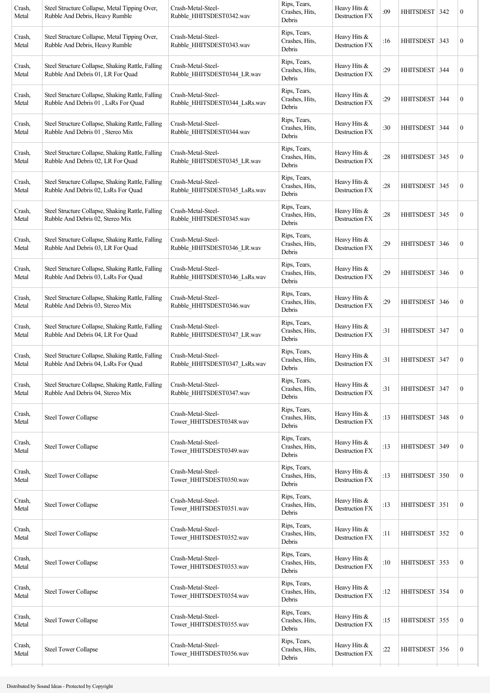| Crash,<br>Metal | Steel Structure Collapse, Metal Tipping Over,<br>Rubble And Debris, Heavy Rumble         | Crash-Metal-Steel-<br>Rubble_HHITSDEST0342.wav      | Rips, Tears,<br>Crashes, Hits,<br>Debris | Heavy Hits &<br>Destruction FX | :09 | HHITSDEST        | 342 | $\boldsymbol{0}$ |
|-----------------|------------------------------------------------------------------------------------------|-----------------------------------------------------|------------------------------------------|--------------------------------|-----|------------------|-----|------------------|
| Crash,<br>Metal | Steel Structure Collapse, Metal Tipping Over,<br>Rubble And Debris, Heavy Rumble         | Crash-Metal-Steel-<br>Rubble_HHITSDEST0343.wav      | Rips, Tears,<br>Crashes, Hits,<br>Debris | Heavy Hits &<br>Destruction FX | :16 | HHITSDEST 343    |     | $\boldsymbol{0}$ |
| Crash,<br>Metal | Steel Structure Collapse, Shaking Rattle, Falling<br>Rubble And Debris 01, LR For Quad   | Crash-Metal-Steel-<br>Rubble HHITSDEST0344 LR.wav   | Rips, Tears,<br>Crashes, Hits,<br>Debris | Heavy Hits &<br>Destruction FX | :29 | <b>HHITSDEST</b> | 344 | $\boldsymbol{0}$ |
| Crash,<br>Metal | Steel Structure Collapse, Shaking Rattle, Falling<br>Rubble And Debris 01, LsRs For Quad | Crash-Metal-Steel-<br>Rubble_HHITSDEST0344_LsRs.wav | Rips, Tears,<br>Crashes, Hits,<br>Debris | Heavy Hits &<br>Destruction FX | :29 | <b>HHITSDEST</b> | 344 | $\boldsymbol{0}$ |
| Crash,<br>Metal | Steel Structure Collapse, Shaking Rattle, Falling<br>Rubble And Debris 01, Stereo Mix    | Crash-Metal-Steel-<br>Rubble HHITSDEST0344.wav      | Rips, Tears,<br>Crashes, Hits,<br>Debris | Heavy Hits &<br>Destruction FX | :30 | <b>HHITSDEST</b> | 344 | $\boldsymbol{0}$ |
| Crash,<br>Metal | Steel Structure Collapse, Shaking Rattle, Falling<br>Rubble And Debris 02, LR For Quad   | Crash-Metal-Steel-<br>Rubble_HHITSDEST0345_LR.wav   | Rips, Tears,<br>Crashes, Hits,<br>Debris | Heavy Hits &<br>Destruction FX | :28 | HHITSDEST   345  |     | $\boldsymbol{0}$ |
| Crash,<br>Metal | Steel Structure Collapse, Shaking Rattle, Falling<br>Rubble And Debris 02, LsRs For Quad | Crash-Metal-Steel-<br>Rubble HHITSDEST0345 LsRs.wav | Rips, Tears,<br>Crashes, Hits,<br>Debris | Heavy Hits &<br>Destruction FX | :28 | HHITSDEST        | 345 | $\boldsymbol{0}$ |
| Crash,<br>Metal | Steel Structure Collapse, Shaking Rattle, Falling<br>Rubble And Debris 02, Stereo Mix    | Crash-Metal-Steel-<br>Rubble HHITSDEST0345.wav      | Rips, Tears,<br>Crashes, Hits,<br>Debris | Heavy Hits &<br>Destruction FX | :28 | <b>HHITSDEST</b> | 345 | $\boldsymbol{0}$ |
| Crash,<br>Metal | Steel Structure Collapse, Shaking Rattle, Falling<br>Rubble And Debris 03, LR For Quad   | Crash-Metal-Steel-<br>Rubble_HHITSDEST0346_LR.wav   | Rips, Tears,<br>Crashes, Hits,<br>Debris | Heavy Hits &<br>Destruction FX | :29 | <b>HHITSDEST</b> | 346 | $\boldsymbol{0}$ |
| Crash,<br>Metal | Steel Structure Collapse, Shaking Rattle, Falling<br>Rubble And Debris 03, LsRs For Quad | Crash-Metal-Steel-<br>Rubble HHITSDEST0346 LsRs.wav | Rips, Tears,<br>Crashes, Hits,<br>Debris | Heavy Hits &<br>Destruction FX | :29 | HHITSDEST        | 346 | $\boldsymbol{0}$ |
| Crash,<br>Metal | Steel Structure Collapse, Shaking Rattle, Falling<br>Rubble And Debris 03, Stereo Mix    | Crash-Metal-Steel-<br>Rubble_HHITSDEST0346.wav      | Rips, Tears,<br>Crashes, Hits,<br>Debris | Heavy Hits &<br>Destruction FX | :29 | <b>HHITSDEST</b> | 346 | $\boldsymbol{0}$ |
| Crash,<br>Metal | Steel Structure Collapse, Shaking Rattle, Falling<br>Rubble And Debris 04, LR For Quad   | Crash-Metal-Steel-<br>Rubble HHITSDEST0347 LR.wav   | Rips, Tears,<br>Crashes, Hits,<br>Debris | Heavy Hits &<br>Destruction FX | :31 | <b>HHITSDEST</b> | 347 | $\boldsymbol{0}$ |
| Crash,<br>Metal | Steel Structure Collapse, Shaking Rattle, Falling<br>Rubble And Debris 04, LsRs For Quad | Crash-Metal-Steel-<br>Rubble HHITSDEST0347 LsRs.wav | Rips, Tears,<br>Crashes, Hits,<br>Debris | Heavy Hits &<br>Destruction FX | :31 | HHITSDEST 347    |     | $\boldsymbol{0}$ |
| Crash,<br>Metal | Steel Structure Collapse, Shaking Rattle, Falling<br>Rubble And Debris 04, Stereo Mix    | Crash-Metal-Steel-<br>Rubble_HHITSDEST0347.wav      | Rips, Tears,<br>Crashes, Hits,<br>Debris | Heavy Hits &<br>Destruction FX | :31 | HHITSDEST   347  |     | $\boldsymbol{0}$ |
| Crash,<br>Metal | <b>Steel Tower Collapse</b>                                                              | Crash-Metal-Steel-<br>Tower_HHITSDEST0348.wav       | Rips, Tears,<br>Crashes, Hits,<br>Debris | Heavy Hits &<br>Destruction FX | :13 | HHITSDEST 348    |     | $\boldsymbol{0}$ |
| Crash,<br>Metal | <b>Steel Tower Collapse</b>                                                              | Crash-Metal-Steel-<br>Tower_HHITSDEST0349.wav       | Rips, Tears,<br>Crashes, Hits,<br>Debris | Heavy Hits &<br>Destruction FX | :13 | <b>HHITSDEST</b> | 349 | $\boldsymbol{0}$ |
| Crash,<br>Metal | <b>Steel Tower Collapse</b>                                                              | Crash-Metal-Steel-<br>Tower_HHITSDEST0350.wav       | Rips, Tears,<br>Crashes, Hits,<br>Debris | Heavy Hits &<br>Destruction FX | :13 | HHITSDEST 350    |     | $\boldsymbol{0}$ |
| Crash,<br>Metal | <b>Steel Tower Collapse</b>                                                              | Crash-Metal-Steel-<br>Tower_HHITSDEST0351.wav       | Rips, Tears,<br>Crashes, Hits,<br>Debris | Heavy Hits &<br>Destruction FX | :13 | HHITSDEST 351    |     | $\boldsymbol{0}$ |
| Crash,<br>Metal | <b>Steel Tower Collapse</b>                                                              | Crash-Metal-Steel-<br>Tower_HHITSDEST0352.wav       | Rips, Tears,<br>Crashes, Hits,<br>Debris | Heavy Hits &<br>Destruction FX | :11 | HHITSDEST 352    |     | $\boldsymbol{0}$ |
| Crash,<br>Metal | <b>Steel Tower Collapse</b>                                                              | Crash-Metal-Steel-<br>Tower HHITSDEST0353.wav       | Rips, Tears,<br>Crashes, Hits,<br>Debris | Heavy Hits &<br>Destruction FX | :10 | HHITSDEST 353    |     | $\boldsymbol{0}$ |
| Crash,<br>Metal | <b>Steel Tower Collapse</b>                                                              | Crash-Metal-Steel-<br>Tower_HHITSDEST0354.wav       | Rips, Tears,<br>Crashes, Hits,<br>Debris | Heavy Hits &<br>Destruction FX | :12 | HHITSDEST 354    |     | $\boldsymbol{0}$ |
| Crash,<br>Metal | <b>Steel Tower Collapse</b>                                                              | Crash-Metal-Steel-<br>Tower_HHITSDEST0355.wav       | Rips, Tears,<br>Crashes, Hits,<br>Debris | Heavy Hits &<br>Destruction FX | :15 | HHITSDEST 355    |     | $\boldsymbol{0}$ |
| Crash,<br>Metal | <b>Steel Tower Collapse</b>                                                              | Crash-Metal-Steel-<br>Tower_HHITSDEST0356.wav       | Rips, Tears,<br>Crashes, Hits,<br>Debris | Heavy Hits &<br>Destruction FX | :22 | HHITSDEST 356    |     | $\boldsymbol{0}$ |
|                 |                                                                                          |                                                     |                                          |                                |     |                  |     |                  |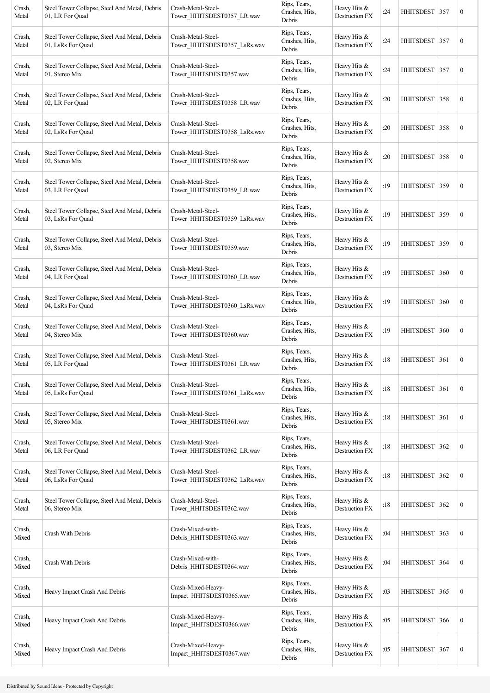| Crash,<br>Metal | Steel Tower Collapse, Steel And Metal, Debris<br>01, LR For Quad   | Crash-Metal-Steel-<br>Tower HHITSDEST0357 LR.wav   | Rips, Tears,<br>Crashes, Hits,<br>Debris | Heavy Hits &<br>Destruction FX        | :24 | HHITSDEST 357    |     | $\boldsymbol{0}$ |
|-----------------|--------------------------------------------------------------------|----------------------------------------------------|------------------------------------------|---------------------------------------|-----|------------------|-----|------------------|
| Crash,<br>Metal | Steel Tower Collapse, Steel And Metal, Debris<br>01, LsRs For Quad | Crash-Metal-Steel-<br>Tower HHITSDEST0357 LsRs.wav | Rips, Tears,<br>Crashes, Hits,<br>Debris | Heavy Hits &<br>Destruction FX        | :24 | HHITSDEST 357    |     | $\boldsymbol{0}$ |
| Crash,<br>Metal | Steel Tower Collapse, Steel And Metal, Debris<br>01, Stereo Mix    | Crash-Metal-Steel-<br>Tower_HHITSDEST0357.wav      | Rips, Tears,<br>Crashes, Hits,<br>Debris | Heavy Hits &<br>Destruction FX        | :24 | HHITSDEST 357    |     | $\boldsymbol{0}$ |
| Crash,<br>Metal | Steel Tower Collapse, Steel And Metal, Debris<br>02, LR For Quad   | Crash-Metal-Steel-<br>Tower_HHITSDEST0358_LR.wav   | Rips, Tears,<br>Crashes, Hits,<br>Debris | Heavy Hits &<br><b>Destruction FX</b> | :20 | HHITSDEST   358  |     | $\boldsymbol{0}$ |
| Crash,<br>Metal | Steel Tower Collapse, Steel And Metal, Debris<br>02, LsRs For Quad | Crash-Metal-Steel-<br>Tower_HHITSDEST0358_LsRs.wav | Rips, Tears,<br>Crashes, Hits,<br>Debris | Heavy Hits &<br>Destruction FX        | :20 | HHITSDEST 358    |     | $\boldsymbol{0}$ |
| Crash,<br>Metal | Steel Tower Collapse, Steel And Metal, Debris<br>02, Stereo Mix    | Crash-Metal-Steel-<br>Tower HHITSDEST0358.wav      | Rips, Tears,<br>Crashes, Hits,<br>Debris | Heavy Hits &<br>Destruction FX        | :20 | HHITSDEST   358  |     | $\boldsymbol{0}$ |
| Crash,<br>Metal | Steel Tower Collapse, Steel And Metal, Debris<br>03, LR For Quad   | Crash-Metal-Steel-<br>Tower_HHITSDEST0359_LR.wav   | Rips, Tears,<br>Crashes, Hits,<br>Debris | Heavy Hits &<br>Destruction FX        | :19 | HHITSDEST 359    |     | $\boldsymbol{0}$ |
| Crash,<br>Metal | Steel Tower Collapse, Steel And Metal, Debris<br>03, LsRs For Quad | Crash-Metal-Steel-<br>Tower_HHITSDEST0359_LsRs.wav | Rips, Tears,<br>Crashes, Hits,<br>Debris | Heavy Hits &<br>Destruction FX        | :19 | HHITSDEST 359    |     | $\boldsymbol{0}$ |
| Crash,<br>Metal | Steel Tower Collapse, Steel And Metal, Debris<br>03, Stereo Mix    | Crash-Metal-Steel-<br>Tower_HHITSDEST0359.wav      | Rips, Tears,<br>Crashes, Hits,<br>Debris | Heavy Hits &<br>Destruction FX        | :19 | HHITSDEST 359    |     | $\boldsymbol{0}$ |
| Crash,<br>Metal | Steel Tower Collapse, Steel And Metal, Debris<br>04, LR For Quad   | Crash-Metal-Steel-<br>Tower_HHITSDEST0360_LR.wav   | Rips, Tears,<br>Crashes, Hits,<br>Debris | Heavy Hits &<br>Destruction FX        | :19 | <b>HHITSDEST</b> | 360 | $\boldsymbol{0}$ |
| Crash,<br>Metal | Steel Tower Collapse, Steel And Metal, Debris<br>04, LsRs For Quad | Crash-Metal-Steel-<br>Tower_HHITSDEST0360_LsRs.wav | Rips, Tears,<br>Crashes, Hits,<br>Debris | Heavy Hits &<br>Destruction FX        | :19 | <b>HHITSDEST</b> | 360 | $\boldsymbol{0}$ |
| Crash,<br>Metal | Steel Tower Collapse, Steel And Metal, Debris<br>04, Stereo Mix    | Crash-Metal-Steel-<br>Tower_HHITSDEST0360.wav      | Rips, Tears,<br>Crashes, Hits,<br>Debris | Heavy Hits &<br>Destruction FX        | :19 | HHITSDEST 360    |     | $\boldsymbol{0}$ |
| Crash,<br>Metal | Steel Tower Collapse, Steel And Metal, Debris<br>05, LR For Quad   | Crash-Metal-Steel-<br>Tower HHITSDEST0361 LR.wav   | Rips, Tears,<br>Crashes, Hits,<br>Debris | Heavy Hits &<br>Destruction FX        | :18 | HHITSDEST 361    |     | $\boldsymbol{0}$ |
| Crash,<br>Metal | Steel Tower Collapse, Steel And Metal, Debris<br>05, LsRs For Quad | Crash-Metal-Steel-<br>Tower HHITSDEST0361 LsRs.wav | Rips, Tears,<br>Crashes, Hits,<br>Debris | Heavy Hits &<br>Destruction FX        | :18 | HHITSDEST        | 361 | $\boldsymbol{0}$ |
| Crash,<br>Metal | Steel Tower Collapse, Steel And Metal, Debris<br>05, Stereo Mix    | Crash-Metal-Steel-<br>Tower_HHITSDEST0361.wav      | Rips, Tears,<br>Crashes, Hits,<br>Debris | Heavy Hits &<br><b>Destruction FX</b> | :18 | <b>HHITSDEST</b> | 361 | $\boldsymbol{0}$ |
| Crash,<br>Metal | Steel Tower Collapse, Steel And Metal, Debris<br>06, LR For Ouad   | Crash-Metal-Steel-<br>Tower_HHITSDEST0362_LR.wav   | Rips, Tears,<br>Crashes, Hits,<br>Debris | Heavy Hits &<br>Destruction FX        | :18 | <b>HHITSDEST</b> | 362 | $\boldsymbol{0}$ |
| Crash,<br>Metal | Steel Tower Collapse, Steel And Metal, Debris<br>06, LsRs For Quad | Crash-Metal-Steel-<br>Tower_HHITSDEST0362_LsRs.wav | Rips, Tears,<br>Crashes, Hits,<br>Debris | Heavy Hits $&$<br>Destruction FX      | :18 | HHITSDEST 362    |     | $\boldsymbol{0}$ |
| Crash,<br>Metal | Steel Tower Collapse, Steel And Metal, Debris<br>06, Stereo Mix    | Crash-Metal-Steel-<br>Tower_HHITSDEST0362.wav      | Rips, Tears,<br>Crashes, Hits,<br>Debris | Heavy Hits &<br>Destruction FX        | :18 | <b>HHITSDEST</b> | 362 | $\boldsymbol{0}$ |
| Crash,<br>Mixed | Crash With Debris                                                  | Crash-Mixed-with-<br>Debris_HHITSDEST0363.wav      | Rips, Tears,<br>Crashes, Hits,<br>Debris | Heavy Hits &<br>Destruction FX        | :04 | <b>HHITSDEST</b> | 363 | $\boldsymbol{0}$ |
| Crash,<br>Mixed | Crash With Debris                                                  | Crash-Mixed-with-<br>Debris_HHITSDEST0364.wav      | Rips, Tears,<br>Crashes, Hits,<br>Debris | Heavy Hits &<br>Destruction FX        | :04 | HHITSDEST 364    |     | $\boldsymbol{0}$ |
| Crash,<br>Mixed | Heavy Impact Crash And Debris                                      | Crash-Mixed-Heavy-<br>Impact_HHITSDEST0365.wav     | Rips, Tears,<br>Crashes, Hits,<br>Debris | Heavy Hits &<br>Destruction FX        | :03 | HHITSDEST 365    |     | $\boldsymbol{0}$ |
| Crash,<br>Mixed | Heavy Impact Crash And Debris                                      | Crash-Mixed-Heavy-<br>Impact_HHITSDEST0366.wav     | Rips, Tears,<br>Crashes, Hits,<br>Debris | Heavy Hits &<br>Destruction FX        | :05 | <b>HHITSDEST</b> | 366 | $\boldsymbol{0}$ |
| Crash,<br>Mixed | Heavy Impact Crash And Debris                                      | Crash-Mixed-Heavy-<br>Impact_HHITSDEST0367.wav     | Rips, Tears,<br>Crashes, Hits,<br>Debris | Heavy Hits $&$<br>Destruction FX      | :05 | HHITSDEST 367    |     | $\boldsymbol{0}$ |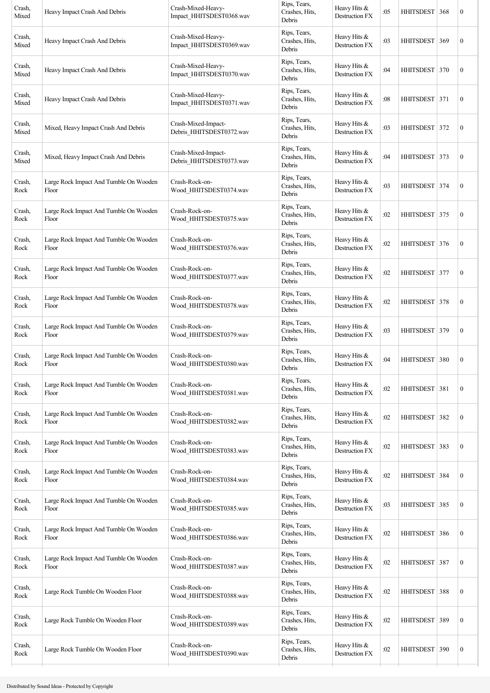| Crash,<br>Mixed        | Heavy Impact Crash And Debris                   | Crash-Mixed-Heavy-<br>Impact_HHITSDEST0368.wav  | Rips, Tears,<br>Crashes, Hits,<br>Debris | Heavy Hits &<br>Destruction FX        | :05 | HHITSDEST   368  |     | $\boldsymbol{0}$ |
|------------------------|-------------------------------------------------|-------------------------------------------------|------------------------------------------|---------------------------------------|-----|------------------|-----|------------------|
| Crash,<br>Mixed        | Heavy Impact Crash And Debris                   | Crash-Mixed-Heavy-<br>Impact_HHITSDEST0369.wav  | Rips, Tears,<br>Crashes, Hits,<br>Debris | Heavy Hits &<br>Destruction FX        | :03 | <b>HHITSDEST</b> | 369 | $\boldsymbol{0}$ |
| Crash,<br>Mixed        | Heavy Impact Crash And Debris                   | Crash-Mixed-Heavy-<br>Impact_HHITSDEST0370.wav  | Rips, Tears,<br>Crashes, Hits,<br>Debris | Heavy Hits &<br>Destruction FX        | :04 | <b>HHITSDEST</b> | 370 | $\boldsymbol{0}$ |
| Crash,<br>Mixed        | Heavy Impact Crash And Debris                   | Crash-Mixed-Heavy-<br>Impact HHITSDEST0371.wav  | Rips, Tears,<br>Crashes, Hits,<br>Debris | Heavy Hits &<br>Destruction FX        | :08 | HHITSDEST 371    |     | $\boldsymbol{0}$ |
| Crash,<br>Mixed        | Mixed, Heavy Impact Crash And Debris            | Crash-Mixed-Impact-<br>Debris_HHITSDEST0372.wav | Rips, Tears,<br>Crashes, Hits,<br>Debris | Heavy Hits &<br>Destruction FX        | :03 | HHITSDEST   372  |     | $\boldsymbol{0}$ |
| Crash,<br>Mixed        | Mixed, Heavy Impact Crash And Debris            | Crash-Mixed-Impact-<br>Debris_HHITSDEST0373.wav | Rips, Tears,<br>Crashes, Hits,<br>Debris | Heavy Hits &<br><b>Destruction FX</b> | :04 | HHITSDEST        | 373 | $\boldsymbol{0}$ |
| Crash,<br>Rock         | Large Rock Impact And Tumble On Wooden<br>Floor | Crash-Rock-on-<br>Wood_HHITSDEST0374.wav        | Rips, Tears,<br>Crashes, Hits,<br>Debris | Heavy Hits &<br>Destruction FX        | :03 | HHITSDEST 374    |     | $\boldsymbol{0}$ |
| Crash,<br>Rock         | Large Rock Impact And Tumble On Wooden<br>Floor | Crash-Rock-on-<br>Wood HHITSDEST0375.wav        | Rips, Tears,<br>Crashes, Hits,<br>Debris | Heavy Hits &<br>Destruction FX        | :02 | HHITSDEST 375    |     | $\boldsymbol{0}$ |
| Crash,<br>Rock         | Large Rock Impact And Tumble On Wooden<br>Floor | Crash-Rock-on-<br>Wood_HHITSDEST0376.wav        | Rips, Tears,<br>Crashes, Hits,<br>Debris | Heavy Hits &<br>Destruction FX        | :02 | HHITSDEST   376  |     | $\boldsymbol{0}$ |
| Crash,<br>Rock         | Large Rock Impact And Tumble On Wooden<br>Floor | Crash-Rock-on-<br>Wood HHITSDEST0377.wav        | Rips, Tears,<br>Crashes, Hits,<br>Debris | Heavy Hits &<br>Destruction FX        | :02 | <b>HHITSDEST</b> | 377 | $\boldsymbol{0}$ |
| Crash,<br>Rock         | Large Rock Impact And Tumble On Wooden<br>Floor | Crash-Rock-on-<br>Wood HHITSDEST0378.wav        | Rips, Tears,<br>Crashes, Hits,<br>Debris | Heavy Hits &<br>Destruction FX        | :02 | HHITSDEST 378    |     | $\boldsymbol{0}$ |
| Crash,<br>Rock         | Large Rock Impact And Tumble On Wooden<br>Floor | Crash-Rock-on-<br>Wood HHITSDEST0379.wav        | Rips, Tears,<br>Crashes, Hits,<br>Debris | Heavy Hits &<br>Destruction FX        | :03 | HHITSDEST 379    |     | $\boldsymbol{0}$ |
| Crash,<br>Rock         | Large Rock Impact And Tumble On Wooden<br>Floor | Crash-Rock-on-<br>Wood HHITSDEST0380.wav        | Rips, Tears,<br>Crashes, Hits,<br>Debris | Heavy Hits &<br>Destruction FX        | :04 | <b>HHITSDEST</b> | 380 | $\boldsymbol{0}$ |
| Crash,<br>${\rm Rock}$ | Large Rock Impact And Tumble On Wooden<br>Floor | Crash-Rock-on-<br>Wood_HHITSDEST0381.wav        | Rips, Tears,<br>Crashes, Hits,<br>Debris | Heavy Hits &<br>Destruction FX        | :02 | <b>HHITSDEST</b> | 381 | $\boldsymbol{0}$ |
| Crash,<br>Rock         | Large Rock Impact And Tumble On Wooden<br>Floor | Crash-Rock-on-<br>Wood_HHITSDEST0382.wav        | Rips, Tears,<br>Crashes, Hits,<br>Debris | Heavy Hits &<br>Destruction FX        | :02 | <b>HHITSDEST</b> | 382 | $\boldsymbol{0}$ |
| Crash,<br>Rock         | Large Rock Impact And Tumble On Wooden<br>Floor | Crash-Rock-on-<br>Wood HHITSDEST0383.wav        | Rips, Tears,<br>Crashes, Hits,<br>Debris | Heavy Hits &<br>Destruction FX        | :02 | HHITSDEST 383    |     | $\boldsymbol{0}$ |
| Crash,<br>Rock         | Large Rock Impact And Tumble On Wooden<br>Floor | Crash-Rock-on-<br>Wood_HHITSDEST0384.wav        | Rips, Tears,<br>Crashes, Hits,<br>Debris | Heavy Hits &<br>Destruction FX        | :02 | <b>HHITSDEST</b> | 384 | $\boldsymbol{0}$ |
| Crash,<br>Rock         | Large Rock Impact And Tumble On Wooden<br>Floor | Crash-Rock-on-<br>Wood_HHITSDEST0385.wav        | Rips, Tears,<br>Crashes, Hits,<br>Debris | Heavy Hits &<br>Destruction FX        | :03 | <b>HHITSDEST</b> | 385 | $\boldsymbol{0}$ |
| Crash,<br>Rock         | Large Rock Impact And Tumble On Wooden<br>Floor | Crash-Rock-on-<br>Wood_HHITSDEST0386.wav        | Rips, Tears,<br>Crashes, Hits,<br>Debris | Heavy Hits &<br>Destruction FX        | :02 | <b>HHITSDEST</b> | 386 | $\boldsymbol{0}$ |
| Crash,<br>Rock         | Large Rock Impact And Tumble On Wooden<br>Floor | Crash-Rock-on-<br>Wood_HHITSDEST0387.wav        | Rips, Tears,<br>Crashes, Hits,<br>Debris | Heavy Hits &<br>Destruction FX        | :02 | HHITSDEST 387    |     | $\boldsymbol{0}$ |
| Crash,<br>Rock         | Large Rock Tumble On Wooden Floor               | Crash-Rock-on-<br>Wood_HHITSDEST0388.wav        | Rips, Tears,<br>Crashes, Hits,<br>Debris | Heavy Hits &<br>Destruction FX        | :02 | <b>HHITSDEST</b> | 388 | $\boldsymbol{0}$ |
| Crash,<br>Rock         | Large Rock Tumble On Wooden Floor               | Crash-Rock-on-<br>Wood_HHITSDEST0389.wav        | Rips, Tears,<br>Crashes, Hits,<br>Debris | Heavy Hits $&$<br>Destruction FX      | :02 | <b>HHITSDEST</b> | 389 | $\boldsymbol{0}$ |
| Crash,<br>Rock         | Large Rock Tumble On Wooden Floor               | Crash-Rock-on-<br>Wood_HHITSDEST0390.wav        | Rips, Tears,<br>Crashes, Hits,<br>Debris | Heavy Hits &<br>Destruction FX        | :02 | <b>HHITSDEST</b> | 390 | $\boldsymbol{0}$ |
|                        |                                                 |                                                 |                                          |                                       |     |                  |     |                  |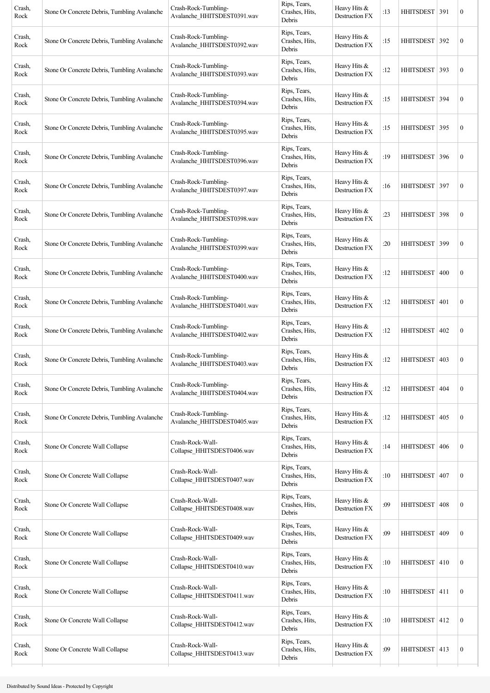| Crash,<br>Rock | Stone Or Concrete Debris, Tumbling Avalanche | Crash-Rock-Tumbling-<br>Avalanche_HHITSDEST0391.wav | Rips, Tears,<br>Crashes, Hits,<br>Debris | Heavy Hits &<br>Destruction FX        | :13 | HHITSDEST 391    |     | $\boldsymbol{0}$ |
|----------------|----------------------------------------------|-----------------------------------------------------|------------------------------------------|---------------------------------------|-----|------------------|-----|------------------|
| Crash,<br>Rock | Stone Or Concrete Debris, Tumbling Avalanche | Crash-Rock-Tumbling-<br>Avalanche HHITSDEST0392.wav | Rips, Tears,<br>Crashes, Hits,<br>Debris | Heavy Hits &<br><b>Destruction FX</b> | :15 | <b>HHITSDEST</b> | 392 | $\boldsymbol{0}$ |
| Crash,<br>Rock | Stone Or Concrete Debris, Tumbling Avalanche | Crash-Rock-Tumbling-<br>Avalanche_HHITSDEST0393.wav | Rips, Tears,<br>Crashes, Hits,<br>Debris | Heavy Hits &<br>Destruction FX        | :12 | <b>HHITSDEST</b> | 393 | $\boldsymbol{0}$ |
| Crash,<br>Rock | Stone Or Concrete Debris, Tumbling Avalanche | Crash-Rock-Tumbling-<br>Avalanche_HHITSDEST0394.wav | Rips, Tears,<br>Crashes, Hits,<br>Debris | Heavy Hits &<br>Destruction FX        | :15 | HHITSDEST   394  |     | $\boldsymbol{0}$ |
| Crash,<br>Rock | Stone Or Concrete Debris, Tumbling Avalanche | Crash-Rock-Tumbling-<br>Avalanche_HHITSDEST0395.wav | Rips, Tears,<br>Crashes, Hits,<br>Debris | Heavy Hits &<br>Destruction FX        | :15 | HHITSDEST        | 395 | $\boldsymbol{0}$ |
| Crash,<br>Rock | Stone Or Concrete Debris, Tumbling Avalanche | Crash-Rock-Tumbling-<br>Avalanche_HHITSDEST0396.wav | Rips, Tears,<br>Crashes, Hits,<br>Debris | Heavy Hits &<br>Destruction FX        | :19 | HHITSDEST        | 396 | $\boldsymbol{0}$ |
| Crash,<br>Rock | Stone Or Concrete Debris, Tumbling Avalanche | Crash-Rock-Tumbling-<br>Avalanche_HHITSDEST0397.wav | Rips, Tears,<br>Crashes, Hits,<br>Debris | Heavy Hits &<br>Destruction FX        | :16 | <b>HHITSDEST</b> | 397 | $\boldsymbol{0}$ |
| Crash,<br>Rock | Stone Or Concrete Debris, Tumbling Avalanche | Crash-Rock-Tumbling-<br>Avalanche_HHITSDEST0398.wav | Rips, Tears,<br>Crashes, Hits,<br>Debris | Heavy Hits $&$<br>Destruction FX      | :23 | HHITSDEST 398    |     | $\boldsymbol{0}$ |
| Crash,<br>Rock | Stone Or Concrete Debris, Tumbling Avalanche | Crash-Rock-Tumbling-<br>Avalanche_HHITSDEST0399.wav | Rips, Tears,<br>Crashes, Hits,<br>Debris | Heavy Hits &<br>Destruction FX        | :20 | <b>HHITSDEST</b> | 399 | $\boldsymbol{0}$ |
| Crash,<br>Rock | Stone Or Concrete Debris, Tumbling Avalanche | Crash-Rock-Tumbling-<br>Avalanche_HHITSDEST0400.wav | Rips, Tears,<br>Crashes, Hits,<br>Debris | Heavy Hits &<br>Destruction FX        | :12 | <b>HHITSDEST</b> | 400 | $\boldsymbol{0}$ |
| Crash,<br>Rock | Stone Or Concrete Debris, Tumbling Avalanche | Crash-Rock-Tumbling-<br>Avalanche_HHITSDEST0401.wav | Rips, Tears,<br>Crashes, Hits,<br>Debris | Heavy Hits &<br>Destruction FX        | :12 | HHITSDEST 401    |     | $\boldsymbol{0}$ |
| Crash,<br>Rock | Stone Or Concrete Debris, Tumbling Avalanche | Crash-Rock-Tumbling-<br>Avalanche HHITSDEST0402.wav | Rips, Tears,<br>Crashes, Hits,<br>Debris | Heavy Hits &<br><b>Destruction FX</b> | :12 | HHITSDEST        | 402 | $\boldsymbol{0}$ |
| Crash,<br>Rock | Stone Or Concrete Debris, Tumbling Avalanche | Crash-Rock-Tumbling-<br>Avalanche_HHITSDEST0403.wav | Rips, Tears,<br>Crashes, Hits,<br>Debris | Heavy Hits &<br>Destruction FX        | :12 | <b>HHITSDEST</b> | 403 | $\boldsymbol{0}$ |
| Crash,<br>Rock | Stone Or Concrete Debris, Tumbling Avalanche | Crash-Rock-Tumbling-<br>Avalanche_HHITSDEST0404.wav | Rips, Tears,<br>Crashes, Hits,<br>Debris | Heavy Hits &<br>Destruction FX        | :12 | <b>HHITSDEST</b> | 404 | $\boldsymbol{0}$ |
| Crash,<br>Rock | Stone Or Concrete Debris, Tumbling Avalanche | Crash-Rock-Tumbling-<br>Avalanche_HHITSDEST0405.wav | Rips, Tears,<br>Crashes, Hits,<br>Debris | Heavy Hits &<br>Destruction FX        | :12 | <b>HHITSDEST</b> | 405 | $\mathbf{0}$     |
| Crash,<br>Rock | Stone Or Concrete Wall Collapse              | Crash-Rock-Wall-<br>Collapse_HHITSDEST0406.wav      | Rips, Tears,<br>Crashes, Hits,<br>Debris | Heavy Hits &<br><b>Destruction FX</b> | :14 | <b>HHITSDEST</b> | 406 | $\boldsymbol{0}$ |
| Crash,<br>Rock | Stone Or Concrete Wall Collapse              | Crash-Rock-Wall-<br>Collapse_HHITSDEST0407.wav      | Rips, Tears,<br>Crashes, Hits,<br>Debris | Heavy Hits &<br>Destruction FX        | :10 | <b>HHITSDEST</b> | 407 | $\boldsymbol{0}$ |
| Crash,<br>Rock | Stone Or Concrete Wall Collapse              | Crash-Rock-Wall-<br>Collapse_HHITSDEST0408.wav      | Rips, Tears,<br>Crashes, Hits,<br>Debris | Heavy Hits &<br>Destruction FX        | :09 | <b>HHITSDEST</b> | 408 | $\boldsymbol{0}$ |
| Crash,<br>Rock | Stone Or Concrete Wall Collapse              | Crash-Rock-Wall-<br>Collapse_HHITSDEST0409.wav      | Rips, Tears,<br>Crashes, Hits,<br>Debris | Heavy Hits &<br>Destruction FX        | :09 | HHITSDEST   409  |     | $\mathbf{0}$     |
| Crash,<br>Rock | Stone Or Concrete Wall Collapse              | Crash-Rock-Wall-<br>Collapse_HHITSDEST0410.wav      | Rips, Tears,<br>Crashes, Hits,<br>Debris | Heavy Hits &<br>Destruction FX        | :10 | HHITSDEST   410  |     | $\boldsymbol{0}$ |
| Crash,<br>Rock | Stone Or Concrete Wall Collapse              | Crash-Rock-Wall-<br>Collapse_HHITSDEST0411.wav      | Rips, Tears,<br>Crashes, Hits,<br>Debris | Heavy Hits &<br>Destruction FX        | :10 | <b>HHITSDEST</b> | 411 | $\boldsymbol{0}$ |
| Crash,<br>Rock | Stone Or Concrete Wall Collapse              | Crash-Rock-Wall-<br>Collapse_HHITSDEST0412.wav      | Rips, Tears,<br>Crashes, Hits,<br>Debris | Heavy Hits &<br>Destruction FX        | :10 | <b>HHITSDEST</b> | 412 | $\boldsymbol{0}$ |
| Crash,<br>Rock | Stone Or Concrete Wall Collapse              | Crash-Rock-Wall-<br>Collapse HHITSDEST0413.wav      | Rips, Tears,<br>Crashes, Hits,<br>Debris | Heavy Hits &<br>Destruction FX        | :09 | HHITSDEST   413  |     | $\boldsymbol{0}$ |
|                |                                              |                                                     |                                          |                                       |     |                  |     |                  |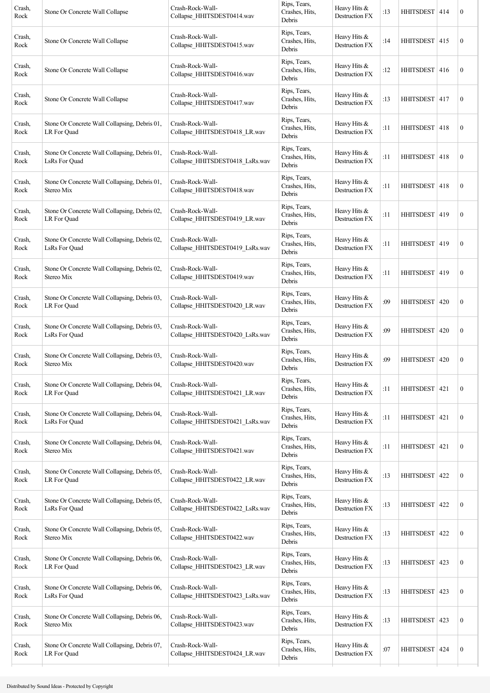| Crash,<br>Rock | Stone Or Concrete Wall Collapse                                | Crash-Rock-Wall-<br>Collapse_HHITSDEST0414.wav      | Rips, Tears,<br>Crashes, Hits,<br>Debris | Heavy Hits &<br>Destruction FX   | :13 | HHITSDEST   414  |     | $\boldsymbol{0}$ |
|----------------|----------------------------------------------------------------|-----------------------------------------------------|------------------------------------------|----------------------------------|-----|------------------|-----|------------------|
| Crash,<br>Rock | Stone Or Concrete Wall Collapse                                | Crash-Rock-Wall-<br>Collapse HHITSDEST0415.wav      | Rips, Tears,<br>Crashes, Hits,<br>Debris | Heavy Hits &<br>Destruction FX   | :14 | <b>HHITSDEST</b> | 415 | $\boldsymbol{0}$ |
| Crash,<br>Rock | Stone Or Concrete Wall Collapse                                | Crash-Rock-Wall-<br>Collapse HHITSDEST0416.wav      | Rips, Tears,<br>Crashes, Hits,<br>Debris | Heavy Hits &<br>Destruction FX   | :12 | <b>HHITSDEST</b> | 416 | $\boldsymbol{0}$ |
| Crash,<br>Rock | Stone Or Concrete Wall Collapse                                | Crash-Rock-Wall-<br>Collapse HHITSDEST0417.wav      | Rips, Tears,<br>Crashes, Hits,<br>Debris | Heavy Hits &<br>Destruction FX   | :13 | HHITSDEST   417  |     | $\boldsymbol{0}$ |
| Crash,<br>Rock | Stone Or Concrete Wall Collapsing, Debris 01,<br>LR For Quad   | Crash-Rock-Wall-<br>Collapse_HHITSDEST0418_LR.wav   | Rips, Tears,<br>Crashes, Hits,<br>Debris | Heavy Hits &<br>Destruction FX   | :11 | HHITSDEST   418  |     | $\boldsymbol{0}$ |
| Crash,<br>Rock | Stone Or Concrete Wall Collapsing, Debris 01,<br>LsRs For Quad | Crash-Rock-Wall-<br>Collapse_HHITSDEST0418_LsRs.wav | Rips, Tears,<br>Crashes, Hits,<br>Debris | Heavy Hits &<br>Destruction FX   | :11 | HHITSDEST   418  |     | $\boldsymbol{0}$ |
| Crash,<br>Rock | Stone Or Concrete Wall Collapsing, Debris 01,<br>Stereo Mix    | Crash-Rock-Wall-<br>Collapse HHITSDEST0418.wav      | Rips, Tears,<br>Crashes, Hits,<br>Debris | Heavy Hits &<br>Destruction FX   | :11 | HHITSDEST        | 418 | $\boldsymbol{0}$ |
| Crash,<br>Rock | Stone Or Concrete Wall Collapsing, Debris 02,<br>LR For Quad   | Crash-Rock-Wall-<br>Collapse HHITSDEST0419 LR.wav   | Rips, Tears,<br>Crashes, Hits,<br>Debris | Heavy Hits &<br>Destruction FX   | :11 | HHITSDEST   419  |     | $\mathbf{0}$     |
| Crash,<br>Rock | Stone Or Concrete Wall Collapsing, Debris 02,<br>LsRs For Quad | Crash-Rock-Wall-<br>Collapse_HHITSDEST0419_LsRs.wav | Rips, Tears,<br>Crashes, Hits,<br>Debris | Heavy Hits &<br>Destruction FX   | :11 | HHITSDEST   419  |     | $\boldsymbol{0}$ |
| Crash,<br>Rock | Stone Or Concrete Wall Collapsing, Debris 02,<br>Stereo Mix    | Crash-Rock-Wall-<br>Collapse HHITSDEST0419.wav      | Rips, Tears,<br>Crashes, Hits,<br>Debris | Heavy Hits $&$<br>Destruction FX | :11 | HHITSDEST        | 419 | $\boldsymbol{0}$ |
| Crash,<br>Rock | Stone Or Concrete Wall Collapsing, Debris 03,<br>LR For Quad   | Crash-Rock-Wall-<br>Collapse HHITSDEST0420 LR.wav   | Rips, Tears,<br>Crashes, Hits,<br>Debris | Heavy Hits &<br>Destruction FX   | :09 | <b>HHITSDEST</b> | 420 | $\boldsymbol{0}$ |
| Crash,<br>Rock | Stone Or Concrete Wall Collapsing, Debris 03,<br>LsRs For Quad | Crash-Rock-Wall-<br>Collapse_HHITSDEST0420_LsRs.wav | Rips, Tears,<br>Crashes, Hits,<br>Debris | Heavy Hits &<br>Destruction FX   | :09 | HHITSDEST        | 420 | $\boldsymbol{0}$ |
| Crash,<br>Rock | Stone Or Concrete Wall Collapsing, Debris 03,<br>Stereo Mix    | Crash-Rock-Wall-<br>Collapse HHITSDEST0420.wav      | Rips, Tears,<br>Crashes, Hits,<br>Debris | Heavy Hits &<br>Destruction FX   | :09 | <b>HHITSDEST</b> | 420 | $\boldsymbol{0}$ |
| Crash,<br>Rock | Stone Or Concrete Wall Collapsing, Debris 04,<br>LR For Quad   | Crash-Rock-Wall-<br>Collapse_HHITSDEST0421_LR.wav   | Rips, Tears,<br>Crashes, Hits,<br>Debris | Heavy Hits &<br>Destruction FX   | :11 | <b>HHITSDEST</b> | 421 | $\boldsymbol{0}$ |
| Crash,<br>Rock | Stone Or Concrete Wall Collapsing, Debris 04,<br>LsRs For Ouad | Crash-Rock-Wall-<br>Collapse_HHITSDEST0421_LsRs.wav | Rips, Tears,<br>Crashes, Hits,<br>Debris | Heavy Hits &<br>Destruction FX   | :11 | <b>HHITSDEST</b> | 421 | $\boldsymbol{0}$ |
| Crash,<br>Rock | Stone Or Concrete Wall Collapsing, Debris 04,<br>Stereo Mix    | Crash-Rock-Wall-<br>Collapse HHITSDEST0421.wav      | Rips, Tears,<br>Crashes, Hits,<br>Debris | Heavy Hits &<br>Destruction FX   | :11 | <b>HHITSDEST</b> | 421 | $\boldsymbol{0}$ |
| Crash,<br>Rock | Stone Or Concrete Wall Collapsing, Debris 05,<br>LR For Quad   | Crash-Rock-Wall-<br>Collapse_HHITSDEST0422_LR.wav   | Rips, Tears,<br>Crashes, Hits,<br>Debris | Heavy Hits &<br>Destruction FX   | :13 | <b>HHITSDEST</b> | 422 | $\boldsymbol{0}$ |
| Crash,<br>Rock | Stone Or Concrete Wall Collapsing, Debris 05,<br>LsRs For Quad | Crash-Rock-Wall-<br>Collapse_HHITSDEST0422_LsRs.wav | Rips, Tears,<br>Crashes, Hits,<br>Debris | Heavy Hits &<br>Destruction FX   | :13 | <b>HHITSDEST</b> | 422 | $\boldsymbol{0}$ |
| Crash,<br>Rock | Stone Or Concrete Wall Collapsing, Debris 05,<br>Stereo Mix    | Crash-Rock-Wall-<br>Collapse_HHITSDEST0422.wav      | Rips, Tears,<br>Crashes, Hits,<br>Debris | Heavy Hits &<br>Destruction FX   | :13 | <b>HHITSDEST</b> | 422 | $\boldsymbol{0}$ |
| Crash,<br>Rock | Stone Or Concrete Wall Collapsing, Debris 06,<br>LR For Quad   | Crash-Rock-Wall-<br>Collapse_HHITSDEST0423_LR.wav   | Rips, Tears,<br>Crashes, Hits,<br>Debris | Heavy Hits &<br>Destruction FX   | :13 | <b>HHITSDEST</b> | 423 | $\boldsymbol{0}$ |
| Crash,<br>Rock | Stone Or Concrete Wall Collapsing, Debris 06,<br>LsRs For Quad | Crash-Rock-Wall-<br>Collapse_HHITSDEST0423_LsRs.wav | Rips, Tears,<br>Crashes, Hits,<br>Debris | Heavy Hits &<br>Destruction FX   | :13 | <b>HHITSDEST</b> | 423 | $\boldsymbol{0}$ |
| Crash,<br>Rock | Stone Or Concrete Wall Collapsing, Debris 06,<br>Stereo Mix    | Crash-Rock-Wall-<br>Collapse_HHITSDEST0423.wav      | Rips, Tears,<br>Crashes, Hits,<br>Debris | Heavy Hits &<br>Destruction FX   | :13 | <b>HHITSDEST</b> | 423 | $\boldsymbol{0}$ |
| Crash,<br>Rock | Stone Or Concrete Wall Collapsing, Debris 07,<br>LR For Quad   | Crash-Rock-Wall-<br>Collapse_HHITSDEST0424_LR.wav   | Rips, Tears,<br>Crashes, Hits,<br>Debris | Heavy Hits &<br>Destruction FX   | :07 | <b>HHITSDEST</b> | 424 | $\mathbf{0}$     |
|                |                                                                |                                                     |                                          |                                  |     |                  |     |                  |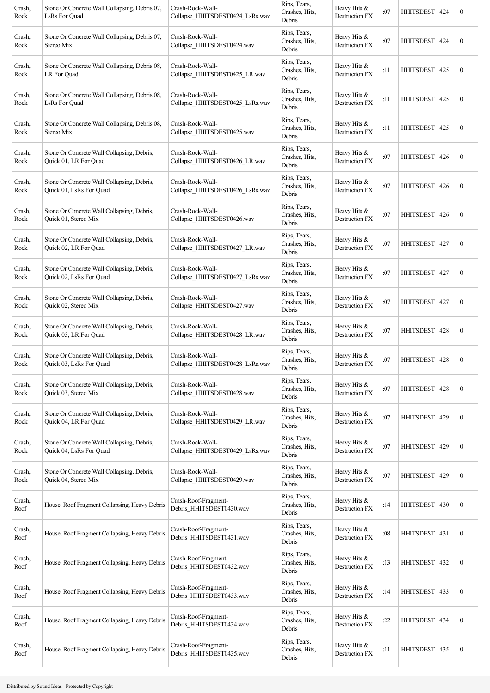| Crash,<br>Rock | Stone Or Concrete Wall Collapsing, Debris 07,<br>LsRs For Quad        | Crash-Rock-Wall-<br>Collapse HHITSDEST0424 LsRs.wav | Rips, Tears,<br>Crashes, Hits,<br>Debris | Heavy Hits &<br>Destruction FX        | :07 | HHITSDEST        | 424 | $\boldsymbol{0}$ |
|----------------|-----------------------------------------------------------------------|-----------------------------------------------------|------------------------------------------|---------------------------------------|-----|------------------|-----|------------------|
| Crash,<br>Rock | Stone Or Concrete Wall Collapsing, Debris 07,<br>Stereo Mix           | Crash-Rock-Wall-<br>Collapse HHITSDEST0424.wav      | Rips, Tears,<br>Crashes, Hits,<br>Debris | Heavy Hits &<br><b>Destruction FX</b> | :07 | <b>HHITSDEST</b> | 424 | $\boldsymbol{0}$ |
| Crash,<br>Rock | Stone Or Concrete Wall Collapsing, Debris 08,<br>LR For Quad          | Crash-Rock-Wall-<br>Collapse_HHITSDEST0425_LR.wav   | Rips, Tears,<br>Crashes, Hits,<br>Debris | Heavy Hits &<br>Destruction FX        | :11 | <b>HHITSDEST</b> | 425 | $\boldsymbol{0}$ |
| Crash,<br>Rock | Stone Or Concrete Wall Collapsing, Debris 08,<br>LsRs For Quad        | Crash-Rock-Wall-<br>Collapse_HHITSDEST0425_LsRs.wav | Rips, Tears,<br>Crashes, Hits,<br>Debris | Heavy Hits &<br>Destruction FX        | :11 | HHITSDEST        | 425 | $\boldsymbol{0}$ |
| Crash,<br>Rock | Stone Or Concrete Wall Collapsing, Debris 08,<br>Stereo Mix           | Crash-Rock-Wall-<br>Collapse_HHITSDEST0425.wav      | Rips, Tears,<br>Crashes, Hits,<br>Debris | Heavy Hits &<br>Destruction FX        | :11 | HHITSDEST        | 425 | $\boldsymbol{0}$ |
| Crash,<br>Rock | Stone Or Concrete Wall Collapsing, Debris,<br>Quick 01, LR For Quad   | Crash-Rock-Wall-<br>Collapse_HHITSDEST0426_LR.wav   | Rips, Tears,<br>Crashes, Hits,<br>Debris | Heavy Hits &<br>Destruction FX        | :07 | <b>HHITSDEST</b> | 426 | $\boldsymbol{0}$ |
| Crash,<br>Rock | Stone Or Concrete Wall Collapsing, Debris,<br>Quick 01, LsRs For Quad | Crash-Rock-Wall-<br>Collapse HHITSDEST0426 LsRs.wav | Rips, Tears,<br>Crashes, Hits,<br>Debris | Heavy Hits &<br>Destruction FX        | :07 | <b>HHITSDEST</b> | 426 | $\boldsymbol{0}$ |
| Crash,<br>Rock | Stone Or Concrete Wall Collapsing, Debris,<br>Quick 01, Stereo Mix    | Crash-Rock-Wall-<br>Collapse_HHITSDEST0426.wav      | Rips, Tears,<br>Crashes, Hits,<br>Debris | Heavy Hits &<br>Destruction FX        | :07 | HHITSDEST        | 426 | $\boldsymbol{0}$ |
| Crash,<br>Rock | Stone Or Concrete Wall Collapsing, Debris,<br>Quick 02, LR For Quad   | Crash-Rock-Wall-<br>Collapse HHITSDEST0427 LR.wav   | Rips, Tears,<br>Crashes, Hits,<br>Debris | Heavy Hits &<br>Destruction FX        | :07 | <b>HHITSDEST</b> | 427 | $\boldsymbol{0}$ |
| Crash,<br>Rock | Stone Or Concrete Wall Collapsing, Debris,<br>Quick 02, LsRs For Quad | Crash-Rock-Wall-<br>Collapse HHITSDEST0427 LsRs.wav | Rips, Tears,<br>Crashes, Hits,<br>Debris | Heavy Hits &<br>Destruction FX        | :07 | <b>HHITSDEST</b> | 427 | $\boldsymbol{0}$ |
| Crash,<br>Rock | Stone Or Concrete Wall Collapsing, Debris,<br>Quick 02, Stereo Mix    | Crash-Rock-Wall-<br>Collapse_HHITSDEST0427.wav      | Rips, Tears,<br>Crashes, Hits,<br>Debris | Heavy Hits &<br>Destruction FX        | :07 | <b>HHITSDEST</b> | 427 | $\boldsymbol{0}$ |
| Crash,<br>Rock | Stone Or Concrete Wall Collapsing, Debris,<br>Quick 03, LR For Quad   | Crash-Rock-Wall-<br>Collapse HHITSDEST0428 LR.wav   | Rips, Tears,<br>Crashes, Hits,<br>Debris | Heavy Hits &<br>Destruction FX        | :07 | <b>HHITSDEST</b> | 428 | $\boldsymbol{0}$ |
| Crash,<br>Rock | Stone Or Concrete Wall Collapsing, Debris,<br>Quick 03, LsRs For Quad | Crash-Rock-Wall-<br>Collapse_HHITSDEST0428_LsRs.wav | Rips, Tears,<br>Crashes, Hits,<br>Debris | Heavy Hits &<br>Destruction FX        | :07 | <b>HHITSDEST</b> | 428 | $\boldsymbol{0}$ |
| Crash,<br>Rock | Stone Or Concrete Wall Collapsing, Debris,<br>Quick 03, Stereo Mix    | Crash-Rock-Wall-<br>Collapse_HHITSDEST0428.wav      | Rips, Tears,<br>Crashes, Hits,<br>Debris | Heavy Hits &<br>Destruction FX        | :07 | <b>HHITSDEST</b> | 428 | $\boldsymbol{0}$ |
| Crash,<br>Rock | Stone Or Concrete Wall Collapsing, Debris,<br>Quick 04, LR For Quad   | Crash-Rock-Wall-<br>Collapse HHITSDEST0429 LR.wav   | Rips, Tears,<br>Crashes, Hits,<br>Debris | Heavy Hits &<br>Destruction FX        | :07 | <b>HHITSDEST</b> | 429 | $\boldsymbol{0}$ |
| Crash,<br>Rock | Stone Or Concrete Wall Collapsing, Debris,<br>Quick 04, LsRs For Quad | Crash-Rock-Wall-<br>Collapse HHITSDEST0429 LsRs.wav | Rips, Tears,<br>Crashes, Hits,<br>Debris | Heavy Hits &<br>Destruction FX        | :07 | <b>HHITSDEST</b> | 429 | $\boldsymbol{0}$ |
| Crash,<br>Rock | Stone Or Concrete Wall Collapsing, Debris,<br>Quick 04, Stereo Mix    | Crash-Rock-Wall-<br>Collapse_HHITSDEST0429.wav      | Rips, Tears,<br>Crashes, Hits,<br>Debris | Heavy Hits &<br>Destruction FX        | :07 | <b>HHITSDEST</b> | 429 | $\boldsymbol{0}$ |
| Crash,<br>Roof | House, Roof Fragment Collapsing, Heavy Debris                         | Crash-Roof-Fragment-<br>Debris HHITSDEST0430.wav    | Rips, Tears,<br>Crashes, Hits,<br>Debris | Heavy Hits &<br>Destruction FX        | :14 | <b>HHITSDEST</b> | 430 | $\boldsymbol{0}$ |
| Crash,<br>Roof | House, Roof Fragment Collapsing, Heavy Debris                         | Crash-Roof-Fragment-<br>Debris_HHITSDEST0431.wav    | Rips, Tears,<br>Crashes, Hits,<br>Debris | Heavy Hits &<br>Destruction FX        | :08 | HHITSDEST 431    |     | $\boldsymbol{0}$ |
| Crash,<br>Roof | House, Roof Fragment Collapsing, Heavy Debris                         | Crash-Roof-Fragment-<br>Debris_HHITSDEST0432.wav    | Rips, Tears,<br>Crashes, Hits,<br>Debris | Heavy Hits &<br>Destruction FX        | :13 | <b>HHITSDEST</b> | 432 | $\boldsymbol{0}$ |
| Crash,<br>Roof | House, Roof Fragment Collapsing, Heavy Debris                         | Crash-Roof-Fragment-<br>Debris_HHITSDEST0433.wav    | Rips, Tears,<br>Crashes, Hits,<br>Debris | Heavy Hits $&$<br>Destruction FX      | :14 | <b>HHITSDEST</b> | 433 | $\boldsymbol{0}$ |
| Crash,<br>Roof | House, Roof Fragment Collapsing, Heavy Debris                         | Crash-Roof-Fragment-<br>Debris_HHITSDEST0434.wav    | Rips, Tears,<br>Crashes, Hits,<br>Debris | Heavy Hits &<br>Destruction FX        | :22 | <b>HHITSDEST</b> | 434 | $\boldsymbol{0}$ |
| Crash,<br>Roof | House, Roof Fragment Collapsing, Heavy Debris                         | Crash-Roof-Fragment-<br>Debris_HHITSDEST0435.wav    | Rips, Tears,<br>Crashes, Hits,<br>Debris | Heavy Hits &<br>Destruction FX        | :11 | HHITSDEST        | 435 | $\boldsymbol{0}$ |
|                |                                                                       |                                                     |                                          |                                       |     |                  |     |                  |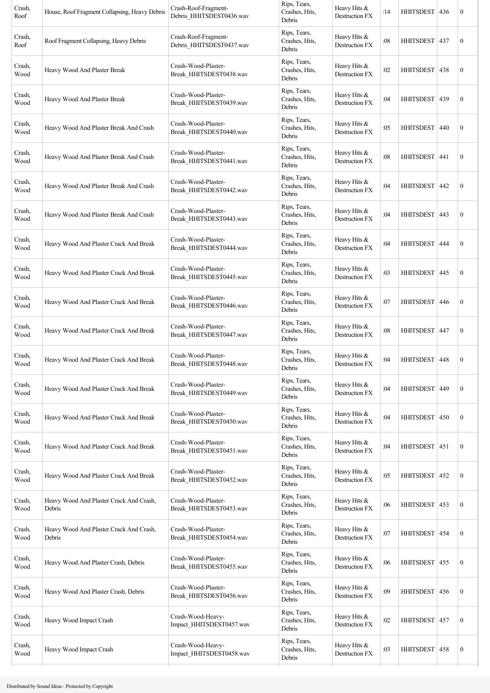| Crash,<br>Roof | House, Roof Fragment Collapsing, Heavy Debris     | Crash-Roof-Fragment-<br>Debris_HHITSDEST0436.wav | Rips, Tears,<br>Crashes, Hits,<br>Debris | Heavy Hits &<br>Destruction FX        | :14 | HHITSDEST   436  |     | $\boldsymbol{0}$ |
|----------------|---------------------------------------------------|--------------------------------------------------|------------------------------------------|---------------------------------------|-----|------------------|-----|------------------|
| Crash,<br>Roof | Roof Fragment Collapsing, Heavy Debris            | Crash-Roof-Fragment-<br>Debris_HHITSDEST0437.wav | Rips, Tears,<br>Crashes, Hits,<br>Debris | Heavy Hits &<br>Destruction FX        | :08 | <b>HHITSDEST</b> | 437 | $\boldsymbol{0}$ |
| Crash,<br>Wood | Heavy Wood And Plaster Break                      | Crash-Wood-Plaster-<br>Break_HHITSDEST0438.wav   | Rips, Tears,<br>Crashes, Hits,<br>Debris | Heavy Hits &<br>Destruction FX        | :02 | HHITSDEST        | 438 | $\boldsymbol{0}$ |
| Crash,<br>Wood | Heavy Wood And Plaster Break                      | Crash-Wood-Plaster-<br>Break HHITSDEST0439.wav   | Rips, Tears,<br>Crashes, Hits,<br>Debris | Heavy Hits &<br>Destruction FX        | :04 | HHITSDEST   439  |     | $\boldsymbol{0}$ |
| Crash,<br>Wood | Heavy Wood And Plaster Break And Crash            | Crash-Wood-Plaster-<br>Break_HHITSDEST0440.wav   | Rips, Tears,<br>Crashes, Hits,<br>Debris | Heavy Hits &<br>Destruction FX        | :05 | HHITSDEST        | 440 | $\boldsymbol{0}$ |
| Crash,<br>Wood | Heavy Wood And Plaster Break And Crash            | Crash-Wood-Plaster-<br>Break_HHITSDEST0441.wav   | Rips, Tears,<br>Crashes, Hits,<br>Debris | Heavy Hits &<br>Destruction FX        | :08 | <b>HHITSDEST</b> | 441 | $\boldsymbol{0}$ |
| Crash,<br>Wood | Heavy Wood And Plaster Break And Crash            | Crash-Wood-Plaster-<br>Break_HHITSDEST0442.wav   | Rips, Tears,<br>Crashes, Hits,<br>Debris | Heavy Hits $&$<br>Destruction FX      | :04 | HHITSDEST        | 442 | $\boldsymbol{0}$ |
| Crash,<br>Wood | Heavy Wood And Plaster Break And Crash            | Crash-Wood-Plaster-<br>Break HHITSDEST0443.wav   | Rips, Tears,<br>Crashes, Hits,<br>Debris | Heavy Hits &<br>Destruction FX        | :04 | HHITSDEST 443    |     | $\boldsymbol{0}$ |
| Crash,<br>Wood | Heavy Wood And Plaster Crack And Break            | Crash-Wood-Plaster-<br>Break_HHITSDEST0444.wav   | Rips, Tears,<br>Crashes, Hits,<br>Debris | Heavy Hits &<br><b>Destruction FX</b> | :04 | HHITSDEST        | 444 | $\boldsymbol{0}$ |
| Crash,<br>Wood | Heavy Wood And Plaster Crack And Break            | Crash-Wood-Plaster-<br>Break HHITSDEST0445.wav   | Rips, Tears,<br>Crashes, Hits,<br>Debris | Heavy Hits $&$<br>Destruction FX      | :03 | <b>HHITSDEST</b> | 445 | $\boldsymbol{0}$ |
| Crash,<br>Wood | Heavy Wood And Plaster Crack And Break            | Crash-Wood-Plaster-<br>Break HHITSDEST0446.wav   | Rips, Tears,<br>Crashes, Hits,<br>Debris | Heavy Hits $&$<br>Destruction FX      | :07 | <b>HHITSDEST</b> | 446 | $\boldsymbol{0}$ |
| Crash,<br>Wood | Heavy Wood And Plaster Crack And Break            | Crash-Wood-Plaster-<br>Break_HHITSDEST0447.wav   | Rips, Tears,<br>Crashes, Hits,<br>Debris | Heavy Hits &<br>Destruction FX        | :08 | HHITSDEST   447  |     | $\boldsymbol{0}$ |
| Crash,<br>Wood | Heavy Wood And Plaster Crack And Break            | Crash-Wood-Plaster-<br>Break HHITSDEST0448.wav   | Rips, Tears,<br>Crashes, Hits,<br>Debris | Heavy Hits &<br>Destruction FX        | :04 | <b>HHITSDEST</b> | 448 | $\boldsymbol{0}$ |
| Crash,<br>Wood | Heavy Wood And Plaster Crack And Break            | Crash-Wood-Plaster-<br>Break_HHITSDEST0449.wav   | Rips, Tears,<br>Crashes, Hits,<br>Debris | Heavy Hits &<br>Destruction FX        | :04 | <b>HHITSDEST</b> | 449 | $\boldsymbol{0}$ |
| Crash,<br>Wood | Heavy Wood And Plaster Crack And Break            | Crash-Wood-Plaster-<br>Break_HHITSDEST0450.wav   | Rips, Tears,<br>Crashes, Hits,<br>Debris | Heavy Hits &<br>Destruction FX        | :04 | <b>HHITSDEST</b> | 450 | $\boldsymbol{0}$ |
| Crash,<br>Wood | Heavy Wood And Plaster Crack And Break            | Crash-Wood-Plaster-<br>Break_HHITSDEST0451.wav   | Rips, Tears,<br>Crashes, Hits,<br>Debris | Heavy Hits &<br>Destruction FX        | :04 | HHITSDEST   451  |     | $\boldsymbol{0}$ |
| Crash,<br>Wood | Heavy Wood And Plaster Crack And Break            | Crash-Wood-Plaster-<br>Break_HHITSDEST0452.wav   | Rips, Tears,<br>Crashes, Hits,<br>Debris | Heavy Hits &<br>Destruction FX        | :05 | <b>HHITSDEST</b> | 452 | $\boldsymbol{0}$ |
| Crash,<br>Wood | Heavy Wood And Plaster Crack And Crash,<br>Debris | Crash-Wood-Plaster-<br>Break_HHITSDEST0453.wav   | Rips, Tears,<br>Crashes, Hits,<br>Debris | Heavy Hits &<br>Destruction FX        | :06 | <b>HHITSDEST</b> | 453 | $\boldsymbol{0}$ |
| Crash,<br>Wood | Heavy Wood And Plaster Crack And Crash,<br>Debris | Crash-Wood-Plaster-<br>Break HHITSDEST0454.wav   | Rips, Tears,<br>Crashes, Hits,<br>Debris | Heavy Hits &<br>Destruction FX        | :07 | <b>HHITSDEST</b> | 454 | $\boldsymbol{0}$ |
| Crash,<br>Wood | Heavy Wood And Plaster Crash, Debris              | Crash-Wood-Plaster-<br>Break_HHITSDEST0455.wav   | Rips, Tears,<br>Crashes, Hits,<br>Debris | Heavy Hits &<br>Destruction FX        | :06 | HHITSDEST   455  |     | $\boldsymbol{0}$ |
| Crash,<br>Wood | Heavy Wood And Plaster Crash, Debris              | Crash-Wood-Plaster-<br>Break_HHITSDEST0456.wav   | Rips, Tears,<br>Crashes, Hits,<br>Debris | Heavy Hits &<br>Destruction FX        | :09 | <b>HHITSDEST</b> | 456 | $\boldsymbol{0}$ |
| Crash,<br>Wood | Heavy Wood Impact Crash                           | Crash-Wood-Heavy-<br>Impact_HHITSDEST0457.wav    | Rips, Tears,<br>Crashes, Hits,<br>Debris | Heavy Hits &<br>Destruction FX        | :02 | <b>HHITSDEST</b> | 457 | $\boldsymbol{0}$ |
| Crash,<br>Wood | Heavy Wood Impact Crash                           | Crash-Wood-Heavy-<br>Impact HHITSDEST0458.wav    | Rips, Tears,<br>Crashes, Hits,<br>Debris | Heavy Hits &<br>Destruction FX        | :03 | HHITSDEST   458  |     | $\boldsymbol{0}$ |
|                |                                                   |                                                  |                                          |                                       |     |                  |     |                  |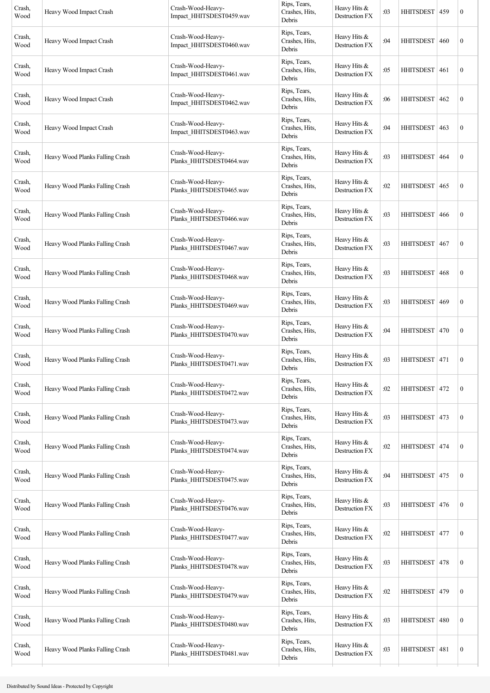| Crash,<br>Wood | Heavy Wood Impact Crash         | Crash-Wood-Heavy-<br>Impact_HHITSDEST0459.wav | Rips, Tears,<br>Crashes, Hits,<br>Debris | Heavy Hits &<br>Destruction FX        | :03 | <b>HHITSDEST</b> | 459 | $\boldsymbol{0}$ |
|----------------|---------------------------------|-----------------------------------------------|------------------------------------------|---------------------------------------|-----|------------------|-----|------------------|
| Crash,<br>Wood | Heavy Wood Impact Crash         | Crash-Wood-Heavy-<br>Impact_HHITSDEST0460.wav | Rips, Tears,<br>Crashes, Hits,<br>Debris | Heavy Hits &<br>Destruction FX        | :04 | <b>HHITSDEST</b> | 460 | $\boldsymbol{0}$ |
| Crash,<br>Wood | Heavy Wood Impact Crash         | Crash-Wood-Heavy-<br>Impact_HHITSDEST0461.wav | Rips, Tears,<br>Crashes, Hits,<br>Debris | Heavy Hits &<br><b>Destruction FX</b> | :05 | <b>HHITSDEST</b> | 461 | $\boldsymbol{0}$ |
| Crash,<br>Wood | Heavy Wood Impact Crash         | Crash-Wood-Heavy-<br>Impact_HHITSDEST0462.wav | Rips, Tears,<br>Crashes, Hits,<br>Debris | Heavy Hits &<br><b>Destruction FX</b> | :06 | HHITSDEST        | 462 | $\boldsymbol{0}$ |
| Crash,<br>Wood | Heavy Wood Impact Crash         | Crash-Wood-Heavy-<br>Impact_HHITSDEST0463.wav | Rips, Tears,<br>Crashes, Hits,<br>Debris | Heavy Hits &<br><b>Destruction FX</b> | :04 | HHITSDEST        | 463 | $\boldsymbol{0}$ |
| Crash,<br>Wood | Heavy Wood Planks Falling Crash | Crash-Wood-Heavy-<br>Planks_HHITSDEST0464.wav | Rips, Tears,<br>Crashes, Hits,<br>Debris | Heavy Hits &<br>Destruction FX        | :03 | <b>HHITSDEST</b> | 464 | $\boldsymbol{0}$ |
| Crash,<br>Wood | Heavy Wood Planks Falling Crash | Crash-Wood-Heavy-<br>Planks HHITSDEST0465.wav | Rips, Tears,<br>Crashes, Hits,<br>Debris | Heavy Hits $&$<br>Destruction FX      | :02 | HHITSDEST        | 465 | $\boldsymbol{0}$ |
| Crash,<br>Wood | Heavy Wood Planks Falling Crash | Crash-Wood-Heavy-<br>Planks_HHITSDEST0466.wav | Rips, Tears,<br>Crashes, Hits,<br>Debris | Heavy Hits &<br>Destruction FX        | :03 | <b>HHITSDEST</b> | 466 | $\boldsymbol{0}$ |
| Crash,<br>Wood | Heavy Wood Planks Falling Crash | Crash-Wood-Heavy-<br>Planks_HHITSDEST0467.wav | Rips, Tears,<br>Crashes, Hits,<br>Debris | Heavy Hits &<br>Destruction FX        | :03 | HHITSDEST        | 467 | $\boldsymbol{0}$ |
| Crash,<br>Wood | Heavy Wood Planks Falling Crash | Crash-Wood-Heavy-<br>Planks_HHITSDEST0468.wav | Rips, Tears,<br>Crashes, Hits,<br>Debris | Heavy Hits &<br>Destruction FX        | :03 | <b>HHITSDEST</b> | 468 | $\boldsymbol{0}$ |
| Crash,<br>Wood | Heavy Wood Planks Falling Crash | Crash-Wood-Heavy-<br>Planks_HHITSDEST0469.wav | Rips, Tears,<br>Crashes, Hits,<br>Debris | Heavy Hits &<br><b>Destruction FX</b> | :03 | <b>HHITSDEST</b> | 469 | $\boldsymbol{0}$ |
| Crash,<br>Wood | Heavy Wood Planks Falling Crash | Crash-Wood-Heavy-<br>Planks_HHITSDEST0470.wav | Rips, Tears,<br>Crashes, Hits,<br>Debris | Heavy Hits &<br>Destruction FX        | :04 | HHITSDEST        | 470 | $\boldsymbol{0}$ |
| Crash,<br>Wood | Heavy Wood Planks Falling Crash | Crash-Wood-Heavy-<br>Planks_HHITSDEST0471.wav | Rips, Tears,<br>Crashes, Hits,<br>Debris | Heavy Hits &<br>Destruction FX        | :03 | <b>HHITSDEST</b> | 471 | $\boldsymbol{0}$ |
| Crash,<br>Wood | Heavy Wood Planks Falling Crash | Crash-Wood-Heavy-<br>Planks_HHITSDEST0472.wav | Rips, Tears,<br>Crashes, Hits,<br>Debris | Heavy Hits &<br>Destruction FX        | :02 | <b>HHITSDEST</b> | 472 | $\boldsymbol{0}$ |
| Crash,<br>Wood | Heavy Wood Planks Falling Crash | Crash-Wood-Heavy-<br>Planks_HHITSDEST0473.wav | Rips, Tears,<br>Crashes, Hits,<br>Debris | Heavy Hits &<br>Destruction FX        | :03 | <b>HHITSDEST</b> | 473 | $\boldsymbol{0}$ |
| Crash,<br>Wood | Heavy Wood Planks Falling Crash | Crash-Wood-Heavy-<br>Planks_HHITSDEST0474.wav | Rips, Tears,<br>Crashes, Hits,<br>Debris | Heavy Hits &<br>Destruction FX        | :02 | <b>HHITSDEST</b> | 474 | $\boldsymbol{0}$ |
| Crash,<br>Wood | Heavy Wood Planks Falling Crash | Crash-Wood-Heavy-<br>Planks_HHITSDEST0475.wav | Rips, Tears,<br>Crashes, Hits,<br>Debris | Heavy Hits &<br>Destruction FX        | :04 | <b>HHITSDEST</b> | 475 | $\boldsymbol{0}$ |
| Crash,<br>Wood | Heavy Wood Planks Falling Crash | Crash-Wood-Heavy-<br>Planks_HHITSDEST0476.wav | Rips, Tears,<br>Crashes, Hits,<br>Debris | Heavy Hits &<br>Destruction FX        | :03 | <b>HHITSDEST</b> | 476 | $\boldsymbol{0}$ |
| Crash,<br>Wood | Heavy Wood Planks Falling Crash | Crash-Wood-Heavy-<br>Planks_HHITSDEST0477.wav | Rips, Tears,<br>Crashes, Hits,<br>Debris | Heavy Hits &<br>Destruction FX        | :02 | <b>HHITSDEST</b> | 477 | $\boldsymbol{0}$ |
| Crash,<br>Wood | Heavy Wood Planks Falling Crash | Crash-Wood-Heavy-<br>Planks_HHITSDEST0478.wav | Rips, Tears,<br>Crashes, Hits,<br>Debris | Heavy Hits &<br>Destruction FX        | :03 | <b>HHITSDEST</b> | 478 | $\boldsymbol{0}$ |
| Crash,<br>Wood | Heavy Wood Planks Falling Crash | Crash-Wood-Heavy-<br>Planks_HHITSDEST0479.wav | Rips, Tears,<br>Crashes, Hits,<br>Debris | Heavy Hits &<br>Destruction FX        | :02 | <b>HHITSDEST</b> | 479 | $\boldsymbol{0}$ |
| Crash,<br>Wood | Heavy Wood Planks Falling Crash | Crash-Wood-Heavy-<br>Planks_HHITSDEST0480.wav | Rips, Tears,<br>Crashes, Hits,<br>Debris | Heavy Hits &<br>Destruction FX        | :03 | <b>HHITSDEST</b> | 480 | $\boldsymbol{0}$ |
| Crash,<br>Wood | Heavy Wood Planks Falling Crash | Crash-Wood-Heavy-<br>Planks_HHITSDEST0481.wav | Rips, Tears,<br>Crashes, Hits,<br>Debris | Heavy Hits &<br>Destruction FX        | :03 | <b>HHITSDEST</b> | 481 | $\boldsymbol{0}$ |
|                |                                 |                                               |                                          |                                       |     |                  |     |                  |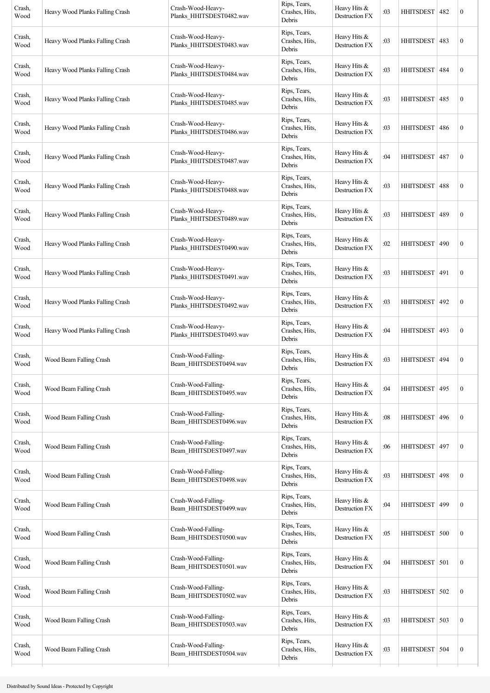| Crash,<br>Wood | Heavy Wood Planks Falling Crash | Crash-Wood-Heavy-<br>Planks_HHITSDEST0482.wav | Rips, Tears,<br>Crashes, Hits,<br>Debris | Heavy Hits &<br>Destruction FX        | :03 | <b>HHITSDEST</b> | 482 | $\boldsymbol{0}$ |
|----------------|---------------------------------|-----------------------------------------------|------------------------------------------|---------------------------------------|-----|------------------|-----|------------------|
| Crash,<br>Wood | Heavy Wood Planks Falling Crash | Crash-Wood-Heavy-<br>Planks_HHITSDEST0483.wav | Rips, Tears,<br>Crashes, Hits,<br>Debris | Heavy Hits &<br>Destruction FX        | :03 | <b>HHITSDEST</b> | 483 | $\boldsymbol{0}$ |
| Crash,<br>Wood | Heavy Wood Planks Falling Crash | Crash-Wood-Heavy-<br>Planks_HHITSDEST0484.wav | Rips, Tears,<br>Crashes, Hits,<br>Debris | Heavy Hits &<br>Destruction FX        | :03 | <b>HHITSDEST</b> | 484 | $\boldsymbol{0}$ |
| Crash,<br>Wood | Heavy Wood Planks Falling Crash | Crash-Wood-Heavy-<br>Planks_HHITSDEST0485.wav | Rips, Tears,<br>Crashes, Hits,<br>Debris | Heavy Hits &<br>Destruction FX        | :03 | <b>HHITSDEST</b> | 485 | $\boldsymbol{0}$ |
| Crash,<br>Wood | Heavy Wood Planks Falling Crash | Crash-Wood-Heavy-<br>Planks_HHITSDEST0486.wav | Rips, Tears,<br>Crashes, Hits,<br>Debris | Heavy Hits &<br><b>Destruction FX</b> | :03 | <b>HHITSDEST</b> | 486 | $\boldsymbol{0}$ |
| Crash,<br>Wood | Heavy Wood Planks Falling Crash | Crash-Wood-Heavy-<br>Planks_HHITSDEST0487.wav | Rips, Tears,<br>Crashes, Hits,<br>Debris | Heavy Hits &<br>Destruction FX        | :04 | <b>HHITSDEST</b> | 487 | $\boldsymbol{0}$ |
| Crash,<br>Wood | Heavy Wood Planks Falling Crash | Crash-Wood-Heavy-<br>Planks_HHITSDEST0488.wav | Rips, Tears,<br>Crashes, Hits,<br>Debris | Heavy Hits &<br>Destruction FX        | :03 | <b>HHITSDEST</b> | 488 | $\boldsymbol{0}$ |
| Crash,<br>Wood | Heavy Wood Planks Falling Crash | Crash-Wood-Heavy-<br>Planks_HHITSDEST0489.wav | Rips, Tears,<br>Crashes, Hits,<br>Debris | Heavy Hits &<br>Destruction FX        | :03 | <b>HHITSDEST</b> | 489 | $\boldsymbol{0}$ |
| Crash,<br>Wood | Heavy Wood Planks Falling Crash | Crash-Wood-Heavy-<br>Planks_HHITSDEST0490.wav | Rips, Tears,<br>Crashes, Hits,<br>Debris | Heavy Hits &<br>Destruction FX        | :02 | HHITSDEST        | 490 | $\boldsymbol{0}$ |
| Crash,<br>Wood | Heavy Wood Planks Falling Crash | Crash-Wood-Heavy-<br>Planks_HHITSDEST0491.wav | Rips, Tears,<br>Crashes, Hits,<br>Debris | Heavy Hits &<br>Destruction FX        | :03 | <b>HHITSDEST</b> | 491 | $\boldsymbol{0}$ |
| Crash,<br>Wood | Heavy Wood Planks Falling Crash | Crash-Wood-Heavy-<br>Planks_HHITSDEST0492.wav | Rips, Tears,<br>Crashes, Hits,<br>Debris | Heavy Hits &<br>Destruction FX        | :03 | <b>HHITSDEST</b> | 492 | $\boldsymbol{0}$ |
| Crash,<br>Wood | Heavy Wood Planks Falling Crash | Crash-Wood-Heavy-<br>Planks HHITSDEST0493.wav | Rips, Tears,<br>Crashes, Hits,<br>Debris | Heavy Hits &<br>Destruction FX        | :04 | <b>HHITSDEST</b> | 493 | $\boldsymbol{0}$ |
| Crash,<br>Wood | Wood Beam Falling Crash         | Crash-Wood-Falling-<br>Beam_HHITSDEST0494.wav | Rips, Tears,<br>Crashes, Hits,<br>Debris | Heavy Hits &<br>Destruction FX        | :03 | <b>HHITSDEST</b> | 494 | $\boldsymbol{0}$ |
| Crash,<br>Wood | Wood Beam Falling Crash         | Crash-Wood-Falling-<br>Beam_HHITSDEST0495.wav | Rips, Tears,<br>Crashes, Hits,<br>Debris | Heavy Hits &<br>Destruction FX        | :04 | <b>HHITSDEST</b> | 495 | $\boldsymbol{0}$ |
| Crash,<br>Wood | Wood Beam Falling Crash         | Crash-Wood-Falling-<br>Beam_HHITSDEST0496.wav | Rips, Tears,<br>Crashes, Hits,<br>Debris | Heavy Hits &<br>Destruction FX        | :08 | <b>HHITSDEST</b> | 496 | $\boldsymbol{0}$ |
| Crash,<br>Wood | Wood Beam Falling Crash         | Crash-Wood-Falling-<br>Beam_HHITSDEST0497.wav | Rips, Tears,<br>Crashes, Hits,<br>Debris | Heavy Hits &<br>Destruction FX        | :06 | <b>HHITSDEST</b> | 497 | $\boldsymbol{0}$ |
| Crash,<br>Wood | Wood Beam Falling Crash         | Crash-Wood-Falling-<br>Beam_HHITSDEST0498.wav | Rips, Tears,<br>Crashes, Hits,<br>Debris | Heavy Hits &<br>Destruction FX        | :03 | <b>HHITSDEST</b> | 498 | $\boldsymbol{0}$ |
| Crash,<br>Wood | Wood Beam Falling Crash         | Crash-Wood-Falling-<br>Beam HHITSDEST0499.wav | Rips, Tears,<br>Crashes, Hits,<br>Debris | Heavy Hits &<br>Destruction FX        | :04 | <b>HHITSDEST</b> | 499 | $\boldsymbol{0}$ |
| Crash,<br>Wood | Wood Beam Falling Crash         | Crash-Wood-Falling-<br>Beam_HHITSDEST0500.wav | Rips, Tears,<br>Crashes, Hits,<br>Debris | Heavy Hits &<br>Destruction FX        | :05 | <b>HHITSDEST</b> | 500 | $\boldsymbol{0}$ |
| Crash,<br>Wood | Wood Beam Falling Crash         | Crash-Wood-Falling-<br>Beam_HHITSDEST0501.wav | Rips, Tears,<br>Crashes, Hits,<br>Debris | Heavy Hits &<br>Destruction FX        | :04 | HHITSDEST 501    |     | $\boldsymbol{0}$ |
| Crash,<br>Wood | Wood Beam Falling Crash         | Crash-Wood-Falling-<br>Beam_HHITSDEST0502.wav | Rips, Tears,<br>Crashes, Hits,<br>Debris | Heavy Hits &<br>Destruction FX        | :03 | <b>HHITSDEST</b> | 502 | $\boldsymbol{0}$ |
| Crash,<br>Wood | Wood Beam Falling Crash         | Crash-Wood-Falling-<br>Beam_HHITSDEST0503.wav | Rips, Tears,<br>Crashes, Hits,<br>Debris | Heavy Hits &<br>Destruction FX        | :03 | <b>HHITSDEST</b> | 503 | $\boldsymbol{0}$ |
| Crash,<br>Wood | Wood Beam Falling Crash         | Crash-Wood-Falling-<br>Beam HHITSDEST0504.wav | Rips, Tears,<br>Crashes, Hits,<br>Debris | Heavy Hits &<br>Destruction FX        | :03 | <b>HHITSDEST</b> | 504 | $\boldsymbol{0}$ |
|                |                                 |                                               |                                          |                                       |     |                  |     |                  |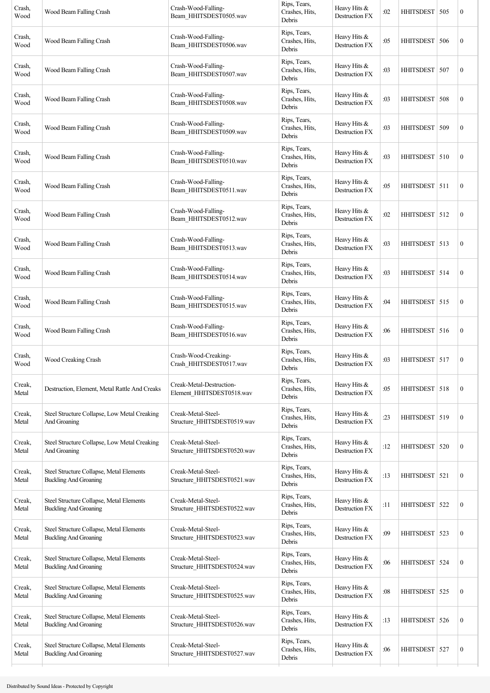| Crash,<br>Wood  | Wood Beam Falling Crash                                                  | Crash-Wood-Falling-<br>Beam_HHITSDEST0505.wav         | Rips, Tears,<br>Crashes, Hits,<br>Debris | Heavy Hits &<br>Destruction FX        | :02 | HHITSDEST 505    |     | $\boldsymbol{0}$ |
|-----------------|--------------------------------------------------------------------------|-------------------------------------------------------|------------------------------------------|---------------------------------------|-----|------------------|-----|------------------|
| Crash,<br>Wood  | Wood Beam Falling Crash                                                  | Crash-Wood-Falling-<br>Beam_HHITSDEST0506.wav         | Rips, Tears,<br>Crashes, Hits,<br>Debris | Heavy Hits &<br>Destruction FX        | :05 | <b>HHITSDEST</b> | 506 | $\boldsymbol{0}$ |
| Crash,<br>Wood  | Wood Beam Falling Crash                                                  | Crash-Wood-Falling-<br>Beam_HHITSDEST0507.wav         | Rips, Tears,<br>Crashes, Hits,<br>Debris | Heavy Hits &<br>Destruction FX        | :03 | <b>HHITSDEST</b> | 507 | $\boldsymbol{0}$ |
| Crash,<br>Wood  | Wood Beam Falling Crash                                                  | Crash-Wood-Falling-<br>Beam_HHITSDEST0508.wav         | Rips, Tears,<br>Crashes, Hits,<br>Debris | Heavy Hits &<br><b>Destruction FX</b> | :03 | <b>HHITSDEST</b> | 508 | $\boldsymbol{0}$ |
| Crash,<br>Wood  | Wood Beam Falling Crash                                                  | Crash-Wood-Falling-<br>Beam_HHITSDEST0509.wav         | Rips, Tears,<br>Crashes, Hits,<br>Debris | Heavy Hits &<br>Destruction FX        | :03 | HHITSDEST   509  |     | $\boldsymbol{0}$ |
| Crash,<br>Wood  | Wood Beam Falling Crash                                                  | Crash-Wood-Falling-<br>Beam_HHITSDEST0510.wav         | Rips, Tears,<br>Crashes, Hits,<br>Debris | Heavy Hits &<br>Destruction FX        | :03 | HHITSDEST 510    |     | $\boldsymbol{0}$ |
| Crash,<br>Wood  | Wood Beam Falling Crash                                                  | Crash-Wood-Falling-<br>Beam_HHITSDEST0511.wav         | Rips, Tears,<br>Crashes, Hits,<br>Debris | Heavy Hits &<br>Destruction FX        | :05 | HHITSDEST   511  |     | $\boldsymbol{0}$ |
| Crash,<br>Wood  | Wood Beam Falling Crash                                                  | Crash-Wood-Falling-<br>Beam HHITSDEST0512.wav         | Rips, Tears,<br>Crashes, Hits,<br>Debris | Heavy Hits &<br>Destruction FX        | :02 | HHITSDEST 512    |     | $\boldsymbol{0}$ |
| Crash,<br>Wood  | Wood Beam Falling Crash                                                  | Crash-Wood-Falling-<br>Beam_HHITSDEST0513.wav         | Rips, Tears,<br>Crashes, Hits,<br>Debris | Heavy Hits &<br>Destruction FX        | :03 | HHITSDEST 513    |     | $\boldsymbol{0}$ |
| Crash,<br>Wood  | Wood Beam Falling Crash                                                  | Crash-Wood-Falling-<br>Beam HHITSDEST0514.wav         | Rips, Tears,<br>Crashes, Hits,<br>Debris | Heavy Hits &<br>Destruction FX        | :03 | HHITSDEST 514    |     | $\boldsymbol{0}$ |
| Crash,<br>Wood  | Wood Beam Falling Crash                                                  | Crash-Wood-Falling-<br>Beam_HHITSDEST0515.wav         | Rips, Tears,<br>Crashes, Hits,<br>Debris | Heavy Hits &<br>Destruction FX        | :04 | HHITSDEST 515    |     | $\boldsymbol{0}$ |
| Crash,<br>Wood  | Wood Beam Falling Crash                                                  | Crash-Wood-Falling-<br>Beam HHITSDEST0516.wav         | Rips, Tears,<br>Crashes, Hits,<br>Debris | Heavy Hits &<br>Destruction FX        | :06 | HHITSDEST 516    |     | $\boldsymbol{0}$ |
| Crash,<br>Wood  | Wood Creaking Crash                                                      | Crash-Wood-Creaking-<br>Crash_HHITSDEST0517.wav       | Rips, Tears,<br>Crashes, Hits,<br>Debris | Heavy Hits &<br>Destruction FX        | :03 | HHITSDEST 517    |     | $\boldsymbol{0}$ |
| Creak,<br>Metal | Destruction, Element, Metal Rattle And Creaks                            | Creak-Metal-Destruction-<br>Element_HHITSDEST0518.wav | Rips, Tears,<br>Crashes, Hits,<br>Debris | Heavy Hits &<br>Destruction FX        | :05 | HHITSDEST 518    |     | $\boldsymbol{0}$ |
| Creak,<br>Metal | Steel Structure Collapse, Low Metal Creaking<br>And Groaning             | Creak-Metal-Steel-<br>Structure_HHITSDEST0519.wav     | Rips, Tears,<br>Crashes, Hits,<br>Debris | Heavy Hits &<br>Destruction FX        | :23 | HHITSDEST   519  |     | $\boldsymbol{0}$ |
| Creak,<br>Metal | Steel Structure Collapse, Low Metal Creaking<br>And Groaning             | Creak-Metal-Steel-<br>Structure HHITSDEST0520.wav     | Rips, Tears,<br>Crashes, Hits,<br>Debris | Heavy Hits &<br>Destruction FX        | :12 | <b>HHITSDEST</b> | 520 | $\mathbf{0}$     |
| Creak,<br>Metal | Steel Structure Collapse, Metal Elements<br><b>Buckling And Groaning</b> | Creak-Metal-Steel-<br>Structure_HHITSDEST0521.wav     | Rips, Tears,<br>Crashes, Hits,<br>Debris | Heavy Hits &<br>Destruction FX        | :13 | HHITSDEST 521    |     | $\boldsymbol{0}$ |
| Creak,<br>Metal | Steel Structure Collapse, Metal Elements<br><b>Buckling And Groaning</b> | Creak-Metal-Steel-<br>Structure_HHITSDEST0522.wav     | Rips, Tears,<br>Crashes, Hits,<br>Debris | Heavy Hits &<br>Destruction FX        | :11 | <b>HHITSDEST</b> | 522 | $\boldsymbol{0}$ |
| Creak,<br>Metal | Steel Structure Collapse, Metal Elements<br><b>Buckling And Groaning</b> | Creak-Metal-Steel-<br>Structure_HHITSDEST0523.wav     | Rips, Tears,<br>Crashes, Hits,<br>Debris | Heavy Hits &<br>Destruction FX        | :09 | <b>HHITSDEST</b> | 523 | $\boldsymbol{0}$ |
| Creak,<br>Metal | Steel Structure Collapse, Metal Elements<br><b>Buckling And Groaning</b> | Creak-Metal-Steel-<br>Structure_HHITSDEST0524.wav     | Rips, Tears,<br>Crashes, Hits,<br>Debris | Heavy Hits &<br>Destruction FX        | :06 | HHITSDEST   524  |     | $\boldsymbol{0}$ |
| Creak,<br>Metal | Steel Structure Collapse, Metal Elements<br><b>Buckling And Groaning</b> | Creak-Metal-Steel-<br>Structure_HHITSDEST0525.wav     | Rips, Tears,<br>Crashes, Hits,<br>Debris | Heavy Hits &<br>Destruction FX        | :08 | <b>HHITSDEST</b> | 525 | $\boldsymbol{0}$ |
| Creak,<br>Metal | Steel Structure Collapse, Metal Elements<br><b>Buckling And Groaning</b> | Creak-Metal-Steel-<br>Structure_HHITSDEST0526.wav     | Rips, Tears,<br>Crashes, Hits,<br>Debris | Heavy Hits $&$<br>Destruction FX      | :13 | <b>HHITSDEST</b> | 526 | $\boldsymbol{0}$ |
| Creak,<br>Metal | Steel Structure Collapse, Metal Elements<br><b>Buckling And Groaning</b> | Creak-Metal-Steel-<br>Structure_HHITSDEST0527.wav     | Rips, Tears,<br>Crashes, Hits,<br>Debris | Heavy Hits &<br>Destruction FX        | :06 | <b>HHITSDEST</b> | 527 | $\boldsymbol{0}$ |
|                 |                                                                          |                                                       |                                          |                                       |     |                  |     |                  |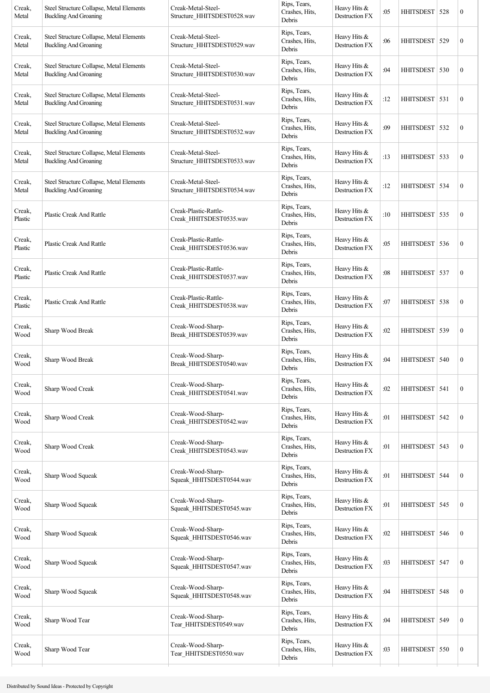| Creak,<br>Metal   | Steel Structure Collapse, Metal Elements<br><b>Buckling And Groaning</b> | Creak-Metal-Steel-<br>Structure_HHITSDEST0528.wav | Rips, Tears,<br>Crashes, Hits,<br>Debris | Heavy Hits &<br>Destruction FX   | :05 | HHITSDEST   528  |     | $\boldsymbol{0}$ |
|-------------------|--------------------------------------------------------------------------|---------------------------------------------------|------------------------------------------|----------------------------------|-----|------------------|-----|------------------|
| Creak,<br>Metal   | Steel Structure Collapse, Metal Elements<br><b>Buckling And Groaning</b> | Creak-Metal-Steel-<br>Structure_HHITSDEST0529.wav | Rips, Tears,<br>Crashes, Hits,<br>Debris | Heavy Hits &<br>Destruction FX   | :06 | HHITSDEST 529    |     | $\boldsymbol{0}$ |
| Creak,<br>Metal   | Steel Structure Collapse, Metal Elements<br><b>Buckling And Groaning</b> | Creak-Metal-Steel-<br>Structure HHITSDEST0530.wav | Rips, Tears,<br>Crashes, Hits,<br>Debris | Heavy Hits &<br>Destruction FX   | :04 | HHITSDEST 530    |     | $\boldsymbol{0}$ |
| Creak,<br>Metal   | Steel Structure Collapse, Metal Elements<br><b>Buckling And Groaning</b> | Creak-Metal-Steel-<br>Structure HHITSDEST0531.wav | Rips, Tears,<br>Crashes, Hits,<br>Debris | Heavy Hits &<br>Destruction FX   | :12 | HHITSDEST 531    |     | $\boldsymbol{0}$ |
| Creak,<br>Metal   | Steel Structure Collapse, Metal Elements<br><b>Buckling And Groaning</b> | Creak-Metal-Steel-<br>Structure_HHITSDEST0532.wav | Rips, Tears,<br>Crashes, Hits,<br>Debris | Heavy Hits &<br>Destruction FX   | :09 | HHITSDEST   532  |     | $\boldsymbol{0}$ |
| Creak,<br>Metal   | Steel Structure Collapse, Metal Elements<br><b>Buckling And Groaning</b> | Creak-Metal-Steel-<br>Structure_HHITSDEST0533.wav | Rips, Tears,<br>Crashes, Hits,<br>Debris | Heavy Hits &<br>Destruction FX   | :13 | HHITSDEST 533    |     | $\boldsymbol{0}$ |
| Creak,<br>Metal   | Steel Structure Collapse, Metal Elements<br><b>Buckling And Groaning</b> | Creak-Metal-Steel-<br>Structure HHITSDEST0534.wav | Rips, Tears,<br>Crashes, Hits,<br>Debris | Heavy Hits &<br>Destruction FX   | :12 | HHITSDEST   534  |     | $\boldsymbol{0}$ |
| Creak,<br>Plastic | <b>Plastic Creak And Rattle</b>                                          | Creak-Plastic-Rattle-<br>Creak_HHITSDEST0535.wav  | Rips, Tears,<br>Crashes, Hits,<br>Debris | Heavy Hits &<br>Destruction FX   | :10 | HHITSDEST 535    |     | $\boldsymbol{0}$ |
| Creak,<br>Plastic | <b>Plastic Creak And Rattle</b>                                          | Creak-Plastic-Rattle-<br>Creak HHITSDEST0536.wav  | Rips, Tears,<br>Crashes, Hits,<br>Debris | Heavy Hits &<br>Destruction FX   | :05 | HHITSDEST   536  |     | $\boldsymbol{0}$ |
| Creak,<br>Plastic | <b>Plastic Creak And Rattle</b>                                          | Creak-Plastic-Rattle-<br>Creak_HHITSDEST0537.wav  | Rips, Tears,<br>Crashes, Hits,<br>Debris | Heavy Hits $&$<br>Destruction FX | :08 | HHITSDEST 537    |     | $\boldsymbol{0}$ |
| Creak,<br>Plastic | <b>Plastic Creak And Rattle</b>                                          | Creak-Plastic-Rattle-<br>Creak HHITSDEST0538.wav  | Rips, Tears,<br>Crashes, Hits,<br>Debris | Heavy Hits &<br>Destruction FX   | :07 | HHITSDEST 538    |     | $\boldsymbol{0}$ |
| Creak,<br>Wood    | Sharp Wood Break                                                         | Creak-Wood-Sharp-<br>Break_HHITSDEST0539.wav      | Rips, Tears,<br>Crashes, Hits,<br>Debris | Heavy Hits &<br>Destruction FX   | :02 | HHITSDEST   539  |     | $\boldsymbol{0}$ |
| Creak,<br>Wood    | Sharp Wood Break                                                         | Creak-Wood-Sharp-<br>Break_HHITSDEST0540.wav      | Rips, Tears,<br>Crashes, Hits,<br>Debris | Heavy Hits &<br>Destruction FX   | :04 | HHITSDEST   540  |     | $\boldsymbol{0}$ |
| Creak.<br>Wood    | Sharp Wood Creak                                                         | Creak-Wood-Sharp-<br>Creak_HHITSDEST0541.wav      | Rips, Tears,<br>Crashes, Hits,<br>Debris | Heavy Hits &<br>Destruction FX   | :02 | HHITSDEST 541    |     | $\boldsymbol{0}$ |
| Creak,<br>Wood    | Sharp Wood Creak                                                         | Creak-Wood-Sharp-<br>Creak_HHITSDEST0542.wav      | Rips, Tears,<br>Crashes, Hits,<br>Debris | Heavy Hits &<br>Destruction FX   | :01 | <b>HHITSDEST</b> | 542 | $\boldsymbol{0}$ |
| Creak,<br>Wood    | Sharp Wood Creak                                                         | Creak-Wood-Sharp-<br>Creak_HHITSDEST0543.wav      | Rips, Tears,<br>Crashes, Hits,<br>Debris | Heavy Hits &<br>Destruction FX   | :01 | HHITSDEST   543  |     | $\boldsymbol{0}$ |
| Creak,<br>Wood    | Sharp Wood Squeak                                                        | Creak-Wood-Sharp-<br>Squeak_HHITSDEST0544.wav     | Rips, Tears,<br>Crashes, Hits,<br>Debris | Heavy Hits &<br>Destruction FX   | :01 | <b>HHITSDEST</b> | 544 | $\boldsymbol{0}$ |
| Creak,<br>Wood    | Sharp Wood Squeak                                                        | Creak-Wood-Sharp-<br>Squeak_HHITSDEST0545.wav     | Rips, Tears,<br>Crashes, Hits,<br>Debris | Heavy Hits &<br>Destruction FX   | :01 | HHITSDEST   545  |     | $\boldsymbol{0}$ |
| Creak,<br>Wood    | Sharp Wood Squeak                                                        | Creak-Wood-Sharp-<br>Squeak_HHITSDEST0546.wav     | Rips, Tears,<br>Crashes, Hits,<br>Debris | Heavy Hits &<br>Destruction FX   | :02 | <b>HHITSDEST</b> | 546 | $\boldsymbol{0}$ |
| Creak,<br>Wood    | Sharp Wood Squeak                                                        | Creak-Wood-Sharp-<br>Squeak_HHITSDEST0547.wav     | Rips, Tears,<br>Crashes, Hits,<br>Debris | Heavy Hits &<br>Destruction FX   | :03 | HHITSDEST   547  |     | $\boldsymbol{0}$ |
| Creak,<br>Wood    | Sharp Wood Squeak                                                        | Creak-Wood-Sharp-<br>Squeak_HHITSDEST0548.wav     | Rips, Tears,<br>Crashes, Hits,<br>Debris | Heavy Hits &<br>Destruction FX   | :04 | <b>HHITSDEST</b> | 548 | $\boldsymbol{0}$ |
| Creak,<br>Wood    | Sharp Wood Tear                                                          | Creak-Wood-Sharp-<br>Tear_HHITSDEST0549.wav       | Rips, Tears,<br>Crashes, Hits,<br>Debris | Heavy Hits &<br>Destruction FX   | :04 | <b>HHITSDEST</b> | 549 | $\boldsymbol{0}$ |
| Creak,<br>Wood    | Sharp Wood Tear                                                          | Creak-Wood-Sharp-<br>Tear_HHITSDEST0550.wav       | Rips, Tears,<br>Crashes, Hits,<br>Debris | Heavy Hits &<br>Destruction FX   | :03 | HHITSDEST 550    |     | $\boldsymbol{0}$ |
|                   |                                                                          |                                                   |                                          |                                  |     |                  |     |                  |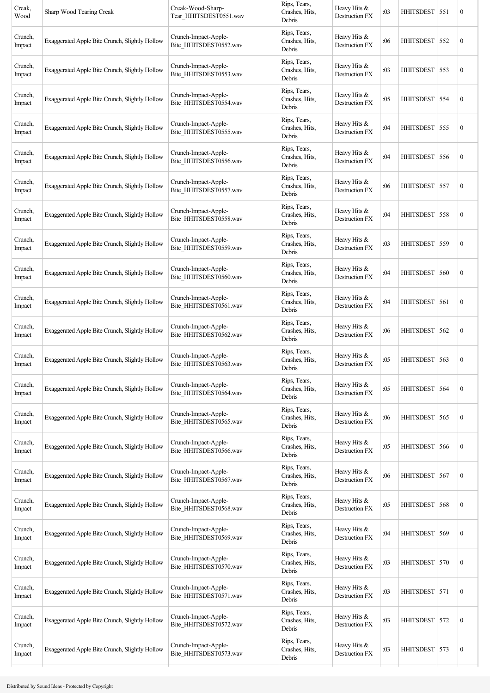| Creak,<br>Wood    | Sharp Wood Tearing Creak                       | Creak-Wood-Sharp-<br>Tear_HHITSDEST0551.wav    | Rips, Tears,<br>Crashes, Hits,<br>Debris | Heavy Hits &<br>Destruction FX | :03 | HHITSDEST   551  |     | $\boldsymbol{0}$ |
|-------------------|------------------------------------------------|------------------------------------------------|------------------------------------------|--------------------------------|-----|------------------|-----|------------------|
| Crunch,<br>Impact | Exaggerated Apple Bite Crunch, Slightly Hollow | Crunch-Impact-Apple-<br>Bite_HHITSDEST0552.wav | Rips, Tears,<br>Crashes, Hits,<br>Debris | Heavy Hits &<br>Destruction FX | :06 | HHITSDEST 552    |     | $\boldsymbol{0}$ |
| Crunch,<br>Impact | Exaggerated Apple Bite Crunch, Slightly Hollow | Crunch-Impact-Apple-<br>Bite_HHITSDEST0553.wav | Rips, Tears,<br>Crashes, Hits,<br>Debris | Heavy Hits &<br>Destruction FX | :03 | HHITSDEST 553    |     | $\boldsymbol{0}$ |
| Crunch,<br>Impact | Exaggerated Apple Bite Crunch, Slightly Hollow | Crunch-Impact-Apple-<br>Bite_HHITSDEST0554.wav | Rips, Tears,<br>Crashes, Hits,<br>Debris | Heavy Hits &<br>Destruction FX | :05 | HHITSDEST 554    |     | $\boldsymbol{0}$ |
| Crunch,<br>Impact | Exaggerated Apple Bite Crunch, Slightly Hollow | Crunch-Impact-Apple-<br>Bite_HHITSDEST0555.wav | Rips, Tears,<br>Crashes, Hits,<br>Debris | Heavy Hits &<br>Destruction FX | :04 | HHITSDEST   555  |     | $\boldsymbol{0}$ |
| Crunch,<br>Impact | Exaggerated Apple Bite Crunch, Slightly Hollow | Crunch-Impact-Apple-<br>Bite_HHITSDEST0556.wav | Rips, Tears,<br>Crashes, Hits,<br>Debris | Heavy Hits &<br>Destruction FX | :04 | <b>HHITSDEST</b> | 556 | $\boldsymbol{0}$ |
| Crunch,<br>Impact | Exaggerated Apple Bite Crunch, Slightly Hollow | Crunch-Impact-Apple-<br>Bite_HHITSDEST0557.wav | Rips, Tears,<br>Crashes, Hits,<br>Debris | Heavy Hits &<br>Destruction FX | :06 | HHITSDEST   557  |     | $\boldsymbol{0}$ |
| Crunch,<br>Impact | Exaggerated Apple Bite Crunch, Slightly Hollow | Crunch-Impact-Apple-<br>Bite HHITSDEST0558.wav | Rips, Tears,<br>Crashes, Hits,<br>Debris | Heavy Hits &<br>Destruction FX | :04 | HHITSDEST 558    |     | $\boldsymbol{0}$ |
| Crunch,<br>Impact | Exaggerated Apple Bite Crunch, Slightly Hollow | Crunch-Impact-Apple-<br>Bite_HHITSDEST0559.wav | Rips, Tears,<br>Crashes, Hits,<br>Debris | Heavy Hits &<br>Destruction FX | :03 | HHITSDEST   559  |     | $\boldsymbol{0}$ |
| Crunch,<br>Impact | Exaggerated Apple Bite Crunch, Slightly Hollow | Crunch-Impact-Apple-<br>Bite_HHITSDEST0560.wav | Rips, Tears,<br>Crashes, Hits,<br>Debris | Heavy Hits &<br>Destruction FX | :04 | HHITSDEST 560    |     | $\boldsymbol{0}$ |
| Crunch,<br>Impact | Exaggerated Apple Bite Crunch, Slightly Hollow | Crunch-Impact-Apple-<br>Bite_HHITSDEST0561.wav | Rips, Tears,<br>Crashes, Hits,<br>Debris | Heavy Hits &<br>Destruction FX | :04 | HHITSDEST 561    |     | $\boldsymbol{0}$ |
| Crunch,<br>Impact | Exaggerated Apple Bite Crunch, Slightly Hollow | Crunch-Impact-Apple-<br>Bite_HHITSDEST0562.wav | Rips, Tears,<br>Crashes, Hits,<br>Debris | Heavy Hits &<br>Destruction FX | :06 | HHITSDEST 562    |     | $\boldsymbol{0}$ |
| Crunch,<br>Impact | Exaggerated Apple Bite Crunch, Slightly Hollow | Crunch-Impact-Apple-<br>Bite HHITSDEST0563.wav | Rips, Tears,<br>Crashes, Hits,<br>Debris | Heavy Hits &<br>Destruction FX | :05 | HHITSDEST 563    |     | $\boldsymbol{0}$ |
| Crunch,<br>Impact | Exaggerated Apple Bite Crunch, Slightly Hollow | Crunch-Impact-Apple-<br>Bite_HHITSDEST0564.wav | Rips, Tears,<br>Crashes, Hits,<br>Debris | Heavy Hits &<br>Destruction FX | :05 | HHITSDEST 564    |     | $\boldsymbol{0}$ |
| Crunch,<br>Impact | Exaggerated Apple Bite Crunch, Slightly Hollow | Crunch-Impact-Apple-<br>Bite_HHITSDEST0565.wav | Rips, Tears,<br>Crashes, Hits,<br>Debris | Heavy Hits &<br>Destruction FX | :06 | HHITSDEST 565    |     | $\boldsymbol{0}$ |
| Crunch,<br>Impact | Exaggerated Apple Bite Crunch, Slightly Hollow | Crunch-Impact-Apple-<br>Bite_HHITSDEST0566.wav | Rips, Tears,<br>Crashes, Hits,<br>Debris | Heavy Hits &<br>Destruction FX | :05 | HHITSDEST 566    |     | $\boldsymbol{0}$ |
| Crunch,<br>Impact | Exaggerated Apple Bite Crunch, Slightly Hollow | Crunch-Impact-Apple-<br>Bite_HHITSDEST0567.wav | Rips, Tears,<br>Crashes, Hits,<br>Debris | Heavy Hits &<br>Destruction FX | :06 | <b>HHITSDEST</b> | 567 | $\boldsymbol{0}$ |
| Crunch,<br>Impact | Exaggerated Apple Bite Crunch, Slightly Hollow | Crunch-Impact-Apple-<br>Bite_HHITSDEST0568.wav | Rips, Tears,<br>Crashes, Hits,<br>Debris | Heavy Hits &<br>Destruction FX | :05 | <b>HHITSDEST</b> | 568 | $\boldsymbol{0}$ |
| Crunch,<br>Impact | Exaggerated Apple Bite Crunch, Slightly Hollow | Crunch-Impact-Apple-<br>Bite_HHITSDEST0569.wav | Rips, Tears,<br>Crashes, Hits,<br>Debris | Heavy Hits &<br>Destruction FX | :04 | HHITSDEST 569    |     | $\boldsymbol{0}$ |
| Crunch,<br>Impact | Exaggerated Apple Bite Crunch, Slightly Hollow | Crunch-Impact-Apple-<br>Bite HHITSDEST0570.wav | Rips, Tears,<br>Crashes, Hits,<br>Debris | Heavy Hits &<br>Destruction FX | :03 | HHITSDEST 570    |     | $\boldsymbol{0}$ |
| Crunch,<br>Impact | Exaggerated Apple Bite Crunch, Slightly Hollow | Crunch-Impact-Apple-<br>Bite_HHITSDEST0571.wav | Rips, Tears,<br>Crashes, Hits,<br>Debris | Heavy Hits &<br>Destruction FX | :03 | HHITSDEST 571    |     | $\boldsymbol{0}$ |
| Crunch,<br>Impact | Exaggerated Apple Bite Crunch, Slightly Hollow | Crunch-Impact-Apple-<br>Bite_HHITSDEST0572.wav | Rips, Tears,<br>Crashes, Hits,<br>Debris | Heavy Hits &<br>Destruction FX | :03 | HHITSDEST 572    |     | $\boldsymbol{0}$ |
| Crunch,<br>Impact | Exaggerated Apple Bite Crunch, Slightly Hollow | Crunch-Impact-Apple-<br>Bite_HHITSDEST0573.wav | Rips, Tears,<br>Crashes, Hits,<br>Debris | Heavy Hits &<br>Destruction FX | :03 | HHITSDEST 573    |     | $\mathbf{0}$     |
|                   |                                                |                                                |                                          |                                |     |                  |     |                  |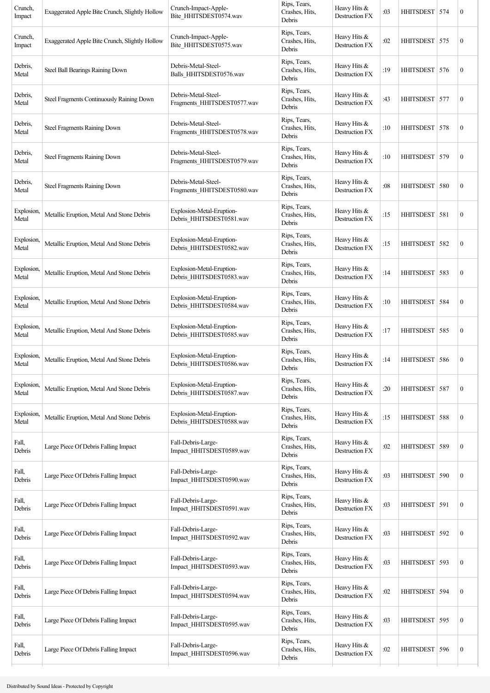| Crunch,<br>Impact         | Exaggerated Apple Bite Crunch, Slightly Hollow | Crunch-Impact-Apple-<br>Bite_HHITSDEST0574.wav        | Rips, Tears,<br>Crashes, Hits,<br>Debris | Heavy Hits &<br>Destruction FX        | :03 | HHITSDEST 574    |     | $\boldsymbol{0}$ |
|---------------------------|------------------------------------------------|-------------------------------------------------------|------------------------------------------|---------------------------------------|-----|------------------|-----|------------------|
| Crunch,<br>Impact         | Exaggerated Apple Bite Crunch, Slightly Hollow | Crunch-Impact-Apple-<br>Bite_HHITSDEST0575.wav        | Rips, Tears,<br>Crashes, Hits,<br>Debris | Heavy Hits &<br>Destruction FX        | :02 | HHITSDEST 575    |     | $\boldsymbol{0}$ |
| Debris,<br>Metal          | Steel Ball Bearings Raining Down               | Debris-Metal-Steel-<br>Balls HHITSDEST0576.wav        | Rips, Tears,<br>Crashes, Hits,<br>Debris | Heavy Hits &<br>Destruction FX        | :19 | HHITSDEST 576    |     | $\boldsymbol{0}$ |
| Debris,<br>Metal          | Steel Fragments Continuously Raining Down      | Debris-Metal-Steel-<br>Fragments HHITSDEST0577.wav    | Rips, Tears,<br>Crashes, Hits,<br>Debris | Heavy Hits &<br>Destruction FX        | :43 | HHITSDEST 577    |     | $\boldsymbol{0}$ |
| Debris,<br>Metal          | Steel Fragments Raining Down                   | Debris-Metal-Steel-<br>Fragments HHITSDEST0578.wav    | Rips, Tears,<br>Crashes, Hits,<br>Debris | Heavy Hits &<br>Destruction FX        | :10 | HHITSDEST        | 578 | $\boldsymbol{0}$ |
| Debris,<br>Metal          | Steel Fragments Raining Down                   | Debris-Metal-Steel-<br>Fragments HHITSDEST0579.wav    | Rips, Tears,<br>Crashes, Hits,<br>Debris | Heavy Hits &<br>Destruction FX        | :10 | HHITSDEST   579  |     | $\boldsymbol{0}$ |
| Debris,<br>Metal          | Steel Fragments Raining Down                   | Debris-Metal-Steel-<br>Fragments HHITSDEST0580.wav    | Rips, Tears,<br>Crashes, Hits,<br>Debris | Heavy Hits &<br>Destruction FX        | :08 | <b>HHITSDEST</b> | 580 | $\boldsymbol{0}$ |
| Explosion,<br>Metal       | Metallic Eruption, Metal And Stone Debris      | Explosion-Metal-Eruption-<br>Debris_HHITSDEST0581.wav | Rips, Tears,<br>Crashes, Hits,<br>Debris | Heavy Hits &<br>Destruction FX        | :15 | HHITSDEST   581  |     | $\boldsymbol{0}$ |
| Explosion,<br>Metal       | Metallic Eruption, Metal And Stone Debris      | Explosion-Metal-Eruption-<br>Debris_HHITSDEST0582.wav | Rips, Tears,<br>Crashes, Hits,<br>Debris | Heavy Hits &<br>Destruction FX        | :15 | <b>HHITSDEST</b> | 582 | $\boldsymbol{0}$ |
| Explosion,<br>Metal       | Metallic Eruption, Metal And Stone Debris      | Explosion-Metal-Eruption-<br>Debris_HHITSDEST0583.wav | Rips, Tears,<br>Crashes, Hits,<br>Debris | Heavy Hits &<br>Destruction FX        | :14 | <b>HHITSDEST</b> | 583 | $\boldsymbol{0}$ |
| Explosion.<br>Metal       | Metallic Eruption, Metal And Stone Debris      | Explosion-Metal-Eruption-<br>Debris HHITSDEST0584.wav | Rips, Tears,<br>Crashes, Hits,<br>Debris | Heavy Hits &<br>Destruction FX        | :10 | HHITSDEST 584    |     | $\boldsymbol{0}$ |
| <b>Explosion</b><br>Metal | Metallic Eruption, Metal And Stone Debris      | Explosion-Metal-Eruption-<br>Debris_HHITSDEST0585.wav | Rips, Tears,<br>Crashes, Hits,<br>Debris | Heavy Hits &<br>Destruction FX        | :17 | HHITSDEST   585  |     | $\boldsymbol{0}$ |
| <b>Explosion</b><br>Metal | Metallic Eruption, Metal And Stone Debris      | Explosion-Metal-Eruption-<br>Debris HHITSDEST0586.wav | Rips, Tears,<br>Crashes, Hits,<br>Debris | Heavy Hits &<br>Destruction FX        | :14 | <b>HHITSDEST</b> | 586 | $\boldsymbol{0}$ |
| Explosion,<br>Metal       | Metallic Eruption, Metal And Stone Debris      | Explosion-Metal-Eruption-<br>Debris_HHITSDEST0587.wav | Rips, Tears,<br>Crashes, Hits,<br>Debris | Heavy Hits &<br>Destruction FX        | :20 | <b>HHITSDEST</b> | 587 | $\boldsymbol{0}$ |
| Explosion,<br>Metal       | Metallic Eruption, Metal And Stone Debris      | Explosion-Metal-Eruption-<br>Debris_HHITSDEST0588.wav | Rips, Tears,<br>Crashes, Hits,<br>Debris | Heavy Hits &<br>Destruction FX        | :15 | HHITSDEST 588    |     | $\boldsymbol{0}$ |
| Fall,<br>Debris           | Large Piece Of Debris Falling Impact           | Fall-Debris-Large-<br>Impact_HHITSDEST0589.wav        | Rips, Tears,<br>Crashes, Hits,<br>Debris | Heavy Hits &<br><b>Destruction FX</b> | :02 | <b>HHITSDEST</b> | 589 | $\boldsymbol{0}$ |
| Fall,<br>Debris           | Large Piece Of Debris Falling Impact           | Fall-Debris-Large-<br>Impact_HHITSDEST0590.wav        | Rips, Tears,<br>Crashes, Hits,<br>Debris | Heavy Hits &<br>Destruction FX        | :03 | <b>HHITSDEST</b> | 590 | $\boldsymbol{0}$ |
| Fall,<br>Debris           | Large Piece Of Debris Falling Impact           | Fall-Debris-Large-<br>Impact_HHITSDEST0591.wav        | Rips, Tears,<br>Crashes, Hits,<br>Debris | Heavy Hits &<br>Destruction FX        | :03 | <b>HHITSDEST</b> | 591 | $\boldsymbol{0}$ |
| Fall,<br>Debris           | Large Piece Of Debris Falling Impact           | Fall-Debris-Large-<br>Impact_HHITSDEST0592.wav        | Rips, Tears,<br>Crashes, Hits,<br>Debris | Heavy Hits &<br>Destruction FX        | :03 | HHITSDEST   592  |     | $\boldsymbol{0}$ |
| Fall,<br>Debris           | Large Piece Of Debris Falling Impact           | Fall-Debris-Large-<br>Impact_HHITSDEST0593.wav        | Rips, Tears,<br>Crashes, Hits,<br>Debris | Heavy Hits &<br>Destruction FX        | :03 | HHITSDEST 593    |     | $\boldsymbol{0}$ |
| Fall,<br>Debris           | Large Piece Of Debris Falling Impact           | Fall-Debris-Large-<br>Impact_HHITSDEST0594.wav        | Rips, Tears,<br>Crashes, Hits,<br>Debris | Heavy Hits &<br>Destruction FX        | :02 | <b>HHITSDEST</b> | 594 | $\boldsymbol{0}$ |
| Fall,<br>Debris           | Large Piece Of Debris Falling Impact           | Fall-Debris-Large-<br>Impact_HHITSDEST0595.wav        | Rips, Tears,<br>Crashes, Hits,<br>Debris | Heavy Hits &<br>Destruction FX        | :03 | <b>HHITSDEST</b> | 595 | $\boldsymbol{0}$ |
| Fall,<br>Debris           | Large Piece Of Debris Falling Impact           | Fall-Debris-Large-<br>Impact_HHITSDEST0596.wav        | Rips, Tears,<br>Crashes, Hits,<br>Debris | Heavy Hits &<br>Destruction FX        | :02 | HHITSDEST 596    |     | $\boldsymbol{0}$ |
|                           |                                                |                                                       |                                          |                                       |     |                  |     |                  |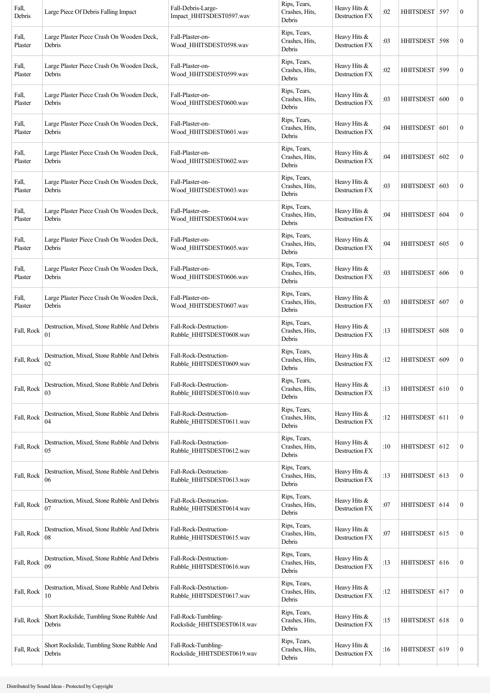| Fall,<br>Debris  | Large Piece Of Debris Falling Impact                 | Fall-Debris-Large-<br>Impact_HHITSDEST0597.wav     | Rips, Tears,<br>Crashes, Hits,<br>Debris | Heavy Hits &<br>Destruction FX   | :02 | HHITSDEST 597    |     | $\boldsymbol{0}$ |
|------------------|------------------------------------------------------|----------------------------------------------------|------------------------------------------|----------------------------------|-----|------------------|-----|------------------|
| Fall,<br>Plaster | Large Plaster Piece Crash On Wooden Deck,<br>Debris  | Fall-Plaster-on-<br>Wood_HHITSDEST0598.wav         | Rips, Tears,<br>Crashes, Hits,<br>Debris | Heavy Hits &<br>Destruction FX   | :03 | HHITSDEST   598  |     | $\boldsymbol{0}$ |
| Fall,<br>Plaster | Large Plaster Piece Crash On Wooden Deck,<br>Debris  | Fall-Plaster-on-<br>Wood HHITSDEST0599.wav         | Rips, Tears,<br>Crashes, Hits,<br>Debris | Heavy Hits &<br>Destruction FX   | :02 | <b>HHITSDEST</b> | 599 | $\boldsymbol{0}$ |
| Fall,<br>Plaster | Large Plaster Piece Crash On Wooden Deck,<br>Debris  | Fall-Plaster-on-<br>Wood HHITSDEST0600.wav         | Rips, Tears,<br>Crashes, Hits,<br>Debris | Heavy Hits &<br>Destruction FX   | :03 | <b>HHITSDEST</b> | 600 | $\boldsymbol{0}$ |
| Fall,<br>Plaster | Large Plaster Piece Crash On Wooden Deck,<br>Debris  | Fall-Plaster-on-<br>Wood HHITSDEST0601.wav         | Rips, Tears,<br>Crashes, Hits,<br>Debris | Heavy Hits &<br>Destruction FX   | :04 | HHITSDEST 601    |     | $\boldsymbol{0}$ |
| Fall,<br>Plaster | Large Plaster Piece Crash On Wooden Deck,<br>Debris  | Fall-Plaster-on-<br>Wood HHITSDEST0602.wav         | Rips, Tears,<br>Crashes, Hits,<br>Debris | Heavy Hits &<br>Destruction FX   | :04 | HHITSDEST   602  |     | $\boldsymbol{0}$ |
| Fall,<br>Plaster | Large Plaster Piece Crash On Wooden Deck,<br>Debris  | Fall-Plaster-on-<br>Wood HHITSDEST0603.wav         | Rips, Tears,<br>Crashes, Hits,<br>Debris | Heavy Hits &<br>Destruction FX   | :03 | HHITSDEST        | 603 | $\boldsymbol{0}$ |
| Fall,<br>Plaster | Large Plaster Piece Crash On Wooden Deck,<br>Debris  | Fall-Plaster-on-<br>Wood_HHITSDEST0604.wav         | Rips, Tears,<br>Crashes, Hits,<br>Debris | Heavy Hits $&$<br>Destruction FX | :04 | <b>HHITSDEST</b> | 604 | $\boldsymbol{0}$ |
| Fall,<br>Plaster | Large Plaster Piece Crash On Wooden Deck,<br>Debris  | Fall-Plaster-on-<br>Wood HHITSDEST0605.wav         | Rips, Tears,<br>Crashes, Hits,<br>Debris | Heavy Hits $&$<br>Destruction FX | :04 | HHITSDEST 605    |     | $\boldsymbol{0}$ |
| Fall,<br>Plaster | Large Plaster Piece Crash On Wooden Deck,<br>Debris  | Fall-Plaster-on-<br>Wood HHITSDEST0606.wav         | Rips, Tears,<br>Crashes, Hits,<br>Debris | Heavy Hits &<br>Destruction FX   | :03 | <b>HHITSDEST</b> | 606 | $\boldsymbol{0}$ |
| Fall,<br>Plaster | Large Plaster Piece Crash On Wooden Deck,<br>Debris  | Fall-Plaster-on-<br>Wood HHITSDEST0607.wav         | Rips, Tears,<br>Crashes, Hits,<br>Debris | Heavy Hits $&$<br>Destruction FX | :03 | <b>HHITSDEST</b> | 607 | $\boldsymbol{0}$ |
| Fall, Rock       | Destruction, Mixed, Stone Rubble And Debris<br>01    | Fall-Rock-Destruction-<br>Rubble HHITSDEST0608.wav | Rips, Tears,<br>Crashes, Hits,<br>Debris | Heavy Hits &<br>Destruction FX   | :13 | <b>HHITSDEST</b> | 608 | $\boldsymbol{0}$ |
| Fall, Rock       | Destruction, Mixed, Stone Rubble And Debris<br>02    | Fall-Rock-Destruction-<br>Rubble HHITSDEST0609.wav | Rips, Tears,<br>Crashes, Hits,<br>Debris | Heavy Hits &<br>Destruction FX   | :12 | HHITSDEST 609    |     | $\boldsymbol{0}$ |
| Fall, Rock       | Destruction, Mixed, Stone Rubble And Debris<br>03    | Fall-Rock-Destruction-<br>Rubble_HHITSDEST0610.wav | Rips, Tears,<br>Crashes, Hits,<br>Debris | Heavy Hits &<br>Destruction FX   | :13 | HHITSDEST   610  |     | $\boldsymbol{0}$ |
| Fall, Rock       | Destruction, Mixed, Stone Rubble And Debris<br>04    | Fall-Rock-Destruction-<br>Rubble_HHITSDEST0611.wav | Rips, Tears,<br>Crashes, Hits,<br>Debris | Heavy Hits &<br>Destruction FX   | :12 | HHITSDEST 611    |     | $\boldsymbol{0}$ |
| Fall, Rock       | Destruction, Mixed, Stone Rubble And Debris<br>05    | Fall-Rock-Destruction-<br>Rubble HHITSDEST0612.wav | Rips, Tears,<br>Crashes, Hits,<br>Debris | Heavy Hits &<br>Destruction FX   | :10 | HHITSDEST 612    |     | $\boldsymbol{0}$ |
| Fall, Rock       | Destruction, Mixed, Stone Rubble And Debris<br>06    | Fall-Rock-Destruction-<br>Rubble_HHITSDEST0613.wav | Rips, Tears,<br>Crashes, Hits,<br>Debris | Heavy Hits &<br>Destruction FX   | :13 | HHITSDEST 613    |     | $\boldsymbol{0}$ |
| Fall, Rock       | Destruction, Mixed, Stone Rubble And Debris<br>07    | Fall-Rock-Destruction-<br>Rubble HHITSDEST0614.wav | Rips, Tears,<br>Crashes, Hits,<br>Debris | Heavy Hits &<br>Destruction FX   | :07 | HHITSDEST   614  |     | $\boldsymbol{0}$ |
| Fall, Rock       | Destruction, Mixed, Stone Rubble And Debris<br>08    | Fall-Rock-Destruction-<br>Rubble_HHITSDEST0615.wav | Rips, Tears,<br>Crashes, Hits,<br>Debris | Heavy Hits &<br>Destruction FX   | :07 | HHITSDEST 615    |     | $\boldsymbol{0}$ |
| Fall, Rock       | Destruction, Mixed, Stone Rubble And Debris<br>09    | Fall-Rock-Destruction-<br>Rubble HHITSDEST0616.wav | Rips, Tears,<br>Crashes, Hits,<br>Debris | Heavy Hits &<br>Destruction FX   | :13 | HHITSDEST 616    |     | $\boldsymbol{0}$ |
| Fall, Rock       | Destruction, Mixed, Stone Rubble And Debris<br>10    | Fall-Rock-Destruction-<br>Rubble_HHITSDEST0617.wav | Rips, Tears,<br>Crashes, Hits,<br>Debris | Heavy Hits &<br>Destruction FX   | :12 | HHITSDEST 617    |     | $\boldsymbol{0}$ |
| Fall, Rock       | Short Rockslide, Tumbling Stone Rubble And<br>Debris | Fall-Rock-Tumbling-<br>Rockslide_HHITSDEST0618.wav | Rips, Tears,<br>Crashes, Hits,<br>Debris | Heavy Hits &<br>Destruction FX   | :15 | HHITSDEST 618    |     | $\boldsymbol{0}$ |
| Fall, Rock       | Short Rockslide, Tumbling Stone Rubble And<br>Debris | Fall-Rock-Tumbling-<br>Rockslide_HHITSDEST0619.wav | Rips, Tears,<br>Crashes, Hits,<br>Debris | Heavy Hits &<br>Destruction FX   | :16 | HHITSDEST 619    |     | $\boldsymbol{0}$ |
|                  |                                                      |                                                    |                                          |                                  |     |                  |     |                  |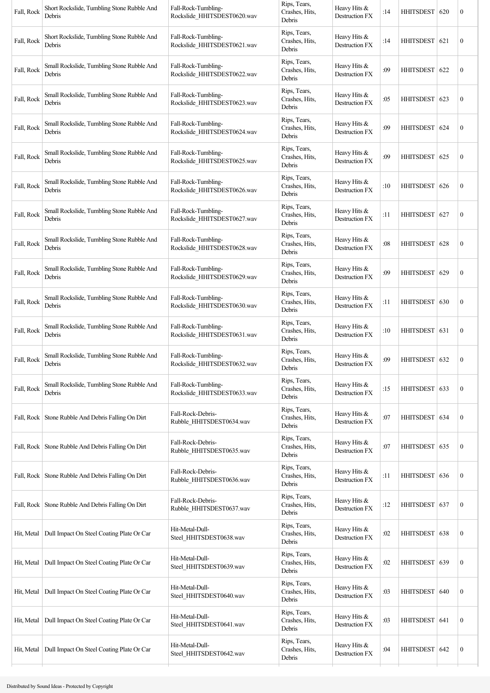| Fall, Rock | Short Rockslide, Tumbling Stone Rubble And<br>Debris | Fall-Rock-Tumbling-<br>Rockslide HHITSDEST0620.wav | Rips, Tears,<br>Crashes, Hits,<br>Debris | Heavy Hits &<br>Destruction FX        | :14 | <b>HHITSDEST</b> | 620 | $\mathbf{0}$     |
|------------|------------------------------------------------------|----------------------------------------------------|------------------------------------------|---------------------------------------|-----|------------------|-----|------------------|
| Fall, Rock | Short Rockslide, Tumbling Stone Rubble And<br>Debris | Fall-Rock-Tumbling-<br>Rockslide HHITSDEST0621.wav | Rips, Tears,<br>Crashes, Hits,<br>Debris | Heavy Hits &<br><b>Destruction FX</b> | :14 | <b>HHITSDEST</b> | 621 | $\boldsymbol{0}$ |
| Fall, Rock | Small Rockslide, Tumbling Stone Rubble And<br>Debris | Fall-Rock-Tumbling-<br>Rockslide HHITSDEST0622.wav | Rips, Tears,<br>Crashes, Hits,<br>Debris | Heavy Hits &<br>Destruction FX        | :09 | <b>HHITSDEST</b> | 622 | $\boldsymbol{0}$ |
| Fall, Rock | Small Rockslide, Tumbling Stone Rubble And<br>Debris | Fall-Rock-Tumbling-<br>Rockslide HHITSDEST0623.wav | Rips, Tears,<br>Crashes, Hits,<br>Debris | Heavy Hits &<br><b>Destruction FX</b> | :05 | HHITSDEST   623  |     | $\mathbf{0}$     |
| Fall, Rock | Small Rockslide, Tumbling Stone Rubble And<br>Debris | Fall-Rock-Tumbling-<br>Rockslide HHITSDEST0624.wav | Rips, Tears,<br>Crashes, Hits,<br>Debris | Heavy Hits &<br><b>Destruction FX</b> | :09 | HHITSDEST        | 624 | $\mathbf{0}$     |
| Fall, Rock | Small Rockslide, Tumbling Stone Rubble And<br>Debris | Fall-Rock-Tumbling-<br>Rockslide_HHITSDEST0625.wav | Rips, Tears,<br>Crashes, Hits,<br>Debris | Heavy Hits &<br><b>Destruction FX</b> | :09 | <b>HHITSDEST</b> | 625 | $\mathbf{0}$     |
| Fall, Rock | Small Rockslide, Tumbling Stone Rubble And<br>Debris | Fall-Rock-Tumbling-<br>Rockslide HHITSDEST0626.wav | Rips, Tears,<br>Crashes, Hits,<br>Debris | Heavy Hits &<br>Destruction FX        | :10 | <b>HHITSDEST</b> | 626 | $\mathbf{0}$     |
| Fall, Rock | Small Rockslide, Tumbling Stone Rubble And<br>Debris | Fall-Rock-Tumbling-<br>Rockslide_HHITSDEST0627.wav | Rips, Tears,<br>Crashes, Hits,<br>Debris | Heavy Hits &<br><b>Destruction FX</b> | :11 | HHITSDEST   627  |     | $\mathbf{0}$     |
| Fall, Rock | Small Rockslide, Tumbling Stone Rubble And<br>Debris | Fall-Rock-Tumbling-<br>Rockslide HHITSDEST0628.wav | Rips, Tears,<br>Crashes, Hits,<br>Debris | Heavy Hits &<br><b>Destruction FX</b> | :08 | <b>HHITSDEST</b> | 628 | $\mathbf{0}$     |
| Fall, Rock | Small Rockslide, Tumbling Stone Rubble And<br>Debris | Fall-Rock-Tumbling-<br>Rockslide HHITSDEST0629.wav | Rips, Tears,<br>Crashes, Hits,<br>Debris | Heavy Hits &<br>Destruction FX        | :09 | HHITSDEST        | 629 | $\boldsymbol{0}$ |
| Fall, Rock | Small Rockslide, Tumbling Stone Rubble And<br>Debris | Fall-Rock-Tumbling-<br>Rockslide HHITSDEST0630.wav | Rips, Tears,<br>Crashes, Hits,<br>Debris | Heavy Hits &<br><b>Destruction FX</b> | :11 | HHITSDEST 630    |     | $\mathbf{0}$     |
| Fall, Rock | Small Rockslide, Tumbling Stone Rubble And<br>Debris | Fall-Rock-Tumbling-<br>Rockslide HHITSDEST0631.wav | Rips, Tears,<br>Crashes, Hits,<br>Debris | Heavy Hits &<br><b>Destruction FX</b> | :10 | HHITSDEST   631  |     | $\boldsymbol{0}$ |
| Fall, Rock | Small Rockslide, Tumbling Stone Rubble And<br>Debris | Fall-Rock-Tumbling-<br>Rockslide HHITSDEST0632.wav | Rips, Tears,<br>Crashes, Hits,<br>Debris | Heavy Hits &<br>Destruction FX        | :09 | <b>HHITSDEST</b> | 632 | $\mathbf{0}$     |
| Fall, Rock | Small Rockslide, Tumbling Stone Rubble And<br>Debris | Fall-Rock-Tumbling-<br>Rockslide_HHITSDEST0633.wav | Rips, Tears,<br>Crashes, Hits,<br>Debris | Heavy Hits &<br>Destruction FX        | :15 | <b>HHITSDEST</b> | 633 | $\boldsymbol{0}$ |
|            | Fall, Rock   Stone Rubble And Debris Falling On Dirt | Fall-Rock-Debris-<br>Rubble_HHITSDEST0634.wav      | Rips, Tears,<br>Crashes, Hits,<br>Debris | Heavy Hits &<br>Destruction FX        | :07 | HHITSDEST 634    |     | $\boldsymbol{0}$ |
|            | Fall, Rock   Stone Rubble And Debris Falling On Dirt | Fall-Rock-Debris-<br>Rubble HHITSDEST0635.wav      | Rips, Tears,<br>Crashes, Hits,<br>Debris | Heavy Hits &<br>Destruction FX        | :07 | HHITSDEST 635    |     | $\boldsymbol{0}$ |
|            | Fall, Rock   Stone Rubble And Debris Falling On Dirt | Fall-Rock-Debris-<br>Rubble HHITSDEST0636.wav      | Rips, Tears,<br>Crashes, Hits,<br>Debris | Heavy Hits &<br><b>Destruction FX</b> | :11 | HHITSDEST 636    |     | $\boldsymbol{0}$ |
|            | Fall, Rock   Stone Rubble And Debris Falling On Dirt | Fall-Rock-Debris-<br>Rubble HHITSDEST0637.wav      | Rips, Tears,<br>Crashes, Hits,<br>Debris | Heavy Hits &<br><b>Destruction FX</b> | :12 | HHITSDEST 637    |     | $\boldsymbol{0}$ |
| Hit, Metal | Dull Impact On Steel Coating Plate Or Car            | Hit-Metal-Dull-<br>Steel_HHITSDEST0638.wav         | Rips, Tears,<br>Crashes, Hits,<br>Debris | Heavy Hits &<br>Destruction FX        | :02 | HHITSDEST 638    |     | $\mathbf{0}$     |
| Hit, Metal | Dull Impact On Steel Coating Plate Or Car            | Hit-Metal-Dull-<br>Steel_HHITSDEST0639.wav         | Rips, Tears,<br>Crashes, Hits,<br>Debris | Heavy Hits &<br>Destruction FX        | :02 | HHITSDEST 639    |     | $\mathbf{0}$     |
| Hit, Metal | Dull Impact On Steel Coating Plate Or Car            | Hit-Metal-Dull-<br>Steel_HHITSDEST0640.wav         | Rips, Tears,<br>Crashes, Hits,<br>Debris | Heavy Hits &<br>Destruction FX        | :03 | <b>HHITSDEST</b> | 640 | $\mathbf{0}$     |
| Hit, Metal | Dull Impact On Steel Coating Plate Or Car            | Hit-Metal-Dull-<br>Steel_HHITSDEST0641.wav         | Rips, Tears,<br>Crashes, Hits,<br>Debris | Heavy Hits &<br>Destruction FX        | :03 | HHITSDEST 641    |     | $\boldsymbol{0}$ |
| Hit, Metal | Dull Impact On Steel Coating Plate Or Car            | Hit-Metal-Dull-<br>Steel_HHITSDEST0642.wav         | Rips, Tears,<br>Crashes, Hits,<br>Debris | Heavy Hits &<br>Destruction FX        | :04 | HHITSDEST 642    |     | $\mathbf{0}$     |
|            |                                                      |                                                    |                                          |                                       |     |                  |     |                  |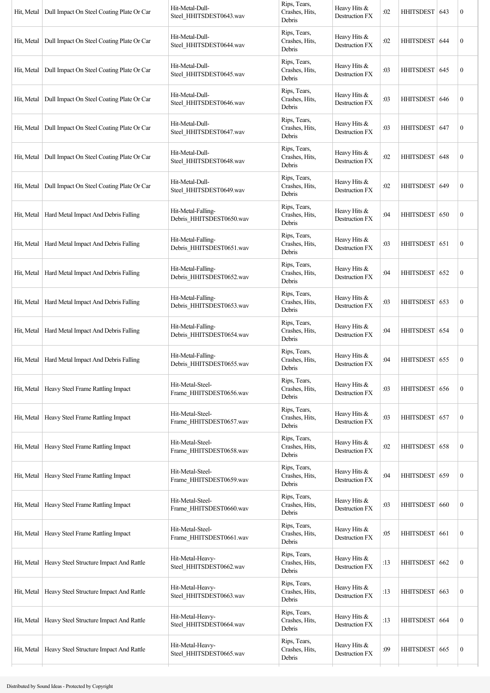| Hit, Metal | Dull Impact On Steel Coating Plate Or Car | Hit-Metal-Dull-<br>Steel_HHITSDEST0643.wav     | Rips, Tears,<br>Crashes, Hits,<br>Debris | Heavy Hits &<br>Destruction FX        | :02 | HHITSDEST   643  |     | $\boldsymbol{0}$ |
|------------|-------------------------------------------|------------------------------------------------|------------------------------------------|---------------------------------------|-----|------------------|-----|------------------|
| Hit, Metal | Dull Impact On Steel Coating Plate Or Car | Hit-Metal-Dull-<br>Steel_HHITSDEST0644.wav     | Rips, Tears,<br>Crashes, Hits,<br>Debris | Heavy Hits &<br>Destruction FX        | :02 | <b>HHITSDEST</b> | 644 | $\boldsymbol{0}$ |
| Hit, Metal | Dull Impact On Steel Coating Plate Or Car | Hit-Metal-Dull-<br>Steel HHITSDEST0645.wav     | Rips, Tears,<br>Crashes, Hits,<br>Debris | Heavy Hits &<br>Destruction FX        | :03 | <b>HHITSDEST</b> | 645 | $\boldsymbol{0}$ |
| Hit, Metal | Dull Impact On Steel Coating Plate Or Car | Hit-Metal-Dull-<br>Steel HHITSDEST0646.wav     | Rips, Tears,<br>Crashes, Hits,<br>Debris | Heavy Hits &<br><b>Destruction FX</b> | :03 | HHITSDEST   646  |     | $\boldsymbol{0}$ |
| Hit, Metal | Dull Impact On Steel Coating Plate Or Car | Hit-Metal-Dull-<br>Steel_HHITSDEST0647.wav     | Rips, Tears,<br>Crashes, Hits,<br>Debris | Heavy Hits &<br>Destruction FX        | :03 | HHITSDEST   647  |     | $\boldsymbol{0}$ |
| Hit, Metal | Dull Impact On Steel Coating Plate Or Car | Hit-Metal-Dull-<br>Steel_HHITSDEST0648.wav     | Rips, Tears,<br>Crashes, Hits,<br>Debris | Heavy Hits &<br>Destruction FX        | :02 | HHITSDEST        | 648 | $\boldsymbol{0}$ |
| Hit, Metal | Dull Impact On Steel Coating Plate Or Car | Hit-Metal-Dull-<br>Steel_HHITSDEST0649.wav     | Rips, Tears,<br>Crashes, Hits,<br>Debris | Heavy Hits &<br>Destruction FX        | :02 | HHITSDEST 649    |     | $\boldsymbol{0}$ |
| Hit, Metal | Hard Metal Impact And Debris Falling      | Hit-Metal-Falling-<br>Debris HHITSDEST0650.wav | Rips, Tears,<br>Crashes, Hits,<br>Debris | Heavy Hits $&$<br>Destruction FX      | :04 | HHITSDEST 650    |     | $\boldsymbol{0}$ |
| Hit, Metal | Hard Metal Impact And Debris Falling      | Hit-Metal-Falling-<br>Debris_HHITSDEST0651.wav | Rips, Tears,<br>Crashes, Hits,<br>Debris | Heavy Hits &<br>Destruction FX        | :03 | HHITSDEST   651  |     | $\boldsymbol{0}$ |
| Hit, Metal | Hard Metal Impact And Debris Falling      | Hit-Metal-Falling-<br>Debris_HHITSDEST0652.wav | Rips, Tears,<br>Crashes, Hits,<br>Debris | Heavy Hits &<br><b>Destruction FX</b> | :04 | <b>HHITSDEST</b> | 652 | $\boldsymbol{0}$ |
| Hit, Metal | Hard Metal Impact And Debris Falling      | Hit-Metal-Falling-<br>Debris_HHITSDEST0653.wav | Rips, Tears,<br>Crashes, Hits,<br>Debris | Heavy Hits &<br>Destruction FX        | :03 | HHITSDEST 653    |     | $\boldsymbol{0}$ |
| Hit, Metal | Hard Metal Impact And Debris Falling      | Hit-Metal-Falling-<br>Debris_HHITSDEST0654.wav | Rips, Tears,<br>Crashes, Hits,<br>Debris | Heavy Hits &<br>Destruction FX        | :04 | HHITSDEST 654    |     | $\boldsymbol{0}$ |
| Hit, Metal | Hard Metal Impact And Debris Falling      | Hit-Metal-Falling-<br>Debris HHITSDEST0655.wav | Rips, Tears,<br>Crashes, Hits,<br>Debris | Heavy Hits &<br>Destruction FX        | :04 | HHITSDEST   655  |     | $\boldsymbol{0}$ |
| Hit, Metal | Heavy Steel Frame Rattling Impact         | Hit-Metal-Steel-<br>Frame HHITSDEST0656.wav    | Rips, Tears,<br>Crashes, Hits,<br>Debris | Heavy Hits &<br>Destruction FX        | :03 | HHITSDEST        | 656 | $\boldsymbol{0}$ |
| Hit, Metal | Heavy Steel Frame Rattling Impact         | Hit-Metal-Steel-<br>Frame_HHITSDEST0657.wav    | Rips, Tears,<br>Crashes, Hits,<br>Debris | Heavy Hits &<br>Destruction FX        | :03 | HHITSDEST 657    |     | $\boldsymbol{0}$ |
| Hit, Metal | Heavy Steel Frame Rattling Impact         | Hit-Metal-Steel-<br>Frame HHITSDEST0658.wav    | Rips, Tears,<br>Crashes, Hits,<br>Debris | Heavy Hits &<br>Destruction FX        | :02 | HHITSDEST 658    |     | $\boldsymbol{0}$ |
| Hit, Metal | Heavy Steel Frame Rattling Impact         | Hit-Metal-Steel-<br>Frame_HHITSDEST0659.wav    | Rips, Tears,<br>Crashes, Hits,<br>Debris | Heavy Hits &<br>Destruction FX        | :04 | <b>HHITSDEST</b> | 659 | $\boldsymbol{0}$ |
| Hit, Metal | Heavy Steel Frame Rattling Impact         | Hit-Metal-Steel-<br>Frame_HHITSDEST0660.wav    | Rips, Tears,<br>Crashes, Hits,<br>Debris | Heavy Hits &<br>Destruction FX        | :03 | <b>HHITSDEST</b> | 660 | $\boldsymbol{0}$ |
| Hit, Metal | Heavy Steel Frame Rattling Impact         | Hit-Metal-Steel-<br>Frame HHITSDEST0661.wav    | Rips, Tears,<br>Crashes, Hits,<br>Debris | Heavy Hits &<br>Destruction FX        | :05 | HHITSDEST 661    |     | $\boldsymbol{0}$ |
| Hit, Metal | Heavy Steel Structure Impact And Rattle   | Hit-Metal-Heavy-<br>Steel_HHITSDEST0662.wav    | Rips, Tears,<br>Crashes, Hits,<br>Debris | Heavy Hits &<br><b>Destruction FX</b> | :13 | HHITSDEST 662    |     | $\boldsymbol{0}$ |
| Hit, Metal | Heavy Steel Structure Impact And Rattle   | Hit-Metal-Heavy-<br>Steel_HHITSDEST0663.wav    | Rips, Tears,<br>Crashes, Hits,<br>Debris | Heavy Hits &<br>Destruction FX        | :13 | HHITSDEST 663    |     | $\boldsymbol{0}$ |
| Hit, Metal | Heavy Steel Structure Impact And Rattle   | Hit-Metal-Heavy-<br>Steel_HHITSDEST0664.wav    | Rips, Tears,<br>Crashes, Hits,<br>Debris | Heavy Hits &<br>Destruction FX        | :13 | <b>HHITSDEST</b> | 664 | $\boldsymbol{0}$ |
| Hit, Metal | Heavy Steel Structure Impact And Rattle   | Hit-Metal-Heavy-<br>Steel_HHITSDEST0665.wav    | Rips, Tears,<br>Crashes, Hits,<br>Debris | Heavy Hits &<br>Destruction FX        | :09 | HHITSDEST 665    |     | $\boldsymbol{0}$ |
|            |                                           |                                                |                                          |                                       |     |                  |     |                  |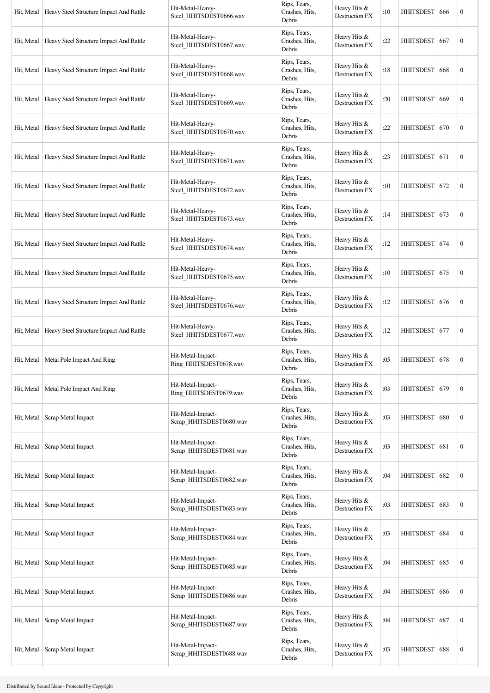| Hit, Metal | Heavy Steel Structure Impact And Rattle | Hit-Metal-Heavy-<br>Steel_HHITSDEST0666.wav  | Rips, Tears,<br>Crashes, Hits,<br>Debris | Heavy Hits &<br>Destruction FX        | :10 | HHITSDEST   666  |     | $\boldsymbol{0}$ |
|------------|-----------------------------------------|----------------------------------------------|------------------------------------------|---------------------------------------|-----|------------------|-----|------------------|
| Hit, Metal | Heavy Steel Structure Impact And Rattle | Hit-Metal-Heavy-<br>Steel_HHITSDEST0667.wav  | Rips, Tears,<br>Crashes, Hits,<br>Debris | Heavy Hits &<br><b>Destruction FX</b> | :22 | HHITSDEST 667    |     | $\boldsymbol{0}$ |
| Hit, Metal | Heavy Steel Structure Impact And Rattle | Hit-Metal-Heavy-<br>Steel_HHITSDEST0668.wav  | Rips, Tears,<br>Crashes, Hits,<br>Debris | Heavy Hits &<br>Destruction FX        | :18 | HHITSDEST 668    |     | $\boldsymbol{0}$ |
| Hit, Metal | Heavy Steel Structure Impact And Rattle | Hit-Metal-Heavy-<br>Steel HHITSDEST0669.wav  | Rips, Tears,<br>Crashes, Hits,<br>Debris | Heavy Hits &<br><b>Destruction FX</b> | :20 | HHITSDEST   669  |     | $\boldsymbol{0}$ |
| Hit, Metal | Heavy Steel Structure Impact And Rattle | Hit-Metal-Heavy-<br>Steel_HHITSDEST0670.wav  | Rips, Tears,<br>Crashes, Hits,<br>Debris | Heavy Hits &<br>Destruction FX        | :22 | HHITSDEST   670  |     | $\boldsymbol{0}$ |
| Hit, Metal | Heavy Steel Structure Impact And Rattle | Hit-Metal-Heavy-<br>Steel_HHITSDEST0671.wav  | Rips, Tears,<br>Crashes, Hits,<br>Debris | Heavy Hits &<br><b>Destruction FX</b> | :23 | HHITSDEST 671    |     | $\boldsymbol{0}$ |
| Hit, Metal | Heavy Steel Structure Impact And Rattle | Hit-Metal-Heavy-<br>Steel_HHITSDEST0672.wav  | Rips, Tears,<br>Crashes, Hits,<br>Debris | Heavy Hits &<br>Destruction FX        | :10 | HHITSDEST 672    |     | $\boldsymbol{0}$ |
| Hit, Metal | Heavy Steel Structure Impact And Rattle | Hit-Metal-Heavy-<br>Steel_HHITSDEST0673.wav  | Rips, Tears,<br>Crashes, Hits,<br>Debris | Heavy Hits &<br>Destruction FX        | :14 | HHITSDEST 673    |     | $\boldsymbol{0}$ |
| Hit, Metal | Heavy Steel Structure Impact And Rattle | Hit-Metal-Heavy-<br>Steel_HHITSDEST0674.wav  | Rips, Tears,<br>Crashes, Hits,<br>Debris | Heavy Hits &<br><b>Destruction FX</b> | :12 | HHITSDEST 674    |     | $\boldsymbol{0}$ |
| Hit, Metal | Heavy Steel Structure Impact And Rattle | Hit-Metal-Heavy-<br>Steel_HHITSDEST0675.wav  | Rips, Tears,<br>Crashes, Hits,<br>Debris | Heavy Hits &<br><b>Destruction FX</b> | :10 | HHITSDEST 675    |     | $\boldsymbol{0}$ |
| Hit, Metal | Heavy Steel Structure Impact And Rattle | Hit-Metal-Heavy-<br>Steel_HHITSDEST0676.wav  | Rips, Tears,<br>Crashes, Hits,<br>Debris | Heavy Hits &<br><b>Destruction FX</b> | :12 | HHITSDEST 676    |     | $\boldsymbol{0}$ |
| Hit, Metal | Heavy Steel Structure Impact And Rattle | Hit-Metal-Heavy-<br>Steel_HHITSDEST0677.wav  | Rips, Tears,<br>Crashes, Hits,<br>Debris | Heavy Hits &<br><b>Destruction FX</b> | :12 | HHITSDEST 677    |     | $\boldsymbol{0}$ |
| Hit, Metal | Metal Pole Impact And Ring              | Hit-Metal-Impact-<br>Ring_HHITSDEST0678.wav  | Rips, Tears,<br>Crashes, Hits,<br>Debris | Heavy Hits &<br><b>Destruction FX</b> | :05 | HHITSDEST 678    |     | $\boldsymbol{0}$ |
| Hit, Metal | Metal Pole Impact And Ring              | Hit-Metal-Impact-<br>Ring_HHITSDEST0679.wav  | Rips, Tears,<br>Crashes, Hits,<br>Debris | Heavy Hits &<br><b>Destruction FX</b> | :03 | HHITSDEST        | 679 | $\boldsymbol{0}$ |
| Hit, Metal | Scrap Metal Impact                      | Hit-Metal-Impact-<br>Scrap HHITSDEST0680.wav | Rips, Tears,<br>Crashes, Hits,<br>Debris | Heavy Hits &<br>Destruction FX        | :03 | <b>HHITSDEST</b> | 680 | $\boldsymbol{0}$ |
| Hit, Metal | Scrap Metal Impact                      | Hit-Metal-Impact-<br>Scrap_HHITSDEST0681.wav | Rips, Tears,<br>Crashes, Hits,<br>Debris | Heavy Hits &<br>Destruction FX        | :03 | HHITSDEST 681    |     | $\boldsymbol{0}$ |
| Hit, Metal | Scrap Metal Impact                      | Hit-Metal-Impact-<br>Scrap_HHITSDEST0682.wav | Rips, Tears,<br>Crashes, Hits,<br>Debris | Heavy Hits &<br>Destruction FX        | :04 | <b>HHITSDEST</b> | 682 | $\boldsymbol{0}$ |
| Hit, Metal | Scrap Metal Impact                      | Hit-Metal-Impact-<br>Scrap_HHITSDEST0683.wav | Rips, Tears,<br>Crashes, Hits,<br>Debris | Heavy Hits &<br>Destruction FX        | :03 | <b>HHITSDEST</b> | 683 | $\boldsymbol{0}$ |
| Hit, Metal | Scrap Metal Impact                      | Hit-Metal-Impact-<br>Scrap_HHITSDEST0684.wav | Rips, Tears,<br>Crashes, Hits,<br>Debris | Heavy Hits &<br>Destruction FX        | :03 | HHITSDEST        | 684 | $\boldsymbol{0}$ |
| Hit, Metal | Scrap Metal Impact                      | Hit-Metal-Impact-<br>Scrap_HHITSDEST0685.wav | Rips, Tears,<br>Crashes, Hits,<br>Debris | Heavy Hits &<br>Destruction FX        | :04 | HHITSDEST   685  |     | $\boldsymbol{0}$ |
| Hit, Metal | Scrap Metal Impact                      | Hit-Metal-Impact-<br>Scrap_HHITSDEST0686.wav | Rips, Tears,<br>Crashes, Hits,<br>Debris | Heavy Hits &<br>Destruction FX        | :04 | <b>HHITSDEST</b> | 686 | $\boldsymbol{0}$ |
| Hit, Metal | Scrap Metal Impact                      | Hit-Metal-Impact-<br>Scrap_HHITSDEST0687.wav | Rips, Tears,<br>Crashes, Hits,<br>Debris | Heavy Hits &<br>Destruction FX        | :04 | <b>HHITSDEST</b> | 687 | $\boldsymbol{0}$ |
| Hit, Metal | Scrap Metal Impact                      | Hit-Metal-Impact-<br>Scrap HHITSDEST0688.wav | Rips, Tears,<br>Crashes, Hits,<br>Debris | Heavy Hits &<br>Destruction FX        | :03 | HHITSDEST 688    |     | $\boldsymbol{0}$ |
|            |                                         |                                              |                                          |                                       |     |                  |     |                  |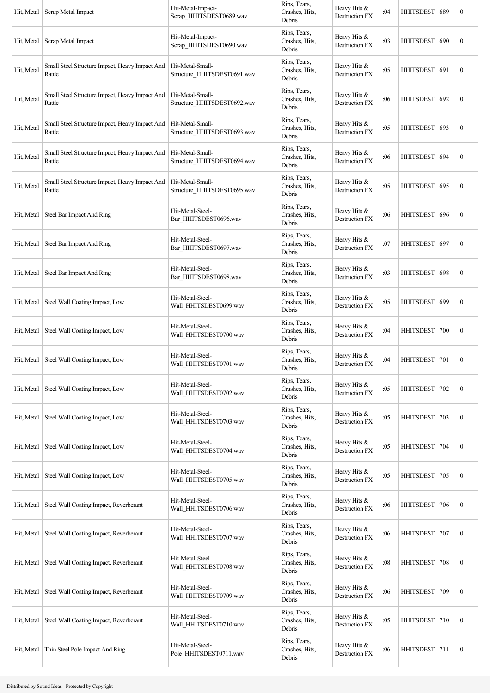| Hit, Metal | Scrap Metal Impact                                       | Hit-Metal-Impact-<br>Scrap_HHITSDEST0689.wav    | Rips, Tears,<br>Crashes, Hits,<br>Debris | Heavy Hits &<br>Destruction FX        | :04 | HHITSDEST   689  |     | $\boldsymbol{0}$ |
|------------|----------------------------------------------------------|-------------------------------------------------|------------------------------------------|---------------------------------------|-----|------------------|-----|------------------|
| Hit, Metal | Scrap Metal Impact                                       | Hit-Metal-Impact-<br>Scrap_HHITSDEST0690.wav    | Rips, Tears,<br>Crashes, Hits,<br>Debris | Heavy Hits &<br><b>Destruction FX</b> | :03 | HHITSDEST        | 690 | $\boldsymbol{0}$ |
| Hit, Metal | Small Steel Structure Impact, Heavy Impact And<br>Rattle | Hit-Metal-Small-<br>Structure HHITSDEST0691.wav | Rips, Tears,<br>Crashes, Hits,<br>Debris | Heavy Hits &<br>Destruction FX        | :05 | <b>HHITSDEST</b> | 691 | $\boldsymbol{0}$ |
| Hit, Metal | Small Steel Structure Impact, Heavy Impact And<br>Rattle | Hit-Metal-Small-<br>Structure HHITSDEST0692.wav | Rips, Tears,<br>Crashes, Hits,<br>Debris | Heavy Hits &<br><b>Destruction FX</b> | :06 | HHITSDEST   692  |     | $\mathbf{0}$     |
| Hit, Metal | Small Steel Structure Impact, Heavy Impact And<br>Rattle | Hit-Metal-Small-<br>Structure_HHITSDEST0693.wav | Rips, Tears,<br>Crashes, Hits,<br>Debris | Heavy Hits &<br>Destruction FX        | :05 | HHITSDEST   693  |     | $\mathbf{0}$     |
| Hit, Metal | Small Steel Structure Impact, Heavy Impact And<br>Rattle | Hit-Metal-Small-<br>Structure_HHITSDEST0694.wav | Rips, Tears,<br>Crashes, Hits,<br>Debris | Heavy Hits &<br><b>Destruction FX</b> | :06 | <b>HHITSDEST</b> | 694 | $\boldsymbol{0}$ |
| Hit, Metal | Small Steel Structure Impact, Heavy Impact And<br>Rattle | Hit-Metal-Small-<br>Structure HHITSDEST0695.wav | Rips, Tears,<br>Crashes, Hits,<br>Debris | Heavy Hits &<br><b>Destruction FX</b> | :05 | HHITSDEST 695    |     | $\mathbf{0}$     |
| Hit, Metal | Steel Bar Impact And Ring                                | Hit-Metal-Steel-<br>Bar HHITSDEST0696.wav       | Rips, Tears,<br>Crashes, Hits,<br>Debris | Heavy Hits &<br>Destruction FX        | :06 | HHITSDEST 696    |     | $\mathbf{0}$     |
| Hit, Metal | Steel Bar Impact And Ring                                | Hit-Metal-Steel-<br>Bar_HHITSDEST0697.wav       | Rips, Tears,<br>Crashes, Hits,<br>Debris | Heavy Hits &<br><b>Destruction FX</b> | :07 | HHITSDEST   697  |     | $\mathbf{0}$     |
| Hit, Metal | Steel Bar Impact And Ring                                | Hit-Metal-Steel-<br>Bar_HHITSDEST0698.wav       | Rips, Tears,<br>Crashes, Hits,<br>Debris | Heavy Hits &<br><b>Destruction FX</b> | :03 | <b>HHITSDEST</b> | 698 | $\boldsymbol{0}$ |
| Hit, Metal | Steel Wall Coating Impact, Low                           | Hit-Metal-Steel-<br>Wall HHITSDEST0699.wav      | Rips, Tears,<br>Crashes, Hits,<br>Debris | Heavy Hits &<br><b>Destruction FX</b> | :05 | HHITSDEST 699    |     | $\mathbf{0}$     |
| Hit, Metal | Steel Wall Coating Impact, Low                           | Hit-Metal-Steel-<br>Wall HHITSDEST0700.wav      | Rips, Tears,<br>Crashes, Hits,<br>Debris | Heavy Hits &<br><b>Destruction FX</b> | :04 | HHITSDEST   700  |     | $\mathbf{0}$     |
| Hit, Metal | Steel Wall Coating Impact, Low                           | Hit-Metal-Steel-<br>Wall HHITSDEST0701.wav      | Rips, Tears,<br>Crashes, Hits,<br>Debris | Heavy Hits &<br>Destruction FX        | :04 | HHITSDEST   701  |     | $\mathbf{0}$     |
| Hit, Metal | Steel Wall Coating Impact, Low                           | Hit-Metal-Steel-<br>Wall HHITSDEST0702.wav      | Rips, Tears,<br>Crashes, Hits,<br>Debris | Heavy Hits &<br>Destruction FX        | :05 | <b>HHITSDEST</b> | 702 | $\mathbf{0}$     |
| Hit, Metal | Steel Wall Coating Impact, Low                           | Hit-Metal-Steel-<br>Wall_HHITSDEST0703.wav      | Rips, Tears,<br>Crashes, Hits,<br>Debris | Heavy Hits &<br>Destruction FX        | :05 | <b>HHITSDEST</b> | 703 | $\mathbf{0}$     |
| Hit, Metal | Steel Wall Coating Impact, Low                           | Hit-Metal-Steel-<br>Wall_HHITSDEST0704.wav      | Rips, Tears,<br>Crashes, Hits,<br>Debris | Heavy Hits &<br>Destruction FX        | :05 | HHITSDEST   704  |     | $\mathbf{0}$     |
| Hit, Metal | Steel Wall Coating Impact, Low                           | Hit-Metal-Steel-<br>Wall_HHITSDEST0705.wav      | Rips, Tears,<br>Crashes, Hits,<br>Debris | Heavy Hits &<br>Destruction FX        | :05 | <b>HHITSDEST</b> | 705 | $\mathbf{0}$     |
| Hit, Metal | Steel Wall Coating Impact, Reverberant                   | Hit-Metal-Steel-<br>Wall_HHITSDEST0706.wav      | Rips, Tears,<br>Crashes, Hits,<br>Debris | Heavy Hits &<br>Destruction FX        | :06 | <b>HHITSDEST</b> | 706 | $\boldsymbol{0}$ |
| Hit, Metal | Steel Wall Coating Impact, Reverberant                   | Hit-Metal-Steel-<br>Wall_HHITSDEST0707.wav      | Rips, Tears,<br>Crashes, Hits,<br>Debris | Heavy Hits &<br><b>Destruction FX</b> | :06 | HHITSDEST        | 707 | $\mathbf{0}$     |
| Hit, Metal | Steel Wall Coating Impact, Reverberant                   | Hit-Metal-Steel-<br>Wall_HHITSDEST0708.wav      | Rips, Tears,<br>Crashes, Hits,<br>Debris | Heavy Hits &<br><b>Destruction FX</b> | :08 | HHITSDEST   708  |     | $\mathbf{0}$     |
| Hit, Metal | Steel Wall Coating Impact, Reverberant                   | Hit-Metal-Steel-<br>Wall_HHITSDEST0709.wav      | Rips, Tears,<br>Crashes, Hits,<br>Debris | Heavy Hits &<br>Destruction FX        | :06 | <b>HHITSDEST</b> | 709 | $\boldsymbol{0}$ |
| Hit, Metal | Steel Wall Coating Impact, Reverberant                   | Hit-Metal-Steel-<br>Wall_HHITSDEST0710.wav      | Rips, Tears,<br>Crashes, Hits,<br>Debris | Heavy Hits &<br>Destruction FX        | :05 | HHITSDEST 710    |     | $\boldsymbol{0}$ |
| Hit, Metal | Thin Steel Pole Impact And Ring                          | Hit-Metal-Steel-<br>Pole HHITSDEST0711.wav      | Rips, Tears,<br>Crashes, Hits,<br>Debris | Heavy Hits &<br>Destruction FX        | :06 | HHITSDEST 711    |     | $\mathbf{0}$     |
|            |                                                          |                                                 |                                          |                                       |     |                  |     |                  |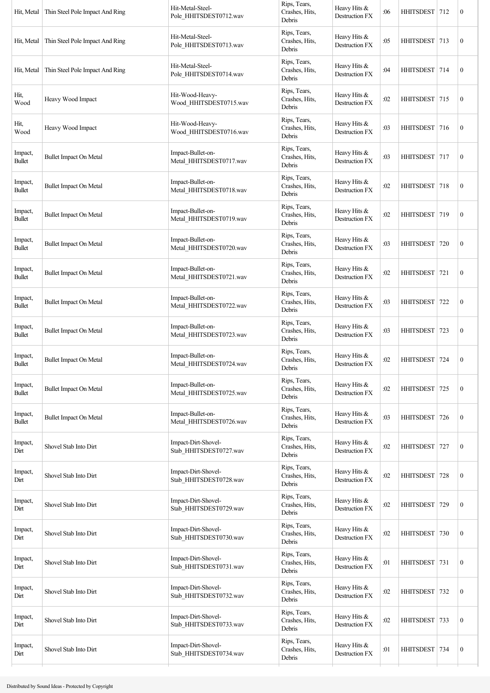| Hit, Metal               | Thin Steel Pole Impact And Ring | Hit-Metal-Steel-<br>Pole_HHITSDEST0712.wav    | Rips, Tears,<br>Crashes, Hits,<br>Debris | Heavy Hits &<br>Destruction FX | :06 | HHITSDEST 712    |     | $\boldsymbol{0}$ |
|--------------------------|---------------------------------|-----------------------------------------------|------------------------------------------|--------------------------------|-----|------------------|-----|------------------|
| Hit, Metal               | Thin Steel Pole Impact And Ring | Hit-Metal-Steel-<br>Pole_HHITSDEST0713.wav    | Rips, Tears,<br>Crashes, Hits,<br>Debris | Heavy Hits &<br>Destruction FX | :05 | <b>HHITSDEST</b> | 713 | $\boldsymbol{0}$ |
| Hit, Metal               | Thin Steel Pole Impact And Ring | Hit-Metal-Steel-<br>Pole HHITSDEST0714.wav    | Rips, Tears,<br>Crashes, Hits,<br>Debris | Heavy Hits &<br>Destruction FX | :04 | HHITSDEST 714    |     | $\boldsymbol{0}$ |
| Hit,<br>Wood             | Heavy Wood Impact               | Hit-Wood-Heavy-<br>Wood HHITSDEST0715.wav     | Rips, Tears,<br>Crashes, Hits,<br>Debris | Heavy Hits &<br>Destruction FX | :02 | HHITSDEST 715    |     | $\boldsymbol{0}$ |
| Hit,<br>Wood             | Heavy Wood Impact               | Hit-Wood-Heavy-<br>Wood_HHITSDEST0716.wav     | Rips, Tears,<br>Crashes, Hits,<br>Debris | Heavy Hits &<br>Destruction FX | :03 | HHITSDEST 716    |     | $\boldsymbol{0}$ |
| Impact,<br><b>Bullet</b> | <b>Bullet Impact On Metal</b>   | Impact-Bullet-on-<br>Metal_HHITSDEST0717.wav  | Rips, Tears,<br>Crashes, Hits,<br>Debris | Heavy Hits &<br>Destruction FX | :03 | <b>HHITSDEST</b> | 717 | $\boldsymbol{0}$ |
| Impact,<br><b>Bullet</b> | <b>Bullet Impact On Metal</b>   | Impact-Bullet-on-<br>Metal HHITSDEST0718.wav  | Rips, Tears,<br>Crashes, Hits,<br>Debris | Heavy Hits &<br>Destruction FX | :02 | HHITSDEST 718    |     | $\boldsymbol{0}$ |
| Impact,<br><b>Bullet</b> | <b>Bullet Impact On Metal</b>   | Impact-Bullet-on-<br>Metal_HHITSDEST0719.wav  | Rips, Tears,<br>Crashes, Hits,<br>Debris | Heavy Hits &<br>Destruction FX | :02 | HHITSDEST 719    |     | $\boldsymbol{0}$ |
| Impact,<br><b>Bullet</b> | <b>Bullet Impact On Metal</b>   | Impact-Bullet-on-<br>Metal_HHITSDEST0720.wav  | Rips, Tears,<br>Crashes, Hits,<br>Debris | Heavy Hits &<br>Destruction FX | :03 | <b>HHITSDEST</b> | 720 | $\boldsymbol{0}$ |
| Impact,<br><b>Bullet</b> | <b>Bullet Impact On Metal</b>   | Impact-Bullet-on-<br>Metal_HHITSDEST0721.wav  | Rips, Tears,<br>Crashes, Hits,<br>Debris | Heavy Hits &<br>Destruction FX | :02 | <b>HHITSDEST</b> | 721 | $\boldsymbol{0}$ |
| Impact,<br><b>Bullet</b> | <b>Bullet Impact On Metal</b>   | Impact-Bullet-on-<br>Metal HHITSDEST0722.wav  | Rips, Tears,<br>Crashes, Hits,<br>Debris | Heavy Hits &<br>Destruction FX | :03 | HHITSDEST 722    |     | $\boldsymbol{0}$ |
| Impact,<br><b>Bullet</b> | <b>Bullet Impact On Metal</b>   | Impact-Bullet-on-<br>Metal_HHITSDEST0723.wav  | Rips, Tears,<br>Crashes, Hits,<br>Debris | Heavy Hits &<br>Destruction FX | :03 | HHITSDEST 723    |     | $\boldsymbol{0}$ |
| Impact,<br><b>Bullet</b> | <b>Bullet Impact On Metal</b>   | Impact-Bullet-on-<br>Metal_HHITSDEST0724.wav  | Rips, Tears,<br>Crashes, Hits,<br>Debris | Heavy Hits &<br>Destruction FX | :02 | <b>HHITSDEST</b> | 724 | $\boldsymbol{0}$ |
| Impact,<br><b>Bullet</b> | <b>Bullet Impact On Metal</b>   | Impact-Bullet-on-<br>Metal_HHITSDEST0725.wav  | Rips, Tears,<br>Crashes, Hits,<br>Debris | Heavy Hits &<br>Destruction FX | :02 | <b>HHITSDEST</b> | 725 | $\boldsymbol{0}$ |
| Impact,<br><b>Bullet</b> | <b>Bullet Impact On Metal</b>   | Impact-Bullet-on-<br>Metal_HHITSDEST0726.wav  | Rips, Tears,<br>Crashes, Hits,<br>Debris | Heavy Hits &<br>Destruction FX | :03 | HHITSDEST 726    |     | $\boldsymbol{0}$ |
| Impact,<br>Dirt          | Shovel Stab Into Dirt           | Impact-Dirt-Shovel-<br>Stab_HHITSDEST0727.wav | Rips, Tears,<br>Crashes, Hits,<br>Debris | Heavy Hits &<br>Destruction FX | :02 | <b>HHITSDEST</b> | 727 | $\boldsymbol{0}$ |
| Impact,<br>Dirt          | Shovel Stab Into Dirt           | Impact-Dirt-Shovel-<br>Stab_HHITSDEST0728.wav | Rips, Tears,<br>Crashes, Hits,<br>Debris | Heavy Hits &<br>Destruction FX | :02 | <b>HHITSDEST</b> | 728 | $\boldsymbol{0}$ |
| Impact,<br>Dirt          | Shovel Stab Into Dirt           | Impact-Dirt-Shovel-<br>Stab_HHITSDEST0729.wav | Rips, Tears,<br>Crashes, Hits,<br>Debris | Heavy Hits &<br>Destruction FX | :02 | <b>HHITSDEST</b> | 729 | $\boldsymbol{0}$ |
| Impact,<br>Dirt          | Shovel Stab Into Dirt           | Impact-Dirt-Shovel-<br>Stab_HHITSDEST0730.wav | Rips, Tears,<br>Crashes, Hits,<br>Debris | Heavy Hits &<br>Destruction FX | :02 | HHITSDEST 730    |     | $\boldsymbol{0}$ |
| Impact,<br>Dirt          | Shovel Stab Into Dirt           | Impact-Dirt-Shovel-<br>Stab_HHITSDEST0731.wav | Rips, Tears,<br>Crashes, Hits,<br>Debris | Heavy Hits &<br>Destruction FX | :01 | <b>HHITSDEST</b> | 731 | $\boldsymbol{0}$ |
| Impact,<br>Dirt          | Shovel Stab Into Dirt           | Impact-Dirt-Shovel-<br>Stab_HHITSDEST0732.wav | Rips, Tears,<br>Crashes, Hits,<br>Debris | Heavy Hits &<br>Destruction FX | :02 | <b>HHITSDEST</b> | 732 | $\boldsymbol{0}$ |
| Impact,<br>Dirt          | Shovel Stab Into Dirt           | Impact-Dirt-Shovel-<br>Stab_HHITSDEST0733.wav | Rips, Tears,<br>Crashes, Hits,<br>Debris | Heavy Hits &<br>Destruction FX | :02 | <b>HHITSDEST</b> | 733 | $\boldsymbol{0}$ |
| Impact,<br>Dirt          | Shovel Stab Into Dirt           | Impact-Dirt-Shovel-<br>Stab_HHITSDEST0734.wav | Rips, Tears,<br>Crashes, Hits,<br>Debris | Heavy Hits &<br>Destruction FX | :01 | HHITSDEST 734    |     | $\boldsymbol{0}$ |
|                          |                                 |                                               |                                          |                                |     |                  |     |                  |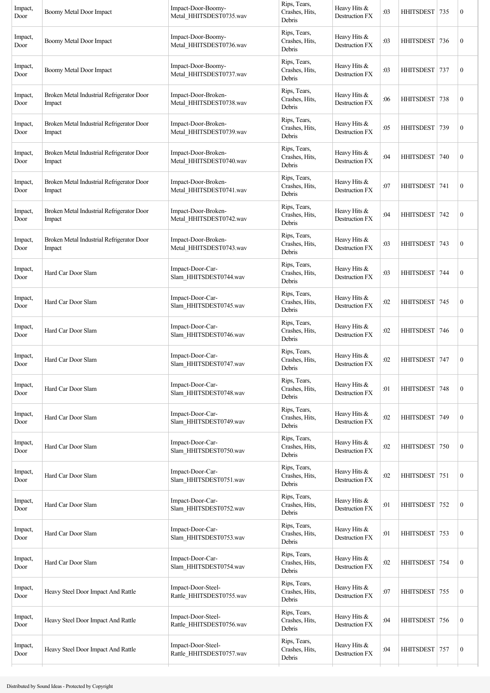| Impact,<br>Door | Boomy Metal Door Impact                             | Impact-Door-Boomy-<br>Metal HHITSDEST0735.wav  | Rips, Tears,<br>Crashes, Hits,<br>Debris | Heavy Hits &<br>Destruction FX | :03 | <b>HHITSDEST</b> | 735 | $\boldsymbol{0}$ |
|-----------------|-----------------------------------------------------|------------------------------------------------|------------------------------------------|--------------------------------|-----|------------------|-----|------------------|
| Impact,<br>Door | Boomy Metal Door Impact                             | Impact-Door-Boomy-<br>Metal_HHITSDEST0736.wav  | Rips, Tears,<br>Crashes, Hits,<br>Debris | Heavy Hits &<br>Destruction FX | :03 | <b>HHITSDEST</b> | 736 | $\boldsymbol{0}$ |
| Impact,<br>Door | Boomy Metal Door Impact                             | Impact-Door-Boomy-<br>Metal_HHITSDEST0737.wav  | Rips, Tears,<br>Crashes, Hits,<br>Debris | Heavy Hits &<br>Destruction FX | :03 | <b>HHITSDEST</b> | 737 | $\boldsymbol{0}$ |
| Impact,<br>Door | Broken Metal Industrial Refrigerator Door<br>Impact | Impact-Door-Broken-<br>Metal_HHITSDEST0738.wav | Rips, Tears,<br>Crashes, Hits,<br>Debris | Heavy Hits &<br>Destruction FX | :06 | HHITSDEST 738    |     | $\boldsymbol{0}$ |
| Impact,<br>Door | Broken Metal Industrial Refrigerator Door<br>Impact | Impact-Door-Broken-<br>Metal_HHITSDEST0739.wav | Rips, Tears,<br>Crashes, Hits,<br>Debris | Heavy Hits &<br>Destruction FX | :05 | <b>HHITSDEST</b> | 739 | $\boldsymbol{0}$ |
| Impact,<br>Door | Broken Metal Industrial Refrigerator Door<br>Impact | Impact-Door-Broken-<br>Metal_HHITSDEST0740.wav | Rips, Tears,<br>Crashes, Hits,<br>Debris | Heavy Hits &<br>Destruction FX | :04 | <b>HHITSDEST</b> | 740 | $\boldsymbol{0}$ |
| Impact,<br>Door | Broken Metal Industrial Refrigerator Door<br>Impact | Impact-Door-Broken-<br>Metal HHITSDEST0741.wav | Rips, Tears,<br>Crashes, Hits,<br>Debris | Heavy Hits &<br>Destruction FX | :07 | <b>HHITSDEST</b> | 741 | $\boldsymbol{0}$ |
| Impact,<br>Door | Broken Metal Industrial Refrigerator Door<br>Impact | Impact-Door-Broken-<br>Metal_HHITSDEST0742.wav | Rips, Tears,<br>Crashes, Hits,<br>Debris | Heavy Hits &<br>Destruction FX | :04 | HHITSDEST 742    |     | $\boldsymbol{0}$ |
| Impact,<br>Door | Broken Metal Industrial Refrigerator Door<br>Impact | Impact-Door-Broken-<br>Metal_HHITSDEST0743.wav | Rips, Tears,<br>Crashes, Hits,<br>Debris | Heavy Hits &<br>Destruction FX | :03 | <b>HHITSDEST</b> | 743 | $\boldsymbol{0}$ |
| Impact,<br>Door | Hard Car Door Slam                                  | Impact-Door-Car-<br>Slam_HHITSDEST0744.wav     | Rips, Tears,<br>Crashes, Hits,<br>Debris | Heavy Hits &<br>Destruction FX | :03 | <b>HHITSDEST</b> | 744 | $\boldsymbol{0}$ |
| Impact,<br>Door | Hard Car Door Slam                                  | Impact-Door-Car-<br>Slam HHITSDEST0745.wav     | Rips, Tears,<br>Crashes, Hits,<br>Debris | Heavy Hits &<br>Destruction FX | :02 | HHITSDEST 745    |     | $\boldsymbol{0}$ |
| Impact,<br>Door | Hard Car Door Slam                                  | Impact-Door-Car-<br>Slam_HHITSDEST0746.wav     | Rips, Tears,<br>Crashes, Hits,<br>Debris | Heavy Hits &<br>Destruction FX | :02 | HHITSDEST        | 746 | $\boldsymbol{0}$ |
| Impact,<br>Door | Hard Car Door Slam                                  | Impact-Door-Car-<br>Slam_HHITSDEST0747.wav     | Rips, Tears,<br>Crashes, Hits,<br>Debris | Heavy Hits &<br>Destruction FX | :02 | <b>HHITSDEST</b> | 747 | $\boldsymbol{0}$ |
| Impact,<br>Door | Hard Car Door Slam                                  | Impact-Door-Car-<br>Slam_HHITSDEST0748.wav     | Rips, Tears,<br>Crashes, Hits,<br>Debris | Heavy Hits &<br>Destruction FX | :01 | <b>HHITSDEST</b> | 748 | $\boldsymbol{0}$ |
| Impact,<br>Door | Hard Car Door Slam                                  | Impact-Door-Car-<br>Slam_HHITSDEST0749.wav     | Rips, Tears,<br>Crashes, Hits,<br>Debris | Heavy Hits &<br>Destruction FX | :02 | HHITSDEST 749    |     | $\boldsymbol{0}$ |
| Impact,<br>Door | Hard Car Door Slam                                  | Impact-Door-Car-<br>Slam HHITSDEST0750.wav     | Rips, Tears,<br>Crashes, Hits,<br>Debris | Heavy Hits &<br>Destruction FX | :02 | <b>HHITSDEST</b> | 750 | $\boldsymbol{0}$ |
| Impact,<br>Door | Hard Car Door Slam                                  | Impact-Door-Car-<br>Slam_HHITSDEST0751.wav     | Rips, Tears,<br>Crashes, Hits,<br>Debris | Heavy Hits &<br>Destruction FX | :02 | <b>HHITSDEST</b> | 751 | $\boldsymbol{0}$ |
| Impact,<br>Door | Hard Car Door Slam                                  | Impact-Door-Car-<br>Slam_HHITSDEST0752.wav     | Rips, Tears,<br>Crashes, Hits,<br>Debris | Heavy Hits &<br>Destruction FX | :01 | <b>HHITSDEST</b> | 752 | $\boldsymbol{0}$ |
| Impact,<br>Door | Hard Car Door Slam                                  | Impact-Door-Car-<br>Slam_HHITSDEST0753.wav     | Rips, Tears,<br>Crashes, Hits,<br>Debris | Heavy Hits &<br>Destruction FX | :01 | HHITSDEST 753    |     | $\boldsymbol{0}$ |
| Impact,<br>Door | Hard Car Door Slam                                  | Impact-Door-Car-<br>Slam_HHITSDEST0754.wav     | Rips, Tears,<br>Crashes, Hits,<br>Debris | Heavy Hits &<br>Destruction FX | :02 | <b>HHITSDEST</b> | 754 | $\boldsymbol{0}$ |
| Impact,<br>Door | Heavy Steel Door Impact And Rattle                  | Impact-Door-Steel-<br>Rattle_HHITSDEST0755.wav | Rips, Tears,<br>Crashes, Hits,<br>Debris | Heavy Hits &<br>Destruction FX | :07 | <b>HHITSDEST</b> | 755 | $\boldsymbol{0}$ |
| Impact,<br>Door | Heavy Steel Door Impact And Rattle                  | Impact-Door-Steel-<br>Rattle_HHITSDEST0756.wav | Rips, Tears,<br>Crashes, Hits,<br>Debris | Heavy Hits &<br>Destruction FX | :04 | <b>HHITSDEST</b> | 756 | $\boldsymbol{0}$ |
| Impact,<br>Door | Heavy Steel Door Impact And Rattle                  | Impact-Door-Steel-<br>Rattle_HHITSDEST0757.wav | Rips, Tears,<br>Crashes, Hits,<br>Debris | Heavy Hits &<br>Destruction FX | :04 | HHITSDEST 757    |     | $\boldsymbol{0}$ |
|                 |                                                     |                                                |                                          |                                |     |                  |     |                  |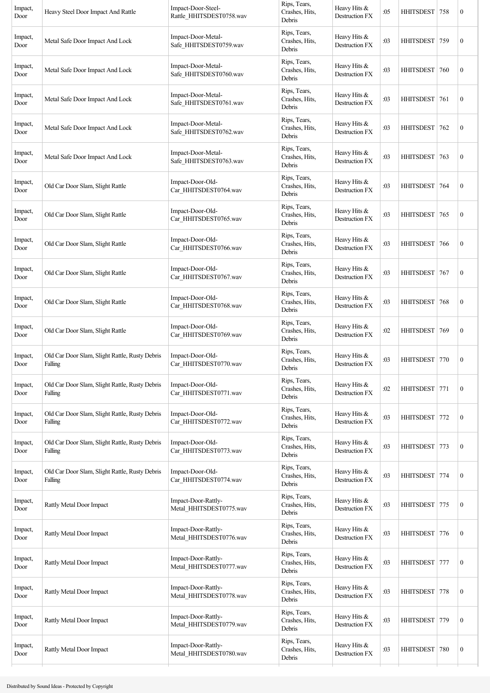| Impact,<br>Door | Heavy Steel Door Impact And Rattle                        | Impact-Door-Steel-<br>Rattle_HHITSDEST0758.wav | Rips, Tears,<br>Crashes, Hits,<br>Debris | Heavy Hits &<br>Destruction FX        | :05 | HHITSDEST 758    |     | $\boldsymbol{0}$ |
|-----------------|-----------------------------------------------------------|------------------------------------------------|------------------------------------------|---------------------------------------|-----|------------------|-----|------------------|
| Impact,<br>Door | Metal Safe Door Impact And Lock                           | Impact-Door-Metal-<br>Safe_HHITSDEST0759.wav   | Rips, Tears,<br>Crashes, Hits,<br>Debris | Heavy Hits &<br>Destruction FX        | :03 | <b>HHITSDEST</b> | 759 | $\boldsymbol{0}$ |
| Impact,<br>Door | Metal Safe Door Impact And Lock                           | Impact-Door-Metal-<br>Safe_HHITSDEST0760.wav   | Rips, Tears,<br>Crashes, Hits,<br>Debris | Heavy Hits &<br>Destruction FX        | :03 | <b>HHITSDEST</b> | 760 | $\boldsymbol{0}$ |
| Impact,<br>Door | Metal Safe Door Impact And Lock                           | Impact-Door-Metal-<br>Safe HHITSDEST0761.wav   | Rips, Tears,<br>Crashes, Hits,<br>Debris | Heavy Hits &<br><b>Destruction FX</b> | :03 | <b>HHITSDEST</b> | 761 | $\boldsymbol{0}$ |
| Impact,<br>Door | Metal Safe Door Impact And Lock                           | Impact-Door-Metal-<br>Safe_HHITSDEST0762.wav   | Rips, Tears,<br>Crashes, Hits,<br>Debris | Heavy Hits &<br>Destruction FX        | :03 | HHITSDEST   762  |     | $\boldsymbol{0}$ |
| Impact,<br>Door | Metal Safe Door Impact And Lock                           | Impact-Door-Metal-<br>Safe_HHITSDEST0763.wav   | Rips, Tears,<br>Crashes, Hits,<br>Debris | Heavy Hits &<br>Destruction FX        | :03 | <b>HHITSDEST</b> | 763 | $\boldsymbol{0}$ |
| Impact,<br>Door | Old Car Door Slam, Slight Rattle                          | Impact-Door-Old-<br>Car_HHITSDEST0764.wav      | Rips, Tears,<br>Crashes, Hits,<br>Debris | Heavy Hits &<br>Destruction FX        | :03 | <b>HHITSDEST</b> | 764 | $\boldsymbol{0}$ |
| Impact,<br>Door | Old Car Door Slam, Slight Rattle                          | Impact-Door-Old-<br>Car_HHITSDEST0765.wav      | Rips, Tears,<br>Crashes, Hits,<br>Debris | Heavy Hits &<br>Destruction FX        | :03 | HHITSDEST        | 765 | $\boldsymbol{0}$ |
| Impact,<br>Door | Old Car Door Slam, Slight Rattle                          | Impact-Door-Old-<br>Car_HHITSDEST0766.wav      | Rips, Tears,<br>Crashes, Hits,<br>Debris | Heavy Hits &<br>Destruction FX        | :03 | <b>HHITSDEST</b> | 766 | $\boldsymbol{0}$ |
| Impact,<br>Door | Old Car Door Slam, Slight Rattle                          | Impact-Door-Old-<br>Car_HHITSDEST0767.wav      | Rips, Tears,<br>Crashes, Hits,<br>Debris | Heavy Hits &<br>Destruction FX        | :03 | <b>HHITSDEST</b> | 767 | $\boldsymbol{0}$ |
| Impact,<br>Door | Old Car Door Slam, Slight Rattle                          | Impact-Door-Old-<br>Car HHITSDEST0768.wav      | Rips, Tears,<br>Crashes, Hits,<br>Debris | Heavy Hits $&$<br>Destruction FX      | :03 | <b>HHITSDEST</b> | 768 | $\boldsymbol{0}$ |
| Impact,<br>Door | Old Car Door Slam, Slight Rattle                          | Impact-Door-Old-<br>Car HHITSDEST0769.wav      | Rips, Tears,<br>Crashes, Hits,<br>Debris | Heavy Hits &<br>Destruction FX        | :02 | <b>HHITSDEST</b> | 769 | $\boldsymbol{0}$ |
| Impact,<br>Door | Old Car Door Slam, Slight Rattle, Rusty Debris<br>Falling | Impact-Door-Old-<br>Car_HHITSDEST0770.wav      | Rips, Tears,<br>Crashes, Hits,<br>Debris | Heavy Hits &<br>Destruction FX        | :03 | HHITSDEST   770  |     | $\boldsymbol{0}$ |
| Impact,<br>Door | Old Car Door Slam, Slight Rattle, Rusty Debris<br>Falling | Impact-Door-Old-<br>Car_HHITSDEST0771.wav      | Rips, Tears,<br>Crashes, Hits,<br>Debris | Heavy Hits &<br>Destruction FX        | :02 | <b>HHITSDEST</b> | 771 | $\boldsymbol{0}$ |
| Impact,<br>Door | Old Car Door Slam, Slight Rattle, Rusty Debris<br>Falling | Impact-Door-Old-<br>Car_HHITSDEST0772.wav      | Rips, Tears,<br>Crashes, Hits,<br>Debris | Heavy Hits &<br>Destruction FX        | :03 | <b>HHITSDEST</b> | 772 | $\boldsymbol{0}$ |
| Impact,<br>Door | Old Car Door Slam, Slight Rattle, Rusty Debris<br>Falling | Impact-Door-Old-<br>Car_HHITSDEST0773.wav      | Rips, Tears,<br>Crashes, Hits,<br>Debris | Heavy Hits &<br>Destruction FX        | :03 | <b>HHITSDEST</b> | 773 | $\boldsymbol{0}$ |
| Impact,<br>Door | Old Car Door Slam, Slight Rattle, Rusty Debris<br>Falling | Impact-Door-Old-<br>Car_HHITSDEST0774.wav      | Rips, Tears,<br>Crashes, Hits,<br>Debris | Heavy Hits &<br>Destruction FX        | :03 | HHITSDEST 774    |     | $\boldsymbol{0}$ |
| Impact,<br>Door | Rattly Metal Door Impact                                  | Impact-Door-Rattly-<br>Metal_HHITSDEST0775.wav | Rips, Tears,<br>Crashes, Hits,<br>Debris | Heavy Hits &<br>Destruction FX        | :03 | <b>HHITSDEST</b> | 775 | $\boldsymbol{0}$ |
| Impact,<br>Door | Rattly Metal Door Impact                                  | Impact-Door-Rattly-<br>Metal_HHITSDEST0776.wav | Rips, Tears,<br>Crashes, Hits,<br>Debris | Heavy Hits &<br>Destruction FX        | :03 | <b>HHITSDEST</b> | 776 | $\boldsymbol{0}$ |
| Impact,<br>Door | Rattly Metal Door Impact                                  | Impact-Door-Rattly-<br>Metal_HHITSDEST0777.wav | Rips, Tears,<br>Crashes, Hits,<br>Debris | Heavy Hits &<br>Destruction FX        | :03 | <b>HHITSDEST</b> | 777 | $\boldsymbol{0}$ |
| Impact,<br>Door | Rattly Metal Door Impact                                  | Impact-Door-Rattly-<br>Metal_HHITSDEST0778.wav | Rips, Tears,<br>Crashes, Hits,<br>Debris | Heavy Hits &<br>Destruction FX        | :03 | <b>HHITSDEST</b> | 778 | $\boldsymbol{0}$ |
| Impact,<br>Door | Rattly Metal Door Impact                                  | Impact-Door-Rattly-<br>Metal_HHITSDEST0779.wav | Rips, Tears,<br>Crashes, Hits,<br>Debris | Heavy Hits &<br>Destruction FX        | :03 | <b>HHITSDEST</b> | 779 | $\boldsymbol{0}$ |
| Impact,<br>Door | <b>Rattly Metal Door Impact</b>                           | Impact-Door-Rattly-<br>Metal_HHITSDEST0780.wav | Rips, Tears,<br>Crashes, Hits,<br>Debris | Heavy Hits &<br>Destruction FX        | :03 | <b>HHITSDEST</b> | 780 | $\boldsymbol{0}$ |
|                 |                                                           |                                                |                                          |                                       |     |                  |     |                  |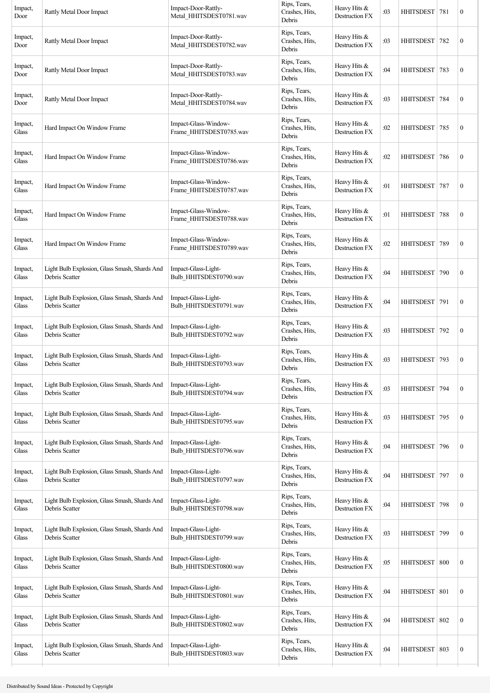| Impact,<br>Door  | Rattly Metal Door Impact                                        | Impact-Door-Rattly-<br>Metal_HHITSDEST0781.wav  | Rips, Tears,<br>Crashes, Hits,<br>Debris | Heavy Hits &<br>Destruction FX        | :03 | HHITSDEST   781  |     | $\boldsymbol{0}$ |
|------------------|-----------------------------------------------------------------|-------------------------------------------------|------------------------------------------|---------------------------------------|-----|------------------|-----|------------------|
| Impact,<br>Door  | Rattly Metal Door Impact                                        | Impact-Door-Rattly-<br>Metal HHITSDEST0782.wav  | Rips, Tears,<br>Crashes, Hits,<br>Debris | Heavy Hits &<br>Destruction FX        | :03 | <b>HHITSDEST</b> | 782 | $\boldsymbol{0}$ |
| Impact,<br>Door  | Rattly Metal Door Impact                                        | Impact-Door-Rattly-<br>Metal_HHITSDEST0783.wav  | Rips, Tears,<br>Crashes, Hits,<br>Debris | Heavy Hits &<br>Destruction FX        | :04 | <b>HHITSDEST</b> | 783 | $\boldsymbol{0}$ |
| Impact,<br>Door  | Rattly Metal Door Impact                                        | Impact-Door-Rattly-<br>Metal_HHITSDEST0784.wav  | Rips, Tears,<br>Crashes, Hits,<br>Debris | Heavy Hits &<br>Destruction FX        | :03 | <b>HHITSDEST</b> | 784 | $\boldsymbol{0}$ |
| Impact,<br>Glass | Hard Impact On Window Frame                                     | Impact-Glass-Window-<br>Frame_HHITSDEST0785.wav | Rips, Tears,<br>Crashes, Hits,<br>Debris | Heavy Hits &<br>Destruction FX        | :02 | HHITSDEST        | 785 | $\boldsymbol{0}$ |
| Impact,<br>Glass | Hard Impact On Window Frame                                     | Impact-Glass-Window-<br>Frame_HHITSDEST0786.wav | Rips, Tears,<br>Crashes, Hits,<br>Debris | Heavy Hits &<br>Destruction FX        | :02 | <b>HHITSDEST</b> | 786 | $\boldsymbol{0}$ |
| Impact,<br>Glass | Hard Impact On Window Frame                                     | Impact-Glass-Window-<br>Frame_HHITSDEST0787.wav | Rips, Tears,<br>Crashes, Hits,<br>Debris | Heavy Hits &<br>Destruction FX        | :01 | <b>HHITSDEST</b> | 787 | $\boldsymbol{0}$ |
| Impact,<br>Glass | Hard Impact On Window Frame                                     | Impact-Glass-Window-<br>Frame HHITSDEST0788.wav | Rips, Tears,<br>Crashes, Hits,<br>Debris | Heavy Hits &<br><b>Destruction FX</b> | :01 | HHITSDEST 788    |     | $\boldsymbol{0}$ |
| Impact,<br>Glass | Hard Impact On Window Frame                                     | Impact-Glass-Window-<br>Frame_HHITSDEST0789.wav | Rips, Tears,<br>Crashes, Hits,<br>Debris | Heavy Hits &<br><b>Destruction FX</b> | :02 | HHITSDEST        | 789 | $\boldsymbol{0}$ |
| Impact,<br>Glass | Light Bulb Explosion, Glass Smash, Shards And<br>Debris Scatter | Impact-Glass-Light-<br>Bulb_HHITSDEST0790.wav   | Rips, Tears,<br>Crashes, Hits,<br>Debris | Heavy Hits &<br>Destruction FX        | :04 | <b>HHITSDEST</b> | 790 | $\boldsymbol{0}$ |
| Impact,<br>Glass | Light Bulb Explosion, Glass Smash, Shards And<br>Debris Scatter | Impact-Glass-Light-<br>Bulb_HHITSDEST0791.wav   | Rips, Tears,<br>Crashes, Hits,<br>Debris | Heavy Hits &<br>Destruction FX        | :04 | <b>HHITSDEST</b> | 791 | $\boldsymbol{0}$ |
| Impact,<br>Glass | Light Bulb Explosion, Glass Smash, Shards And<br>Debris Scatter | Impact-Glass-Light-<br>Bulb_HHITSDEST0792.wav   | Rips, Tears,<br>Crashes, Hits,<br>Debris | Heavy Hits &<br>Destruction FX        | :03 | HHITSDEST        | 792 | $\boldsymbol{0}$ |
| Impact,<br>Glass | Light Bulb Explosion, Glass Smash, Shards And<br>Debris Scatter | Impact-Glass-Light-<br>Bulb HHITSDEST0793.wav   | Rips, Tears,<br>Crashes, Hits,<br>Debris | Heavy Hits &<br>Destruction FX        | :03 | HHITSDEST        | 793 | $\boldsymbol{0}$ |
| Impact,<br>Glass | Light Bulb Explosion, Glass Smash, Shards And<br>Debris Scatter | Impact-Glass-Light-<br>Bulb_HHITSDEST0794.wav   | Rips, Tears,<br>Crashes, Hits,<br>Debris | Heavy Hits &<br>Destruction FX        | :03 | <b>HHITSDEST</b> | 794 | $\boldsymbol{0}$ |
| Impact,<br>Glass | Light Bulb Explosion, Glass Smash, Shards And<br>Debris Scatter | Impact-Glass-Light-<br>Bulb_HHITSDEST0795.wav   | Rips, Tears,<br>Crashes, Hits,<br>Debris | Heavy Hits &<br>Destruction FX        | :03 | HHITSDEST 795    |     | $\boldsymbol{0}$ |
| Impact,<br>Glass | Light Bulb Explosion, Glass Smash, Shards And<br>Debris Scatter | Impact-Glass-Light-<br>Bulb_HHITSDEST0796.wav   | Rips, Tears,<br>Crashes, Hits,<br>Debris | Heavy Hits &<br>Destruction FX        | :04 | HHITSDEST 796    |     | $\boldsymbol{0}$ |
| Impact,<br>Glass | Light Bulb Explosion, Glass Smash, Shards And<br>Debris Scatter | Impact-Glass-Light-<br>Bulb_HHITSDEST0797.wav   | Rips, Tears,<br>Crashes, Hits,<br>Debris | Heavy Hits &<br>Destruction FX        | :04 | HHITSDEST        | 797 | $\boldsymbol{0}$ |
| Impact,<br>Glass | Light Bulb Explosion, Glass Smash, Shards And<br>Debris Scatter | Impact-Glass-Light-<br>Bulb HHITSDEST0798.wav   | Rips, Tears,<br>Crashes, Hits,<br>Debris | Heavy Hits &<br>Destruction FX        | :04 | <b>HHITSDEST</b> | 798 | $\boldsymbol{0}$ |
| Impact,<br>Glass | Light Bulb Explosion, Glass Smash, Shards And<br>Debris Scatter | Impact-Glass-Light-<br>Bulb_HHITSDEST0799.wav   | Rips, Tears,<br>Crashes, Hits,<br>Debris | Heavy Hits &<br>Destruction FX        | :03 | <b>HHITSDEST</b> | 799 | $\boldsymbol{0}$ |
| Impact,<br>Glass | Light Bulb Explosion, Glass Smash, Shards And<br>Debris Scatter | Impact-Glass-Light-<br>Bulb_HHITSDEST0800.wav   | Rips, Tears,<br>Crashes, Hits,<br>Debris | Heavy Hits &<br>Destruction FX        | :05 | HHITSDEST        | 800 | $\boldsymbol{0}$ |
| Impact,<br>Glass | Light Bulb Explosion, Glass Smash, Shards And<br>Debris Scatter | Impact-Glass-Light-<br>Bulb_HHITSDEST0801.wav   | Rips, Tears,<br>Crashes, Hits,<br>Debris | Heavy Hits &<br>Destruction FX        | :04 | <b>HHITSDEST</b> | 801 | $\boldsymbol{0}$ |
| Impact,<br>Glass | Light Bulb Explosion, Glass Smash, Shards And<br>Debris Scatter | Impact-Glass-Light-<br>Bulb_HHITSDEST0802.wav   | Rips, Tears,<br>Crashes, Hits,<br>Debris | Heavy Hits &<br>Destruction FX        | :04 | <b>HHITSDEST</b> | 802 | $\boldsymbol{0}$ |
| Impact,<br>Glass | Light Bulb Explosion, Glass Smash, Shards And<br>Debris Scatter | Impact-Glass-Light-<br>Bulb_HHITSDEST0803.wav   | Rips, Tears,<br>Crashes, Hits,<br>Debris | Heavy Hits &<br>Destruction FX        | :04 | HHITSDEST 803    |     | $\boldsymbol{0}$ |
|                  |                                                                 |                                                 |                                          |                                       |     |                  |     |                  |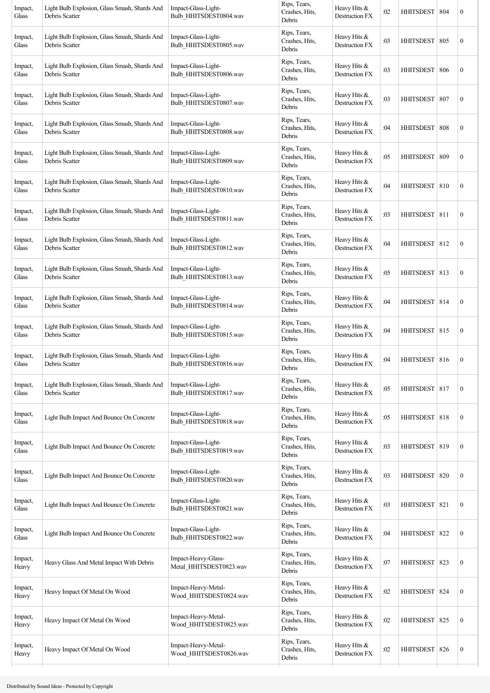| Rips, Tears,<br>Heavy Hits &<br>Light Bulb Explosion, Glass Smash, Shards And<br>Impact-Glass-Light-<br>Impact,<br>Crashes, Hits,<br>:03<br><b>HHITSDEST</b><br>Destruction FX<br>Debris Scatter<br>Bulb_HHITSDEST0805.wav<br>Glass<br>Debris<br>Rips, Tears,<br>Light Bulb Explosion, Glass Smash, Shards And<br>Impact-Glass-Light-<br>Heavy Hits &<br>Impact,<br>Crashes, Hits,<br><b>HHITSDEST</b><br>:03<br>Debris Scatter<br>Bulb HHITSDEST0806.wav<br>Destruction FX<br>Glass<br>Debris<br>Rips, Tears,<br>Heavy Hits &<br>Light Bulb Explosion, Glass Smash, Shards And<br>Impact-Glass-Light-<br>Impact,<br>Crashes, Hits,<br>:03<br>HHITSDEST 807<br>Debris Scatter<br>Bulb HHITSDEST0807.wav<br>Destruction FX<br>Glass<br>Debris<br>Rips, Tears,<br>Heavy Hits &<br>Light Bulb Explosion, Glass Smash, Shards And<br>Impact-Glass-Light-<br>Impact,<br>Crashes, Hits,<br>:04<br>HHITSDEST   808<br>Debris Scatter<br>Bulb_HHITSDEST0808.wav<br>Destruction FX<br>Glass<br>Debris<br>Rips, Tears,<br>Light Bulb Explosion, Glass Smash, Shards And<br>Impact-Glass-Light-<br>Heavy Hits &<br>Impact,<br>Crashes, Hits,<br>:05<br><b>HHITSDEST</b><br>Bulb_HHITSDEST0809.wav<br>Debris Scatter<br>Destruction FX<br>Glass<br>Debris<br>Rips, Tears,<br>Light Bulb Explosion, Glass Smash, Shards And<br>Impact-Glass-Light-<br>Heavy Hits &<br>Impact,<br>Crashes, Hits,<br>:04<br>HHITSDEST 810<br>Debris Scatter<br>Bulb_HHITSDEST0810.wav<br>Destruction FX<br>Glass | 805<br>806<br>809 | $\boldsymbol{0}$<br>$\boldsymbol{0}$<br>$\boldsymbol{0}$<br>$\boldsymbol{0}$<br>$\boldsymbol{0}$<br>$\boldsymbol{0}$ |
|-----------------------------------------------------------------------------------------------------------------------------------------------------------------------------------------------------------------------------------------------------------------------------------------------------------------------------------------------------------------------------------------------------------------------------------------------------------------------------------------------------------------------------------------------------------------------------------------------------------------------------------------------------------------------------------------------------------------------------------------------------------------------------------------------------------------------------------------------------------------------------------------------------------------------------------------------------------------------------------------------------------------------------------------------------------------------------------------------------------------------------------------------------------------------------------------------------------------------------------------------------------------------------------------------------------------------------------------------------------------------------------------------------------------------------------------------------------------------------------|-------------------|----------------------------------------------------------------------------------------------------------------------|
|                                                                                                                                                                                                                                                                                                                                                                                                                                                                                                                                                                                                                                                                                                                                                                                                                                                                                                                                                                                                                                                                                                                                                                                                                                                                                                                                                                                                                                                                                   |                   |                                                                                                                      |
|                                                                                                                                                                                                                                                                                                                                                                                                                                                                                                                                                                                                                                                                                                                                                                                                                                                                                                                                                                                                                                                                                                                                                                                                                                                                                                                                                                                                                                                                                   |                   |                                                                                                                      |
|                                                                                                                                                                                                                                                                                                                                                                                                                                                                                                                                                                                                                                                                                                                                                                                                                                                                                                                                                                                                                                                                                                                                                                                                                                                                                                                                                                                                                                                                                   |                   |                                                                                                                      |
|                                                                                                                                                                                                                                                                                                                                                                                                                                                                                                                                                                                                                                                                                                                                                                                                                                                                                                                                                                                                                                                                                                                                                                                                                                                                                                                                                                                                                                                                                   |                   |                                                                                                                      |
|                                                                                                                                                                                                                                                                                                                                                                                                                                                                                                                                                                                                                                                                                                                                                                                                                                                                                                                                                                                                                                                                                                                                                                                                                                                                                                                                                                                                                                                                                   |                   |                                                                                                                      |
| Debris                                                                                                                                                                                                                                                                                                                                                                                                                                                                                                                                                                                                                                                                                                                                                                                                                                                                                                                                                                                                                                                                                                                                                                                                                                                                                                                                                                                                                                                                            |                   |                                                                                                                      |
| Rips, Tears,<br>Light Bulb Explosion, Glass Smash, Shards And<br>Impact-Glass-Light-<br>Heavy Hits &<br>Impact,<br>Crashes, Hits,<br>:03<br>HHITSDEST 811<br>Debris Scatter<br>Bulb_HHITSDEST0811.wav<br>Destruction FX<br>Glass<br>Debris                                                                                                                                                                                                                                                                                                                                                                                                                                                                                                                                                                                                                                                                                                                                                                                                                                                                                                                                                                                                                                                                                                                                                                                                                                        |                   | $\boldsymbol{0}$                                                                                                     |
| Rips, Tears,<br>Light Bulb Explosion, Glass Smash, Shards And<br>Impact-Glass-Light-<br>Heavy Hits &<br>Impact,<br>Crashes, Hits,<br>HHITSDEST 812<br>:04<br>Destruction FX<br>Debris Scatter<br>Bulb_HHITSDEST0812.wav<br>Glass<br>Debris                                                                                                                                                                                                                                                                                                                                                                                                                                                                                                                                                                                                                                                                                                                                                                                                                                                                                                                                                                                                                                                                                                                                                                                                                                        |                   | $\boldsymbol{0}$                                                                                                     |
| Rips, Tears,<br>Light Bulb Explosion, Glass Smash, Shards And<br>Impact-Glass-Light-<br>Heavy Hits &<br>Impact,<br>Crashes, Hits,<br>HHITSDEST   813<br>:05<br>Debris Scatter<br>Bulb_HHITSDEST0813.wav<br>Destruction FX<br>Glass<br>Debris                                                                                                                                                                                                                                                                                                                                                                                                                                                                                                                                                                                                                                                                                                                                                                                                                                                                                                                                                                                                                                                                                                                                                                                                                                      |                   | $\boldsymbol{0}$                                                                                                     |
| Rips, Tears,<br>Impact-Glass-Light-<br>Heavy Hits &<br>Light Bulb Explosion, Glass Smash, Shards And<br>Impact,<br>Crashes, Hits,<br>:04<br>HHITSDEST 814<br>Debris Scatter<br>Bulb_HHITSDEST0814.wav<br>Destruction FX<br>Glass<br>Debris                                                                                                                                                                                                                                                                                                                                                                                                                                                                                                                                                                                                                                                                                                                                                                                                                                                                                                                                                                                                                                                                                                                                                                                                                                        |                   | $\boldsymbol{0}$                                                                                                     |
| Rips, Tears,<br>Light Bulb Explosion, Glass Smash, Shards And<br>Impact-Glass-Light-<br>Heavy Hits &<br>Impact,<br>Crashes, Hits,<br>:04<br>HHITSDEST   815<br>Bulb_HHITSDEST0815.wav<br>Destruction FX<br>Glass<br>Debris Scatter<br>Debris                                                                                                                                                                                                                                                                                                                                                                                                                                                                                                                                                                                                                                                                                                                                                                                                                                                                                                                                                                                                                                                                                                                                                                                                                                      |                   | $\boldsymbol{0}$                                                                                                     |
| Rips, Tears,<br>Light Bulb Explosion, Glass Smash, Shards And<br>Impact-Glass-Light-<br>Heavy Hits &<br>Impact,<br>:04<br>HHITSDEST 816<br>Crashes, Hits,<br>Bulb HHITSDEST0816.wav<br>Destruction FX<br>Glass<br>Debris Scatter<br>Debris                                                                                                                                                                                                                                                                                                                                                                                                                                                                                                                                                                                                                                                                                                                                                                                                                                                                                                                                                                                                                                                                                                                                                                                                                                        |                   | $\boldsymbol{0}$                                                                                                     |
| Rips, Tears,<br>Light Bulb Explosion, Glass Smash, Shards And<br>Impact-Glass-Light-<br>Heavy Hits &<br>Impact,<br>Crashes, Hits,<br>:05<br>HHITSDEST   817<br>Bulb_HHITSDEST0817.wav<br>Glass<br>Debris Scatter<br>Destruction FX<br>Debris                                                                                                                                                                                                                                                                                                                                                                                                                                                                                                                                                                                                                                                                                                                                                                                                                                                                                                                                                                                                                                                                                                                                                                                                                                      |                   | $\boldsymbol{0}$                                                                                                     |
| Rips, Tears,<br>Impact-Glass-Light-<br>Heavy Hits &<br>Impact,<br>Light Bulb Impact And Bounce On Concrete<br>Crashes, Hits,<br>:05<br>HHITSDEST 818<br>Bulb_HHITSDEST0818.wav<br>Glass<br>Destruction FX<br>Debris                                                                                                                                                                                                                                                                                                                                                                                                                                                                                                                                                                                                                                                                                                                                                                                                                                                                                                                                                                                                                                                                                                                                                                                                                                                               |                   | $\boldsymbol{0}$                                                                                                     |
| Rips, Tears,<br>Impact-Glass-Light-<br>Heavy Hits &<br>Impact,<br>Light Bulb Impact And Bounce On Concrete<br>Crashes, Hits,<br>:03<br>HHITSDEST 819<br>Bulb HHITSDEST0819.wav<br>Destruction FX<br>Glass<br>Debris                                                                                                                                                                                                                                                                                                                                                                                                                                                                                                                                                                                                                                                                                                                                                                                                                                                                                                                                                                                                                                                                                                                                                                                                                                                               |                   | $\boldsymbol{0}$                                                                                                     |
| Rips, Tears,<br>Impact-Glass-Light-<br>Heavy Hits &<br>Impact,<br>Light Bulb Impact And Bounce On Concrete<br>Crashes, Hits,<br>:03<br><b>HHITSDEST</b><br>Bulb HHITSDEST0820.wav<br>Destruction FX<br>Glass<br>Debris                                                                                                                                                                                                                                                                                                                                                                                                                                                                                                                                                                                                                                                                                                                                                                                                                                                                                                                                                                                                                                                                                                                                                                                                                                                            | 820               | $\boldsymbol{0}$                                                                                                     |
| Rips, Tears,<br>Impact-Glass-Light-<br>Heavy Hits &<br>Impact,<br>Light Bulb Impact And Bounce On Concrete<br>Crashes, Hits,<br>:03<br><b>HHITSDEST</b><br>Bulb HHITSDEST0821.wav<br>Glass<br>Destruction FX<br>Debris                                                                                                                                                                                                                                                                                                                                                                                                                                                                                                                                                                                                                                                                                                                                                                                                                                                                                                                                                                                                                                                                                                                                                                                                                                                            | 821               | $\boldsymbol{0}$                                                                                                     |
| Rips, Tears,<br>Impact-Glass-Light-<br>Heavy Hits &<br>Impact,<br>Light Bulb Impact And Bounce On Concrete<br>Crashes, Hits,<br>:04<br><b>HHITSDEST</b><br>Bulb_HHITSDEST0822.wav<br>Destruction FX<br>Glass<br>Debris                                                                                                                                                                                                                                                                                                                                                                                                                                                                                                                                                                                                                                                                                                                                                                                                                                                                                                                                                                                                                                                                                                                                                                                                                                                            | 822               | $\boldsymbol{0}$                                                                                                     |
| Rips, Tears,<br>Impact-Heavy-Glass-<br>Heavy Hits &<br>Impact,<br>Heavy Glass And Metal Impact With Debris<br>Crashes, Hits,<br>:07<br>HHITSDEST   823<br>Metal_HHITSDEST0823.wav<br>Destruction FX<br>Heavy<br>Debris                                                                                                                                                                                                                                                                                                                                                                                                                                                                                                                                                                                                                                                                                                                                                                                                                                                                                                                                                                                                                                                                                                                                                                                                                                                            |                   | $\boldsymbol{0}$                                                                                                     |
| Rips, Tears,<br>Impact-Heavy-Metal-<br>Heavy Hits &<br>Impact,<br>Heavy Impact Of Metal On Wood<br>Crashes, Hits,<br>:02<br><b>HHITSDEST</b><br>Wood_HHITSDEST0824.wav<br>Destruction FX<br>Heavy<br>Debris                                                                                                                                                                                                                                                                                                                                                                                                                                                                                                                                                                                                                                                                                                                                                                                                                                                                                                                                                                                                                                                                                                                                                                                                                                                                       | 824               | $\boldsymbol{0}$                                                                                                     |
| Rips, Tears,<br>Impact-Heavy-Metal-<br>Heavy Hits $&$<br>Impact,<br>Heavy Impact Of Metal On Wood<br>Crashes, Hits,<br>:02<br><b>HHITSDEST</b><br>Wood_HHITSDEST0825.wav<br>Destruction FX<br>Heavy<br>Debris                                                                                                                                                                                                                                                                                                                                                                                                                                                                                                                                                                                                                                                                                                                                                                                                                                                                                                                                                                                                                                                                                                                                                                                                                                                                     | 825               | $\boldsymbol{0}$                                                                                                     |
| Rips, Tears,<br>Impact-Heavy-Metal-<br>Heavy Hits &<br>Impact,<br>Heavy Impact Of Metal On Wood<br>Crashes, Hits,<br>:02<br>HHITSDEST 826<br>Destruction FX<br>Heavy<br>Wood_HHITSDEST0826.wav<br>Debris                                                                                                                                                                                                                                                                                                                                                                                                                                                                                                                                                                                                                                                                                                                                                                                                                                                                                                                                                                                                                                                                                                                                                                                                                                                                          |                   | $\boldsymbol{0}$                                                                                                     |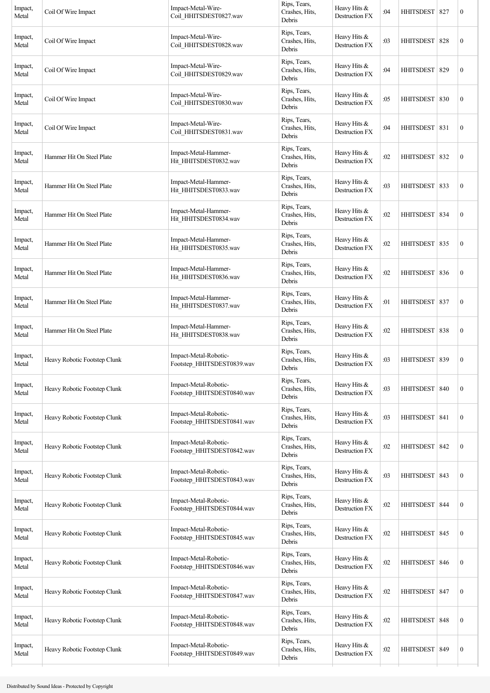| Impact,<br>Metal | Coil Of Wire Impact          | Impact-Metal-Wire-<br>Coil_HHITSDEST0827.wav        | Rips, Tears,<br>Crashes, Hits,<br>Debris | Heavy Hits &<br>Destruction FX        | :04 | HHITSDEST 827    |     | $\boldsymbol{0}$ |
|------------------|------------------------------|-----------------------------------------------------|------------------------------------------|---------------------------------------|-----|------------------|-----|------------------|
| Impact,<br>Metal | Coil Of Wire Impact          | Impact-Metal-Wire-<br>Coil_HHITSDEST0828.wav        | Rips, Tears,<br>Crashes, Hits,<br>Debris | Heavy Hits &<br>Destruction FX        | :03 | <b>HHITSDEST</b> | 828 | $\boldsymbol{0}$ |
| Impact,<br>Metal | Coil Of Wire Impact          | Impact-Metal-Wire-<br>Coil HHITSDEST0829.wav        | Rips, Tears,<br>Crashes, Hits,<br>Debris | Heavy Hits &<br>Destruction FX        | :04 | <b>HHITSDEST</b> | 829 | $\boldsymbol{0}$ |
| Impact,<br>Metal | Coil Of Wire Impact          | Impact-Metal-Wire-<br>Coil_HHITSDEST0830.wav        | Rips, Tears,<br>Crashes, Hits,<br>Debris | Heavy Hits &<br>Destruction FX        | :05 | HHITSDEST 830    |     | $\boldsymbol{0}$ |
| Impact,<br>Metal | Coil Of Wire Impact          | Impact-Metal-Wire-<br>Coil_HHITSDEST0831.wav        | Rips, Tears,<br>Crashes, Hits,<br>Debris | Heavy Hits &<br>Destruction FX        | :04 | <b>HHITSDEST</b> | 831 | $\boldsymbol{0}$ |
| Impact,<br>Metal | Hammer Hit On Steel Plate    | Impact-Metal-Hammer-<br>Hit_HHITSDEST0832.wav       | Rips, Tears,<br>Crashes, Hits,<br>Debris | Heavy Hits &<br>Destruction FX        | :02 | <b>HHITSDEST</b> | 832 | $\boldsymbol{0}$ |
| Impact,<br>Metal | Hammer Hit On Steel Plate    | Impact-Metal-Hammer-<br>Hit HHITSDEST0833.wav       | Rips, Tears,<br>Crashes, Hits,<br>Debris | Heavy Hits &<br>Destruction FX        | :03 | <b>HHITSDEST</b> | 833 | $\boldsymbol{0}$ |
| Impact,<br>Metal | Hammer Hit On Steel Plate    | Impact-Metal-Hammer-<br>Hit_HHITSDEST0834.wav       | Rips, Tears,<br>Crashes, Hits,<br>Debris | Heavy Hits &<br>Destruction FX        | :02 | HHITSDEST   834  |     | $\boldsymbol{0}$ |
| Impact,<br>Metal | Hammer Hit On Steel Plate    | Impact-Metal-Hammer-<br>Hit_HHITSDEST0835.wav       | Rips, Tears,<br>Crashes, Hits,<br>Debris | Heavy Hits &<br>Destruction FX        | :02 | <b>HHITSDEST</b> | 835 | $\boldsymbol{0}$ |
| Impact,<br>Metal | Hammer Hit On Steel Plate    | Impact-Metal-Hammer-<br>Hit_HHITSDEST0836.wav       | Rips, Tears,<br>Crashes, Hits,<br>Debris | Heavy Hits $&$<br>Destruction FX      | :02 | <b>HHITSDEST</b> | 836 | $\boldsymbol{0}$ |
| Impact,<br>Metal | Hammer Hit On Steel Plate    | Impact-Metal-Hammer-<br>Hit HHITSDEST0837.wav       | Rips, Tears,<br>Crashes, Hits,<br>Debris | Heavy Hits &<br>Destruction FX        | :01 | HHITSDEST 837    |     | $\boldsymbol{0}$ |
| Impact,<br>Metal | Hammer Hit On Steel Plate    | Impact-Metal-Hammer-<br>Hit_HHITSDEST0838.wav       | Rips, Tears,<br>Crashes, Hits,<br>Debris | Heavy Hits &<br>Destruction FX        | :02 | HHITSDEST   838  |     | $\boldsymbol{0}$ |
| Impact,<br>Metal | Heavy Robotic Footstep Clunk | Impact-Metal-Robotic-<br>Footstep_HHITSDEST0839.wav | Rips, Tears,<br>Crashes, Hits,<br>Debris | Heavy Hits &<br>Destruction FX        | :03 | <b>HHITSDEST</b> | 839 | $\boldsymbol{0}$ |
| Impact,<br>Metal | Heavy Robotic Footstep Clunk | Impact-Metal-Robotic-<br>Footstep_HHITSDEST0840.wav | Rips, Tears,<br>Crashes, Hits,<br>Debris | Heavy Hits &<br><b>Destruction FX</b> | :03 | <b>HHITSDEST</b> | 840 | $\boldsymbol{0}$ |
| Impact,<br>Metal | Heavy Robotic Footstep Clunk | Impact-Metal-Robotic-<br>Footstep_HHITSDEST0841.wav | Rips, Tears,<br>Crashes, Hits,<br>Debris | Heavy Hits &<br>Destruction FX        | :03 | HHITSDEST 841    |     | $\boldsymbol{0}$ |
| Impact,<br>Metal | Heavy Robotic Footstep Clunk | Impact-Metal-Robotic-<br>Footstep_HHITSDEST0842.wav | Rips, Tears,<br>Crashes, Hits,<br>Debris | Heavy Hits &<br><b>Destruction FX</b> | :02 | HHITSDEST   842  |     | $\boldsymbol{0}$ |
| Impact,<br>Metal | Heavy Robotic Footstep Clunk | Impact-Metal-Robotic-<br>Footstep_HHITSDEST0843.wav | Rips, Tears,<br>Crashes, Hits,<br>Debris | Heavy Hits &<br>Destruction FX        | :03 | <b>HHITSDEST</b> | 843 | $\boldsymbol{0}$ |
| Impact,<br>Metal | Heavy Robotic Footstep Clunk | Impact-Metal-Robotic-<br>Footstep_HHITSDEST0844.wav | Rips, Tears,<br>Crashes, Hits,<br>Debris | Heavy Hits &<br>Destruction FX        | :02 | <b>HHITSDEST</b> | 844 | $\boldsymbol{0}$ |
| Impact,<br>Metal | Heavy Robotic Footstep Clunk | Impact-Metal-Robotic-<br>Footstep_HHITSDEST0845.wav | Rips, Tears,<br>Crashes, Hits,<br>Debris | Heavy Hits $&$<br>Destruction FX      | :02 | HHITSDEST   845  |     | $\boldsymbol{0}$ |
| Impact,<br>Metal | Heavy Robotic Footstep Clunk | Impact-Metal-Robotic-<br>Footstep_HHITSDEST0846.wav | Rips, Tears,<br>Crashes, Hits,<br>Debris | Heavy Hits &<br>Destruction FX        | :02 | HHITSDEST   846  |     | $\boldsymbol{0}$ |
| Impact,<br>Metal | Heavy Robotic Footstep Clunk | Impact-Metal-Robotic-<br>Footstep_HHITSDEST0847.wav | Rips, Tears,<br>Crashes, Hits,<br>Debris | Heavy Hits $&$<br>Destruction FX      | :02 | <b>HHITSDEST</b> | 847 | $\boldsymbol{0}$ |
| Impact,<br>Metal | Heavy Robotic Footstep Clunk | Impact-Metal-Robotic-<br>Footstep_HHITSDEST0848.wav | Rips, Tears,<br>Crashes, Hits,<br>Debris | Heavy Hits $&$<br>Destruction FX      | :02 | <b>HHITSDEST</b> | 848 | $\boldsymbol{0}$ |
| Impact,<br>Metal | Heavy Robotic Footstep Clunk | Impact-Metal-Robotic-<br>Footstep HHITSDEST0849.wav | Rips, Tears,<br>Crashes, Hits,<br>Debris | Heavy Hits &<br>Destruction FX        | :02 | HHITSDEST   849  |     | $\boldsymbol{0}$ |
|                  |                              |                                                     |                                          |                                       |     |                  |     |                  |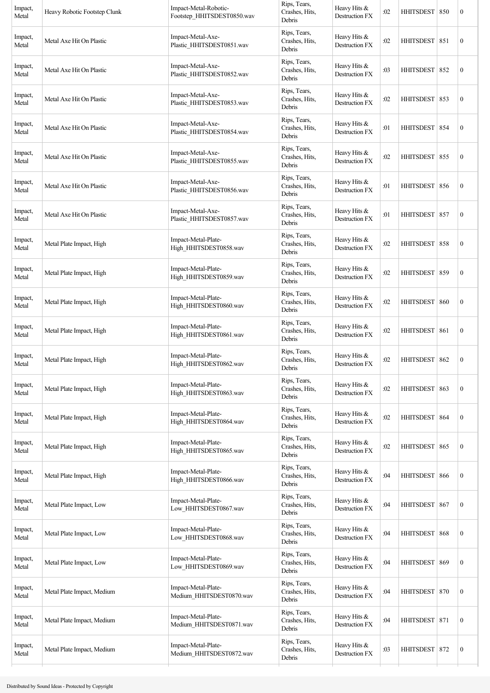| Impact,<br>Metal | Heavy Robotic Footstep Clunk | Impact-Metal-Robotic-<br>Footstep_HHITSDEST0850.wav | Rips, Tears,<br>Crashes, Hits,<br>Debris | Heavy Hits &<br>Destruction FX   | :02 | <b>HHITSDEST</b> | 850 | $\boldsymbol{0}$ |
|------------------|------------------------------|-----------------------------------------------------|------------------------------------------|----------------------------------|-----|------------------|-----|------------------|
| Impact,<br>Metal | Metal Axe Hit On Plastic     | Impact-Metal-Axe-<br>Plastic_HHITSDEST0851.wav      | Rips, Tears,<br>Crashes, Hits,<br>Debris | Heavy Hits &<br>Destruction FX   | :02 | HHITSDEST        | 851 | $\boldsymbol{0}$ |
| Impact,<br>Metal | Metal Axe Hit On Plastic     | Impact-Metal-Axe-<br>Plastic_HHITSDEST0852.wav      | Rips, Tears,<br>Crashes, Hits,<br>Debris | Heavy Hits &<br>Destruction FX   | :03 | HHITSDEST 852    |     | $\boldsymbol{0}$ |
| Impact,<br>Metal | Metal Axe Hit On Plastic     | Impact-Metal-Axe-<br>Plastic HHITSDEST0853.wav      | Rips, Tears,<br>Crashes, Hits,<br>Debris | Heavy Hits &<br>Destruction FX   | :02 | HHITSDEST   853  |     | $\boldsymbol{0}$ |
| Impact,<br>Metal | Metal Axe Hit On Plastic     | Impact-Metal-Axe-<br>Plastic_HHITSDEST0854.wav      | Rips, Tears,<br>Crashes, Hits,<br>Debris | Heavy Hits &<br>Destruction FX   | :01 | <b>HHITSDEST</b> | 854 | $\boldsymbol{0}$ |
| Impact,<br>Metal | Metal Axe Hit On Plastic     | Impact-Metal-Axe-<br>Plastic_HHITSDEST0855.wav      | Rips, Tears,<br>Crashes, Hits,<br>Debris | Heavy Hits $&$<br>Destruction FX | :02 | HHITSDEST        | 855 | $\boldsymbol{0}$ |
| Impact,<br>Metal | Metal Axe Hit On Plastic     | Impact-Metal-Axe-<br>Plastic HHITSDEST0856.wav      | Rips, Tears,<br>Crashes, Hits,<br>Debris | Heavy Hits &<br>Destruction FX   | :01 | HHITSDEST 856    |     | $\boldsymbol{0}$ |
| Impact,<br>Metal | Metal Axe Hit On Plastic     | Impact-Metal-Axe-<br>Plastic HHITSDEST0857.wav      | Rips, Tears,<br>Crashes, Hits,<br>Debris | Heavy Hits &<br>Destruction FX   | :01 | HHITSDEST   857  |     | $\boldsymbol{0}$ |
| Impact,<br>Metal | Metal Plate Impact, High     | Impact-Metal-Plate-<br>High HHITSDEST0858.wav       | Rips, Tears,<br>Crashes, Hits,<br>Debris | Heavy Hits $&$<br>Destruction FX | :02 | <b>HHITSDEST</b> | 858 | $\boldsymbol{0}$ |
| Impact,<br>Metal | Metal Plate Impact, High     | Impact-Metal-Plate-<br>High HHITSDEST0859.wav       | Rips, Tears,<br>Crashes, Hits,<br>Debris | Heavy Hits &<br>Destruction FX   | :02 | <b>HHITSDEST</b> | 859 | $\boldsymbol{0}$ |
| Impact,<br>Metal | Metal Plate Impact, High     | Impact-Metal-Plate-<br>High HHITSDEST0860.wav       | Rips, Tears,<br>Crashes, Hits,<br>Debris | Heavy Hits $&$<br>Destruction FX | :02 | HHITSDEST   860  |     | $\boldsymbol{0}$ |
| Impact,<br>Metal | Metal Plate Impact, High     | Impact-Metal-Plate-<br>High_HHITSDEST0861.wav       | Rips, Tears,<br>Crashes, Hits,<br>Debris | Heavy Hits &<br>Destruction FX   | :02 | <b>HHITSDEST</b> | 861 | $\boldsymbol{0}$ |
| Impact,<br>Metal | Metal Plate Impact, High     | Impact-Metal-Plate-<br>High_HHITSDEST0862.wav       | Rips, Tears,<br>Crashes, Hits,<br>Debris | Heavy Hits &<br>Destruction FX   | :02 | <b>HHITSDEST</b> | 862 | $\boldsymbol{0}$ |
| Impact,<br>Metal | Metal Plate Impact, High     | Impact-Metal-Plate-<br>High_HHITSDEST0863.wav       | Rips, Tears,<br>Crashes, Hits,<br>Debris | Heavy Hits &<br>Destruction FX   | :02 | <b>HHITSDEST</b> | 863 | $\boldsymbol{0}$ |
| Impact,<br>Metal | Metal Plate Impact, High     | Impact-Metal-Plate-<br>High_HHITSDEST0864.wav       | Rips, Tears,<br>Crashes, Hits,<br>Debris | Heavy Hits &<br>Destruction FX   | :02 | <b>HHITSDEST</b> | 864 | $\boldsymbol{0}$ |
| Impact,<br>Metal | Metal Plate Impact, High     | Impact-Metal-Plate-<br>High_HHITSDEST0865.wav       | Rips, Tears,<br>Crashes, Hits,<br>Debris | Heavy Hits &<br>Destruction FX   | :02 | <b>HHITSDEST</b> | 865 | $\boldsymbol{0}$ |
| Impact,<br>Metal | Metal Plate Impact, High     | Impact-Metal-Plate-<br>High HHITSDEST0866.wav       | Rips, Tears,<br>Crashes, Hits,<br>Debris | Heavy Hits &<br>Destruction FX   | :04 | <b>HHITSDEST</b> | 866 | $\boldsymbol{0}$ |
| Impact,<br>Metal | Metal Plate Impact, Low      | Impact-Metal-Plate-<br>Low_HHITSDEST0867.wav        | Rips, Tears,<br>Crashes, Hits,<br>Debris | Heavy Hits &<br>Destruction FX   | :04 | <b>HHITSDEST</b> | 867 | $\boldsymbol{0}$ |
| Impact,<br>Metal | Metal Plate Impact, Low      | Impact-Metal-Plate-<br>Low_HHITSDEST0868.wav        | Rips, Tears,<br>Crashes, Hits,<br>Debris | Heavy Hits &<br>Destruction FX   | :04 | <b>HHITSDEST</b> | 868 | $\boldsymbol{0}$ |
| Impact,<br>Metal | Metal Plate Impact, Low      | Impact-Metal-Plate-<br>Low_HHITSDEST0869.wav        | Rips, Tears,<br>Crashes, Hits,<br>Debris | Heavy Hits &<br>Destruction FX   | :04 | <b>HHITSDEST</b> | 869 | $\boldsymbol{0}$ |
| Impact,<br>Metal | Metal Plate Impact, Medium   | Impact-Metal-Plate-<br>Medium_HHITSDEST0870.wav     | Rips, Tears,<br>Crashes, Hits,<br>Debris | Heavy Hits $&$<br>Destruction FX | :04 | <b>HHITSDEST</b> | 870 | $\boldsymbol{0}$ |
| Impact,<br>Metal | Metal Plate Impact, Medium   | Impact-Metal-Plate-<br>Medium_HHITSDEST0871.wav     | Rips, Tears,<br>Crashes, Hits,<br>Debris | Heavy Hits &<br>Destruction FX   | :04 | HHITSDEST 871    |     | $\boldsymbol{0}$ |
| Impact,<br>Metal | Metal Plate Impact, Medium   | Impact-Metal-Plate-<br>Medium_HHITSDEST0872.wav     | Rips, Tears,<br>Crashes, Hits,<br>Debris | Heavy Hits &<br>Destruction FX   | :03 | HHITSDEST 872    |     | $\boldsymbol{0}$ |
|                  |                              |                                                     |                                          |                                  |     |                  |     |                  |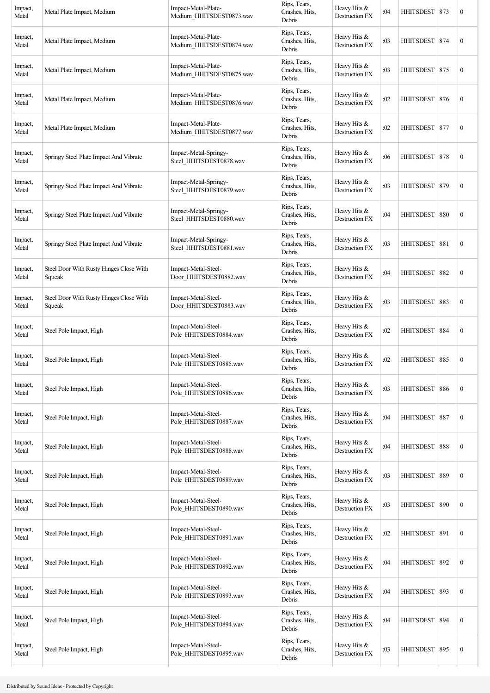| Impact,<br>Metal | Metal Plate Impact, Medium                        | Impact-Metal-Plate-<br>Medium_HHITSDEST0873.wav  | Rips, Tears,<br>Crashes, Hits,<br>Debris | Heavy Hits &<br>Destruction FX        | :04 | HHITSDEST 873    |     | $\boldsymbol{0}$ |
|------------------|---------------------------------------------------|--------------------------------------------------|------------------------------------------|---------------------------------------|-----|------------------|-----|------------------|
| Impact,<br>Metal | Metal Plate Impact, Medium                        | Impact-Metal-Plate-<br>Medium_HHITSDEST0874.wav  | Rips, Tears,<br>Crashes, Hits,<br>Debris | Heavy Hits &<br>Destruction FX        | :03 | <b>HHITSDEST</b> | 874 | $\boldsymbol{0}$ |
| Impact,<br>Metal | Metal Plate Impact, Medium                        | Impact-Metal-Plate-<br>Medium HHITSDEST0875.wav  | Rips, Tears,<br>Crashes, Hits,<br>Debris | Heavy Hits &<br>Destruction FX        | :03 | <b>HHITSDEST</b> | 875 | $\boldsymbol{0}$ |
| Impact,<br>Metal | Metal Plate Impact, Medium                        | Impact-Metal-Plate-<br>Medium_HHITSDEST0876.wav  | Rips, Tears,<br>Crashes, Hits,<br>Debris | Heavy Hits &<br><b>Destruction FX</b> | :02 | HHITSDEST   876  |     | $\boldsymbol{0}$ |
| Impact,<br>Metal | Metal Plate Impact, Medium                        | Impact-Metal-Plate-<br>Medium_HHITSDEST0877.wav  | Rips, Tears,<br>Crashes, Hits,<br>Debris | Heavy Hits &<br>Destruction FX        | :02 | <b>HHITSDEST</b> | 877 | $\boldsymbol{0}$ |
| Impact,<br>Metal | Springy Steel Plate Impact And Vibrate            | Impact-Metal-Springy-<br>Steel_HHITSDEST0878.wav | Rips, Tears,<br>Crashes, Hits,<br>Debris | Heavy Hits &<br>Destruction FX        | :06 | HHITSDEST        | 878 | $\boldsymbol{0}$ |
| Impact,<br>Metal | Springy Steel Plate Impact And Vibrate            | Impact-Metal-Springy-<br>Steel_HHITSDEST0879.wav | Rips, Tears,<br>Crashes, Hits,<br>Debris | Heavy Hits &<br>Destruction FX        | :03 | <b>HHITSDEST</b> | 879 | $\boldsymbol{0}$ |
| Impact,<br>Metal | Springy Steel Plate Impact And Vibrate            | Impact-Metal-Springy-<br>Steel_HHITSDEST0880.wav | Rips, Tears,<br>Crashes, Hits,<br>Debris | Heavy Hits &<br>Destruction FX        | :04 | HHITSDEST   880  |     | $\boldsymbol{0}$ |
| Impact,<br>Metal | Springy Steel Plate Impact And Vibrate            | Impact-Metal-Springy-<br>Steel_HHITSDEST0881.wav | Rips, Tears,<br>Crashes, Hits,<br>Debris | Heavy Hits &<br>Destruction FX        | :03 | <b>HHITSDEST</b> | 881 | $\boldsymbol{0}$ |
| Impact,<br>Metal | Steel Door With Rusty Hinges Close With<br>Squeak | Impact-Metal-Steel-<br>Door_HHITSDEST0882.wav    | Rips, Tears,<br>Crashes, Hits,<br>Debris | Heavy Hits $&$<br>Destruction FX      | :04 | <b>HHITSDEST</b> | 882 | $\boldsymbol{0}$ |
| Impact,<br>Metal | Steel Door With Rusty Hinges Close With<br>Squeak | Impact-Metal-Steel-<br>Door HHITSDEST0883.wav    | Rips, Tears,<br>Crashes, Hits,<br>Debris | Heavy Hits &<br>Destruction FX        | :03 | HHITSDEST 883    |     | $\boldsymbol{0}$ |
| Impact,<br>Metal | Steel Pole Impact, High                           | Impact-Metal-Steel-<br>Pole_HHITSDEST0884.wav    | Rips, Tears,<br>Crashes, Hits,<br>Debris | Heavy Hits &<br>Destruction FX        | :02 | HHITSDEST   884  |     | $\boldsymbol{0}$ |
| Impact,<br>Metal | Steel Pole Impact, High                           | Impact-Metal-Steel-<br>Pole_HHITSDEST0885.wav    | Rips, Tears,<br>Crashes, Hits,<br>Debris | Heavy Hits &<br>Destruction FX        | :02 | <b>HHITSDEST</b> | 885 | $\boldsymbol{0}$ |
| Impact,<br>Metal | Steel Pole Impact, High                           | Impact-Metal-Steel-<br>Pole_HHITSDEST0886.wav    | Rips, Tears,<br>Crashes, Hits,<br>Debris | Heavy Hits &<br>Destruction FX        | :03 | <b>HHITSDEST</b> | 886 | $\boldsymbol{0}$ |
| Impact,<br>Metal | Steel Pole Impact, High                           | Impact-Metal-Steel-<br>Pole_HHITSDEST0887.wav    | Rips, Tears,<br>Crashes, Hits,<br>Debris | Heavy Hits &<br>Destruction FX        | :04 | HHITSDEST 887    |     | $\boldsymbol{0}$ |
| Impact,<br>Metal | Steel Pole Impact, High                           | Impact-Metal-Steel-<br>Pole_HHITSDEST0888.wav    | Rips, Tears,<br>Crashes, Hits,<br>Debris | Heavy Hits &<br>Destruction FX        | :04 | HHITSDEST 888    |     | $\boldsymbol{0}$ |
| Impact,<br>Metal | Steel Pole Impact, High                           | Impact-Metal-Steel-<br>Pole_HHITSDEST0889.wav    | Rips, Tears,<br>Crashes, Hits,<br>Debris | Heavy Hits &<br>Destruction FX        | :03 | <b>HHITSDEST</b> | 889 | $\boldsymbol{0}$ |
| Impact,<br>Metal | Steel Pole Impact, High                           | Impact-Metal-Steel-<br>Pole_HHITSDEST0890.wav    | Rips, Tears,<br>Crashes, Hits,<br>Debris | Heavy Hits &<br>Destruction FX        | :03 | <b>HHITSDEST</b> | 890 | $\boldsymbol{0}$ |
| Impact,<br>Metal | Steel Pole Impact, High                           | Impact-Metal-Steel-<br>Pole_HHITSDEST0891.wav    | Rips, Tears,<br>Crashes, Hits,<br>Debris | Heavy Hits &<br>Destruction FX        | :02 | HHITSDEST 891    |     | $\boldsymbol{0}$ |
| Impact,<br>Metal | Steel Pole Impact, High                           | Impact-Metal-Steel-<br>Pole_HHITSDEST0892.wav    | Rips, Tears,<br>Crashes, Hits,<br>Debris | Heavy Hits &<br>Destruction FX        | :04 | HHITSDEST 892    |     | $\boldsymbol{0}$ |
| Impact,<br>Metal | Steel Pole Impact, High                           | Impact-Metal-Steel-<br>Pole_HHITSDEST0893.wav    | Rips, Tears,<br>Crashes, Hits,<br>Debris | Heavy Hits &<br>Destruction FX        | :04 | <b>HHITSDEST</b> | 893 | $\boldsymbol{0}$ |
| Impact,<br>Metal | Steel Pole Impact, High                           | Impact-Metal-Steel-<br>Pole_HHITSDEST0894.wav    | Rips, Tears,<br>Crashes, Hits,<br>Debris | Heavy Hits &<br>Destruction FX        | :04 | <b>HHITSDEST</b> | 894 | $\boldsymbol{0}$ |
| Impact,<br>Metal | Steel Pole Impact, High                           | Impact-Metal-Steel-<br>Pole HHITSDEST0895.wav    | Rips, Tears,<br>Crashes, Hits,<br>Debris | Heavy Hits &<br>Destruction FX        | :03 | HHITSDEST 895    |     | $\boldsymbol{0}$ |
|                  |                                                   |                                                  |                                          |                                       |     |                  |     |                  |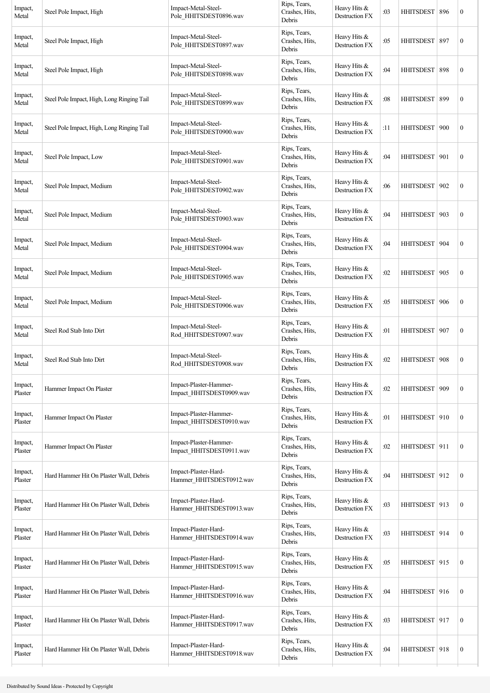| Impact,<br>Metal   | Steel Pole Impact, High                    | Impact-Metal-Steel-<br>Pole_HHITSDEST0896.wav      | Rips, Tears,<br>Crashes, Hits,<br>Debris | Heavy Hits &<br>Destruction FX        | :03 | <b>HHITSDEST</b> | 896 | $\boldsymbol{0}$ |
|--------------------|--------------------------------------------|----------------------------------------------------|------------------------------------------|---------------------------------------|-----|------------------|-----|------------------|
| Impact,<br>Metal   | Steel Pole Impact, High                    | Impact-Metal-Steel-<br>Pole_HHITSDEST0897.wav      | Rips, Tears,<br>Crashes, Hits,<br>Debris | Heavy Hits &<br><b>Destruction FX</b> | :05 | <b>HHITSDEST</b> | 897 | $\boldsymbol{0}$ |
| Impact,<br>Metal   | Steel Pole Impact, High                    | Impact-Metal-Steel-<br>Pole_HHITSDEST0898.wav      | Rips, Tears,<br>Crashes, Hits,<br>Debris | Heavy Hits &<br>Destruction FX        | :04 | <b>HHITSDEST</b> | 898 | $\boldsymbol{0}$ |
| Impact,<br>Metal   | Steel Pole Impact, High, Long Ringing Tail | Impact-Metal-Steel-<br>Pole_HHITSDEST0899.wav      | Rips, Tears,<br>Crashes, Hits,<br>Debris | Heavy Hits &<br>Destruction FX        | :08 | HHITSDEST   899  |     | $\boldsymbol{0}$ |
| Impact,<br>Metal   | Steel Pole Impact, High, Long Ringing Tail | Impact-Metal-Steel-<br>Pole_HHITSDEST0900.wav      | Rips, Tears,<br>Crashes, Hits,<br>Debris | Heavy Hits &<br>Destruction FX        | :11 | HHITSDEST        | 900 | $\boldsymbol{0}$ |
| Impact,<br>Metal   | Steel Pole Impact, Low                     | Impact-Metal-Steel-<br>Pole_HHITSDEST0901.wav      | Rips, Tears,<br>Crashes, Hits,<br>Debris | Heavy Hits &<br>Destruction FX        | :04 | <b>HHITSDEST</b> | 901 | $\boldsymbol{0}$ |
| Impact,<br>Metal   | Steel Pole Impact, Medium                  | Impact-Metal-Steel-<br>Pole HHITSDEST0902.wav      | Rips, Tears,<br>Crashes, Hits,<br>Debris | Heavy Hits &<br>Destruction FX        | :06 | <b>HHITSDEST</b> | 902 | $\boldsymbol{0}$ |
| Impact,<br>Metal   | Steel Pole Impact, Medium                  | Impact-Metal-Steel-<br>Pole_HHITSDEST0903.wav      | Rips, Tears,<br>Crashes, Hits,<br>Debris | Heavy Hits &<br>Destruction FX        | :04 | <b>HHITSDEST</b> | 903 | $\boldsymbol{0}$ |
| Impact,<br>Metal   | Steel Pole Impact, Medium                  | Impact-Metal-Steel-<br>Pole HHITSDEST0904.wav      | Rips, Tears,<br>Crashes, Hits,<br>Debris | Heavy Hits &<br>Destruction FX        | :04 | <b>HHITSDEST</b> | 904 | $\boldsymbol{0}$ |
| Impact,<br>Metal   | Steel Pole Impact, Medium                  | Impact-Metal-Steel-<br>Pole_HHITSDEST0905.wav      | Rips, Tears,<br>Crashes, Hits,<br>Debris | Heavy Hits $&$<br>Destruction FX      | :02 | <b>HHITSDEST</b> | 905 | $\boldsymbol{0}$ |
| Impact,<br>Metal   | Steel Pole Impact, Medium                  | Impact-Metal-Steel-<br>Pole HHITSDEST0906.wav      | Rips, Tears,<br>Crashes, Hits,<br>Debris | Heavy Hits &<br>Destruction FX        | :05 | <b>HHITSDEST</b> | 906 | $\boldsymbol{0}$ |
| Impact,<br>Metal   | Steel Rod Stab Into Dirt                   | Impact-Metal-Steel-<br>Rod_HHITSDEST0907.wav       | Rips, Tears,<br>Crashes, Hits,<br>Debris | Heavy Hits &<br><b>Destruction FX</b> | :01 | HHITSDEST        | 907 | $\boldsymbol{0}$ |
| Impact,<br>Metal   | Steel Rod Stab Into Dirt                   | Impact-Metal-Steel-<br>Rod HHITSDEST0908.wav       | Rips, Tears,<br>Crashes, Hits,<br>Debris | Heavy Hits &<br>Destruction FX        | :02 | <b>HHITSDEST</b> | 908 | $\boldsymbol{0}$ |
| Impact,<br>Plaster | Hammer Impact On Plaster                   | Impact-Plaster-Hammer-<br>Impact_HHITSDEST0909.wav | Rips, Tears,<br>Crashes, Hits,<br>Debris | Heavy Hits &<br><b>Destruction FX</b> | :02 | <b>HHITSDEST</b> | 909 | $\boldsymbol{0}$ |
| Impact,<br>Plaster | Hammer Impact On Plaster                   | Impact-Plaster-Hammer-<br>Impact_HHITSDEST0910.wav | Rips, Tears,<br>Crashes, Hits,<br>Debris | Heavy Hits &<br>Destruction FX        | :01 | HHITSDEST 910    |     | $\mathbf{0}$     |
| Impact,<br>Plaster | Hammer Impact On Plaster                   | Impact-Plaster-Hammer-<br>Impact_HHITSDEST0911.wav | Rips, Tears,<br>Crashes, Hits,<br>Debris | Heavy Hits &<br><b>Destruction FX</b> | :02 | HHITSDEST 911    |     | $\boldsymbol{0}$ |
| Impact,<br>Plaster | Hard Hammer Hit On Plaster Wall, Debris    | Impact-Plaster-Hard-<br>Hammer_HHITSDEST0912.wav   | Rips, Tears,<br>Crashes, Hits,<br>Debris | Heavy Hits &<br>Destruction FX        | :04 | HHITSDEST 912    |     | $\boldsymbol{0}$ |
| Impact,<br>Plaster | Hard Hammer Hit On Plaster Wall, Debris    | Impact-Plaster-Hard-<br>Hammer_HHITSDEST0913.wav   | Rips, Tears,<br>Crashes, Hits,<br>Debris | Heavy Hits &<br>Destruction FX        | :03 | HHITSDEST 913    |     | $\boldsymbol{0}$ |
| Impact,<br>Plaster | Hard Hammer Hit On Plaster Wall, Debris    | Impact-Plaster-Hard-<br>Hammer_HHITSDEST0914.wav   | Rips, Tears,<br>Crashes, Hits,<br>Debris | Heavy Hits &<br>Destruction FX        | :03 | HHITSDEST   914  |     | $\mathbf{0}$     |
| Impact,<br>Plaster | Hard Hammer Hit On Plaster Wall, Debris    | Impact-Plaster-Hard-<br>Hammer_HHITSDEST0915.wav   | Rips, Tears,<br>Crashes, Hits,<br>Debris | Heavy Hits &<br>Destruction FX        | :05 | HHITSDEST 915    |     | $\boldsymbol{0}$ |
| Impact,<br>Plaster | Hard Hammer Hit On Plaster Wall, Debris    | Impact-Plaster-Hard-<br>Hammer_HHITSDEST0916.wav   | Rips, Tears,<br>Crashes, Hits,<br>Debris | Heavy Hits &<br>Destruction FX        | :04 | HHITSDEST   916  |     | $\boldsymbol{0}$ |
| Impact,<br>Plaster | Hard Hammer Hit On Plaster Wall, Debris    | Impact-Plaster-Hard-<br>Hammer_HHITSDEST0917.wav   | Rips, Tears,<br>Crashes, Hits,<br>Debris | Heavy Hits &<br>Destruction FX        | :03 | HHITSDEST 917    |     | $\boldsymbol{0}$ |
| Impact,<br>Plaster | Hard Hammer Hit On Plaster Wall, Debris    | Impact-Plaster-Hard-<br>Hammer_HHITSDEST0918.wav   | Rips, Tears,<br>Crashes, Hits,<br>Debris | Heavy Hits &<br>Destruction FX        | :04 | HHITSDEST 918    |     | $\boldsymbol{0}$ |
|                    |                                            |                                                    |                                          |                                       |     |                  |     |                  |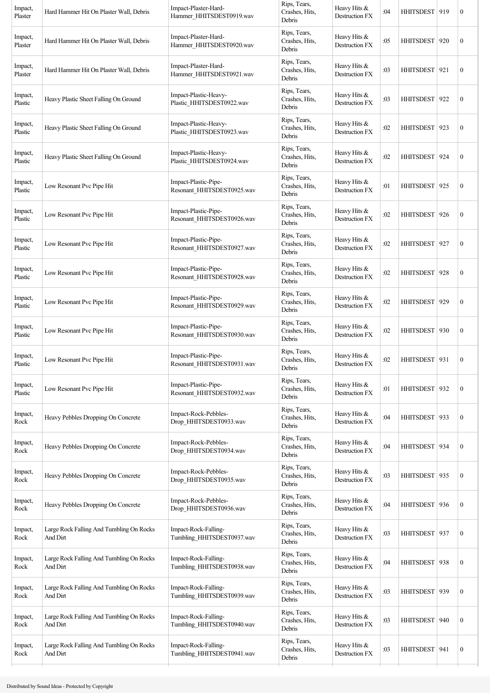| Rips, Tears,<br>Impact-Plaster-Hard-<br>Heavy Hits &<br>Impact,<br>Crashes, Hits,<br><b>HHITSDEST</b><br>Hard Hammer Hit On Plaster Wall, Debris<br>:05<br>Destruction FX<br>Hammer_HHITSDEST0920.wav<br>Plaster<br>Debris<br>Rips, Tears,<br>Impact-Plaster-Hard-<br>Heavy Hits &<br>Impact,<br>Crashes, Hits,<br>:03<br><b>HHITSDEST</b><br>Hard Hammer Hit On Plaster Wall, Debris<br>Plaster<br>Hammer_HHITSDEST0921.wav<br>Destruction FX<br>Debris<br>Rips, Tears,<br>Impact-Plastic-Heavy-<br>Heavy Hits &<br>Impact,<br>Crashes, Hits,<br><b>HHITSDEST</b><br>Heavy Plastic Sheet Falling On Ground<br>:03<br>Plastic_HHITSDEST0922.wav<br>Destruction FX<br>Plastic<br>Debris<br>Rips, Tears,<br>Impact-Plastic-Heavy-<br>Heavy Hits &<br>Impact,<br>Crashes, Hits,<br>:02<br>HHITSDEST   923<br>Heavy Plastic Sheet Falling On Ground<br>Plastic_HHITSDEST0923.wav<br>Destruction FX<br>Plastic<br>Debris<br>Rips, Tears,<br>Impact-Plastic-Heavy-<br>Heavy Hits &<br>Impact,<br>HHITSDEST<br>Heavy Plastic Sheet Falling On Ground<br>Crashes, Hits,<br>:02<br>Plastic_HHITSDEST0924.wav<br>Destruction FX<br>Plastic<br>Debris<br>Rips, Tears,<br>Impact-Plastic-Pipe-<br>Heavy Hits &<br>Impact,<br>Low Resonant Pvc Pipe Hit<br>Crashes, Hits,<br>:01<br><b>HHITSDEST</b><br>Plastic<br>Resonant HHITSDEST0925.wav<br>Destruction FX<br>Debris<br>Rips, Tears,<br>Impact-Plastic-Pipe-<br>Heavy Hits &<br>Impact,<br>:02<br><b>HHITSDEST</b><br>Low Resonant Pvc Pipe Hit<br>Crashes, Hits,<br>Plastic<br>Resonant HHITSDEST0926.wav<br><b>Destruction FX</b><br>Debris<br>Rips, Tears,<br>Impact-Plastic-Pipe-<br>Heavy Hits &<br>Impact,<br>Crashes, Hits,<br>:02<br>HHITSDEST   927<br>Low Resonant Pvc Pipe Hit<br>Plastic<br>Resonant_HHITSDEST0927.wav<br>Destruction FX<br>Debris<br>Rips, Tears,<br>Impact-Plastic-Pipe-<br>Heavy Hits &<br>Impact,<br>Low Resonant Pvc Pipe Hit<br>:02<br><b>HHITSDEST</b><br>Crashes, Hits,<br>Resonant_HHITSDEST0928.wav<br>Destruction FX<br>Plastic<br>Debris<br>Rips, Tears,<br>Impact-Plastic-Pipe-<br>Heavy Hits $&$<br>Impact,<br>:02<br><b>HHITSDEST</b><br>Low Resonant Pvc Pipe Hit<br>Crashes, Hits,<br>Resonant_HHITSDEST0929.wav<br>Destruction FX<br>Plastic<br>Debris<br>Rips, Tears,<br>Impact-Plastic-Pipe-<br>Heavy Hits &<br>Impact,<br>Low Resonant Pvc Pipe Hit<br>:02<br>HHITSDEST   930<br>Crashes, Hits,<br>Resonant_HHITSDEST0930.wav<br>Plastic<br>Destruction FX<br>Debris<br>Rips, Tears,<br>Impact-Plastic-Pipe-<br>Heavy Hits &<br>Impact,<br>Low Resonant Pvc Pipe Hit<br>Crashes, Hits,<br>:02<br>HHITSDEST<br>Resonant HHITSDEST0931.wav<br><b>Destruction FX</b><br>Plastic<br>Debris |     |                  |
|---------------------------------------------------------------------------------------------------------------------------------------------------------------------------------------------------------------------------------------------------------------------------------------------------------------------------------------------------------------------------------------------------------------------------------------------------------------------------------------------------------------------------------------------------------------------------------------------------------------------------------------------------------------------------------------------------------------------------------------------------------------------------------------------------------------------------------------------------------------------------------------------------------------------------------------------------------------------------------------------------------------------------------------------------------------------------------------------------------------------------------------------------------------------------------------------------------------------------------------------------------------------------------------------------------------------------------------------------------------------------------------------------------------------------------------------------------------------------------------------------------------------------------------------------------------------------------------------------------------------------------------------------------------------------------------------------------------------------------------------------------------------------------------------------------------------------------------------------------------------------------------------------------------------------------------------------------------------------------------------------------------------------------------------------------------------------------------------------------------------------------------------------------------------------------------------------------------------------------------------------------------------------------------------------------------------------------------------------------------------------------------------------------------------------------------------------------------------------------------------------------------------------------------------------------------------------------------------------------------------------------------------------------------------------------|-----|------------------|
|                                                                                                                                                                                                                                                                                                                                                                                                                                                                                                                                                                                                                                                                                                                                                                                                                                                                                                                                                                                                                                                                                                                                                                                                                                                                                                                                                                                                                                                                                                                                                                                                                                                                                                                                                                                                                                                                                                                                                                                                                                                                                                                                                                                                                                                                                                                                                                                                                                                                                                                                                                                                                                                                                 | 920 | $\boldsymbol{0}$ |
|                                                                                                                                                                                                                                                                                                                                                                                                                                                                                                                                                                                                                                                                                                                                                                                                                                                                                                                                                                                                                                                                                                                                                                                                                                                                                                                                                                                                                                                                                                                                                                                                                                                                                                                                                                                                                                                                                                                                                                                                                                                                                                                                                                                                                                                                                                                                                                                                                                                                                                                                                                                                                                                                                 | 921 | $\boldsymbol{0}$ |
|                                                                                                                                                                                                                                                                                                                                                                                                                                                                                                                                                                                                                                                                                                                                                                                                                                                                                                                                                                                                                                                                                                                                                                                                                                                                                                                                                                                                                                                                                                                                                                                                                                                                                                                                                                                                                                                                                                                                                                                                                                                                                                                                                                                                                                                                                                                                                                                                                                                                                                                                                                                                                                                                                 | 922 | $\boldsymbol{0}$ |
|                                                                                                                                                                                                                                                                                                                                                                                                                                                                                                                                                                                                                                                                                                                                                                                                                                                                                                                                                                                                                                                                                                                                                                                                                                                                                                                                                                                                                                                                                                                                                                                                                                                                                                                                                                                                                                                                                                                                                                                                                                                                                                                                                                                                                                                                                                                                                                                                                                                                                                                                                                                                                                                                                 |     | $\boldsymbol{0}$ |
|                                                                                                                                                                                                                                                                                                                                                                                                                                                                                                                                                                                                                                                                                                                                                                                                                                                                                                                                                                                                                                                                                                                                                                                                                                                                                                                                                                                                                                                                                                                                                                                                                                                                                                                                                                                                                                                                                                                                                                                                                                                                                                                                                                                                                                                                                                                                                                                                                                                                                                                                                                                                                                                                                 | 924 | $\boldsymbol{0}$ |
|                                                                                                                                                                                                                                                                                                                                                                                                                                                                                                                                                                                                                                                                                                                                                                                                                                                                                                                                                                                                                                                                                                                                                                                                                                                                                                                                                                                                                                                                                                                                                                                                                                                                                                                                                                                                                                                                                                                                                                                                                                                                                                                                                                                                                                                                                                                                                                                                                                                                                                                                                                                                                                                                                 | 925 | $\boldsymbol{0}$ |
|                                                                                                                                                                                                                                                                                                                                                                                                                                                                                                                                                                                                                                                                                                                                                                                                                                                                                                                                                                                                                                                                                                                                                                                                                                                                                                                                                                                                                                                                                                                                                                                                                                                                                                                                                                                                                                                                                                                                                                                                                                                                                                                                                                                                                                                                                                                                                                                                                                                                                                                                                                                                                                                                                 | 926 | $\boldsymbol{0}$ |
|                                                                                                                                                                                                                                                                                                                                                                                                                                                                                                                                                                                                                                                                                                                                                                                                                                                                                                                                                                                                                                                                                                                                                                                                                                                                                                                                                                                                                                                                                                                                                                                                                                                                                                                                                                                                                                                                                                                                                                                                                                                                                                                                                                                                                                                                                                                                                                                                                                                                                                                                                                                                                                                                                 |     | $\boldsymbol{0}$ |
|                                                                                                                                                                                                                                                                                                                                                                                                                                                                                                                                                                                                                                                                                                                                                                                                                                                                                                                                                                                                                                                                                                                                                                                                                                                                                                                                                                                                                                                                                                                                                                                                                                                                                                                                                                                                                                                                                                                                                                                                                                                                                                                                                                                                                                                                                                                                                                                                                                                                                                                                                                                                                                                                                 | 928 | $\boldsymbol{0}$ |
|                                                                                                                                                                                                                                                                                                                                                                                                                                                                                                                                                                                                                                                                                                                                                                                                                                                                                                                                                                                                                                                                                                                                                                                                                                                                                                                                                                                                                                                                                                                                                                                                                                                                                                                                                                                                                                                                                                                                                                                                                                                                                                                                                                                                                                                                                                                                                                                                                                                                                                                                                                                                                                                                                 | 929 | $\boldsymbol{0}$ |
|                                                                                                                                                                                                                                                                                                                                                                                                                                                                                                                                                                                                                                                                                                                                                                                                                                                                                                                                                                                                                                                                                                                                                                                                                                                                                                                                                                                                                                                                                                                                                                                                                                                                                                                                                                                                                                                                                                                                                                                                                                                                                                                                                                                                                                                                                                                                                                                                                                                                                                                                                                                                                                                                                 |     | $\boldsymbol{0}$ |
|                                                                                                                                                                                                                                                                                                                                                                                                                                                                                                                                                                                                                                                                                                                                                                                                                                                                                                                                                                                                                                                                                                                                                                                                                                                                                                                                                                                                                                                                                                                                                                                                                                                                                                                                                                                                                                                                                                                                                                                                                                                                                                                                                                                                                                                                                                                                                                                                                                                                                                                                                                                                                                                                                 | 931 | $\boldsymbol{0}$ |
| Rips, Tears,<br>Impact-Plastic-Pipe-<br>Heavy Hits &<br>Impact,<br>Low Resonant Pvc Pipe Hit<br>Crashes, Hits,<br>:01<br>HHITSDEST 932<br>Resonant_HHITSDEST0932.wav<br>Plastic<br>Destruction FX<br>Debris                                                                                                                                                                                                                                                                                                                                                                                                                                                                                                                                                                                                                                                                                                                                                                                                                                                                                                                                                                                                                                                                                                                                                                                                                                                                                                                                                                                                                                                                                                                                                                                                                                                                                                                                                                                                                                                                                                                                                                                                                                                                                                                                                                                                                                                                                                                                                                                                                                                                     |     | $\boldsymbol{0}$ |
| Rips, Tears,<br>Impact-Rock-Pebbles-<br>Heavy Hits &<br>Impact,<br>Crashes, Hits,<br>:04<br><b>HHITSDEST</b><br>Heavy Pebbles Dropping On Concrete<br>Drop HHITSDEST0933.wav<br>Destruction FX<br>Rock<br>Debris                                                                                                                                                                                                                                                                                                                                                                                                                                                                                                                                                                                                                                                                                                                                                                                                                                                                                                                                                                                                                                                                                                                                                                                                                                                                                                                                                                                                                                                                                                                                                                                                                                                                                                                                                                                                                                                                                                                                                                                                                                                                                                                                                                                                                                                                                                                                                                                                                                                                | 933 | $\boldsymbol{0}$ |
| Rips, Tears,<br>Impact-Rock-Pebbles-<br>Heavy Hits &<br>Impact,<br>Heavy Pebbles Dropping On Concrete<br>Crashes, Hits,<br>:04<br>HHITSDEST   934<br>Rock<br>Drop_HHITSDEST0934.wav<br><b>Destruction FX</b><br>Debris                                                                                                                                                                                                                                                                                                                                                                                                                                                                                                                                                                                                                                                                                                                                                                                                                                                                                                                                                                                                                                                                                                                                                                                                                                                                                                                                                                                                                                                                                                                                                                                                                                                                                                                                                                                                                                                                                                                                                                                                                                                                                                                                                                                                                                                                                                                                                                                                                                                          |     | $\boldsymbol{0}$ |
| Rips, Tears,<br>Impact-Rock-Pebbles-<br>Heavy Hits &<br>Impact,<br>Heavy Pebbles Dropping On Concrete<br>Crashes, Hits,<br>:03<br>HHITSDEST 935<br>Destruction FX<br>Rock<br>Drop_HHITSDEST0935.wav<br>Debris                                                                                                                                                                                                                                                                                                                                                                                                                                                                                                                                                                                                                                                                                                                                                                                                                                                                                                                                                                                                                                                                                                                                                                                                                                                                                                                                                                                                                                                                                                                                                                                                                                                                                                                                                                                                                                                                                                                                                                                                                                                                                                                                                                                                                                                                                                                                                                                                                                                                   |     | $\boldsymbol{0}$ |
| Rips, Tears,<br>Heavy Hits &<br>Impact-Rock-Pebbles-<br>Impact,<br>Heavy Pebbles Dropping On Concrete<br>Crashes, Hits,<br>:04<br><b>HHITSDEST</b><br>Drop_HHITSDEST0936.wav<br>Destruction FX<br>Rock<br>Debris                                                                                                                                                                                                                                                                                                                                                                                                                                                                                                                                                                                                                                                                                                                                                                                                                                                                                                                                                                                                                                                                                                                                                                                                                                                                                                                                                                                                                                                                                                                                                                                                                                                                                                                                                                                                                                                                                                                                                                                                                                                                                                                                                                                                                                                                                                                                                                                                                                                                | 936 | $\boldsymbol{0}$ |
| Rips, Tears,<br>Impact-Rock-Falling-<br>Heavy Hits &<br>Large Rock Falling And Tumbling On Rocks<br>Impact,<br>Crashes, Hits,<br>:03<br><b>HHITSDEST</b><br>Tumbling_HHITSDEST0937.wav<br>Destruction FX<br>Rock<br>And Dirt<br>Debris                                                                                                                                                                                                                                                                                                                                                                                                                                                                                                                                                                                                                                                                                                                                                                                                                                                                                                                                                                                                                                                                                                                                                                                                                                                                                                                                                                                                                                                                                                                                                                                                                                                                                                                                                                                                                                                                                                                                                                                                                                                                                                                                                                                                                                                                                                                                                                                                                                          | 937 | $\boldsymbol{0}$ |
| Rips, Tears,<br>Large Rock Falling And Tumbling On Rocks<br>Impact-Rock-Falling-<br>Heavy Hits &<br>Impact,<br>Crashes, Hits,<br>:04<br>HHITSDEST   938<br>Tumbling_HHITSDEST0938.wav<br>Destruction FX<br>Rock<br>And Dirt<br>Debris                                                                                                                                                                                                                                                                                                                                                                                                                                                                                                                                                                                                                                                                                                                                                                                                                                                                                                                                                                                                                                                                                                                                                                                                                                                                                                                                                                                                                                                                                                                                                                                                                                                                                                                                                                                                                                                                                                                                                                                                                                                                                                                                                                                                                                                                                                                                                                                                                                           |     | $\boldsymbol{0}$ |
| Rips, Tears,<br>Large Rock Falling And Tumbling On Rocks<br>Impact-Rock-Falling-<br>Heavy Hits &<br>Impact,<br>Crashes, Hits,<br>:03<br><b>HHITSDEST</b><br>Tumbling_HHITSDEST0939.wav<br>Destruction FX<br>Rock<br>And Dirt<br>Debris                                                                                                                                                                                                                                                                                                                                                                                                                                                                                                                                                                                                                                                                                                                                                                                                                                                                                                                                                                                                                                                                                                                                                                                                                                                                                                                                                                                                                                                                                                                                                                                                                                                                                                                                                                                                                                                                                                                                                                                                                                                                                                                                                                                                                                                                                                                                                                                                                                          | 939 | $\boldsymbol{0}$ |
| Rips, Tears,<br>Large Rock Falling And Tumbling On Rocks<br>Impact-Rock-Falling-<br>Heavy Hits &<br>Impact,<br>Crashes, Hits,<br>:03<br><b>HHITSDEST</b><br>Tumbling_HHITSDEST0940.wav<br>Destruction FX<br>Rock<br>And Dirt<br>Debris                                                                                                                                                                                                                                                                                                                                                                                                                                                                                                                                                                                                                                                                                                                                                                                                                                                                                                                                                                                                                                                                                                                                                                                                                                                                                                                                                                                                                                                                                                                                                                                                                                                                                                                                                                                                                                                                                                                                                                                                                                                                                                                                                                                                                                                                                                                                                                                                                                          | 940 | $\boldsymbol{0}$ |
| Rips, Tears,<br>Large Rock Falling And Tumbling On Rocks<br>Impact-Rock-Falling-<br>Heavy Hits &<br>Impact,<br>Crashes, Hits,<br>:03<br><b>HHITSDEST</b><br>Tumbling_HHITSDEST0941.wav<br>Rock<br>Destruction FX<br>And Dirt<br>Debris                                                                                                                                                                                                                                                                                                                                                                                                                                                                                                                                                                                                                                                                                                                                                                                                                                                                                                                                                                                                                                                                                                                                                                                                                                                                                                                                                                                                                                                                                                                                                                                                                                                                                                                                                                                                                                                                                                                                                                                                                                                                                                                                                                                                                                                                                                                                                                                                                                          | 941 | $\boldsymbol{0}$ |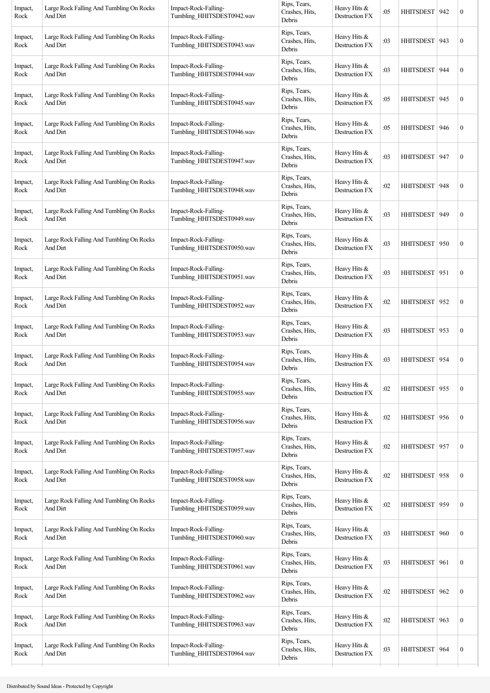| Impact,<br>Rock | Large Rock Falling And Tumbling On Rocks<br>And Dirt | Impact-Rock-Falling-<br>Tumbling_HHITSDEST0942.wav | Rips, Tears,<br>Crashes, Hits,<br>Debris | Heavy Hits &<br>Destruction FX   | :05 | HHITSDEST   942  |     | $\boldsymbol{0}$ |
|-----------------|------------------------------------------------------|----------------------------------------------------|------------------------------------------|----------------------------------|-----|------------------|-----|------------------|
| Impact,<br>Rock | Large Rock Falling And Tumbling On Rocks<br>And Dirt | Impact-Rock-Falling-<br>Tumbling_HHITSDEST0943.wav | Rips, Tears,<br>Crashes, Hits,<br>Debris | Heavy Hits &<br>Destruction FX   | :03 | HHITSDEST   943  |     | $\boldsymbol{0}$ |
| Impact,<br>Rock | Large Rock Falling And Tumbling On Rocks<br>And Dirt | Impact-Rock-Falling-<br>Tumbling_HHITSDEST0944.wav | Rips, Tears,<br>Crashes, Hits,<br>Debris | Heavy Hits &<br>Destruction FX   | :03 | <b>HHITSDEST</b> | 944 | $\boldsymbol{0}$ |
| Impact,<br>Rock | Large Rock Falling And Tumbling On Rocks<br>And Dirt | Impact-Rock-Falling-<br>Tumbling_HHITSDEST0945.wav | Rips, Tears,<br>Crashes, Hits,<br>Debris | Heavy Hits &<br>Destruction FX   | :05 | <b>HHITSDEST</b> | 945 | $\boldsymbol{0}$ |
| Impact,<br>Rock | Large Rock Falling And Tumbling On Rocks<br>And Dirt | Impact-Rock-Falling-<br>Tumbling_HHITSDEST0946.wav | Rips, Tears,<br>Crashes, Hits,<br>Debris | Heavy Hits &<br>Destruction FX   | :05 | HHITSDEST   946  |     | $\boldsymbol{0}$ |
| Impact,<br>Rock | Large Rock Falling And Tumbling On Rocks<br>And Dirt | Impact-Rock-Falling-<br>Tumbling_HHITSDEST0947.wav | Rips, Tears,<br>Crashes, Hits,<br>Debris | Heavy Hits &<br>Destruction FX   | :03 | HHITSDEST   947  |     | $\boldsymbol{0}$ |
| Impact,<br>Rock | Large Rock Falling And Tumbling On Rocks<br>And Dirt | Impact-Rock-Falling-<br>Tumbling_HHITSDEST0948.wav | Rips, Tears,<br>Crashes, Hits,<br>Debris | Heavy Hits &<br>Destruction FX   | :02 | <b>HHITSDEST</b> | 948 | $\boldsymbol{0}$ |
| Impact,<br>Rock | Large Rock Falling And Tumbling On Rocks<br>And Dirt | Impact-Rock-Falling-<br>Tumbling_HHITSDEST0949.wav | Rips, Tears,<br>Crashes, Hits,<br>Debris | Heavy Hits &<br>Destruction FX   | :03 | <b>HHITSDEST</b> | 949 | $\boldsymbol{0}$ |
| Impact,<br>Rock | Large Rock Falling And Tumbling On Rocks<br>And Dirt | Impact-Rock-Falling-<br>Tumbling_HHITSDEST0950.wav | Rips, Tears,<br>Crashes, Hits,<br>Debris | Heavy Hits &<br>Destruction FX   | :03 | HHITSDEST 950    |     | $\boldsymbol{0}$ |
| Impact,<br>Rock | Large Rock Falling And Tumbling On Rocks<br>And Dirt | Impact-Rock-Falling-<br>Tumbling_HHITSDEST0951.wav | Rips, Tears,<br>Crashes, Hits,<br>Debris | Heavy Hits &<br>Destruction FX   | :03 | HHITSDEST 951    |     | $\boldsymbol{0}$ |
| Impact,<br>Rock | Large Rock Falling And Tumbling On Rocks<br>And Dirt | Impact-Rock-Falling-<br>Tumbling_HHITSDEST0952.wav | Rips, Tears,<br>Crashes, Hits,<br>Debris | Heavy Hits $&$<br>Destruction FX | :02 | <b>HHITSDEST</b> | 952 | $\boldsymbol{0}$ |
| Impact,<br>Rock | Large Rock Falling And Tumbling On Rocks<br>And Dirt | Impact-Rock-Falling-<br>Tumbling_HHITSDEST0953.wav | Rips, Tears,<br>Crashes, Hits,<br>Debris | Heavy Hits &<br>Destruction FX   | :03 | HHITSDEST 953    |     | $\boldsymbol{0}$ |
| Impact,<br>Rock | Large Rock Falling And Tumbling On Rocks<br>And Dirt | Impact-Rock-Falling-<br>Tumbling_HHITSDEST0954.wav | Rips, Tears,<br>Crashes, Hits,<br>Debris | Heavy Hits &<br>Destruction FX   | :03 | HHITSDEST   954  |     | $\boldsymbol{0}$ |
| Impact,<br>Rock | Large Rock Falling And Tumbling On Rocks<br>And Dirt | Impact-Rock-Falling-<br>Tumbling_HHITSDEST0955.wav | Rips, Tears,<br>Crashes, Hits,<br>Debris | Heavy Hits &<br>Destruction FX   | :02 | HHITSDEST 955    |     | $\boldsymbol{0}$ |
| Impact,<br>Rock | Large Rock Falling And Tumbling On Rocks<br>And Dirt | Impact-Rock-Falling-<br>Tumbling HHITSDEST0956.wav | Rips, Tears,<br>Crashes, Hits,<br>Debris | Heavy Hits &<br>Destruction FX   | :02 | HHITSDEST 956    |     | $\boldsymbol{0}$ |
| Impact,<br>Rock | Large Rock Falling And Tumbling On Rocks<br>And Dirt | Impact-Rock-Falling-<br>Tumbling_HHITSDEST0957.wav | Rips, Tears,<br>Crashes, Hits,<br>Debris | Heavy Hits &<br>Destruction FX   | :02 | HHITSDEST 957    |     | $\boldsymbol{0}$ |
| Impact,<br>Rock | Large Rock Falling And Tumbling On Rocks<br>And Dirt | Impact-Rock-Falling-<br>Tumbling_HHITSDEST0958.wav | Rips, Tears,<br>Crashes, Hits,<br>Debris | Heavy Hits &<br>Destruction FX   | :02 | HHITSDEST 958    |     | $\boldsymbol{0}$ |
| Impact,<br>Rock | Large Rock Falling And Tumbling On Rocks<br>And Dirt | Impact-Rock-Falling-<br>Tumbling_HHITSDEST0959.wav | Rips, Tears,<br>Crashes, Hits,<br>Debris | Heavy Hits &<br>Destruction FX   | :02 | HHITSDEST 959    |     | $\boldsymbol{0}$ |
| Impact,<br>Rock | Large Rock Falling And Tumbling On Rocks<br>And Dirt | Impact-Rock-Falling-<br>Tumbling_HHITSDEST0960.wav | Rips, Tears,<br>Crashes, Hits,<br>Debris | Heavy Hits &<br>Destruction FX   | :03 | <b>HHITSDEST</b> | 960 | $\boldsymbol{0}$ |
| Impact,<br>Rock | Large Rock Falling And Tumbling On Rocks<br>And Dirt | Impact-Rock-Falling-<br>Tumbling_HHITSDEST0961.wav | Rips, Tears,<br>Crashes, Hits,<br>Debris | Heavy Hits &<br>Destruction FX   | :03 | HHITSDEST 961    |     | $\boldsymbol{0}$ |
| Impact,<br>Rock | Large Rock Falling And Tumbling On Rocks<br>And Dirt | Impact-Rock-Falling-<br>Tumbling_HHITSDEST0962.wav | Rips, Tears,<br>Crashes, Hits,<br>Debris | Heavy Hits &<br>Destruction FX   | :02 | <b>HHITSDEST</b> | 962 | $\boldsymbol{0}$ |
| Impact,<br>Rock | Large Rock Falling And Tumbling On Rocks<br>And Dirt | Impact-Rock-Falling-<br>Tumbling_HHITSDEST0963.wav | Rips, Tears,<br>Crashes, Hits,<br>Debris | Heavy Hits &<br>Destruction FX   | :02 | <b>HHITSDEST</b> | 963 | $\boldsymbol{0}$ |
| Impact,<br>Rock | Large Rock Falling And Tumbling On Rocks<br>And Dirt | Impact-Rock-Falling-<br>Tumbling_HHITSDEST0964.wav | Rips, Tears,<br>Crashes, Hits,<br>Debris | Heavy Hits &<br>Destruction FX   | :03 | HHITSDEST        | 964 | $\boldsymbol{0}$ |
|                 |                                                      |                                                    |                                          |                                  |     |                  |     |                  |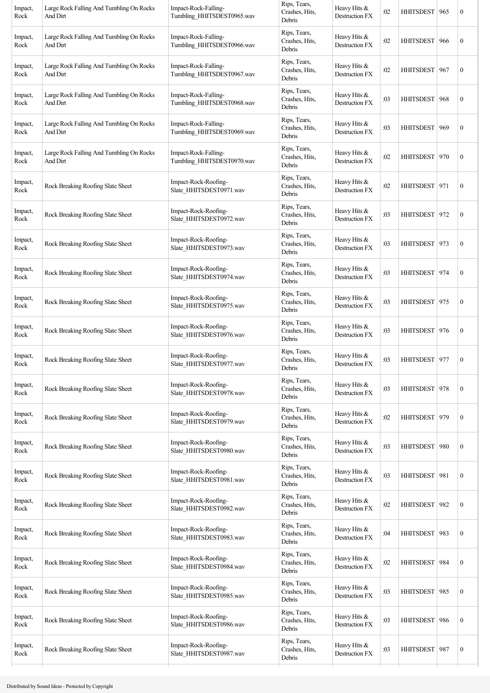| Impact,<br>Rock | Large Rock Falling And Tumbling On Rocks<br>And Dirt | Impact-Rock-Falling-<br>Tumbling_HHITSDEST0965.wav | Rips, Tears,<br>Crashes, Hits,<br>Debris | Heavy Hits &<br>Destruction FX        | :02 | HHITSDEST   965  |     | $\boldsymbol{0}$ |
|-----------------|------------------------------------------------------|----------------------------------------------------|------------------------------------------|---------------------------------------|-----|------------------|-----|------------------|
| Impact,<br>Rock | Large Rock Falling And Tumbling On Rocks<br>And Dirt | Impact-Rock-Falling-<br>Tumbling_HHITSDEST0966.wav | Rips, Tears,<br>Crashes, Hits,<br>Debris | Heavy Hits &<br>Destruction FX        | :02 | HHITSDEST 966    |     | $\boldsymbol{0}$ |
| Impact,<br>Rock | Large Rock Falling And Tumbling On Rocks<br>And Dirt | Impact-Rock-Falling-<br>Tumbling_HHITSDEST0967.wav | Rips, Tears,<br>Crashes, Hits,<br>Debris | Heavy Hits &<br>Destruction FX        | :02 | HHITSDEST 967    |     | $\boldsymbol{0}$ |
| Impact,<br>Rock | Large Rock Falling And Tumbling On Rocks<br>And Dirt | Impact-Rock-Falling-<br>Tumbling_HHITSDEST0968.wav | Rips, Tears,<br>Crashes, Hits,<br>Debris | Heavy Hits &<br>Destruction FX        | :03 | HHITSDEST 968    |     | $\boldsymbol{0}$ |
| Impact,<br>Rock | Large Rock Falling And Tumbling On Rocks<br>And Dirt | Impact-Rock-Falling-<br>Tumbling_HHITSDEST0969.wav | Rips, Tears,<br>Crashes, Hits,<br>Debris | Heavy Hits &<br>Destruction FX        | :03 | HHITSDEST   969  |     | $\boldsymbol{0}$ |
| Impact,<br>Rock | Large Rock Falling And Tumbling On Rocks<br>And Dirt | Impact-Rock-Falling-<br>Tumbling_HHITSDEST0970.wav | Rips, Tears,<br>Crashes, Hits,<br>Debris | Heavy Hits &<br>Destruction FX        | :02 | HHITSDEST   970  |     | $\boldsymbol{0}$ |
| Impact,<br>Rock | Rock Breaking Roofing Slate Sheet                    | Impact-Rock-Roofing-<br>Slate_HHITSDEST0971.wav    | Rips, Tears,<br>Crashes, Hits,<br>Debris | Heavy Hits &<br>Destruction FX        | :02 | HHITSDEST 971    |     | $\boldsymbol{0}$ |
| Impact,<br>Rock | Rock Breaking Roofing Slate Sheet                    | Impact-Rock-Roofing-<br>Slate_HHITSDEST0972.wav    | Rips, Tears,<br>Crashes, Hits,<br>Debris | Heavy Hits &<br>Destruction FX        | :03 | HHITSDEST 972    |     | $\boldsymbol{0}$ |
| Impact,<br>Rock | Rock Breaking Roofing Slate Sheet                    | Impact-Rock-Roofing-<br>Slate_HHITSDEST0973.wav    | Rips, Tears,<br>Crashes, Hits,<br>Debris | Heavy Hits &<br>Destruction FX        | :03 | HHITSDEST 973    |     | $\boldsymbol{0}$ |
| Impact,<br>Rock | Rock Breaking Roofing Slate Sheet                    | Impact-Rock-Roofing-<br>Slate_HHITSDEST0974.wav    | Rips, Tears,<br>Crashes, Hits,<br>Debris | Heavy Hits &<br>Destruction FX        | :03 | HHITSDEST   974  |     | $\boldsymbol{0}$ |
| Impact,<br>Rock | Rock Breaking Roofing Slate Sheet                    | Impact-Rock-Roofing-<br>Slate_HHITSDEST0975.wav    | Rips, Tears,<br>Crashes, Hits,<br>Debris | Heavy Hits &<br>Destruction FX        | :03 | HHITSDEST 975    |     | $\boldsymbol{0}$ |
| Impact,<br>Rock | Rock Breaking Roofing Slate Sheet                    | Impact-Rock-Roofing-<br>Slate HHITSDEST0976.wav    | Rips, Tears,<br>Crashes, Hits,<br>Debris | Heavy Hits &<br><b>Destruction FX</b> | :03 | HHITSDEST   976  |     | $\boldsymbol{0}$ |
| Impact,<br>Rock | Rock Breaking Roofing Slate Sheet                    | Impact-Rock-Roofing-<br>Slate_HHITSDEST0977.wav    | Rips, Tears,<br>Crashes, Hits,<br>Debris | Heavy Hits &<br>Destruction FX        | :03 | HHITSDEST 977    |     | $\boldsymbol{0}$ |
| Impact,<br>Rock | Rock Breaking Roofing Slate Sheet                    | Impact-Rock-Roofing-<br>Slate_HHITSDEST0978.wav    | Rips, Tears,<br>Crashes, Hits,<br>Debris | Heavy Hits &<br>Destruction FX        | :03 | <b>HHITSDEST</b> | 978 | $\boldsymbol{0}$ |
| Impact,<br>Rock | Rock Breaking Roofing Slate Sheet                    | Impact-Rock-Roofing-<br>Slate HHITSDEST0979.wav    | Rips, Tears,<br>Crashes, Hits,<br>Debris | Heavy Hits &<br>Destruction FX        | :02 | HHITSDEST   979  |     | $\boldsymbol{0}$ |
| Impact,<br>Rock | Rock Breaking Roofing Slate Sheet                    | Impact-Rock-Roofing-<br>Slate HHITSDEST0980.wav    | Rips, Tears,<br>Crashes, Hits,<br>Debris | Heavy Hits &<br>Destruction FX        | :03 | HHITSDEST 980    |     | $\boldsymbol{0}$ |
| Impact,<br>Rock | Rock Breaking Roofing Slate Sheet                    | Impact-Rock-Roofing-<br>Slate_HHITSDEST0981.wav    | Rips, Tears,<br>Crashes, Hits,<br>Debris | Heavy Hits &<br>Destruction FX        | :03 | HHITSDEST 981    |     | $\boldsymbol{0}$ |
| Impact,<br>Rock | Rock Breaking Roofing Slate Sheet                    | Impact-Rock-Roofing-<br>Slate_HHITSDEST0982.wav    | Rips, Tears,<br>Crashes, Hits,<br>Debris | Heavy Hits &<br>Destruction FX        | :02 | HHITSDEST 982    |     | $\boldsymbol{0}$ |
| Impact,<br>Rock | Rock Breaking Roofing Slate Sheet                    | Impact-Rock-Roofing-<br>Slate_HHITSDEST0983.wav    | Rips, Tears,<br>Crashes, Hits,<br>Debris | Heavy Hits &<br>Destruction FX        | :04 | HHITSDEST 983    |     | $\boldsymbol{0}$ |
| Impact,<br>Rock | Rock Breaking Roofing Slate Sheet                    | Impact-Rock-Roofing-<br>Slate_HHITSDEST0984.wav    | Rips, Tears,<br>Crashes, Hits,<br>Debris | Heavy Hits &<br>Destruction FX        | :02 | HHITSDEST   984  |     | $\boldsymbol{0}$ |
| Impact,<br>Rock | Rock Breaking Roofing Slate Sheet                    | Impact-Rock-Roofing-<br>Slate_HHITSDEST0985.wav    | Rips, Tears,<br>Crashes, Hits,<br>Debris | Heavy Hits &<br>Destruction FX        | :03 | <b>HHITSDEST</b> | 985 | $\boldsymbol{0}$ |
| Impact,<br>Rock | Rock Breaking Roofing Slate Sheet                    | Impact-Rock-Roofing-<br>Slate_HHITSDEST0986.wav    | Rips, Tears,<br>Crashes, Hits,<br>Debris | Heavy Hits &<br>Destruction FX        | :03 | <b>HHITSDEST</b> | 986 | $\boldsymbol{0}$ |
| Impact,<br>Rock | Rock Breaking Roofing Slate Sheet                    | Impact-Rock-Roofing-<br>Slate_HHITSDEST0987.wav    | Rips, Tears,<br>Crashes, Hits,<br>Debris | Heavy Hits &<br><b>Destruction FX</b> | :03 | HHITSDEST 987    |     | $\boldsymbol{0}$ |
|                 |                                                      |                                                    |                                          |                                       |     |                  |     |                  |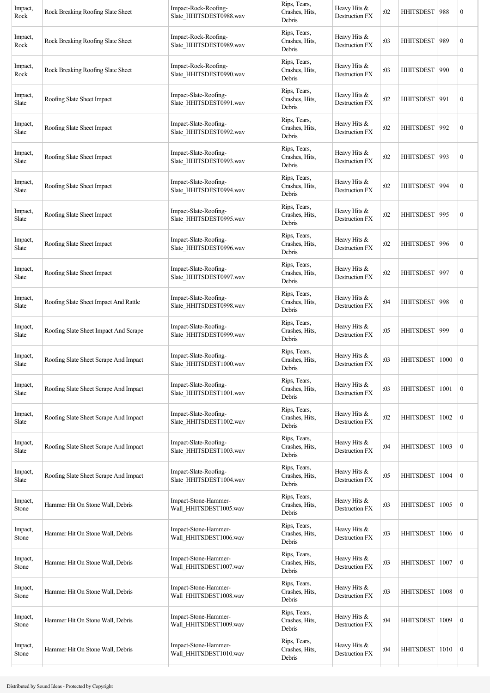| Impact,<br>Rock  | Rock Breaking Roofing Slate Sheet     | Impact-Rock-Roofing-<br>Slate_HHITSDEST0988.wav  | Rips, Tears,<br>Crashes, Hits,<br>Debris | Heavy Hits &<br>Destruction FX        | :02 | HHITSDEST        | 988  | $\boldsymbol{0}$ |
|------------------|---------------------------------------|--------------------------------------------------|------------------------------------------|---------------------------------------|-----|------------------|------|------------------|
| Impact,<br>Rock  | Rock Breaking Roofing Slate Sheet     | Impact-Rock-Roofing-<br>Slate_HHITSDEST0989.wav  | Rips, Tears,<br>Crashes, Hits,<br>Debris | Heavy Hits &<br>Destruction FX        | :03 | <b>HHITSDEST</b> | 989  | $\boldsymbol{0}$ |
| Impact,<br>Rock  | Rock Breaking Roofing Slate Sheet     | Impact-Rock-Roofing-<br>Slate_HHITSDEST0990.wav  | Rips, Tears,<br>Crashes, Hits,<br>Debris | Heavy Hits &<br>Destruction FX        | :03 | <b>HHITSDEST</b> | 990  | $\boldsymbol{0}$ |
| Impact,<br>Slate | Roofing Slate Sheet Impact            | Impact-Slate-Roofing-<br>Slate_HHITSDEST0991.wav | Rips, Tears,<br>Crashes, Hits,<br>Debris | Heavy Hits &<br><b>Destruction FX</b> | :02 | <b>HHITSDEST</b> | 991  | $\boldsymbol{0}$ |
| Impact,<br>Slate | Roofing Slate Sheet Impact            | Impact-Slate-Roofing-<br>Slate_HHITSDEST0992.wav | Rips, Tears,<br>Crashes, Hits,<br>Debris | Heavy Hits &<br>Destruction FX        | :02 | HHITSDEST        | 992  | $\boldsymbol{0}$ |
| Impact,<br>Slate | Roofing Slate Sheet Impact            | Impact-Slate-Roofing-<br>Slate_HHITSDEST0993.wav | Rips, Tears,<br>Crashes, Hits,<br>Debris | Heavy Hits &<br>Destruction FX        | :02 | <b>HHITSDEST</b> | 993  | $\boldsymbol{0}$ |
| Impact,<br>Slate | Roofing Slate Sheet Impact            | Impact-Slate-Roofing-<br>Slate HHITSDEST0994.wav | Rips, Tears,<br>Crashes, Hits,<br>Debris | Heavy Hits &<br>Destruction FX        | :02 | <b>HHITSDEST</b> | 994  | $\boldsymbol{0}$ |
| Impact,<br>Slate | Roofing Slate Sheet Impact            | Impact-Slate-Roofing-<br>Slate_HHITSDEST0995.wav | Rips, Tears,<br>Crashes, Hits,<br>Debris | Heavy Hits $&$<br>Destruction FX      | :02 | HHITSDEST 995    |      | $\boldsymbol{0}$ |
| Impact,<br>Slate | Roofing Slate Sheet Impact            | Impact-Slate-Roofing-<br>Slate_HHITSDEST0996.wav | Rips, Tears,<br>Crashes, Hits,<br>Debris | Heavy Hits &<br>Destruction FX        | :02 | <b>HHITSDEST</b> | 996  | $\boldsymbol{0}$ |
| Impact,<br>Slate | Roofing Slate Sheet Impact            | Impact-Slate-Roofing-<br>Slate_HHITSDEST0997.wav | Rips, Tears,<br>Crashes, Hits,<br>Debris | Heavy Hits &<br>Destruction FX        | :02 | <b>HHITSDEST</b> | 997  | $\boldsymbol{0}$ |
| Impact,<br>Slate | Roofing Slate Sheet Impact And Rattle | Impact-Slate-Roofing-<br>Slate_HHITSDEST0998.wav | Rips, Tears,<br>Crashes, Hits,<br>Debris | Heavy Hits &<br>Destruction FX        | :04 | <b>HHITSDEST</b> | 998  | $\boldsymbol{0}$ |
| Impact,<br>Slate | Roofing Slate Sheet Impact And Scrape | Impact-Slate-Roofing-<br>Slate_HHITSDEST0999.wav | Rips, Tears,<br>Crashes, Hits,<br>Debris | Heavy Hits &<br>Destruction FX        | :05 | HHITSDEST   999  |      | $\boldsymbol{0}$ |
| Impact,<br>Slate | Roofing Slate Sheet Scrape And Impact | Impact-Slate-Roofing-<br>Slate HHITSDEST1000.wav | Rips, Tears,<br>Crashes, Hits,<br>Debris | Heavy Hits &<br>Destruction FX        | :03 | <b>HHITSDEST</b> | 1000 | $\boldsymbol{0}$ |
| Impact,<br>Slate | Roofing Slate Sheet Scrape And Impact | Impact-Slate-Roofing-<br>Slate_HHITSDEST1001.wav | Rips, Tears,<br>Crashes, Hits,<br>Debris | Heavy Hits &<br>Destruction FX        | :03 | <b>HHITSDEST</b> | 1001 | $\boldsymbol{0}$ |
| Impact,<br>Slate | Roofing Slate Sheet Scrape And Impact | Impact-Slate-Roofing-<br>Slate_HHITSDEST1002.wav | Rips, Tears,<br>Crashes, Hits,<br>Debris | Heavy Hits &<br>Destruction FX        | :02 | <b>HHITSDEST</b> | 1002 | $\boldsymbol{0}$ |
| Impact,<br>Slate | Roofing Slate Sheet Scrape And Impact | Impact-Slate-Roofing-<br>Slate_HHITSDEST1003.wav | Rips, Tears,<br>Crashes, Hits,<br>Debris | Heavy Hits &<br>Destruction FX        | :04 | <b>HHITSDEST</b> | 1003 | $\boldsymbol{0}$ |
| Impact,<br>Slate | Roofing Slate Sheet Scrape And Impact | Impact-Slate-Roofing-<br>Slate_HHITSDEST1004.wav | Rips, Tears,<br>Crashes, Hits,<br>Debris | Heavy Hits &<br>Destruction FX        | :05 | <b>HHITSDEST</b> | 1004 | $\mathbf{0}$     |
| Impact,<br>Stone | Hammer Hit On Stone Wall, Debris      | Impact-Stone-Hammer-<br>Wall HHITSDEST1005.wav   | Rips, Tears,<br>Crashes, Hits,<br>Debris | Heavy Hits $&$<br>Destruction FX      | :03 | <b>HHITSDEST</b> | 1005 | $\mathbf{0}$     |
| Impact,<br>Stone | Hammer Hit On Stone Wall, Debris      | Impact-Stone-Hammer-<br>Wall_HHITSDEST1006.wav   | Rips, Tears,<br>Crashes, Hits,<br>Debris | Heavy Hits &<br>Destruction FX        | :03 | <b>HHITSDEST</b> | 1006 | $\boldsymbol{0}$ |
| Impact,<br>Stone | Hammer Hit On Stone Wall, Debris      | Impact-Stone-Hammer-<br>Wall HHITSDEST1007.wav   | Rips, Tears,<br>Crashes, Hits,<br>Debris | Heavy Hits &<br>Destruction FX        | :03 | <b>HHITSDEST</b> | 1007 | $\mathbf{0}$     |
| Impact,<br>Stone | Hammer Hit On Stone Wall, Debris      | Impact-Stone-Hammer-<br>Wall_HHITSDEST1008.wav   | Rips, Tears,<br>Crashes, Hits,<br>Debris | Heavy Hits &<br>Destruction FX        | :03 | <b>HHITSDEST</b> | 1008 | $\boldsymbol{0}$ |
| Impact,<br>Stone | Hammer Hit On Stone Wall, Debris      | Impact-Stone-Hammer-<br>Wall_HHITSDEST1009.wav   | Rips, Tears,<br>Crashes, Hits,<br>Debris | Heavy Hits $&$<br>Destruction FX      | :04 | <b>HHITSDEST</b> | 1009 | $\boldsymbol{0}$ |
| Impact,<br>Stone | Hammer Hit On Stone Wall, Debris      | Impact-Stone-Hammer-<br>Wall HHITSDEST1010.wav   | Rips, Tears,<br>Crashes, Hits,<br>Debris | Heavy Hits &<br>Destruction FX        | :04 | HHITSDEST        | 1010 | $\mathbf{0}$     |
|                  |                                       |                                                  |                                          |                                       |     |                  |      |                  |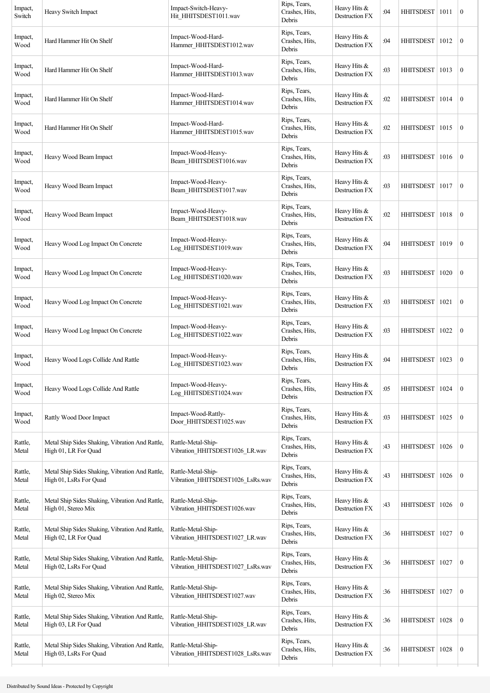| Impact,<br>Switch | Heavy Switch Impact                                                       | Impact-Switch-Heavy-<br>Hit_HHITSDEST1011.wav          | Rips, Tears,<br>Crashes, Hits,<br>Debris | Heavy Hits &<br>Destruction FX        | :04 | HHITSDEST   1011 |      | $\boldsymbol{0}$ |
|-------------------|---------------------------------------------------------------------------|--------------------------------------------------------|------------------------------------------|---------------------------------------|-----|------------------|------|------------------|
| Impact,<br>Wood   | Hard Hammer Hit On Shelf                                                  | Impact-Wood-Hard-<br>Hammer_HHITSDEST1012.wav          | Rips, Tears,<br>Crashes, Hits,<br>Debris | Heavy Hits &<br>Destruction FX        | :04 | <b>HHITSDEST</b> | 1012 | $\boldsymbol{0}$ |
| Impact,<br>Wood   | Hard Hammer Hit On Shelf                                                  | Impact-Wood-Hard-<br>Hammer_HHITSDEST1013.wav          | Rips, Tears,<br>Crashes, Hits,<br>Debris | Heavy Hits &<br>Destruction FX        | :03 | HHITSDEST        | 1013 | $\boldsymbol{0}$ |
| Impact,<br>Wood   | Hard Hammer Hit On Shelf                                                  | Impact-Wood-Hard-<br>Hammer_HHITSDEST1014.wav          | Rips, Tears,<br>Crashes, Hits,<br>Debris | Heavy Hits &<br>Destruction FX        | :02 | HHITSDEST   1014 |      | $\boldsymbol{0}$ |
| Impact,<br>Wood   | Hard Hammer Hit On Shelf                                                  | Impact-Wood-Hard-<br>Hammer_HHITSDEST1015.wav          | Rips, Tears,<br>Crashes, Hits,<br>Debris | Heavy Hits &<br>Destruction FX        | :02 | HHITSDEST   1015 |      | $\boldsymbol{0}$ |
| Impact,<br>Wood   | Heavy Wood Beam Impact                                                    | Impact-Wood-Heavy-<br>Beam_HHITSDEST1016.wav           | Rips, Tears,<br>Crashes, Hits,<br>Debris | Heavy Hits &<br>Destruction FX        | :03 | HHITSDEST        | 1016 | $\mathbf{0}$     |
| Impact,<br>Wood   | Heavy Wood Beam Impact                                                    | Impact-Wood-Heavy-<br>Beam_HHITSDEST1017.wav           | Rips, Tears,<br>Crashes, Hits,<br>Debris | Heavy Hits &<br>Destruction FX        | :03 | HHITSDEST        | 1017 | $\boldsymbol{0}$ |
| Impact,<br>Wood   | Heavy Wood Beam Impact                                                    | Impact-Wood-Heavy-<br>Beam_HHITSDEST1018.wav           | Rips, Tears,<br>Crashes, Hits,<br>Debris | Heavy Hits &<br>Destruction FX        | :02 | HHITSDEST 1018   |      | $\mathbf{0}$     |
| Impact,<br>Wood   | Heavy Wood Log Impact On Concrete                                         | Impact-Wood-Heavy-<br>Log_HHITSDEST1019.wav            | Rips, Tears,<br>Crashes, Hits,<br>Debris | Heavy Hits &<br>Destruction FX        | :04 | HHITSDEST        | 1019 | $\boldsymbol{0}$ |
| Impact,<br>Wood   | Heavy Wood Log Impact On Concrete                                         | Impact-Wood-Heavy-<br>Log_HHITSDEST1020.wav            | Rips, Tears,<br>Crashes, Hits,<br>Debris | Heavy Hits &<br>Destruction FX        | :03 | <b>HHITSDEST</b> | 1020 | $\mathbf{0}$     |
| Impact,<br>Wood   | Heavy Wood Log Impact On Concrete                                         | Impact-Wood-Heavy-<br>Log_HHITSDEST1021.wav            | Rips, Tears,<br>Crashes, Hits,<br>Debris | Heavy Hits &<br>Destruction FX        | :03 | <b>HHITSDEST</b> | 1021 | $\boldsymbol{0}$ |
| Impact,<br>Wood   | Heavy Wood Log Impact On Concrete                                         | Impact-Wood-Heavy-<br>Log_HHITSDEST1022.wav            | Rips, Tears,<br>Crashes, Hits,<br>Debris | Heavy Hits &<br>Destruction FX        | :03 | HHITSDEST        | 1022 | $\boldsymbol{0}$ |
| Impact,<br>Wood   | Heavy Wood Logs Collide And Rattle                                        | Impact-Wood-Heavy-<br>Log HHITSDEST1023.wav            | Rips, Tears,<br>Crashes, Hits,<br>Debris | Heavy Hits &<br>Destruction FX        | :04 | HHITSDEST   1023 |      | $\boldsymbol{0}$ |
| Impact,<br>Wood   | Heavy Wood Logs Collide And Rattle                                        | Impact-Wood-Heavy-<br>Log_HHITSDEST1024.wav            | Rips, Tears,<br>Crashes, Hits,<br>Debris | Heavy Hits &<br>Destruction FX        | :05 | <b>HHITSDEST</b> | 1024 | $\boldsymbol{0}$ |
| Impact,<br>Wood   | Rattly Wood Door Impact                                                   | Impact-Wood-Rattly-<br>Door_HHITSDEST1025.wav          | Rips, Tears,<br>Crashes, Hits,<br>Debris | Heavy Hits &<br><b>Destruction FX</b> | :03 | <b>HHITSDEST</b> | 1025 | $\boldsymbol{0}$ |
| Rattle,<br>Metal  | Metal Ship Sides Shaking, Vibration And Rattle,<br>High 01, LR For Quad   | Rattle-Metal-Ship-<br>Vibration HHITSDEST1026 LR.wav   | Rips, Tears,<br>Crashes, Hits,<br>Debris | Heavy Hits &<br><b>Destruction FX</b> | :43 | <b>HHITSDEST</b> | 1026 | $\boldsymbol{0}$ |
| Rattle,<br>Metal  | Metal Ship Sides Shaking, Vibration And Rattle,<br>High 01, LsRs For Quad | Rattle-Metal-Ship-<br>Vibration_HHITSDEST1026_LsRs.wav | Rips, Tears,<br>Crashes, Hits,<br>Debris | Heavy Hits &<br>Destruction FX        | :43 | <b>HHITSDEST</b> | 1026 | $\boldsymbol{0}$ |
| Rattle,<br>Metal  | Metal Ship Sides Shaking, Vibration And Rattle,<br>High 01, Stereo Mix    | Rattle-Metal-Ship-<br>Vibration_HHITSDEST1026.wav      | Rips, Tears,<br>Crashes, Hits,<br>Debris | Heavy Hits &<br>Destruction FX        | :43 | <b>HHITSDEST</b> | 1026 | $\boldsymbol{0}$ |
| Rattle,<br>Metal  | Metal Ship Sides Shaking, Vibration And Rattle,<br>High 02, LR For Quad   | Rattle-Metal-Ship-<br>Vibration_HHITSDEST1027_LR.wav   | Rips, Tears,<br>Crashes, Hits,<br>Debris | Heavy Hits &<br>Destruction FX        | :36 | <b>HHITSDEST</b> | 1027 | $\boldsymbol{0}$ |
| Rattle,<br>Metal  | Metal Ship Sides Shaking, Vibration And Rattle,<br>High 02, LsRs For Quad | Rattle-Metal-Ship-<br>Vibration_HHITSDEST1027_LsRs.wav | Rips, Tears,<br>Crashes, Hits,<br>Debris | Heavy Hits &<br>Destruction FX        | :36 | <b>HHITSDEST</b> | 1027 | $\boldsymbol{0}$ |
| Rattle,<br>Metal  | Metal Ship Sides Shaking, Vibration And Rattle,<br>High 02, Stereo Mix    | Rattle-Metal-Ship-<br>Vibration_HHITSDEST1027.wav      | Rips, Tears,<br>Crashes, Hits,<br>Debris | Heavy Hits &<br>Destruction FX        | :36 | <b>HHITSDEST</b> | 1027 | $\boldsymbol{0}$ |
| Rattle,<br>Metal  | Metal Ship Sides Shaking, Vibration And Rattle,<br>High 03, LR For Quad   | Rattle-Metal-Ship-<br>Vibration_HHITSDEST1028_LR.wav   | Rips, Tears,<br>Crashes, Hits,<br>Debris | Heavy Hits &<br>Destruction FX        | :36 | <b>HHITSDEST</b> | 1028 | $\boldsymbol{0}$ |
| Rattle,<br>Metal  | Metal Ship Sides Shaking, Vibration And Rattle,<br>High 03, LsRs For Ouad | Rattle-Metal-Ship-<br>Vibration_HHITSDEST1028_LsRs.wav | Rips, Tears,<br>Crashes, Hits,<br>Debris | Heavy Hits &<br>Destruction FX        | :36 | HHITSDEST 1028   |      | $\mathbf{0}$     |
|                   |                                                                           |                                                        |                                          |                                       |     |                  |      |                  |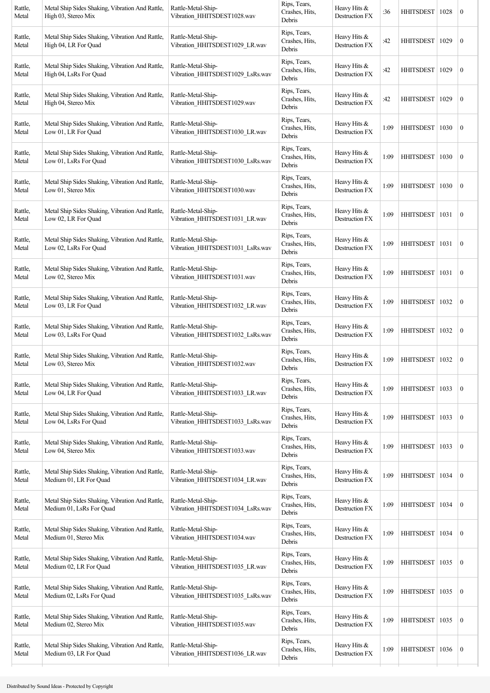| Rattle,<br>Metal | Metal Ship Sides Shaking, Vibration And Rattle,<br>High 03, Stereo Mix      | Rattle-Metal-Ship-<br>Vibration_HHITSDEST1028.wav      | Rips, Tears,<br>Crashes, Hits,<br>Debris | Heavy Hits &<br>Destruction FX        | :36  | HHITSDEST        | 1028 | $\bf{0}$         |
|------------------|-----------------------------------------------------------------------------|--------------------------------------------------------|------------------------------------------|---------------------------------------|------|------------------|------|------------------|
| Rattle,<br>Metal | Metal Ship Sides Shaking, Vibration And Rattle,<br>High 04, LR For Quad     | Rattle-Metal-Ship-<br>Vibration HHITSDEST1029 LR.wav   | Rips, Tears,<br>Crashes, Hits,<br>Debris | Heavy Hits &<br>Destruction FX        | :42  | <b>HHITSDEST</b> | 1029 | $\boldsymbol{0}$ |
| Rattle,<br>Metal | Metal Ship Sides Shaking, Vibration And Rattle,<br>High 04, LsRs For Quad   | Rattle-Metal-Ship-<br>Vibration_HHITSDEST1029_LsRs.wav | Rips, Tears,<br>Crashes, Hits,<br>Debris | Heavy Hits &<br>Destruction FX        | :42  | <b>HHITSDEST</b> | 1029 | $\boldsymbol{0}$ |
| Rattle,<br>Metal | Metal Ship Sides Shaking, Vibration And Rattle,<br>High 04, Stereo Mix      | Rattle-Metal-Ship-<br>Vibration_HHITSDEST1029.wav      | Rips, Tears,<br>Crashes, Hits,<br>Debris | Heavy Hits &<br>Destruction FX        | :42  | <b>HHITSDEST</b> | 1029 | $\boldsymbol{0}$ |
| Rattle,<br>Metal | Metal Ship Sides Shaking, Vibration And Rattle,<br>Low 01, LR For Quad      | Rattle-Metal-Ship-<br>Vibration_HHITSDEST1030_LR.wav   | Rips, Tears,<br>Crashes, Hits,<br>Debris | Heavy Hits &<br>Destruction FX        | 1:09 | HHITSDEST        | 1030 | $\bf{0}$         |
| Rattle,<br>Metal | Metal Ship Sides Shaking, Vibration And Rattle,<br>Low 01, LsRs For Ouad    | Rattle-Metal-Ship-<br>Vibration_HHITSDEST1030_LsRs.wav | Rips, Tears,<br>Crashes, Hits,<br>Debris | Heavy Hits &<br>Destruction FX        | 1:09 | <b>HHITSDEST</b> | 1030 | $\boldsymbol{0}$ |
| Rattle,<br>Metal | Metal Ship Sides Shaking, Vibration And Rattle,<br>Low 01, Stereo Mix       | Rattle-Metal-Ship-<br>Vibration_HHITSDEST1030.wav      | Rips, Tears,<br>Crashes, Hits,<br>Debris | Heavy Hits $&$<br>Destruction FX      | 1:09 | <b>HHITSDEST</b> | 1030 | $\boldsymbol{0}$ |
| Rattle,<br>Metal | Metal Ship Sides Shaking, Vibration And Rattle,<br>Low 02, LR For Quad      | Rattle-Metal-Ship-<br>Vibration_HHITSDEST1031_LR.wav   | Rips, Tears,<br>Crashes, Hits,<br>Debris | Heavy Hits &<br><b>Destruction FX</b> | 1:09 | HHITSDEST        | 1031 | $\boldsymbol{0}$ |
| Rattle,<br>Metal | Metal Ship Sides Shaking, Vibration And Rattle,<br>Low 02, LsRs For Quad    | Rattle-Metal-Ship-<br>Vibration_HHITSDEST1031_LsRs.wav | Rips, Tears,<br>Crashes, Hits,<br>Debris | Heavy Hits &<br>Destruction FX        | 1:09 | HHITSDEST        | 1031 | $\boldsymbol{0}$ |
| Rattle,<br>Metal | Metal Ship Sides Shaking, Vibration And Rattle,<br>Low 02, Stereo Mix       | Rattle-Metal-Ship-<br>Vibration HHITSDEST1031.wav      | Rips, Tears,<br>Crashes, Hits,<br>Debris | Heavy Hits $&$<br>Destruction FX      | 1:09 | <b>HHITSDEST</b> | 1031 | $\boldsymbol{0}$ |
| Rattle,<br>Metal | Metal Ship Sides Shaking, Vibration And Rattle,<br>Low 03, LR For Quad      | Rattle-Metal-Ship-<br>Vibration HHITSDEST1032 LR.wav   | Rips, Tears,<br>Crashes, Hits,<br>Debris | Heavy Hits &<br>Destruction FX        | 1:09 | <b>HHITSDEST</b> | 1032 | $\boldsymbol{0}$ |
| Rattle,<br>Metal | Metal Ship Sides Shaking, Vibration And Rattle,<br>Low 03, LsRs For Quad    | Rattle-Metal-Ship-<br>Vibration_HHITSDEST1032_LsRs.wav | Rips, Tears,<br>Crashes, Hits,<br>Debris | Heavy Hits &<br>Destruction FX        | 1:09 | HHITSDEST        | 1032 | $\boldsymbol{0}$ |
| Rattle,<br>Metal | Metal Ship Sides Shaking, Vibration And Rattle,<br>Low 03, Stereo Mix       | Rattle-Metal-Ship-<br>Vibration HHITSDEST1032.wav      | Rips, Tears,<br>Crashes, Hits,<br>Debris | Heavy Hits &<br>Destruction FX        | 1:09 | HHITSDEST        | 1032 | $\bf{0}$         |
| Rattle,<br>Metal | Metal Ship Sides Shaking, Vibration And Rattle,<br>Low 04, LR For Quad      | Rattle-Metal-Ship-<br>Vibration_HHITSDEST1033_LR.wav   | Rips, Tears,<br>Crashes, Hits,<br>Debris | Heavy Hits &<br>Destruction FX        | 1:09 | <b>HHITSDEST</b> | 1033 | $\boldsymbol{0}$ |
| Rattle,<br>Metal | Metal Ship Sides Shaking, Vibration And Rattle,<br>Low 04, LsRs For Quad    | Rattle-Metal-Ship-<br>Vibration HHITSDEST1033 LsRs.wav | Rips, Tears,<br>Crashes, Hits,<br>Debris | Heavy Hits &<br>Destruction FX        | 1:09 | <b>HHITSDEST</b> | 1033 | $\boldsymbol{0}$ |
| Rattle,<br>Metal | Metal Ship Sides Shaking, Vibration And Rattle,<br>Low 04, Stereo Mix       | Rattle-Metal-Ship-<br>Vibration HHITSDEST1033.wav      | Rips, Tears,<br>Crashes, Hits,<br>Debris | Heavy Hits &<br>Destruction FX        | 1:09 | <b>HHITSDEST</b> | 1033 | $\boldsymbol{0}$ |
| Rattle,<br>Metal | Metal Ship Sides Shaking, Vibration And Rattle,<br>Medium 01, LR For Quad   | Rattle-Metal-Ship-<br>Vibration_HHITSDEST1034_LR.wav   | Rips, Tears,<br>Crashes, Hits,<br>Debris | Heavy Hits &<br>Destruction FX        | 1:09 | <b>HHITSDEST</b> | 1034 | $\boldsymbol{0}$ |
| Rattle,<br>Metal | Metal Ship Sides Shaking, Vibration And Rattle,<br>Medium 01, LsRs For Quad | Rattle-Metal-Ship-<br>Vibration_HHITSDEST1034_LsRs.wav | Rips, Tears,<br>Crashes, Hits,<br>Debris | Heavy Hits &<br>Destruction FX        | 1:09 | <b>HHITSDEST</b> | 1034 | $\boldsymbol{0}$ |
| Rattle,<br>Metal | Metal Ship Sides Shaking, Vibration And Rattle,<br>Medium 01, Stereo Mix    | Rattle-Metal-Ship-<br>Vibration_HHITSDEST1034.wav      | Rips, Tears,<br>Crashes, Hits,<br>Debris | Heavy Hits &<br>Destruction FX        | 1:09 | <b>HHITSDEST</b> | 1034 | $\boldsymbol{0}$ |
| Rattle,<br>Metal | Metal Ship Sides Shaking, Vibration And Rattle,<br>Medium 02, LR For Quad   | Rattle-Metal-Ship-<br>Vibration_HHITSDEST1035_LR.wav   | Rips, Tears,<br>Crashes, Hits,<br>Debris | Heavy Hits &<br>Destruction FX        | 1:09 | <b>HHITSDEST</b> | 1035 | $\boldsymbol{0}$ |
| Rattle,<br>Metal | Metal Ship Sides Shaking, Vibration And Rattle,<br>Medium 02, LsRs For Quad | Rattle-Metal-Ship-<br>Vibration_HHITSDEST1035_LsRs.wav | Rips, Tears,<br>Crashes, Hits,<br>Debris | Heavy Hits &<br>Destruction FX        | 1:09 | <b>HHITSDEST</b> | 1035 | $\boldsymbol{0}$ |
| Rattle,<br>Metal | Metal Ship Sides Shaking, Vibration And Rattle,<br>Medium 02, Stereo Mix    | Rattle-Metal-Ship-<br>Vibration_HHITSDEST1035.wav      | Rips, Tears,<br>Crashes, Hits,<br>Debris | Heavy Hits $&$<br>Destruction FX      | 1:09 | <b>HHITSDEST</b> | 1035 | $\bf{0}$         |
| Rattle,<br>Metal | Metal Ship Sides Shaking, Vibration And Rattle,<br>Medium 03, LR For Ouad   | Rattle-Metal-Ship-<br>Vibration_HHITSDEST1036_LR.wav   | Rips, Tears,<br>Crashes, Hits,<br>Debris | Heavy Hits &<br>Destruction FX        | 1:09 | HHITSDEST        | 1036 | $\boldsymbol{0}$ |
|                  |                                                                             |                                                        |                                          |                                       |      |                  |      |                  |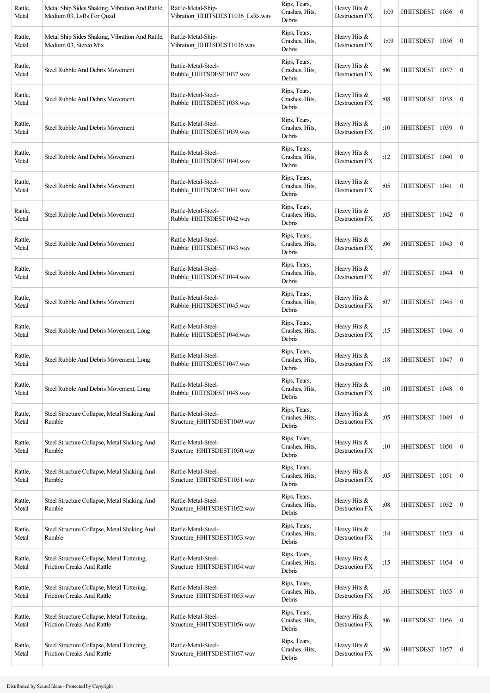| Rattle,<br>Metal | Metal Ship Sides Shaking, Vibration And Rattle,<br>Medium 03, LsRs For Quad     | Rattle-Metal-Ship-<br>Vibration_HHITSDEST1036_LsRs.wav | Rips, Tears,<br>Crashes, Hits,<br>Debris | Heavy Hits &<br>Destruction FX        | 1:09 | <b>HHITSDEST</b> | 1036 | $\mathbf{0}$     |
|------------------|---------------------------------------------------------------------------------|--------------------------------------------------------|------------------------------------------|---------------------------------------|------|------------------|------|------------------|
| Rattle,<br>Metal | Metal Ship Sides Shaking, Vibration And Rattle,<br>Medium 03, Stereo Mix        | Rattle-Metal-Ship-<br>Vibration_HHITSDEST1036.wav      | Rips, Tears,<br>Crashes, Hits,<br>Debris | Heavy Hits &<br>Destruction FX        | 1:09 | <b>HHITSDEST</b> | 1036 | $\boldsymbol{0}$ |
| Rattle,<br>Metal | Steel Rubble And Debris Movement                                                | Rattle-Metal-Steel-<br>Rubble_HHITSDEST1037.wav        | Rips, Tears,<br>Crashes, Hits,<br>Debris | Heavy Hits &<br>Destruction FX        | :06  | <b>HHITSDEST</b> | 1037 | $\boldsymbol{0}$ |
| Rattle,<br>Metal | Steel Rubble And Debris Movement                                                | Rattle-Metal-Steel-<br>Rubble HHITSDEST1038.wav        | Rips, Tears,<br>Crashes, Hits,<br>Debris | Heavy Hits &<br>Destruction FX        | :08  | HHITSDEST        | 1038 | $\boldsymbol{0}$ |
| Rattle,<br>Metal | Steel Rubble And Debris Movement                                                | Rattle-Metal-Steel-<br>Rubble HHITSDEST1039.wav        | Rips, Tears,<br>Crashes, Hits,<br>Debris | Heavy Hits &<br>Destruction FX        | :10  | <b>HHITSDEST</b> | 1039 | $\boldsymbol{0}$ |
| Rattle,<br>Metal | Steel Rubble And Debris Movement                                                | Rattle-Metal-Steel-<br>Rubble HHITSDEST1040.wav        | Rips, Tears,<br>Crashes, Hits,<br>Debris | Heavy Hits &<br>Destruction FX        | :12  | HHITSDEST        | 1040 | $\boldsymbol{0}$ |
| Rattle,<br>Metal | Steel Rubble And Debris Movement                                                | Rattle-Metal-Steel-<br>Rubble_HHITSDEST1041.wav        | Rips, Tears,<br>Crashes, Hits,<br>Debris | Heavy Hits &<br><b>Destruction FX</b> | :05  | <b>HHITSDEST</b> | 1041 | $\boldsymbol{0}$ |
| Rattle,<br>Metal | Steel Rubble And Debris Movement                                                | Rattle-Metal-Steel-<br>Rubble HHITSDEST1042.wav        | Rips, Tears,<br>Crashes, Hits,<br>Debris | Heavy Hits &<br>Destruction FX        | :05  | HHITSDEST        | 1042 | $\boldsymbol{0}$ |
| Rattle,<br>Metal | Steel Rubble And Debris Movement                                                | Rattle-Metal-Steel-<br>Rubble HHITSDEST1043.wav        | Rips, Tears,<br>Crashes, Hits,<br>Debris | Heavy Hits &<br>Destruction FX        | :06  | HHITSDEST        | 1043 | $\mathbf{0}$     |
| Rattle,<br>Metal | Steel Rubble And Debris Movement                                                | Rattle-Metal-Steel-<br>Rubble_HHITSDEST1044.wav        | Rips, Tears,<br>Crashes, Hits,<br>Debris | Heavy Hits &<br>Destruction FX        | :07  | <b>HHITSDEST</b> | 1044 | $\boldsymbol{0}$ |
| Rattle,<br>Metal | Steel Rubble And Debris Movement                                                | Rattle-Metal-Steel-<br>Rubble HHITSDEST1045.wav        | Rips, Tears,<br>Crashes, Hits,<br>Debris | Heavy Hits &<br>Destruction FX        | :07  | <b>HHITSDEST</b> | 1045 | $\boldsymbol{0}$ |
| Rattle,<br>Metal | Steel Rubble And Debris Movement, Long                                          | Rattle-Metal-Steel-<br>Rubble_HHITSDEST1046.wav        | Rips, Tears,<br>Crashes, Hits,<br>Debris | Heavy Hits &<br>Destruction FX        | :15  | <b>HHITSDEST</b> | 1046 | $\boldsymbol{0}$ |
| Rattle,<br>Metal | Steel Rubble And Debris Movement, Long                                          | Rattle-Metal-Steel-<br>Rubble HHITSDEST1047.wav        | Rips, Tears,<br>Crashes, Hits,<br>Debris | Heavy Hits &<br>Destruction FX        | :18  | HHITSDEST   1047 |      | $\boldsymbol{0}$ |
| Rattle,<br>Metal | Steel Rubble And Debris Movement, Long                                          | Rattle-Metal-Steel-<br>Rubble_HHITSDEST1048.wav        | Rips, Tears,<br>Crashes, Hits,<br>Debris | Heavy Hits &<br>Destruction FX        | :10  | <b>HHITSDEST</b> | 1048 | $\boldsymbol{0}$ |
| Rattle,<br>Metal | Steel Structure Collapse, Metal Shaking And<br>Rumble                           | Rattle-Metal-Steel-<br>Structure HHITSDEST1049.wav     | Rips, Tears,<br>Crashes, Hits,<br>Debris | Heavy Hits &<br>Destruction FX        | :05  | <b>HHITSDEST</b> | 1049 | $\boldsymbol{0}$ |
| Rattle,<br>Metal | Steel Structure Collapse, Metal Shaking And<br>Rumble                           | Rattle-Metal-Steel-<br>Structure_HHITSDEST1050.wav     | Rips, Tears,<br>Crashes, Hits,<br>Debris | Heavy Hits &<br>Destruction FX        | :10  | <b>HHITSDEST</b> | 1050 | $\mathbf{0}$     |
| Rattle,<br>Metal | Steel Structure Collapse, Metal Shaking And<br>Rumble                           | Rattle-Metal-Steel-<br>Structure HHITSDEST1051.wav     | Rips, Tears,<br>Crashes, Hits,<br>Debris | Heavy Hits &<br>Destruction FX        | :05  | <b>HHITSDEST</b> | 1051 | $\boldsymbol{0}$ |
| Rattle,<br>Metal | Steel Structure Collapse, Metal Shaking And<br>Rumble                           | Rattle-Metal-Steel-<br>Structure_HHITSDEST1052.wav     | Rips, Tears,<br>Crashes, Hits,<br>Debris | Heavy Hits &<br>Destruction FX        | :08  | <b>HHITSDEST</b> | 1052 | $\boldsymbol{0}$ |
| Rattle,<br>Metal | Steel Structure Collapse, Metal Shaking And<br>Rumble                           | Rattle-Metal-Steel-<br>Structure HHITSDEST1053.wav     | Rips, Tears,<br>Crashes, Hits,<br>Debris | Heavy Hits &<br>Destruction FX        | :14  | <b>HHITSDEST</b> | 1053 | $\boldsymbol{0}$ |
| Rattle,<br>Metal | Steel Structure Collapse, Metal Tottering,<br>Friction Creaks And Rattle        | Rattle-Metal-Steel-<br>Structure_HHITSDEST1054.wav     | Rips, Tears,<br>Crashes, Hits,<br>Debris | Heavy Hits &<br>Destruction FX        | :15  | <b>HHITSDEST</b> | 1054 | $\boldsymbol{0}$ |
| Rattle,<br>Metal | Steel Structure Collapse, Metal Tottering,<br>Friction Creaks And Rattle        | Rattle-Metal-Steel-<br>Structure_HHITSDEST1055.wav     | Rips, Tears,<br>Crashes, Hits,<br>Debris | Heavy Hits &<br>Destruction FX        | :05  | <b>HHITSDEST</b> | 1055 | $\boldsymbol{0}$ |
| Rattle,<br>Metal | Steel Structure Collapse, Metal Tottering,<br>Friction Creaks And Rattle        | Rattle-Metal-Steel-<br>Structure_HHITSDEST1056.wav     | Rips, Tears,<br>Crashes, Hits,<br>Debris | Heavy Hits &<br>Destruction FX        | :06  | <b>HHITSDEST</b> | 1056 | $\boldsymbol{0}$ |
| Rattle,<br>Metal | Steel Structure Collapse, Metal Tottering,<br><b>Friction Creaks And Rattle</b> | Rattle-Metal-Steel-<br>Structure_HHITSDEST1057.wav     | Rips, Tears,<br>Crashes, Hits,<br>Debris | Heavy Hits &<br>Destruction FX        | :06  | <b>HHITSDEST</b> | 1057 | $\boldsymbol{0}$ |
|                  |                                                                                 |                                                        |                                          |                                       |      |                  |      |                  |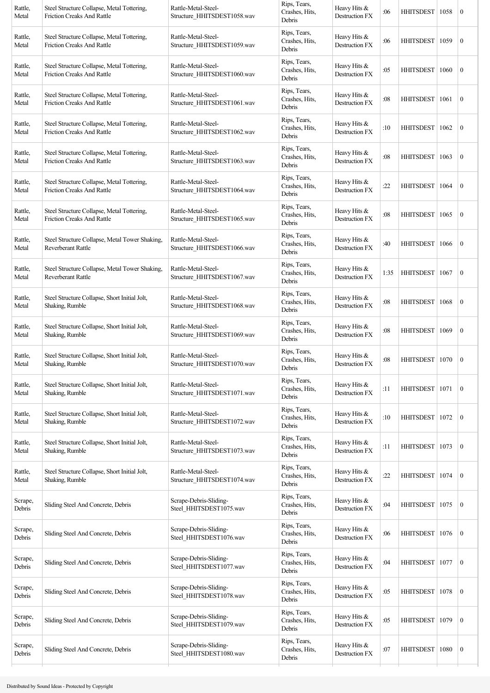| Rattle,<br>Metal  | Steel Structure Collapse, Metal Tottering,<br><b>Friction Creaks And Rattle</b> | Rattle-Metal-Steel-<br>Structure HHITSDEST1058.wav | Rips, Tears,<br>Crashes, Hits,<br>Debris | Heavy Hits &<br>Destruction FX | :06  | HHITSDEST   1058 |      | $\boldsymbol{0}$ |
|-------------------|---------------------------------------------------------------------------------|----------------------------------------------------|------------------------------------------|--------------------------------|------|------------------|------|------------------|
| Rattle,<br>Metal  | Steel Structure Collapse, Metal Tottering,<br>Friction Creaks And Rattle        | Rattle-Metal-Steel-<br>Structure HHITSDEST1059.wav | Rips, Tears,<br>Crashes, Hits,<br>Debris | Heavy Hits &<br>Destruction FX | :06  | <b>HHITSDEST</b> | 1059 | $\boldsymbol{0}$ |
| Rattle,<br>Metal  | Steel Structure Collapse, Metal Tottering,<br>Friction Creaks And Rattle        | Rattle-Metal-Steel-<br>Structure HHITSDEST1060.wav | Rips, Tears,<br>Crashes, Hits,<br>Debris | Heavy Hits &<br>Destruction FX | :05  | <b>HHITSDEST</b> | 1060 | $\boldsymbol{0}$ |
| Rattle,<br>Metal  | Steel Structure Collapse, Metal Tottering,<br>Friction Creaks And Rattle        | Rattle-Metal-Steel-<br>Structure_HHITSDEST1061.wav | Rips, Tears,<br>Crashes, Hits,<br>Debris | Heavy Hits &<br>Destruction FX | :08  | HHITSDEST        | 1061 | $\boldsymbol{0}$ |
| Rattle,<br>Metal  | Steel Structure Collapse, Metal Tottering,<br><b>Friction Creaks And Rattle</b> | Rattle-Metal-Steel-<br>Structure HHITSDEST1062.wav | Rips, Tears,<br>Crashes, Hits,<br>Debris | Heavy Hits &<br>Destruction FX | :10  | HHITSDEST        | 1062 | $\boldsymbol{0}$ |
| Rattle,<br>Metal  | Steel Structure Collapse, Metal Tottering,<br><b>Friction Creaks And Rattle</b> | Rattle-Metal-Steel-<br>Structure_HHITSDEST1063.wav | Rips, Tears,<br>Crashes, Hits,<br>Debris | Heavy Hits &<br>Destruction FX | :08  | <b>HHITSDEST</b> | 1063 | $\boldsymbol{0}$ |
| Rattle,<br>Metal  | Steel Structure Collapse, Metal Tottering,<br><b>Friction Creaks And Rattle</b> | Rattle-Metal-Steel-<br>Structure HHITSDEST1064.wav | Rips, Tears,<br>Crashes, Hits,<br>Debris | Heavy Hits &<br>Destruction FX | :22  | HHITSDEST        | 1064 | $\boldsymbol{0}$ |
| Rattle,<br>Metal  | Steel Structure Collapse, Metal Tottering,<br><b>Friction Creaks And Rattle</b> | Rattle-Metal-Steel-<br>Structure HHITSDEST1065.wav | Rips, Tears,<br>Crashes, Hits,<br>Debris | Heavy Hits &<br>Destruction FX | :08  | HHITSDEST        | 1065 | $\boldsymbol{0}$ |
| Rattle,<br>Metal  | Steel Structure Collapse, Metal Tower Shaking,<br>Reverberant Rattle            | Rattle-Metal-Steel-<br>Structure HHITSDEST1066.wav | Rips, Tears,<br>Crashes, Hits,<br>Debris | Heavy Hits &<br>Destruction FX | :40  | HHITSDEST        | 1066 | $\mathbf{0}$     |
| Rattle,<br>Metal  | Steel Structure Collapse, Metal Tower Shaking,<br>Reverberant Rattle            | Rattle-Metal-Steel-<br>Structure_HHITSDEST1067.wav | Rips, Tears,<br>Crashes, Hits,<br>Debris | Heavy Hits &<br>Destruction FX | 1:35 | <b>HHITSDEST</b> | 1067 | $\boldsymbol{0}$ |
| Rattle,<br>Metal  | Steel Structure Collapse, Short Initial Jolt,<br>Shaking, Rumble                | Rattle-Metal-Steel-<br>Structure_HHITSDEST1068.wav | Rips, Tears,<br>Crashes, Hits,<br>Debris | Heavy Hits &<br>Destruction FX | :08  | <b>HHITSDEST</b> | 1068 | $\boldsymbol{0}$ |
| Rattle,<br>Metal  | Steel Structure Collapse, Short Initial Jolt,<br>Shaking, Rumble                | Rattle-Metal-Steel-<br>Structure_HHITSDEST1069.wav | Rips, Tears,<br>Crashes, Hits,<br>Debris | Heavy Hits &<br>Destruction FX | :08  | <b>HHITSDEST</b> | 1069 | $\boldsymbol{0}$ |
| Rattle,<br>Metal  | Steel Structure Collapse, Short Initial Jolt,<br>Shaking, Rumble                | Rattle-Metal-Steel-<br>Structure HHITSDEST1070.wav | Rips, Tears,<br>Crashes, Hits,<br>Debris | Heavy Hits &<br>Destruction FX | :08  | HHITSDEST   1070 |      | $\boldsymbol{0}$ |
| Rattle,<br>Metal  | Steel Structure Collapse, Short Initial Jolt,<br>Shaking, Rumble                | Rattle-Metal-Steel-<br>Structure HHITSDEST1071.wav | Rips, Tears,<br>Crashes, Hits,<br>Debris | Heavy Hits &<br>Destruction FX | :11  | HHITSDEST        | 1071 | $\boldsymbol{0}$ |
| Rattle,<br>Metal  | Steel Structure Collapse, Short Initial Jolt,<br>Shaking, Rumble                | Rattle-Metal-Steel-<br>Structure HHITSDEST1072.wav | Rips, Tears,<br>Crashes, Hits,<br>Debris | Heavy Hits &<br>Destruction FX | :10  | <b>HHITSDEST</b> | 1072 | $\boldsymbol{0}$ |
| Rattle,<br>Metal  | Steel Structure Collapse, Short Initial Jolt,<br>Shaking, Rumble                | Rattle-Metal-Steel-<br>Structure_HHITSDEST1073.wav | Rips, Tears,<br>Crashes, Hits,<br>Debris | Heavy Hits &<br>Destruction FX | :11  | HHITSDEST        | 1073 | $\mathbf{0}$     |
| Rattle,<br>Metal  | Steel Structure Collapse, Short Initial Jolt,<br>Shaking, Rumble                | Rattle-Metal-Steel-<br>Structure_HHITSDEST1074.wav | Rips, Tears,<br>Crashes, Hits,<br>Debris | Heavy Hits &<br>Destruction FX | :22  | <b>HHITSDEST</b> | 1074 | $\boldsymbol{0}$ |
| Scrape,<br>Debris | Sliding Steel And Concrete, Debris                                              | Scrape-Debris-Sliding-<br>Steel_HHITSDEST1075.wav  | Rips, Tears,<br>Crashes, Hits,<br>Debris | Heavy Hits &<br>Destruction FX | :04  | <b>HHITSDEST</b> | 1075 | $\boldsymbol{0}$ |
| Scrape,<br>Debris | Sliding Steel And Concrete, Debris                                              | Scrape-Debris-Sliding-<br>Steel HHITSDEST1076.wav  | Rips, Tears,<br>Crashes, Hits,<br>Debris | Heavy Hits &<br>Destruction FX | :06  | <b>HHITSDEST</b> | 1076 | $\boldsymbol{0}$ |
| Scrape,<br>Debris | Sliding Steel And Concrete, Debris                                              | Scrape-Debris-Sliding-<br>Steel_HHITSDEST1077.wav  | Rips, Tears,<br>Crashes, Hits,<br>Debris | Heavy Hits &<br>Destruction FX | :04  | <b>HHITSDEST</b> | 1077 | $\mathbf{0}$     |
| Scrape,<br>Debris | Sliding Steel And Concrete, Debris                                              | Scrape-Debris-Sliding-<br>Steel_HHITSDEST1078.wav  | Rips, Tears,<br>Crashes, Hits,<br>Debris | Heavy Hits &<br>Destruction FX | :05  | <b>HHITSDEST</b> | 1078 | $\boldsymbol{0}$ |
| Scrape,<br>Debris | Sliding Steel And Concrete, Debris                                              | Scrape-Debris-Sliding-<br>Steel_HHITSDEST1079.wav  | Rips, Tears,<br>Crashes, Hits,<br>Debris | Heavy Hits &<br>Destruction FX | :05  | <b>HHITSDEST</b> | 1079 | $\boldsymbol{0}$ |
| Scrape,<br>Debris | Sliding Steel And Concrete, Debris                                              | Scrape-Debris-Sliding-<br>Steel HHITSDEST1080.wav  | Rips, Tears,<br>Crashes, Hits,<br>Debris | Heavy Hits &<br>Destruction FX | :07  | <b>HHITSDEST</b> | 1080 | $\boldsymbol{0}$ |
|                   |                                                                                 |                                                    |                                          |                                |      |                  |      |                  |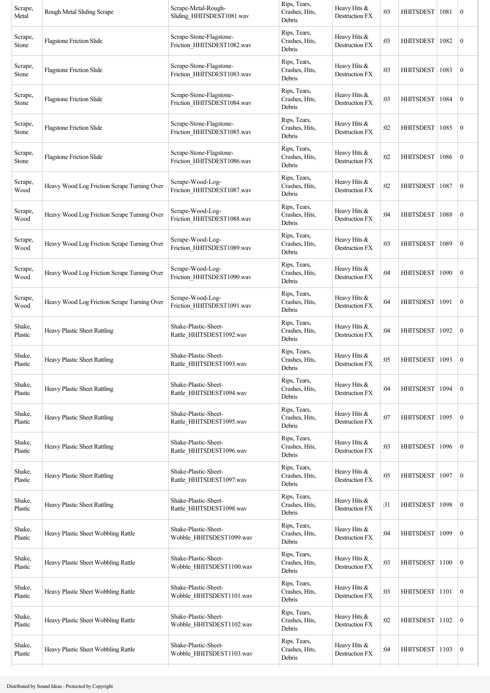| Rough Metal Sliding Scrape                  | Scrape-Metal-Rough-<br>Sliding_HHITSDEST1081.wav      | Rips, Tears,<br>Crashes, Hits,<br>Debris | Heavy Hits &<br>Destruction FX        | :03 | <b>HHITSDEST</b> | 1081 | $\boldsymbol{0}$                   |
|---------------------------------------------|-------------------------------------------------------|------------------------------------------|---------------------------------------|-----|------------------|------|------------------------------------|
| <b>Flagstone Friction Slide</b>             | Scrape-Stone-Flagstone-<br>Friction_HHITSDEST1082.wav | Rips, Tears,<br>Crashes, Hits,<br>Debris | Heavy Hits &<br><b>Destruction FX</b> | :03 | <b>HHITSDEST</b> | 1082 | $\boldsymbol{0}$                   |
| <b>Flagstone Friction Slide</b>             | Scrape-Stone-Flagstone-<br>Friction_HHITSDEST1083.wav | Rips, Tears,<br>Crashes, Hits,<br>Debris | Heavy Hits &<br>Destruction FX        | :03 | <b>HHITSDEST</b> | 1083 | $\boldsymbol{0}$                   |
| <b>Flagstone Friction Slide</b>             | Scrape-Stone-Flagstone-<br>Friction_HHITSDEST1084.wav | Rips, Tears,<br>Crashes, Hits,<br>Debris | Heavy Hits &<br>Destruction FX        | :03 | <b>HHITSDEST</b> | 1084 | $\boldsymbol{0}$                   |
| <b>Flagstone Friction Slide</b>             | Scrape-Stone-Flagstone-<br>Friction_HHITSDEST1085.wav | Rips, Tears,<br>Crashes, Hits,<br>Debris | Heavy Hits &<br>Destruction FX        | :02 | <b>HHITSDEST</b> | 1085 | $\boldsymbol{0}$                   |
| <b>Flagstone Friction Slide</b>             | Scrape-Stone-Flagstone-<br>Friction_HHITSDEST1086.wav | Rips, Tears,<br>Crashes, Hits,<br>Debris | Heavy Hits &<br>Destruction FX        | :02 | <b>HHITSDEST</b> | 1086 | $\boldsymbol{0}$                   |
| Heavy Wood Log Friction Scrape Turning Over | Scrape-Wood-Log-<br>Friction_HHITSDEST1087.wav        | Rips, Tears,<br>Crashes, Hits,<br>Debris | Heavy Hits &<br>Destruction FX        | :02 | <b>HHITSDEST</b> | 1087 | $\boldsymbol{0}$                   |
| Heavy Wood Log Friction Scrape Turning Over | Scrape-Wood-Log-<br>Friction_HHITSDEST1088.wav        | Rips, Tears,<br>Crashes, Hits,<br>Debris | Heavy Hits &<br>Destruction FX        | :04 | HHITSDEST        | 1088 | $\boldsymbol{0}$                   |
| Heavy Wood Log Friction Scrape Turning Over | Scrape-Wood-Log-<br>Friction_HHITSDEST1089.wav        | Rips, Tears,<br>Crashes, Hits,<br>Debris | Heavy Hits &<br>Destruction FX        | :03 | <b>HHITSDEST</b> | 1089 | $\boldsymbol{0}$                   |
| Heavy Wood Log Friction Scrape Turning Over | Scrape-Wood-Log-<br>Friction_HHITSDEST1090.wav        | Rips, Tears,<br>Crashes, Hits,<br>Debris | Heavy Hits &<br>Destruction FX        | :04 | <b>HHITSDEST</b> | 1090 | $\boldsymbol{0}$                   |
| Heavy Wood Log Friction Scrape Turning Over | Scrape-Wood-Log-<br>Friction_HHITSDEST1091.wav        | Rips, Tears,<br>Crashes, Hits,<br>Debris | Heavy Hits &<br>Destruction FX        | :04 | <b>HHITSDEST</b> | 1091 | $\boldsymbol{0}$                   |
| Heavy Plastic Sheet Rattling                | Shake-Plastic-Sheet-<br>Rattle HHITSDEST1092.wav      | Rips, Tears,<br>Crashes, Hits,<br>Debris | Heavy Hits &<br>Destruction FX        | :04 | <b>HHITSDEST</b> | 1092 | $\boldsymbol{0}$                   |
| Heavy Plastic Sheet Rattling                | Shake-Plastic-Sheet-<br>Rattle_HHITSDEST1093.wav      | Rips, Tears,<br>Crashes, Hits,<br>Debris | Heavy Hits &<br>Destruction FX        | :05 | <b>HHITSDEST</b> | 1093 | $\boldsymbol{0}$                   |
| Heavy Plastic Sheet Rattling                | Shake-Plastic-Sheet-<br>Rattle_HHITSDEST1094.wav      | Rips, Tears,<br>Crashes, Hits,<br>Debris | Heavy Hits &<br>Destruction FX        | :04 | <b>HHITSDEST</b> | 1094 | $\boldsymbol{0}$                   |
| Heavy Plastic Sheet Rattling                | Shake-Plastic-Sheet-<br>Rattle HHITSDEST1095.wav      | Rips, Tears,<br>Crashes, Hits,<br>Debris | Heavy Hits &<br>Destruction FX        | :07 | <b>HHITSDEST</b> | 1095 | $\mathbf{0}$                       |
| Heavy Plastic Sheet Rattling                | Shake-Plastic-Sheet-<br>Rattle_HHITSDEST1096.wav      | Rips, Tears,<br>Crashes, Hits,<br>Debris | Heavy Hits &<br>Destruction FX        | :03 | <b>HHITSDEST</b> | 1096 | $\boldsymbol{0}$                   |
| Heavy Plastic Sheet Rattling                | Shake-Plastic-Sheet-<br>Rattle_HHITSDEST1097.wav      | Rips, Tears,<br>Crashes, Hits,<br>Debris | Heavy Hits &<br>Destruction FX        | :05 | <b>HHITSDEST</b> | 1097 | $\boldsymbol{0}$                   |
| Heavy Plastic Sheet Rattling                | Shake-Plastic-Sheet-<br>Rattle_HHITSDEST1098.wav      | Rips, Tears,<br>Crashes, Hits,<br>Debris | Heavy Hits &<br>Destruction FX        | :31 | <b>HHITSDEST</b> | 1098 | $\boldsymbol{0}$                   |
| Heavy Plastic Sheet Wobbling Rattle         | Shake-Plastic-Sheet-<br>Wobble_HHITSDEST1099.wav      | Rips, Tears,<br>Crashes, Hits,<br>Debris | Heavy Hits &<br>Destruction FX        | :04 | <b>HHITSDEST</b> | 1099 | $\mathbf{0}$                       |
| Heavy Plastic Sheet Wobbling Rattle         | Shake-Plastic-Sheet-<br>Wobble_HHITSDEST1100.wav      | Rips, Tears,<br>Crashes, Hits,<br>Debris | Heavy Hits &<br>Destruction FX        | :03 |                  |      | $\boldsymbol{0}$                   |
| Heavy Plastic Sheet Wobbling Rattle         | Shake-Plastic-Sheet-<br>Wobble_HHITSDEST1101.wav      | Rips, Tears,<br>Crashes, Hits,<br>Debris | Heavy Hits &<br>Destruction FX        | :03 | <b>HHITSDEST</b> | 1101 | $\boldsymbol{0}$                   |
| Heavy Plastic Sheet Wobbling Rattle         | Shake-Plastic-Sheet-<br>Wobble_HHITSDEST1102.wav      | Rips, Tears,<br>Crashes, Hits,<br>Debris | Heavy Hits &<br>Destruction FX        | :02 | HHITSDEST        | 1102 | $\boldsymbol{0}$                   |
| Heavy Plastic Sheet Wobbling Rattle         | Shake-Plastic-Sheet-<br>Wobble_HHITSDEST1103.wav      | Rips, Tears,<br>Crashes, Hits,<br>Debris | Heavy Hits &<br>Destruction FX        | :04 |                  |      | $\boldsymbol{0}$                   |
|                                             |                                                       |                                          |                                       |     |                  |      | HHITSDEST   1100<br>HHITSDEST 1103 |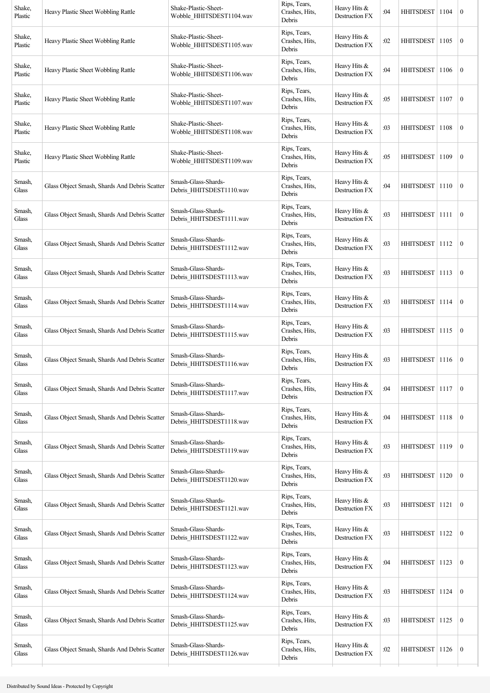| Shake,<br>Plastic                | Heavy Plastic Sheet Wobbling Rattle           | Shake-Plastic-Sheet-<br>Wobble HHITSDEST1104.wav | Rips, Tears,<br>Crashes, Hits,<br>Debris | Heavy Hits &<br>Destruction FX        | :04 | HHITSDEST   1104 |      | $\bf{0}$         |
|----------------------------------|-----------------------------------------------|--------------------------------------------------|------------------------------------------|---------------------------------------|-----|------------------|------|------------------|
| Shake,<br>Plastic                | Heavy Plastic Sheet Wobbling Rattle           | Shake-Plastic-Sheet-<br>Wobble HHITSDEST1105.wav | Rips, Tears,<br>Crashes, Hits,<br>Debris | Heavy Hits &<br>Destruction FX        | :02 | <b>HHITSDEST</b> | 1105 | $\boldsymbol{0}$ |
| Shake,<br>Plastic                | Heavy Plastic Sheet Wobbling Rattle           | Shake-Plastic-Sheet-<br>Wobble HHITSDEST1106.wav | Rips, Tears,<br>Crashes, Hits,<br>Debris | Heavy Hits &<br>Destruction FX        | :04 | <b>HHITSDEST</b> | 1106 | $\boldsymbol{0}$ |
| Shake,<br>Plastic                | Heavy Plastic Sheet Wobbling Rattle           | Shake-Plastic-Sheet-<br>Wobble_HHITSDEST1107.wav | Rips, Tears,<br>Crashes, Hits,<br>Debris | Heavy Hits &<br>Destruction FX        | :05 | HHITSDEST        | 1107 | $\boldsymbol{0}$ |
| Shake,<br>Plastic                | Heavy Plastic Sheet Wobbling Rattle           | Shake-Plastic-Sheet-<br>Wobble HHITSDEST1108.wav | Rips, Tears,<br>Crashes, Hits,<br>Debris | Heavy Hits &<br>Destruction FX        | :03 | HHITSDEST        | 1108 | $\bf{0}$         |
| Shake,<br>Plastic                | Heavy Plastic Sheet Wobbling Rattle           | Shake-Plastic-Sheet-<br>Wobble_HHITSDEST1109.wav | Rips, Tears,<br>Crashes, Hits,<br>Debris | Heavy Hits &<br>Destruction FX        | :05 | <b>HHITSDEST</b> | 1109 | $\boldsymbol{0}$ |
| Smash,<br>Glass                  | Glass Object Smash, Shards And Debris Scatter | Smash-Glass-Shards-<br>Debris HHITSDEST1110.wav  | Rips, Tears,<br>Crashes, Hits,<br>Debris | Heavy Hits &<br>Destruction FX        | :04 | HHITSDEST        | 1110 | $\bf{0}$         |
| Smash,<br>Glass                  | Glass Object Smash, Shards And Debris Scatter | Smash-Glass-Shards-<br>Debris_HHITSDEST1111.wav  | Rips, Tears,<br>Crashes, Hits,<br>Debris | Heavy Hits &<br>Destruction FX        | :03 | HHITSDEST 1111   |      | $\mathbf{0}$     |
| Smash,<br>Glass                  | Glass Object Smash, Shards And Debris Scatter | Smash-Glass-Shards-<br>Debris_HHITSDEST1112.wav  | Rips, Tears,<br>Crashes, Hits,<br>Debris | Heavy Hits &<br>Destruction FX        | :03 | HHITSDEST 1112   |      | $\bf{0}$         |
| Smash,<br>Glass                  | Glass Object Smash, Shards And Debris Scatter | Smash-Glass-Shards-<br>Debris_HHITSDEST1113.wav  | Rips, Tears,<br>Crashes, Hits,<br>Debris | Heavy Hits &<br>Destruction FX        | :03 | <b>HHITSDEST</b> | 1113 | $\boldsymbol{0}$ |
| Smash,<br>Glass                  | Glass Object Smash, Shards And Debris Scatter | Smash-Glass-Shards-<br>Debris_HHITSDEST1114.wav  | Rips, Tears,<br>Crashes, Hits,<br>Debris | Heavy Hits &<br>Destruction FX        | :03 | HHITSDEST        | 1114 | $\boldsymbol{0}$ |
| Smash,<br>Glass                  | Glass Object Smash, Shards And Debris Scatter | Smash-Glass-Shards-<br>Debris_HHITSDEST1115.wav  | Rips, Tears,<br>Crashes, Hits,<br>Debris | Heavy Hits &<br>Destruction FX        | :03 | HHITSDEST 1115   |      | $\boldsymbol{0}$ |
| Smash,<br>Glass                  | Glass Object Smash, Shards And Debris Scatter | Smash-Glass-Shards-<br>Debris HHITSDEST1116.wav  | Rips, Tears,<br>Crashes, Hits,<br>Debris | Heavy Hits &<br>Destruction FX        | :03 | HHITSDEST   1116 |      | $\bf{0}$         |
| Smash,<br>Glass                  | Glass Object Smash, Shards And Debris Scatter | Smash-Glass-Shards-<br>Debris_HHITSDEST1117.wav  | Rips, Tears,<br>Crashes, Hits,<br>Debris | Heavy Hits &<br><b>Destruction FX</b> | :04 | <b>HHITSDEST</b> | 1117 | $\boldsymbol{0}$ |
| Smash,<br>Glass                  | Glass Object Smash, Shards And Debris Scatter | Smash-Glass-Shards-<br>Debris HHITSDEST1118.wav  | Rips, Tears,<br>Crashes, Hits,<br>Debris | Heavy Hits &<br>Destruction FX        | :04 | HHITSDEST 1118   |      | $\mathbf{0}$     |
| Smash,<br>Glass                  | Glass Object Smash, Shards And Debris Scatter | Smash-Glass-Shards-<br>Debris_HHITSDEST1119.wav  | Rips, Tears,<br>Crashes, Hits,<br>Debris | Heavy Hits &<br>Destruction FX        | :03 | HHITSDEST 1119   |      | $\mathbf{0}$     |
| Smash,<br>Glass                  | Glass Object Smash, Shards And Debris Scatter | Smash-Glass-Shards-<br>Debris_HHITSDEST1120.wav  | Rips, Tears,<br>Crashes, Hits,<br>Debris | Heavy Hits &<br>Destruction FX        | :03 | <b>HHITSDEST</b> | 1120 | $\boldsymbol{0}$ |
| Smash,<br>$\operatorname{Glass}$ | Glass Object Smash, Shards And Debris Scatter | Smash-Glass-Shards-<br>Debris_HHITSDEST1121.wav  | Rips, Tears,<br>Crashes, Hits,<br>Debris | Heavy Hits &<br>Destruction FX        | :03 | <b>HHITSDEST</b> | 1121 | $\boldsymbol{0}$ |
| Smash,<br>Glass                  | Glass Object Smash, Shards And Debris Scatter | Smash-Glass-Shards-<br>Debris_HHITSDEST1122.wav  | Rips, Tears,<br>Crashes, Hits,<br>Debris | Heavy Hits &<br>Destruction FX        | :03 | <b>HHITSDEST</b> | 1122 | $\boldsymbol{0}$ |
| Smash,<br>Glass                  | Glass Object Smash, Shards And Debris Scatter | Smash-Glass-Shards-<br>Debris_HHITSDEST1123.wav  | Rips, Tears,<br>Crashes, Hits,<br>Debris | Heavy Hits &<br>Destruction FX        | :04 | HHITSDEST   1123 |      | $\boldsymbol{0}$ |
| Smash,<br>Glass                  | Glass Object Smash, Shards And Debris Scatter | Smash-Glass-Shards-<br>Debris_HHITSDEST1124.wav  | Rips, Tears,<br>Crashes, Hits,<br>Debris | Heavy Hits &<br>Destruction FX        | :03 | <b>HHITSDEST</b> | 1124 | $\boldsymbol{0}$ |
| Smash,<br>Glass                  | Glass Object Smash, Shards And Debris Scatter | Smash-Glass-Shards-<br>Debris_HHITSDEST1125.wav  | Rips, Tears,<br>Crashes, Hits,<br>Debris | Heavy Hits &<br>Destruction FX        | :03 | <b>HHITSDEST</b> | 1125 | $\boldsymbol{0}$ |
| Smash,<br>Glass                  | Glass Object Smash, Shards And Debris Scatter | Smash-Glass-Shards-<br>Debris_HHITSDEST1126.wav  | Rips, Tears,<br>Crashes, Hits,<br>Debris | Heavy Hits &<br>Destruction FX        | :02 | HHITSDEST 1126   |      | $\boldsymbol{0}$ |
|                                  |                                               |                                                  |                                          |                                       |     |                  |      |                  |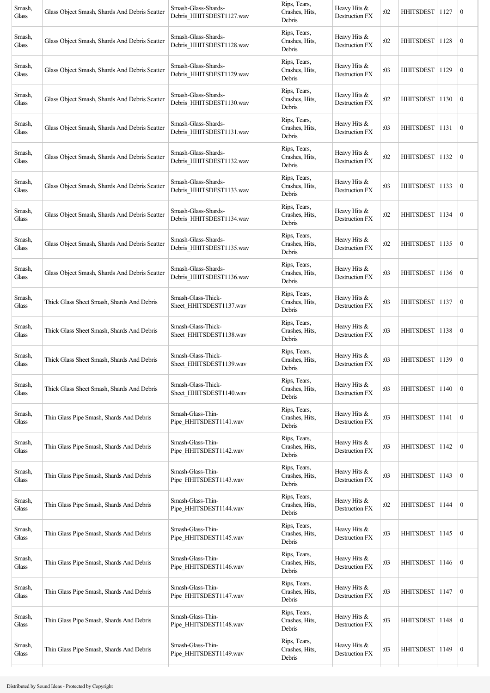| Smash,<br>Glass | Glass Object Smash, Shards And Debris Scatter | Smash-Glass-Shards-<br>Debris HHITSDEST1127.wav | Rips, Tears,<br>Crashes, Hits,<br>Debris | Heavy Hits &<br>Destruction FX        | :02 | HHITSDEST   1127 |      | $\bf{0}$         |
|-----------------|-----------------------------------------------|-------------------------------------------------|------------------------------------------|---------------------------------------|-----|------------------|------|------------------|
| Smash,<br>Glass | Glass Object Smash, Shards And Debris Scatter | Smash-Glass-Shards-<br>Debris_HHITSDEST1128.wav | Rips, Tears,<br>Crashes, Hits,<br>Debris | Heavy Hits &<br>Destruction FX        | :02 | <b>HHITSDEST</b> | 1128 | $\boldsymbol{0}$ |
| Smash,<br>Glass | Glass Object Smash, Shards And Debris Scatter | Smash-Glass-Shards-<br>Debris_HHITSDEST1129.wav | Rips, Tears,<br>Crashes, Hits,<br>Debris | Heavy Hits &<br>Destruction FX        | :03 | <b>HHITSDEST</b> | 1129 | $\boldsymbol{0}$ |
| Smash,<br>Glass | Glass Object Smash, Shards And Debris Scatter | Smash-Glass-Shards-<br>Debris_HHITSDEST1130.wav | Rips, Tears,<br>Crashes, Hits,<br>Debris | Heavy Hits &<br>Destruction FX        | :02 | HHITSDEST        | 1130 | $\boldsymbol{0}$ |
| Smash,<br>Glass | Glass Object Smash, Shards And Debris Scatter | Smash-Glass-Shards-<br>Debris_HHITSDEST1131.wav | Rips, Tears,<br>Crashes, Hits,<br>Debris | Heavy Hits &<br>Destruction FX        | :03 | HHITSDEST        | 1131 | $\bf{0}$         |
| Smash,<br>Glass | Glass Object Smash, Shards And Debris Scatter | Smash-Glass-Shards-<br>Debris_HHITSDEST1132.wav | Rips, Tears,<br>Crashes, Hits,<br>Debris | Heavy Hits &<br>Destruction FX        | :02 | HHITSDEST        | 1132 | $\boldsymbol{0}$ |
| Smash,<br>Glass | Glass Object Smash, Shards And Debris Scatter | Smash-Glass-Shards-<br>Debris_HHITSDEST1133.wav | Rips, Tears,<br>Crashes, Hits,<br>Debris | Heavy Hits &<br>Destruction FX        | :03 | HHITSDEST        | 1133 | $\bf{0}$         |
| Smash,<br>Glass | Glass Object Smash, Shards And Debris Scatter | Smash-Glass-Shards-<br>Debris_HHITSDEST1134.wav | Rips, Tears,<br>Crashes, Hits,<br>Debris | Heavy Hits &<br>Destruction FX        | :02 | HHITSDEST 1134   |      | $\mathbf{0}$     |
| Smash,<br>Glass | Glass Object Smash, Shards And Debris Scatter | Smash-Glass-Shards-<br>Debris_HHITSDEST1135.wav | Rips, Tears,<br>Crashes, Hits,<br>Debris | Heavy Hits &<br><b>Destruction FX</b> | :02 | HHITSDEST   1135 |      | $\bf{0}$         |
| Smash,<br>Glass | Glass Object Smash, Shards And Debris Scatter | Smash-Glass-Shards-<br>Debris HHITSDEST1136.wav | Rips, Tears,<br>Crashes, Hits,<br>Debris | Heavy Hits &<br>Destruction FX        | :03 | <b>HHITSDEST</b> | 1136 | $\boldsymbol{0}$ |
| Smash,<br>Glass | Thick Glass Sheet Smash, Shards And Debris    | Smash-Glass-Thick-<br>Sheet HHITSDEST1137.wav   | Rips, Tears,<br>Crashes, Hits,<br>Debris | Heavy Hits &<br>Destruction FX        | :03 | HHITSDEST        | 1137 | $\boldsymbol{0}$ |
| Smash,<br>Glass | Thick Glass Sheet Smash, Shards And Debris    | Smash-Glass-Thick-<br>Sheet HHITSDEST1138.wav   | Rips, Tears,<br>Crashes, Hits,<br>Debris | Heavy Hits &<br>Destruction FX        | :03 | HHITSDEST   1138 |      | $\boldsymbol{0}$ |
| Smash,<br>Glass | Thick Glass Sheet Smash, Shards And Debris    | Smash-Glass-Thick-<br>Sheet_HHITSDEST1139.wav   | Rips, Tears,<br>Crashes, Hits,<br>Debris | Heavy Hits &<br>Destruction FX        | :03 | HHITSDEST   1139 |      | $\bf{0}$         |
| Smash,<br>Glass | Thick Glass Sheet Smash, Shards And Debris    | Smash-Glass-Thick-<br>Sheet_HHITSDEST1140.wav   | Rips, Tears,<br>Crashes, Hits,<br>Debris | Heavy Hits &<br><b>Destruction FX</b> | :03 | <b>HHITSDEST</b> | 1140 | $\mathbf{0}$     |
| Smash,<br>Glass | Thin Glass Pipe Smash, Shards And Debris      | Smash-Glass-Thin-<br>Pipe_HHITSDEST1141.wav     | Rips, Tears,<br>Crashes, Hits,<br>Debris | Heavy Hits &<br>Destruction FX        | :03 | HHITSDEST        | 1141 | $\mathbf{0}$     |
| Smash,<br>Glass | Thin Glass Pipe Smash, Shards And Debris      | Smash-Glass-Thin-<br>Pipe_HHITSDEST1142.wav     | Rips, Tears,<br>Crashes, Hits,<br>Debris | Heavy Hits &<br>Destruction FX        | :03 | HHITSDEST 1142   |      | $\mathbf{0}$     |
| Smash,<br>Glass | Thin Glass Pipe Smash, Shards And Debris      | Smash-Glass-Thin-<br>Pipe_HHITSDEST1143.wav     | Rips, Tears,<br>Crashes, Hits,<br>Debris | Heavy Hits &<br>Destruction FX        | :03 | HHITSDEST        | 1143 | $\boldsymbol{0}$ |
| Smash,<br>Glass | Thin Glass Pipe Smash, Shards And Debris      | Smash-Glass-Thin-<br>Pipe_HHITSDEST1144.wav     | Rips, Tears,<br>Crashes, Hits,<br>Debris | Heavy Hits &<br>Destruction FX        | :02 | <b>HHITSDEST</b> | 1144 | $\mathbf{0}$     |
| Smash,<br>Glass | Thin Glass Pipe Smash, Shards And Debris      | Smash-Glass-Thin-<br>Pipe HHITSDEST1145.wav     | Rips, Tears,<br>Crashes, Hits,<br>Debris | Heavy Hits &<br>Destruction FX        | :03 | <b>HHITSDEST</b> | 1145 | $\boldsymbol{0}$ |
| Smash,<br>Glass | Thin Glass Pipe Smash, Shards And Debris      | Smash-Glass-Thin-<br>Pipe_HHITSDEST1146.wav     | Rips, Tears,<br>Crashes, Hits,<br>Debris | Heavy Hits &<br>Destruction FX        | :03 | HHITSDEST        | 1146 | $\mathbf{0}$     |
| Smash,<br>Glass | Thin Glass Pipe Smash, Shards And Debris      | Smash-Glass-Thin-<br>Pipe_HHITSDEST1147.wav     | Rips, Tears,<br>Crashes, Hits,<br>Debris | Heavy Hits &<br>Destruction FX        | :03 | <b>HHITSDEST</b> | 1147 | $\mathbf{0}$     |
| Smash,<br>Glass | Thin Glass Pipe Smash, Shards And Debris      | Smash-Glass-Thin-<br>Pipe_HHITSDEST1148.wav     | Rips, Tears,<br>Crashes, Hits,<br>Debris | Heavy Hits &<br>Destruction FX        | :03 | <b>HHITSDEST</b> | 1148 | $\mathbf{0}$     |
| Smash,<br>Glass | Thin Glass Pipe Smash, Shards And Debris      | Smash-Glass-Thin-<br>Pipe_HHITSDEST1149.wav     | Rips, Tears,<br>Crashes, Hits,<br>Debris | Heavy Hits &<br>Destruction FX        | :03 | HHITSDEST 1149   |      | $\mathbf{0}$     |
|                 |                                               |                                                 |                                          |                                       |     |                  |      |                  |